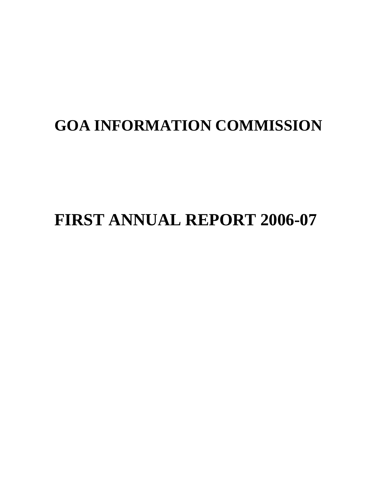# **GOA INFORMATION COMMISSION**

# **FIRST ANNUAL REPORT 2006-07**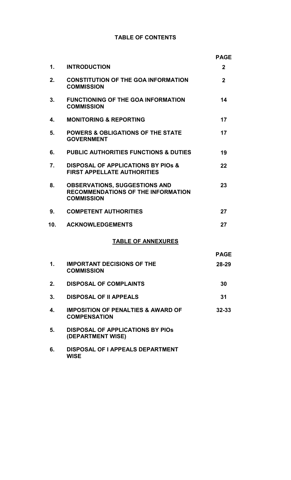# TABLE OF CONTENTS

|     |                                                                                                        | <b>PAGE</b>  |
|-----|--------------------------------------------------------------------------------------------------------|--------------|
| 1.  | <b>INTRODUCTION</b>                                                                                    | $\mathbf 2$  |
| 2.  | <b>CONSTITUTION OF THE GOA INFORMATION</b><br><b>COMMISSION</b>                                        | $\mathbf{2}$ |
| 3.  | <b>FUNCTIONING OF THE GOA INFORMATION</b><br><b>COMMISSION</b>                                         | 14           |
| 4.  | <b>MONITORING &amp; REPORTING</b>                                                                      | 17           |
| 5.  | <b>POWERS &amp; OBLIGATIONS OF THE STATE</b><br><b>GOVERNMENT</b>                                      | 17           |
| 6.  | <b>PUBLIC AUTHORITIES FUNCTIONS &amp; DUTIES</b>                                                       | 19           |
| 7.  | <b>DISPOSAL OF APPLICATIONS BY PIOS &amp;</b><br><b>FIRST APPELLATE AUTHORITIES</b>                    | 22           |
| 8.  | <b>OBSERVATIONS, SUGGESTIONS AND</b><br><b>RECOMMENDATIONS OF THE INFORMATION</b><br><b>COMMISSION</b> | 23           |
| 9.  | <b>COMPETENT AUTHORITIES</b>                                                                           | 27           |
| 10. | <b>ACKNOWLEDGEMENTS</b>                                                                                | 27           |
|     | <b>TABLE OF ANNEXURES</b>                                                                              |              |
|     |                                                                                                        | <b>PAGE</b>  |
| 1.  | <b>IMPORTANT DECISIONS OF THE</b><br><b>COMMISSION</b>                                                 | 28-29        |
| 2.  | <b>DISPOSAL OF COMPLAINTS</b>                                                                          | 30           |
| 3.  | <b>DISPOSAL OF II APPEALS</b>                                                                          | 31           |
| 4.  | <b>IMPOSITION OF PENALTIES &amp; AWARD OF</b><br><b>COMPENSATION</b>                                   | $32 - 33$    |
| 5.  | <b>DISPOSAL OF APPLICATIONS BY PIOS</b><br>(DEPARTMENT WISE)                                           |              |
| 6.  | <b>DISPOSAL OF I APPEALS DEPARTMENT</b><br><b>WISE</b>                                                 |              |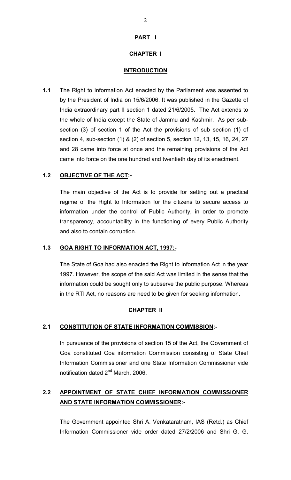# PART I

# CHAPTER I

# INTRODUCTION

1.1 The Right to Information Act enacted by the Parliament was assented to by the President of India on 15/6/2006. It was published in the Gazette of India extraordinary part II section 1 dated 21/6/2005. The Act extends to the whole of India except the State of Jammu and Kashmir. As per subsection (3) of section 1 of the Act the provisions of sub section (1) of section 4, sub-section (1) & (2) of section 5, section 12, 13, 15, 16, 24, 27 and 28 came into force at once and the remaining provisions of the Act came into force on the one hundred and twentieth day of its enactment.

# 1.2 OBJECTIVE OF THE ACT:-

The main objective of the Act is to provide for setting out a practical regime of the Right to Information for the citizens to secure access to information under the control of Public Authority, in order to promote transparency, accountability in the functioning of every Public Authority and also to contain corruption.

# 1.3 GOA RIGHT TO INFORMATION ACT, 1997:-

The State of Goa had also enacted the Right to Information Act in the year 1997. However, the scope of the said Act was limited in the sense that the information could be sought only to subserve the public purpose. Whereas in the RTI Act, no reasons are need to be given for seeking information.

# CHAPTER II

# 2.1 CONSTITUTION OF STATE INFORMATION COMMISSION:-

In pursuance of the provisions of section 15 of the Act, the Government of Goa constituted Goa information Commission consisting of State Chief Information Commissioner and one State Information Commissioner vide notification dated 2<sup>nd</sup> March, 2006.

# 2.2 APPOINTMENT OF STATE CHIEF INFORMATION COMMISSIONER AND STATE INFORMATION COMMISSIONER:-

The Government appointed Shri A. Venkataratnam, IAS (Retd.) as Chief Information Commissioner vide order dated 27/2/2006 and Shri G. G.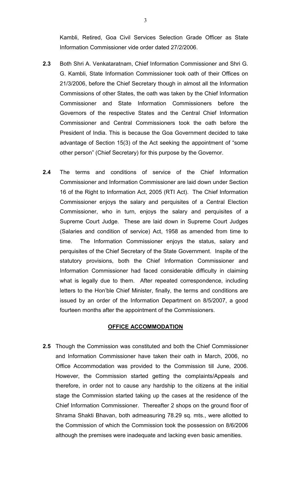Kambli, Retired, Goa Civil Services Selection Grade Officer as State Information Commissioner vide order dated 27/2/2006.

- 2.3 Both Shri A. Venkataratnam, Chief Information Commissioner and Shri G. G. Kambli, State Information Commissioner took oath of their Offices on 21/3/2006, before the Chief Secretary though in almost all the Information Commissions of other States, the oath was taken by the Chief Information Commissioner and State Information Commissioners before the Governors of the respective States and the Central Chief Information Commissioner and Central Commissioners took the oath before the President of India. This is because the Goa Government decided to take advantage of Section 15(3) of the Act seeking the appointment of "some other person" (Chief Secretary) for this purpose by the Governor.
- 2.4 The terms and conditions of service of the Chief Information Commissioner and Information Commissioner are laid down under Section 16 of the Right to Information Act, 2005 (RTI Act). The Chief Information Commissioner enjoys the salary and perquisites of a Central Election Commissioner, who in turn, enjoys the salary and perquisites of a Supreme Court Judge. These are laid down in Supreme Court Judges (Salaries and condition of service) Act, 1958 as amended from time to time. The Information Commissioner enjoys the status, salary and perquisites of the Chief Secretary of the State Government. Inspite of the statutory provisions, both the Chief Information Commissioner and Information Commissioner had faced considerable difficulty in claiming what is legally due to them. After repeated correspondence, including letters to the Hon'ble Chief Minister, finally, the terms and conditions are issued by an order of the Information Department on 8/5/2007, a good fourteen months after the appointment of the Commissioners.

#### OFFICE ACCOMMODATION

2.5 Though the Commission was constituted and both the Chief Commissioner and Information Commissioner have taken their oath in March, 2006, no Office Accommodation was provided to the Commission till June, 2006. However, the Commission started getting the complaints/Appeals and therefore, in order not to cause any hardship to the citizens at the initial stage the Commission started taking up the cases at the residence of the Chief Information Commissioner. Thereafter 2 shops on the ground floor of Shrama Shakti Bhavan, both admeasuring 78.29 sq. mts., were allotted to the Commission of which the Commission took the possession on 8/6/2006 although the premises were inadequate and lacking even basic amenities.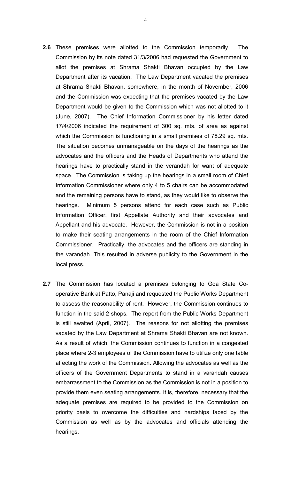- 2.6 These premises were allotted to the Commission temporarily. The Commission by its note dated 31/3/2006 had requested the Government to allot the premises at Shrama Shakti Bhavan occupied by the Law Department after its vacation. The Law Department vacated the premises at Shrama Shakti Bhavan, somewhere, in the month of November, 2006 and the Commission was expecting that the premises vacated by the Law Department would be given to the Commission which was not allotted to it (June, 2007). The Chief Information Commissioner by his letter dated 17/4/2006 indicated the requirement of 300 sq. mts. of area as against which the Commission is functioning in a small premises of 78.29 sq. mts. The situation becomes unmanageable on the days of the hearings as the advocates and the officers and the Heads of Departments who attend the hearings have to practically stand in the verandah for want of adequate space. The Commission is taking up the hearings in a small room of Chief Information Commissioner where only 4 to 5 chairs can be accommodated and the remaining persons have to stand, as they would like to observe the hearings. Minimum 5 persons attend for each case such as Public Information Officer, first Appellate Authority and their advocates and Appellant and his advocate. However, the Commission is not in a position to make their seating arrangements in the room of the Chief Information Commissioner. Practically, the advocates and the officers are standing in the varandah. This resulted in adverse publicity to the Government in the local press.
- 2.7 The Commission has located a premises belonging to Goa State Cooperative Bank at Patto, Panaji and requested the Public Works Department to assess the reasonability of rent. However, the Commission continues to function in the said 2 shops. The report from the Public Works Department is still awaited (April, 2007). The reasons for not allotting the premises vacated by the Law Department at Shrama Shakti Bhavan are not known. As a result of which, the Commission continues to function in a congested place where 2-3 employees of the Commission have to utilize only one table affecting the work of the Commission. Allowing the advocates as well as the officers of the Government Departments to stand in a varandah causes embarrassment to the Commission as the Commission is not in a position to provide them even seating arrangements. It is, therefore, necessary that the adequate premises are required to be provided to the Commission on priority basis to overcome the difficulties and hardships faced by the Commission as well as by the advocates and officials attending the hearings.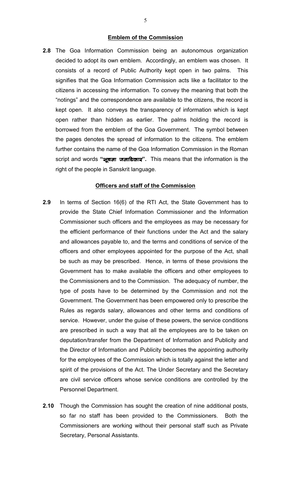#### Emblem of the Commission

2.8 The Goa Information Commission being an autonomous organization decided to adopt its own emblem. Accordingly, an emblem was chosen. It consists of a record of Public Authority kept open in two palms. This signifies that the Goa Information Commission acts like a facilitator to the citizens in accessing the information. To convey the meaning that both the "notings" and the correspondence are available to the citizens, the record is kept open. It also conveys the transparency of information which is kept open rather than hidden as earlier. The palms holding the record is borrowed from the emblem of the Goa Government. The symbol between the pages denotes the spread of information to the citizens. The emblem further contains the name of the Goa Information Commission in the Roman script and words "arrian जनाधिकाव". This means that the information is the right of the people in Sanskrit language.

### Officers and staff of the Commission

- 2.9 In terms of Section 16(6) of the RTI Act, the State Government has to provide the State Chief Information Commissioner and the Information Commissioner such officers and the employees as may be necessary for the efficient performance of their functions under the Act and the salary and allowances payable to, and the terms and conditions of service of the officers and other employees appointed for the purpose of the Act, shall be such as may be prescribed. Hence, in terms of these provisions the Government has to make available the officers and other employees to the Commissioners and to the Commission. The adequacy of number, the type of posts have to be determined by the Commission and not the Government. The Government has been empowered only to prescribe the Rules as regards salary, allowances and other terms and conditions of service. However, under the guise of these powers, the service conditions are prescribed in such a way that all the employees are to be taken on deputation/transfer from the Department of Information and Publicity and the Director of Information and Publicity becomes the appointing authority for the employees of the Commission which is totally against the letter and spirit of the provisions of the Act. The Under Secretary and the Secretary are civil service officers whose service conditions are controlled by the Personnel Department.
- 2.10 Though the Commission has sought the creation of nine additional posts, so far no staff has been provided to the Commissioners. Both the Commissioners are working without their personal staff such as Private Secretary, Personal Assistants.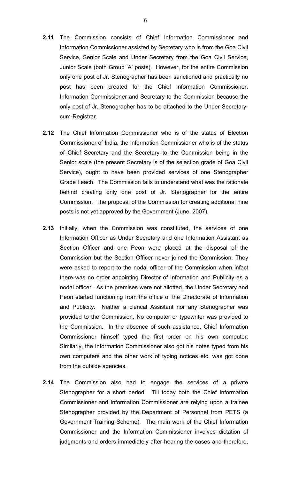- 2.11 The Commission consists of Chief Information Commissioner and Information Commissioner assisted by Secretary who is from the Goa Civil Service, Senior Scale and Under Secretary from the Goa Civil Service, Junior Scale (both Group 'A' posts). However, for the entire Commission only one post of Jr. Stenographer has been sanctioned and practically no post has been created for the Chief Information Commissioner, Information Commissioner and Secretary to the Commission because the only post of Jr. Stenographer has to be attached to the Under Secretarycum-Registrar.
- 2.12 The Chief Information Commissioner who is of the status of Election Commissioner of India, the Information Commissioner who is of the status of Chief Secretary and the Secretary to the Commission being in the Senior scale (the present Secretary is of the selection grade of Goa Civil Service), ought to have been provided services of one Stenographer Grade I each. The Commission fails to understand what was the rationale behind creating only one post of Jr. Stenographer for the entire Commission. The proposal of the Commission for creating additional nine posts is not yet approved by the Government (June, 2007).
- 2.13 Initially, when the Commission was constituted, the services of one Information Officer as Under Secretary and one Information Assistant as Section Officer and one Peon were placed at the disposal of the Commission but the Section Officer never joined the Commission. They were asked to report to the nodal officer of the Commission when infact there was no order appointing Director of Information and Publicity as a nodal officer. As the premises were not allotted, the Under Secretary and Peon started functioning from the office of the Directorate of Information and Publicity. Neither a clerical Assistant nor any Stenographer was provided to the Commission. No computer or typewriter was provided to the Commission. In the absence of such assistance, Chief Information Commissioner himself typed the first order on his own computer. Similarly, the Information Commissioner also got his notes typed from his own computers and the other work of typing notices etc. was got done from the outside agencies.
- 2.14 The Commission also had to engage the services of a private Stenographer for a short period. Till today both the Chief Information Commissioner and Information Commissioner are relying upon a trainee Stenographer provided by the Department of Personnel from PETS (a Government Training Scheme). The main work of the Chief Information Commissioner and the Information Commissioner involves dictation of judgments and orders immediately after hearing the cases and therefore,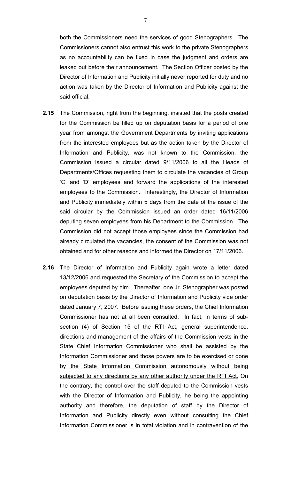both the Commissioners need the services of good Stenographers. The Commissioners cannot also entrust this work to the private Stenographers as no accountability can be fixed in case the judgment and orders are leaked out before their announcement. The Section Officer posted by the Director of Information and Publicity initially never reported for duty and no action was taken by the Director of Information and Publicity against the said official.

- 2.15 The Commission, right from the beginning, insisted that the posts created for the Commission be filled up on deputation basis for a period of one year from amongst the Government Departments by inviting applications from the interested employees but as the action taken by the Director of Information and Publicity, was not known to the Commission, the Commission issued a circular dated 9/11/2006 to all the Heads of Departments/Offices requesting them to circulate the vacancies of Group 'C' and 'D' employees and forward the applications of the interested employees to the Commission. Interestingly, the Director of Information and Publicity immediately within 5 days from the date of the issue of the said circular by the Commission issued an order dated 16/11/2006 deputing seven employees from his Department to the Commission. The Commission did not accept those employees since the Commission had already circulated the vacancies, the consent of the Commission was not obtained and for other reasons and informed the Director on 17/11/2006.
- 2.16 The Director of Information and Publicity again wrote a letter dated 13/12/2006 and requested the Secretary of the Commission to accept the employees deputed by him. Thereafter, one Jr. Stenographer was posted on deputation basis by the Director of Information and Publicity vide order dated January 7, 2007. Before issuing these orders, the Chief Information Commissioner has not at all been consulted. In fact, in terms of subsection (4) of Section 15 of the RTI Act, general superintendence, directions and management of the affairs of the Commission vests in the State Chief Information Commissioner who shall be assisted by the Information Commissioner and those powers are to be exercised or done by the State Information Commission autonomously without being subjected to any directions by any other authority under the RTI Act. On the contrary, the control over the staff deputed to the Commission vests with the Director of Information and Publicity, he being the appointing authority and therefore, the deputation of staff by the Director of Information and Publicity directly even without consulting the Chief Information Commissioner is in total violation and in contravention of the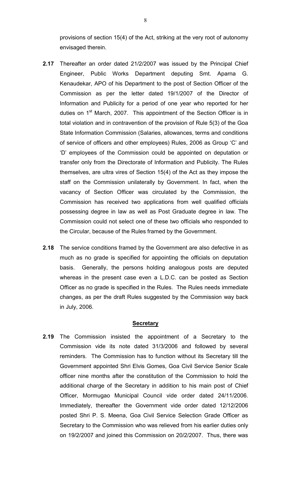provisions of section 15(4) of the Act, striking at the very root of autonomy envisaged therein.

- 2.17 Thereafter an order dated 21/2/2007 was issued by the Principal Chief Engineer, Public Works Department deputing Smt. Aparna G. Kenaudekar, APO of his Department to the post of Section Officer of the Commission as per the letter dated 19/1/2007 of the Director of Information and Publicity for a period of one year who reported for her duties on 1<sup>st</sup> March, 2007. This appointment of the Section Officer is in total violation and in contravention of the provision of Rule 5(3) of the Goa State Information Commission (Salaries, allowances, terms and conditions of service of officers and other employees) Rules, 2006 as Group 'C' and 'D' employees of the Commission could be appointed on deputation or transfer only from the Directorate of Information and Publicity. The Rules themselves, are ultra vires of Section 15(4) of the Act as they impose the staff on the Commission unilaterally by Government. In fact, when the vacancy of Section Officer was circulated by the Commission, the Commission has received two applications from well qualified officials possessing degree in law as well as Post Graduate degree in law. The Commission could not select one of these two officials who responded to the Circular, because of the Rules framed by the Government.
- 2.18 The service conditions framed by the Government are also defective in as much as no grade is specified for appointing the officials on deputation basis. Generally, the persons holding analogous posts are deputed whereas in the present case even a L.D.C. can be posted as Section Officer as no grade is specified in the Rules. The Rules needs immediate changes, as per the draft Rules suggested by the Commission way back in July, 2006.

#### **Secretary**

2.19 The Commission insisted the appointment of a Secretary to the Commission vide its note dated 31/3/2006 and followed by several reminders. The Commission has to function without its Secretary till the Government appointed Shri Elvis Gomes, Goa Civil Service Senior Scale officer nine months after the constitution of the Commission to hold the additional charge of the Secretary in addition to his main post of Chief Officer, Mormugao Municipal Council vide order dated 24/11/2006. Immediately, thereafter the Government vide order dated 12/12/2006 posted Shri P. S. Meena, Goa Civil Service Selection Grade Officer as Secretary to the Commission who was relieved from his earlier duties only on 19/2/2007 and joined this Commission on 20/2/2007. Thus, there was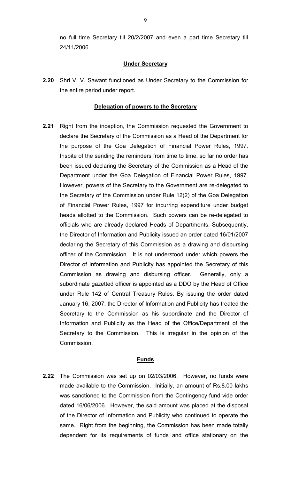no full time Secretary till 20/2/2007 and even a part time Secretary till 24/11/2006.

#### Under Secretary

2.20 Shri V. V. Sawant functioned as Under Secretary to the Commission for the entire period under report.

#### Delegation of powers to the Secretary

2.21 Right from the inception, the Commission requested the Government to declare the Secretary of the Commission as a Head of the Department for the purpose of the Goa Delegation of Financial Power Rules, 1997. Inspite of the sending the reminders from time to time, so far no order has been issued declaring the Secretary of the Commission as a Head of the Department under the Goa Delegation of Financial Power Rules, 1997. However, powers of the Secretary to the Government are re-delegated to the Secretary of the Commission under Rule 12(2) of the Goa Delegation of Financial Power Rules, 1997 for incurring expenditure under budget heads allotted to the Commission. Such powers can be re-delegated to officials who are already declared Heads of Departments. Subsequently, the Director of Information and Publicity issued an order dated 16/01/2007 declaring the Secretary of this Commission as a drawing and disbursing officer of the Commission. It is not understood under which powers the Director of Information and Publicity has appointed the Secretary of this Commission as drawing and disbursing officer. Generally, only a subordinate gazetted officer is appointed as a DDO by the Head of Office under Rule 142 of Central Treasury Rules. By issuing the order dated January 16, 2007, the Director of Information and Publicity has treated the Secretary to the Commission as his subordinate and the Director of Information and Publicity as the Head of the Office/Department of the Secretary to the Commission. This is irregular in the opinion of the **Commission** 

#### Funds

2.22 The Commission was set up on 02/03/2006. However, no funds were made available to the Commission. Initially, an amount of Rs.8.00 lakhs was sanctioned to the Commission from the Contingency fund vide order dated 16/06/2006. However, the said amount was placed at the disposal of the Director of Information and Publicity who continued to operate the same. Right from the beginning, the Commission has been made totally dependent for its requirements of funds and office stationary on the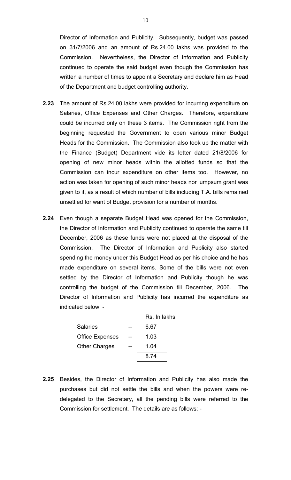Director of Information and Publicity. Subsequently, budget was passed on 31/7/2006 and an amount of Rs.24.00 lakhs was provided to the Commission. Nevertheless, the Director of Information and Publicity continued to operate the said budget even though the Commission has written a number of times to appoint a Secretary and declare him as Head of the Department and budget controlling authority.

- **2.23** The amount of Rs.24.00 lakhs were provided for incurring expenditure on Salaries, Office Expenses and Other Charges. Therefore, expenditure could be incurred only on these 3 items. The Commission right from the beginning requested the Government to open various minor Budget Heads for the Commission. The Commission also took up the matter with the Finance (Budget) Department vide its letter dated 21/8/2006 for opening of new minor heads within the allotted funds so that the Commission can incur expenditure on other items too. However, no action was taken for opening of such minor heads nor lumpsum grant was given to it, as a result of which number of bills including T.A. bills remained unsettled for want of Budget provision for a number of months.
- 2.24 Even though a separate Budget Head was opened for the Commission, the Director of Information and Publicity continued to operate the same till December, 2006 as these funds were not placed at the disposal of the Commission. The Director of Information and Publicity also started spending the money under this Budget Head as per his choice and he has made expenditure on several items. Some of the bills were not even settled by the Director of Information and Publicity though he was controlling the budget of the Commission till December, 2006. The Director of Information and Publicity has incurred the expenditure as indicated below: -

|                        | Rs. In lakhs |
|------------------------|--------------|
| <b>Salaries</b>        | 6.67         |
| <b>Office Expenses</b> | 1.03         |
| <b>Other Charges</b>   | 1 04         |
|                        | 8 74         |
|                        |              |

2.25 Besides, the Director of Information and Publicity has also made the purchases but did not settle the bills and when the powers were redelegated to the Secretary, all the pending bills were referred to the Commission for settlement. The details are as follows: -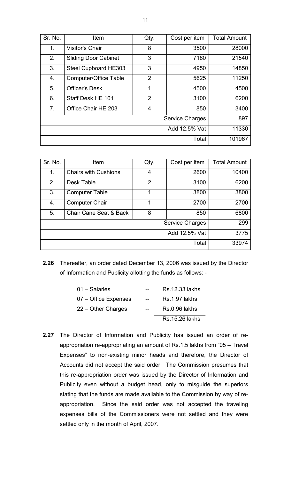| Sr. No.                           | Item                         | Qty.           | Cost per item | <b>Total Amount</b> |
|-----------------------------------|------------------------------|----------------|---------------|---------------------|
| 1.                                | Visitor's Chair              | 8              | 3500          | 28000               |
| 2.<br><b>Sliding Door Cabinet</b> |                              | 3              | 7180          | 21540               |
| 3.                                | Steel Cupboard HE303         | 3              | 4950          | 14850               |
| 4.                                | <b>Computer/Office Table</b> | $\overline{2}$ | 5625          | 11250               |
| 5.                                | <b>Officer's Desk</b>        | 1              | 4500          | 4500                |
| 6.                                | Staff Desk HE 101            | $\overline{2}$ | 3100          | 6200                |
| 7 <sub>1</sub>                    | Office Chair HE 203          | 4              | 850           | 3400                |
|                                   | 897                          |                |               |                     |
|                                   | 11330                        |                |               |                     |
|                                   | 101967                       |                |               |                     |

| Sr. No. | <b>Item</b>                       | Qty.           | Cost per item | <b>Total Amount</b> |
|---------|-----------------------------------|----------------|---------------|---------------------|
| 1.      | <b>Chairs with Cushions</b>       | 4              | 2600          | 10400               |
| 2.      | Desk Table                        | $\overline{2}$ | 3100          | 6200                |
| 3.      | <b>Computer Table</b>             | 1              | 3800          | 3800                |
| 4.      | <b>Computer Chair</b>             | 1              | 2700          | 2700                |
| 5.      | <b>Chair Cane Seat &amp; Back</b> |                | 850           | 6800                |
|         | 299                               |                |               |                     |
|         | 3775                              |                |               |                     |
|         | 33974                             |                |               |                     |

2.26 Thereafter, an order dated December 13, 2006 was issued by the Director of Information and Publicity allotting the funds as follows: -

| 01 – Salaries        |       | Rs.12.33 lakhs  |
|----------------------|-------|-----------------|
| 07 – Office Expenses | $- -$ | Rs 1.97 lakhs   |
| $22 -$ Other Charges |       | Rs.0.96 lakhs   |
|                      |       | Rs. 15.26 lakhs |

2.27 The Director of Information and Publicity has issued an order of reappropriation re-appropriating an amount of Rs.1.5 lakhs from "05 – Travel Expenses" to non-existing minor heads and therefore, the Director of Accounts did not accept the said order. The Commission presumes that this re-appropriation order was issued by the Director of Information and Publicity even without a budget head, only to misguide the superiors stating that the funds are made available to the Commission by way of reappropriation. Since the said order was not accepted the traveling expenses bills of the Commissioners were not settled and they were settled only in the month of April, 2007.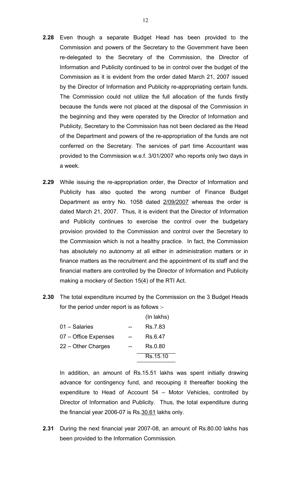- 2.28 Even though a separate Budget Head has been provided to the Commission and powers of the Secretary to the Government have been re-delegated to the Secretary of the Commission, the Director of Information and Publicity continued to be in control over the budget of the Commission as it is evident from the order dated March 21, 2007 issued by the Director of Information and Publicity re-appropriating certain funds. The Commission could not utilize the full allocation of the funds firstly because the funds were not placed at the disposal of the Commission in the beginning and they were operated by the Director of Information and Publicity, Secretary to the Commission has not been declared as the Head of the Department and powers of the re-appropriation of the funds are not conferred on the Secretary. The services of part time Accountant was provided to the Commission w.e.f. 3/01/2007 who reports only two days in a week.
- 2.29 While issuing the re-appropriation order, the Director of Information and Publicity has also quoted the wrong number of Finance Budget Department as entry No. 1058 dated 2/09/2007 whereas the order is dated March 21, 2007. Thus, it is evident that the Director of Information and Publicity continues to exercise the control over the budgetary provision provided to the Commission and control over the Secretary to the Commission which is not a healthy practice. In fact, the Commission has absolutely no autonomy at all either in administration matters or in finance matters as the recruitment and the appointment of its staff and the financial matters are controlled by the Director of Information and Publicity making a mockery of Section 15(4) of the RTI Act.
- 2.30 The total expenditure incurred by the Commission on the 3 Budget Heads for the period under report is as follows :-

|                      | (In lakhs) |
|----------------------|------------|
| 01 – Salaries        | Rs 7.83    |
| 07 – Office Expenses | Rs.6.47    |
| $22 -$ Other Charges | Rs.0.80    |
|                      | Rs. 15.10  |
|                      |            |

In addition, an amount of Rs.15.51 lakhs was spent initially drawing advance for contingency fund, and recouping it thereafter booking the expenditure to Head of Account 54 – Motor Vehicles, controlled by Director of Information and Publicity. Thus, the total expenditure during the financial year 2006-07 is Rs.30.61 lakhs only.

2.31 During the next financial year 2007-08, an amount of Rs.80.00 lakhs has been provided to the Information Commission.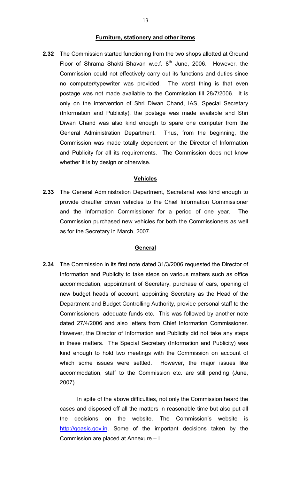#### Furniture, stationery and other items

2.32 The Commission started functioning from the two shops allotted at Ground Floor of Shrama Shakti Bhavan w.e.f.  $8<sup>th</sup>$  June, 2006. However, the Commission could not effectively carry out its functions and duties since no computer/typewriter was provided. The worst thing is that even postage was not made available to the Commission till 28/7/2006. It is only on the intervention of Shri Diwan Chand, IAS, Special Secretary (Information and Publicity), the postage was made available and Shri Diwan Chand was also kind enough to spare one computer from the General Administration Department. Thus, from the beginning, the Commission was made totally dependent on the Director of Information and Publicity for all its requirements. The Commission does not know whether it is by design or otherwise.

#### Vehicles

2.33 The General Administration Department, Secretariat was kind enough to provide chauffer driven vehicles to the Chief Information Commissioner and the Information Commissioner for a period of one year. The Commission purchased new vehicles for both the Commissioners as well as for the Secretary in March, 2007.

#### General

2.34 The Commission in its first note dated 31/3/2006 requested the Director of Information and Publicity to take steps on various matters such as office accommodation, appointment of Secretary, purchase of cars, opening of new budget heads of account, appointing Secretary as the Head of the Department and Budget Controlling Authority, provide personal staff to the Commissioners, adequate funds etc. This was followed by another note dated 27/4/2006 and also letters from Chief Information Commissioner. However, the Director of Information and Publicity did not take any steps in these matters. The Special Secretary (Information and Publicity) was kind enough to hold two meetings with the Commission on account of which some issues were settled. However, the major issues like accommodation, staff to the Commission etc. are still pending (June, 2007).

In spite of the above difficulties, not only the Commission heard the cases and disposed off all the matters in reasonable time but also put all the decisions on the website. The Commission's website is http://goasic.gov.in. Some of the important decisions taken by the Commission are placed at Annexure – I.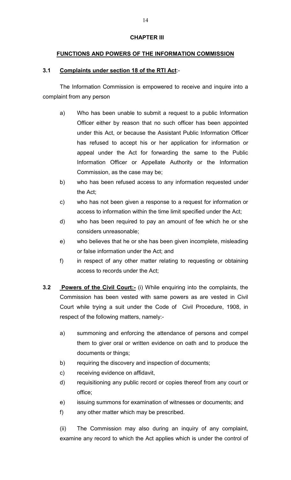# CHAPTER III

# FUNCTIONS AND POWERS OF THE INFORMATION COMMISSION

# 3.1 Complaints under section 18 of the RTI Act:-

The Information Commission is empowered to receive and inquire into a complaint from any person

- a) Who has been unable to submit a request to a public Information Officer either by reason that no such officer has been appointed under this Act, or because the Assistant Public Information Officer has refused to accept his or her application for information or appeal under the Act for forwarding the same to the Public Information Officer or Appellate Authority or the Information Commission, as the case may be;
- b) who has been refused access to any information requested under the Act;
- c) who has not been given a response to a request for information or access to information within the time limit specified under the Act;
- d) who has been required to pay an amount of fee which he or she considers unreasonable;
- e) who believes that he or she has been given incomplete, misleading or false information under the Act; and
- f) in respect of any other matter relating to requesting or obtaining access to records under the Act;
- 3.2 Powers of the Civil Court:- (i) While enquiring into the complaints, the Commission has been vested with same powers as are vested in Civil Court while trying a suit under the Code of Civil Procedure, 1908, in respect of the following matters, namely:
	- a) summoning and enforcing the attendance of persons and compel them to giver oral or written evidence on oath and to produce the documents or things;
	- b) requiring the discovery and inspection of documents;
	- c) receiving evidence on affidavit,
	- d) requisitioning any public record or copies thereof from any court or office;
	- e) issuing summons for examination of witnesses or documents; and
	- f) any other matter which may be prescribed.

(ii) The Commission may also during an inquiry of any complaint, examine any record to which the Act applies which is under the control of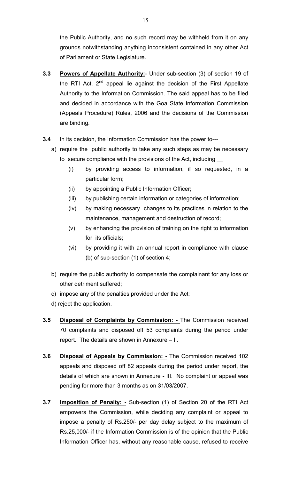the Public Authority, and no such record may be withheld from it on any grounds notwithstanding anything inconsistent contained in any other Act of Parliament or State Legislature.

- 3.3 Powers of Appellate Authority:- Under sub-section (3) of section 19 of the RTI Act,  $2^{nd}$  appeal lie against the decision of the First Appellate Authority to the Information Commission. The said appeal has to be filed and decided in accordance with the Goa State Information Commission (Appeals Procedure) Rules, 2006 and the decisions of the Commission are binding.
- 3.4 In its decision, the Information Commission has the power to--
	- a) require the public authority to take any such steps as may be necessary to secure compliance with the provisions of the Act, including
		- (i) by providing access to information, if so requested, in a particular form;
		- (ii) by appointing a Public Information Officer;
		- (iii) by publishing certain information or categories of information;
		- (iv) by making necessary changes to its practices in relation to the maintenance, management and destruction of record;
		- (v) by enhancing the provision of training on the right to information for its officials;
		- (vi) by providing it with an annual report in compliance with clause (b) of sub-section (1) of section 4;
	- b) require the public authority to compensate the complainant for any loss or other detriment suffered;
	- c) impose any of the penalties provided under the Act;
	- d) reject the application.
- 3.5 Disposal of Complaints by Commission: The Commission received 70 complaints and disposed off 53 complaints during the period under report. The details are shown in Annexure – II.
- 3.6 Disposal of Appeals by Commission: The Commission received 102 appeals and disposed off 82 appeals during the period under report, the details of which are shown in Annexure - III. No complaint or appeal was pending for more than 3 months as on 31/03/2007.
- 3.7 Imposition of Penalty: Sub-section (1) of Section 20 of the RTI Act empowers the Commission, while deciding any complaint or appeal to impose a penalty of Rs.250/- per day delay subject to the maximum of Rs.25,000/- if the Information Commission is of the opinion that the Public Information Officer has, without any reasonable cause, refused to receive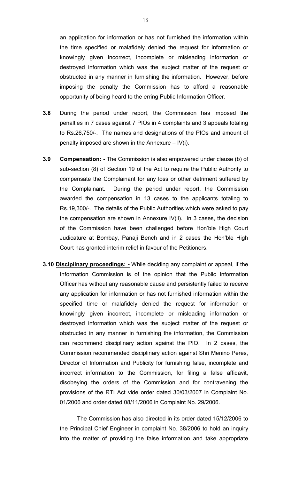an application for information or has not furnished the information within the time specified or malafidely denied the request for information or knowingly given incorrect, incomplete or misleading information or destroyed information which was the subject matter of the request or obstructed in any manner in furnishing the information. However, before imposing the penalty the Commission has to afford a reasonable opportunity of being heard to the erring Public Information Officer.

- 3.8 During the period under report, the Commission has imposed the penalties in 7 cases against 7 PIOs in 4 complaints and 3 appeals totaling to Rs.26,750/-. The names and designations of the PIOs and amount of penalty imposed are shown in the Annexure – IV(i).
- 3.9 Compensation: The Commission is also empowered under clause (b) of sub-section (8) of Section 19 of the Act to require the Public Authority to compensate the Complainant for any loss or other detriment suffered by the Complainant. During the period under report, the Commission awarded the compensation in 13 cases to the applicants totaling to Rs.19,300/-. The details of the Public Authorities which were asked to pay the compensation are shown in Annexure IV(ii). In 3 cases, the decision of the Commission have been challenged before Hon'ble High Court Judicature at Bombay, Panaji Bench and in 2 cases the Hon'ble High Court has granted interim relief in favour of the Petitioners.
- 3.10 Disciplinary proceedings: While deciding any complaint or appeal, if the Information Commission is of the opinion that the Public Information Officer has without any reasonable cause and persistently failed to receive any application for information or has not furnished information within the specified time or malafidely denied the request for information or knowingly given incorrect, incomplete or misleading information or destroyed information which was the subject matter of the request or obstructed in any manner in furnishing the information, the Commission can recommend disciplinary action against the PIO. In 2 cases, the Commission recommended disciplinary action against Shri Menino Peres, Director of Information and Publicity for furnishing false, incomplete and incorrect information to the Commission, for filing a false affidavit, disobeying the orders of the Commission and for contravening the provisions of the RTI Act vide order dated 30/03/2007 in Complaint No. 01/2006 and order dated 08/11/2006 in Complaint No. 29/2006.

The Commission has also directed in its order dated 15/12/2006 to the Principal Chief Engineer in complaint No. 38/2006 to hold an inquiry into the matter of providing the false information and take appropriate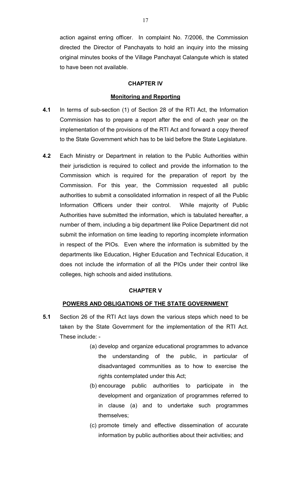action against erring officer. In complaint No. 7/2006, the Commission directed the Director of Panchayats to hold an inquiry into the missing original minutes books of the Village Panchayat Calangute which is stated to have been not available.

#### CHAPTER IV

#### Monitoring and Reporting

- 4.1 In terms of sub-section (1) of Section 28 of the RTI Act, the Information Commission has to prepare a report after the end of each year on the implementation of the provisions of the RTI Act and forward a copy thereof to the State Government which has to be laid before the State Legislature.
- 4.2 Each Ministry or Department in relation to the Public Authorities within their jurisdiction is required to collect and provide the information to the Commission which is required for the preparation of report by the Commission. For this year, the Commission requested all public authorities to submit a consolidated information in respect of all the Public Information Officers under their control. While majority of Public Authorities have submitted the information, which is tabulated hereafter, a number of them, including a big department like Police Department did not submit the information on time leading to reporting incomplete information in respect of the PIOs. Even where the information is submitted by the departments like Education, Higher Education and Technical Education, it does not include the information of all the PIOs under their control like colleges, high schools and aided institutions.

#### CHAPTER V

#### POWERS AND OBLIGATIONS OF THE STATE GOVERNMENT

- 5.1 Section 26 of the RTI Act lays down the various steps which need to be taken by the State Government for the implementation of the RTI Act. These include: -
	- (a) develop and organize educational programmes to advance the understanding of the public, in particular of disadvantaged communities as to how to exercise the rights contemplated under this Act;
	- (b) encourage public authorities to participate in the development and organization of programmes referred to in clause (a) and to undertake such programmes themselves;
	- (c) promote timely and effective dissemination of accurate information by public authorities about their activities; and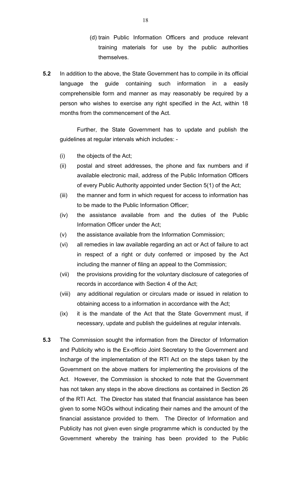- (d) train Public Information Officers and produce relevant training materials for use by the public authorities themselves.
- **5.2** In addition to the above, the State Government has to compile in its official language the guide containing such information in a easily comprehensible form and manner as may reasonably be required by a person who wishes to exercise any right specified in the Act, within 18 months from the commencement of the Act.

Further, the State Government has to update and publish the guidelines at regular intervals which includes: -

- (i) the objects of the Act;
- (ii) postal and street addresses, the phone and fax numbers and if available electronic mail, address of the Public Information Officers of every Public Authority appointed under Section 5(1) of the Act;
- (iii) the manner and form in which request for access to information has to be made to the Public Information Officer;
- (iv) the assistance available from and the duties of the Public Information Officer under the Act;
- (v) the assistance available from the Information Commission;
- (vi) all remedies in law available regarding an act or Act of failure to act in respect of a right or duty conferred or imposed by the Act including the manner of filing an appeal to the Commission;
- (vii) the provisions providing for the voluntary disclosure of categories of records in accordance with Section 4 of the Act;
- (viii) any additional regulation or circulars made or issued in relation to obtaining access to a information in accordance with the Act;
- (ix) it is the mandate of the Act that the State Government must, if necessary, update and publish the guidelines at regular intervals.
- 5.3 The Commission sought the information from the Director of Information and Publicity who is the Ex-officio Joint Secretary to the Government and Incharge of the implementation of the RTI Act on the steps taken by the Government on the above matters for implementing the provisions of the Act. However, the Commission is shocked to note that the Government has not taken any steps in the above directions as contained in Section 26 of the RTI Act. The Director has stated that financial assistance has been given to some NGOs without indicating their names and the amount of the financial assistance provided to them. The Director of Information and Publicity has not given even single programme which is conducted by the Government whereby the training has been provided to the Public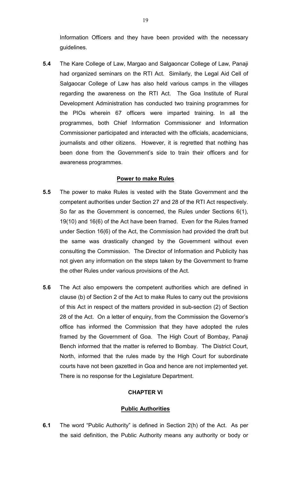Information Officers and they have been provided with the necessary guidelines.

5.4 The Kare College of Law, Margao and Salgaoncar College of Law, Panaji had organized seminars on the RTI Act. Similarly, the Legal Aid Cell of Salgaocar College of Law has also held various camps in the villages regarding the awareness on the RTI Act. The Goa Institute of Rural Development Administration has conducted two training programmes for the PIOs wherein 67 officers were imparted training. In all the programmes, both Chief Information Commissioner and Information Commissioner participated and interacted with the officials, academicians, journalists and other citizens. However, it is regretted that nothing has been done from the Government's side to train their officers and for awareness programmes.

# Power to make Rules

- 5.5 The power to make Rules is vested with the State Government and the competent authorities under Section 27 and 28 of the RTI Act respectively. So far as the Government is concerned, the Rules under Sections 6(1), 19(10) and 16(6) of the Act have been framed. Even for the Rules framed under Section 16(6) of the Act, the Commission had provided the draft but the same was drastically changed by the Government without even consulting the Commission. The Director of Information and Publicity has not given any information on the steps taken by the Government to frame the other Rules under various provisions of the Act.
- 5.6 The Act also empowers the competent authorities which are defined in clause (b) of Section 2 of the Act to make Rules to carry out the provisions of this Act in respect of the matters provided in sub-section (2) of Section 28 of the Act. On a letter of enquiry, from the Commission the Governor's office has informed the Commission that they have adopted the rules framed by the Government of Goa. The High Court of Bombay, Panaji Bench informed that the matter is referred to Bombay. The District Court, North, informed that the rules made by the High Court for subordinate courts have not been gazetted in Goa and hence are not implemented yet. There is no response for the Legislature Department.

# CHAPTER VI

#### Public Authorities

6.1 The word "Public Authority" is defined in Section 2(h) of the Act. As per the said definition, the Public Authority means any authority or body or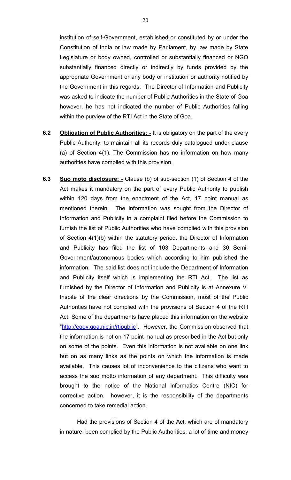institution of self-Government, established or constituted by or under the Constitution of India or law made by Parliament, by law made by State Legislature or body owned, controlled or substantially financed or NGO substantially financed directly or indirectly by funds provided by the appropriate Government or any body or institution or authority notified by the Government in this regards. The Director of Information and Publicity was asked to indicate the number of Public Authorities in the State of Goa however, he has not indicated the number of Public Authorities falling within the purview of the RTI Act in the State of Goa.

- 6.2 Obligation of Public Authorities: It is obligatory on the part of the every Public Authority, to maintain all its records duly catalogued under clause (a) of Section 4(1). The Commission has no information on how many authorities have complied with this provision.
- 6.3 Suo moto disclosure: Clause (b) of sub-section (1) of Section 4 of the Act makes it mandatory on the part of every Public Authority to publish within 120 days from the enactment of the Act, 17 point manual as mentioned therein. The information was sought from the Director of Information and Publicity in a complaint filed before the Commission to furnish the list of Public Authorities who have complied with this provision of Section 4(1)(b) within the statutory period, the Director of Information and Publicity has filed the list of 103 Departments and 30 Semi-Government/autonomous bodies which according to him published the information. The said list does not include the Department of Information and Publicity itself which is implementing the RTI Act. The list as furnished by the Director of Information and Publicity is at Annexure V. Inspite of the clear directions by the Commission, most of the Public Authorities have not complied with the provisions of Section 4 of the RTI Act. Some of the departments have placed this information on the website "http://egov.goa.nic.in/rtipublic". However, the Commission observed that the information is not on 17 point manual as prescribed in the Act but only on some of the points. Even this information is not available on one link but on as many links as the points on which the information is made available. This causes lot of inconvenience to the citizens who want to access the suo motto information of any department. This difficulty was brought to the notice of the National Informatics Centre (NIC) for corrective action. however, it is the responsibility of the departments concerned to take remedial action.

Had the provisions of Section 4 of the Act, which are of mandatory in nature, been complied by the Public Authorities, a lot of time and money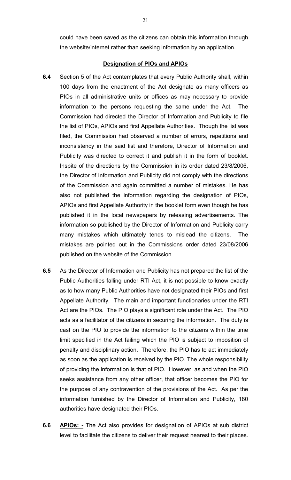could have been saved as the citizens can obtain this information through the website/internet rather than seeking information by an application.

#### Designation of PIOs and APIOs

- 6.4 Section 5 of the Act contemplates that every Public Authority shall, within 100 days from the enactment of the Act designate as many officers as PIOs in all administrative units or offices as may necessary to provide information to the persons requesting the same under the Act. The Commission had directed the Director of Information and Publicity to file the list of PIOs, APIOs and first Appellate Authorities. Though the list was filed, the Commission had observed a number of errors, repetitions and inconsistency in the said list and therefore, Director of Information and Publicity was directed to correct it and publish it in the form of booklet. Inspite of the directions by the Commission in its order dated 23/8/2006, the Director of Information and Publicity did not comply with the directions of the Commission and again committed a number of mistakes. He has also not published the information regarding the designation of PIOs, APIOs and first Appellate Authority in the booklet form even though he has published it in the local newspapers by releasing advertisements. The information so published by the Director of Information and Publicity carry many mistakes which ultimately tends to mislead the citizens. The mistakes are pointed out in the Commissions order dated 23/08/2006 published on the website of the Commission.
- 6.5 As the Director of Information and Publicity has not prepared the list of the Public Authorities falling under RTI Act, it is not possible to know exactly as to how many Public Authorities have not designated their PIOs and first Appellate Authority. The main and important functionaries under the RTI Act are the PIOs. The PIO plays a significant role under the Act. The PIO acts as a facilitator of the citizens in securing the information. The duty is cast on the PIO to provide the information to the citizens within the time limit specified in the Act failing which the PIO is subject to imposition of penalty and disciplinary action. Therefore, the PIO has to act immediately as soon as the application is received by the PIO. The whole responsibility of providing the information is that of PIO. However, as and when the PIO seeks assistance from any other officer, that officer becomes the PIO for the purpose of any contravention of the provisions of the Act. As per the information furnished by the Director of Information and Publicity, 180 authorities have designated their PIOs.
- 6.6 APIOs: The Act also provides for designation of APIOs at sub district level to facilitate the citizens to deliver their request nearest to their places.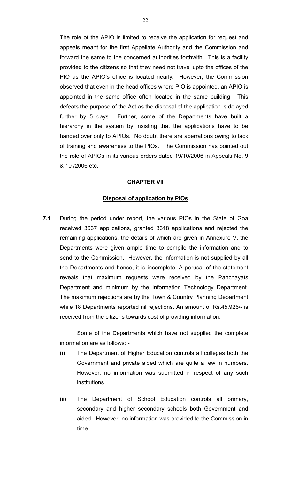The role of the APIO is limited to receive the application for request and appeals meant for the first Appellate Authority and the Commission and forward the same to the concerned authorities forthwith. This is a facility provided to the citizens so that they need not travel upto the offices of the PIO as the APIO's office is located nearly. However, the Commission observed that even in the head offices where PIO is appointed, an APIO is appointed in the same office often located in the same building. This defeats the purpose of the Act as the disposal of the application is delayed further by 5 days. Further, some of the Departments have built a hierarchy in the system by insisting that the applications have to be handed over only to APIOs. No doubt there are aberrations owing to lack of training and awareness to the PIOs. The Commission has pointed out the role of APIOs in its various orders dated 19/10/2006 in Appeals No. 9 & 10 /2006 etc.

#### CHAPTER VII

### Disposal of application by PIOs

7.1 During the period under report, the various PIOs in the State of Goa received 3637 applications, granted 3318 applications and rejected the remaining applications, the details of which are given in Annexure V. the Departments were given ample time to compile the information and to send to the Commission. However, the information is not supplied by all the Departments and hence, it is incomplete. A perusal of the statement reveals that maximum requests were received by the Panchayats Department and minimum by the Information Technology Department. The maximum rejections are by the Town & Country Planning Department while 18 Departments reported nil rejections. An amount of Rs.45,926/- is received from the citizens towards cost of providing information.

Some of the Departments which have not supplied the complete information are as follows: -

- (i) The Department of Higher Education controls all colleges both the Government and private aided which are quite a few in numbers. However, no information was submitted in respect of any such institutions.
- (ii) The Department of School Education controls all primary, secondary and higher secondary schools both Government and aided. However, no information was provided to the Commission in time.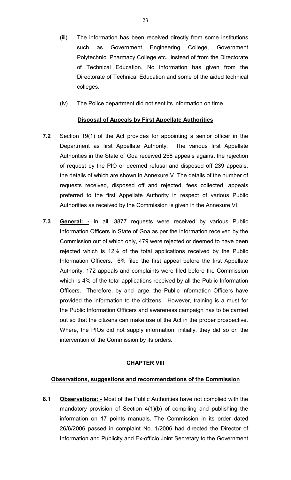- (iii) The information has been received directly from some institutions such as Government Engineering College, Government Polytechnic, Pharmacy College etc., instead of from the Directorate of Technical Education. No information has given from the Directorate of Technical Education and some of the aided technical colleges.
- (iv) The Police department did not sent its information on time.

# Disposal of Appeals by First Appellate Authorities

- 7.2 Section 19(1) of the Act provides for appointing a senior officer in the Department as first Appellate Authority. The various first Appellate Authorities in the State of Goa received 258 appeals against the rejection of request by the PIO or deemed refusal and disposed off 239 appeals, the details of which are shown in Annexure V. The details of the number of requests received, disposed off and rejected, fees collected, appeals preferred to the first Appellate Authority in respect of various Public Authorities as received by the Commission is given in the Annexure VI.
- 7.3 **General:** In all, 3877 requests were received by various Public Information Officers in State of Goa as per the information received by the Commission out of which only, 479 were rejected or deemed to have been rejected which is 12% of the total applications received by the Public Information Officers. 6% filed the first appeal before the first Appellate Authority. 172 appeals and complaints were filed before the Commission which is 4% of the total applications received by all the Public Information Officers. Therefore, by and large, the Public Information Officers have provided the information to the citizens. However, training is a must for the Public Information Officers and awareness campaign has to be carried out so that the citizens can make use of the Act in the proper prospective. Where, the PIOs did not supply information, initially, they did so on the intervention of the Commission by its orders.

# CHAPTER VIII

# Observations, suggestions and recommendations of the Commission

8.1 Observations: - Most of the Public Authorities have not complied with the mandatory provision of Section 4(1)(b) of compiling and publishing the information on 17 points manuals. The Commission in its order dated 26/6/2006 passed in complaint No. 1/2006 had directed the Director of Information and Publicity and Ex-officio Joint Secretary to the Government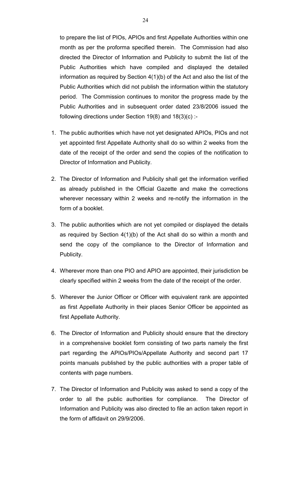to prepare the list of PIOs, APIOs and first Appellate Authorities within one month as per the proforma specified therein. The Commission had also directed the Director of Information and Publicity to submit the list of the Public Authorities which have compiled and displayed the detailed information as required by Section 4(1)(b) of the Act and also the list of the Public Authorities which did not publish the information within the statutory period. The Commission continues to monitor the progress made by the Public Authorities and in subsequent order dated 23/8/2006 issued the following directions under Section 19(8) and 18(3)(c) :-

- 1. The public authorities which have not yet designated APIOs, PIOs and not yet appointed first Appellate Authority shall do so within 2 weeks from the date of the receipt of the order and send the copies of the notification to Director of Information and Publicity.
- 2. The Director of Information and Publicity shall get the information verified as already published in the Official Gazette and make the corrections wherever necessary within 2 weeks and re-notify the information in the form of a booklet.
- 3. The public authorities which are not yet compiled or displayed the details as required by Section 4(1)(b) of the Act shall do so within a month and send the copy of the compliance to the Director of Information and Publicity.
- 4. Wherever more than one PIO and APIO are appointed, their jurisdiction be clearly specified within 2 weeks from the date of the receipt of the order.
- 5. Wherever the Junior Officer or Officer with equivalent rank are appointed as first Appellate Authority in their places Senior Officer be appointed as first Appellate Authority.
- 6. The Director of Information and Publicity should ensure that the directory in a comprehensive booklet form consisting of two parts namely the first part regarding the APIOs/PIOs/Appellate Authority and second part 17 points manuals published by the public authorities with a proper table of contents with page numbers.
- 7. The Director of Information and Publicity was asked to send a copy of the order to all the public authorities for compliance. The Director of Information and Publicity was also directed to file an action taken report in the form of affidavit on 29/9/2006.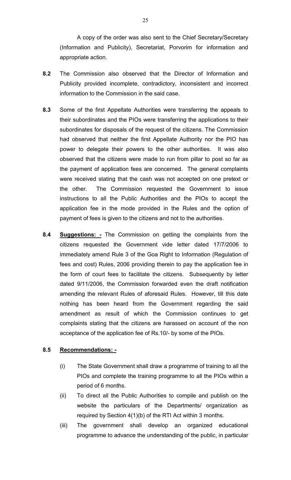A copy of the order was also sent to the Chief Secretary/Secretary (Information and Publicity), Secretariat, Porvorim for information and appropriate action.

- 8.2 The Commission also observed that the Director of Information and Publicity provided incomplete, contradictory, inconsistent and incorrect information to the Commission in the said case.
- 8.3 Some of the first Appellate Authorities were transferring the appeals to their subordinates and the PIOs were transferring the applications to their subordinates for disposals of the request of the citizens. The Commission had observed that neither the first Appellate Authority nor the PIO has power to delegate their powers to the other authorities. It was also observed that the citizens were made to run from pillar to post so far as the payment of application fees are concerned. The general complaints were received stating that the cash was not accepted on one pretext or the other. The Commission requested the Government to issue instructions to all the Public Authorities and the PIOs to accept the application fee in the mode provided in the Rules and the option of payment of fees is given to the citizens and not to the authorities.
- 8.4 **Suggestions:** The Commission on getting the complaints from the citizens requested the Government vide letter dated 17/7/2006 to immediately amend Rule 3 of the Goa Right to Information (Regulation of fees and cost) Rules, 2006 providing therein to pay the application fee in the form of court fees to facilitate the citizens. Subsequently by letter dated 9/11/2006, the Commission forwarded even the draft notification amending the relevant Rules of aforesaid Rules. However, till this date nothing has been heard from the Government regarding the said amendment as result of which the Commission continues to get complaints stating that the citizens are harassed on account of the non acceptance of the application fee of Rs.10/- by some of the PIOs.

# 8.5 Recommendations: -

- (i) The State Government shall draw a programme of training to all the PIOs and complete the training programme to all the PIOs within a period of 6 months.
- (ii) To direct all the Public Authorities to compile and publish on the website the particulars of the Departments/ organization as required by Section 4(1)(b) of the RTI Act within 3 months.
- (iii) The government shall develop an organized educational programme to advance the understanding of the public, in particular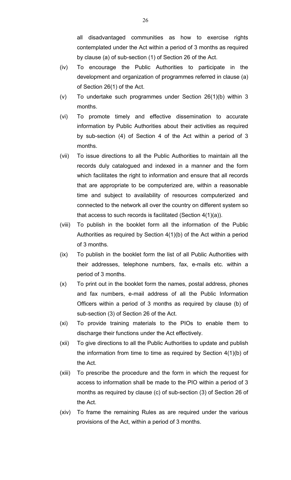all disadvantaged communities as how to exercise rights contemplated under the Act within a period of 3 months as required by clause (a) of sub-section (1) of Section 26 of the Act.

- (iv) To encourage the Public Authorities to participate in the development and organization of programmes referred in clause (a) of Section 26(1) of the Act.
- (v) To undertake such programmes under Section 26(1)(b) within 3 months.
- (vi) To promote timely and effective dissemination to accurate information by Public Authorities about their activities as required by sub-section (4) of Section 4 of the Act within a period of 3 months.
- (vii) To issue directions to all the Public Authorities to maintain all the records duly catalogued and indexed in a manner and the form which facilitates the right to information and ensure that all records that are appropriate to be computerized are, within a reasonable time and subject to availability of resources computerized and connected to the network all over the country on different system so that access to such records is facilitated (Section 4(1)(a)).
- (viii) To publish in the booklet form all the information of the Public Authorities as required by Section 4(1)(b) of the Act within a period of 3 months.
- (ix) To publish in the booklet form the list of all Public Authorities with their addresses, telephone numbers, fax, e-mails etc. within a period of 3 months.
- (x) To print out in the booklet form the names, postal address, phones and fax numbers, e-mail address of all the Public Information Officers within a period of 3 months as required by clause (b) of sub-section (3) of Section 26 of the Act.
- (xi) To provide training materials to the PIOs to enable them to discharge their functions under the Act effectively.
- (xii) To give directions to all the Public Authorities to update and publish the information from time to time as required by Section 4(1)(b) of the Act.
- (xiii) To prescribe the procedure and the form in which the request for access to information shall be made to the PIO within a period of 3 months as required by clause (c) of sub-section (3) of Section 26 of the Act.
- (xiv) To frame the remaining Rules as are required under the various provisions of the Act, within a period of 3 months.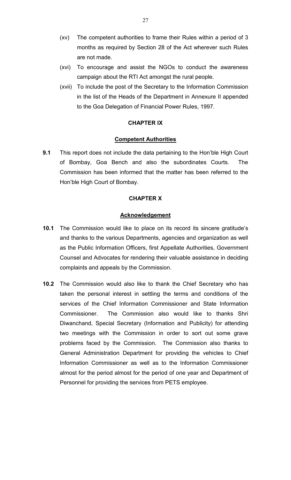- (xv) The competent authorities to frame their Rules within a period of 3 months as required by Section 28 of the Act wherever such Rules are not made.
- (xvi) To encourage and assist the NGOs to conduct the awareness campaign about the RTI Act amongst the rural people.
- (xvii) To include the post of the Secretary to the Information Commission in the list of the Heads of the Department in Annexure II appended to the Goa Delegation of Financial Power Rules, 1997.

# CHAPTER IX

# Competent Authorities

9.1 This report does not include the data pertaining to the Hon'ble High Court of Bombay, Goa Bench and also the subordinates Courts. The Commission has been informed that the matter has been referred to the Hon'ble High Court of Bombay.

# CHAPTER X

# Acknowledgement

- 10.1 The Commission would like to place on its record its sincere gratitude's and thanks to the various Departments, agencies and organization as well as the Public Information Officers, first Appellate Authorities, Government Counsel and Advocates for rendering their valuable assistance in deciding complaints and appeals by the Commission.
- 10.2 The Commission would also like to thank the Chief Secretary who has taken the personal interest in settling the terms and conditions of the services of the Chief Information Commissioner and State Information Commissioner. The Commission also would like to thanks Shri Diwanchand, Special Secretary (Information and Publicity) for attending two meetings with the Commission in order to sort out some grave problems faced by the Commission. The Commission also thanks to General Administration Department for providing the vehicles to Chief Information Commissioner as well as to the Information Commissioner almost for the period almost for the period of one year and Department of Personnel for providing the services from PETS employee.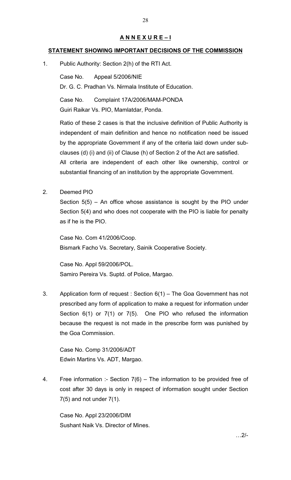# A N N E X U R E – I

## STATEMENT SHOWING IMPORTANT DECISIONS OF THE COMMISSION

1. Public Authority: Section 2(h) of the RTI Act.

Case No. Appeal 5/2006/NIE

Dr. G. C. Pradhan Vs. Nirmala Institute of Education.

 Case No. Complaint 17A/2006/MAM-PONDA Guiri Raikar Vs. PIO, Mamlatdar, Ponda.

Ratio of these 2 cases is that the inclusive definition of Public Authority is independent of main definition and hence no notification need be issued by the appropriate Government if any of the criteria laid down under subclauses (d) (i) and (ii) of Clause (h) of Section 2 of the Act are satisfied. All criteria are independent of each other like ownership, control or substantial financing of an institution by the appropriate Government.

2. Deemed PIO

Section 5(5) – An office whose assistance is sought by the PIO under Section 5(4) and who does not cooperate with the PIO is liable for penalty as if he is the PIO.

Case No. Com 41/2006/Coop. Bismark Facho Vs. Secretary, Sainik Cooperative Society.

Case No. Appl 59/2006/POL. Samiro Pereira Vs. Suptd. of Police, Margao.

3. Application form of request : Section 6(1) – The Goa Government has not prescribed any form of application to make a request for information under Section 6(1) or 7(1) or 7(5). One PIO who refused the information because the request is not made in the prescribe form was punished by the Goa Commission.

Case No. Comp 31/2006/ADT Edwin Martins Vs. ADT, Margao.

4. Free information :- Section 7(6) – The information to be provided free of cost after 30 days is only in respect of information sought under Section 7(5) and not under 7(1).

Case No. Appl 23/2006/DIM Sushant Naik Vs. Director of Mines.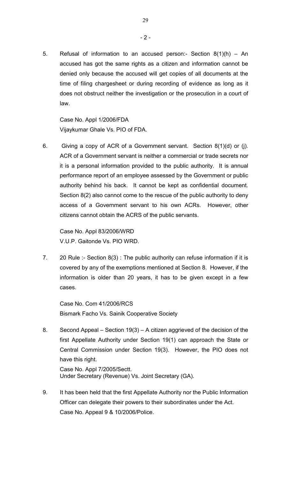5. Refusal of information to an accused person:- Section  $8(1)(h) - An$ accused has got the same rights as a citizen and information cannot be denied only because the accused will get copies of all documents at the time of filing chargesheet or during recording of evidence as long as it does not obstruct neither the investigation or the prosecution in a court of law.

Case No. Appl 1/2006/FDA Vijaykumar Ghale Vs. PIO of FDA.

6. Giving a copy of ACR of a Government servant. Section 8(1)(d) or (j). ACR of a Government servant is neither a commercial or trade secrets nor it is a personal information provided to the public authority. It is annual performance report of an employee assessed by the Government or public authority behind his back. It cannot be kept as confidential document. Section 8(2) also cannot come to the rescue of the public authority to deny access of a Government servant to his own ACRs. However, other citizens cannot obtain the ACRS of the public servants.

Case No. Appl 83/2006/WRD V.U.P. Gaitonde Vs. PIO WRD.

7. 20 Rule :- Section 8(3) : The public authority can refuse information if it is covered by any of the exemptions mentioned at Section 8. However, if the information is older than 20 years, it has to be given except in a few cases.

 Case No. Com 41/2006/RCS Bismark Facho Vs. Sainik Cooperative Society

8. Second Appeal – Section 19(3) – A citizen aggrieved of the decision of the first Appellate Authority under Section 19(1) can approach the State or Central Commission under Section 19(3). However, the PIO does not have this right.

 Case No. Appl 7/2005/Sectt. Under Secretary (Revenue) Vs. Joint Secretary (GA).

9. It has been held that the first Appellate Authority nor the Public Information Officer can delegate their powers to their subordinates under the Act. Case No. Appeal 9 & 10/2006/Police.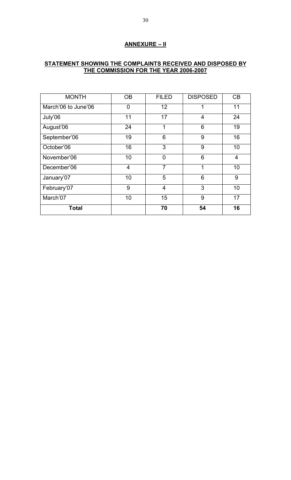# ANNEXURE – II

## STATEMENT SHOWING THE COMPLAINTS RECEIVED AND DISPOSED BY THE COMMISSION FOR THE YEAR 2006-2007

| <b>MONTH</b>        | <b>OB</b> | <b>FILED</b>   | <b>DISPOSED</b> | CB             |
|---------------------|-----------|----------------|-----------------|----------------|
| March'06 to June'06 | 0         | 12             | 1               | 11             |
| July'06             | 11        | 17             | $\overline{4}$  | 24             |
| August'06           | 24        |                | 6               | 19             |
| September'06        | 19        | 6              | 9               | 16             |
| October'06          | 16        | 3              | 9               | 10             |
| November'06         | 10        | $\Omega$       | 6               | $\overline{4}$ |
| December'06         | 4         | $\overline{7}$ | 1               | 10             |
| January'07          | 10        | 5              | 6               | 9              |
| February'07         | 9         | $\overline{4}$ | 3               | 10             |
| March'07            | 10        | 15             | 9               | 17             |
| Total               |           | 70             | 54              | 16             |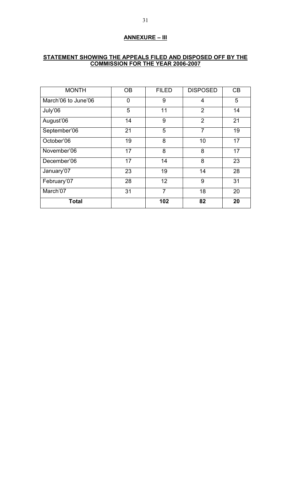# ANNEXURE – III

#### STATEMENT SHOWING THE APPEALS FILED AND DISPOSED OFF BY THE COMMISSION FOR THE YEAR 2006-2007

| <b>MONTH</b>        | OВ             | <b>FILED</b>   | <b>DISPOSED</b> | CB |
|---------------------|----------------|----------------|-----------------|----|
| March'06 to June'06 | $\overline{0}$ | 9              | $\overline{4}$  | 5  |
| July'06             | 5              | 11             | $\overline{2}$  | 14 |
| August'06           | 14             | 9              | $\overline{2}$  | 21 |
| September'06        | 21             | 5              | $\overline{7}$  | 19 |
| October'06          | 19             | 8              | 10              | 17 |
| November'06         | 17             | 8              | 8               | 17 |
| December'06         | 17             | 14             | 8               | 23 |
| January'07          | 23             | 19             | 14              | 28 |
| February'07         | 28             | 12             | 9               | 31 |
| March'07            | 31             | $\overline{7}$ | 18              | 20 |
| <b>Total</b>        |                | 102            | 82              | 20 |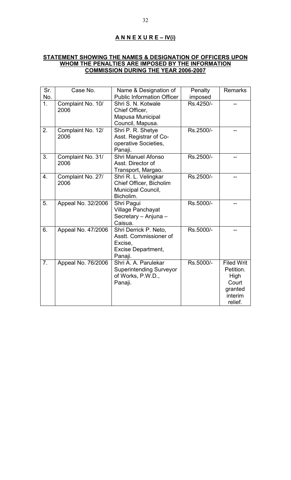# $ANNE X U RE - IV(i)$

#### STATEMENT SHOWING THE NAMES & DESIGNATION OF OFFICERS UPON WHOM THE PENALTIES ARE IMPOSED BY THE INFORMATION COMMISSION DURING THE YEAR 2006-2007

| Sr.<br>No.       | Case No.                  | Name & Designation of<br><b>Public Information Officer</b>                                         | Penalty<br>imposed | <b>Remarks</b>                                                                   |
|------------------|---------------------------|----------------------------------------------------------------------------------------------------|--------------------|----------------------------------------------------------------------------------|
| 1.               | Complaint No. 10/<br>2006 | Shri S. N. Kotwale<br>Chief Officer,<br>Mapusa Municipal<br>Council, Mapusa.                       | Rs.4250/-          |                                                                                  |
| 2.               | Complaint No. 12/<br>2006 | Shri P. R. Shetye<br>Asst. Registrar of Co-<br>operative Societies,<br>Panaji.                     | Rs.2500/-          |                                                                                  |
| 3.               | Complaint No. 31/<br>2006 | Shri Manuel Afonso<br>Asst. Director of<br>Transport, Margao.                                      | Rs.2500/-          |                                                                                  |
| $\overline{4}$ . | Complaint No. 27/<br>2006 | Shri R. L. Velingkar<br>Chief Officer, Bicholim<br>Municipal Council,<br>Bicholim.                 | Rs.2500/-          |                                                                                  |
| 5.               | Appeal No. 32/2006        | Shri Pagui<br><b>Village Panchayat</b><br>Secretary - Anjuna -<br>Caisua.                          | Rs.5000/-          |                                                                                  |
| 6.               | Appeal No. 47/2006        | Shri Derrick P. Neto,<br>Asstt. Commissioner of<br>Excise,<br><b>Excise Department,</b><br>Panaji. | Rs.5000/-          |                                                                                  |
| 7.               | Appeal No. 76/2006        | Shri A. A. Parulekar<br><b>Superintending Surveyor</b><br>of Works, P.W.D.,<br>Panaji.             | Rs.5000/-          | <b>Filed Writ</b><br>Petition.<br>High<br>Court<br>granted<br>interim<br>relief. |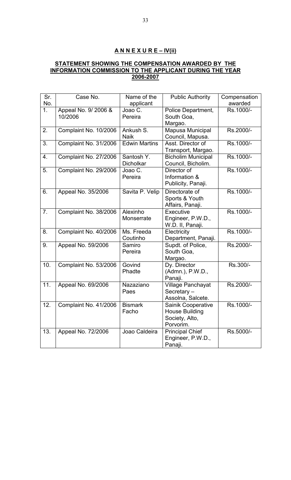# A N N E X U R E – IV(ii)

#### STATEMENT SHOWING THE COMPENSATION AWARDED BY THE INFORMATION COMMISSION TO THE APPLICANT DURING THE YEAR 2006-2007

| Sr.            | Case No.                       | Name of the                    | <b>Public Authority</b>                         | Compensation |
|----------------|--------------------------------|--------------------------------|-------------------------------------------------|--------------|
| No.            |                                | applicant                      |                                                 | awarded      |
| 1.             | Appeal No. 9/2006 &<br>10/2006 | Joao C.<br>Pereira             | Police Department,<br>South Goa,                | Rs.1000/-    |
|                |                                |                                | Margao.                                         |              |
| 2.             | Complaint No. 10/2006          | Ankush S.<br><b>Naik</b>       | Mapusa Municipal<br>Council, Mapusa.            | Rs.2000/-    |
| 3.             | Complaint No. 31/2006          | <b>Edwin Martins</b>           | Asst. Director of                               | Rs.1000/-    |
|                |                                |                                | Transport, Margao.                              |              |
| 4.             | Complaint No. 27/2006          | Santosh Y.<br><b>Dicholkar</b> | <b>Bicholim Municipal</b><br>Council, Bicholim. | Rs.1000/-    |
| 5.             | Complaint No. 29/2006          | Joao C.                        | Director of                                     | Rs.1000/-    |
|                |                                | Pereira                        | Information &<br>Publicity, Panaji.             |              |
| 6.             | Appeal No. 35/2006             | Savita P. Velip                | Directorate of                                  | Rs.1000/-    |
|                |                                |                                | Sports & Youth<br>Affairs, Panaji.              |              |
| 7 <sub>1</sub> | Complaint No. 38/2006          | Alexinho                       | Executive                                       | Rs.1000/-    |
|                |                                | Monserrate                     | Engineer, P.W.D.,<br>W.D. II, Panaji.           |              |
| 8.             | Complaint No. 40/2006          | Ms. Freeda                     | Electricity                                     | Rs.1000/-    |
|                |                                | Coutinho                       | Department, Panaji.                             |              |
| 9.             | Appeal No. 59/2006             | Samiro                         | Supdt. of Police,                               | Rs.2000/-    |
|                |                                | Pereira                        | South Goa,<br>Margao.                           |              |
| 10.            | Complaint No. 53/2006          | Govind                         | Dy. Director                                    | Rs.300/-     |
|                |                                | Phadte                         | (Admn.), P.W.D.,                                |              |
|                |                                |                                | Panaji.                                         |              |
| 11.            | Appeal No. 69/2006             | Nazaziano<br>Paes              | <b>Village Panchayat</b><br>Secretary-          | Rs.2000/-    |
|                |                                |                                | Assolna, Salcete.                               |              |
| 12.            | Complaint No. 41/2006          | <b>Bismark</b>                 | Sainik Cooperative                              | Rs.1000/-    |
|                |                                | Facho                          | <b>House Building</b>                           |              |
|                |                                |                                | Society, Alto,<br>Porvorim.                     |              |
| 13.            | Appeal No. 72/2006             | Joao Caldeira                  | <b>Principal Chief</b>                          | Rs.5000/-    |
|                |                                |                                | Engineer, P.W.D.,                               |              |
|                |                                |                                | Panaji.                                         |              |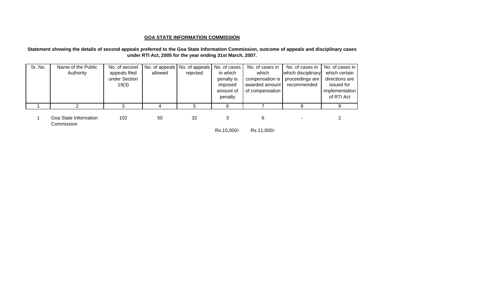#### **GOA STATE INFORMATION COMMISSION**

**Statement showing the details of second appeals preferred to the Goa State Information Commission, outcome of appeals and disciplinary cases under RTI Act, 2005 for the year ending 31st March, 2007.**

| Sr. No. | Name of the Public<br>Authority | No. of second<br>appeals filed<br>under Section<br>19(3) | No. of appeals<br>allowed | No. of appeals<br>rejected | No. of cases<br>in which<br>penalty is<br>imposed<br>amount of<br>penalty | No. of cases in<br>which<br>compensation is<br>awarded amount<br>of compensation | No. of cases in<br>which disciplinary<br>proceedings are<br>recommended | No. of cases in<br>which certain<br>directions are<br>issued for<br>implementation<br>of RTI Act |
|---------|---------------------------------|----------------------------------------------------------|---------------------------|----------------------------|---------------------------------------------------------------------------|----------------------------------------------------------------------------------|-------------------------------------------------------------------------|--------------------------------------------------------------------------------------------------|
|         |                                 |                                                          |                           |                            |                                                                           |                                                                                  |                                                                         |                                                                                                  |
|         | Goa State Information           | 102                                                      | 50                        | 32                         |                                                                           |                                                                                  |                                                                         |                                                                                                  |

Commission

Rs.15,000/- Rs.11,000/-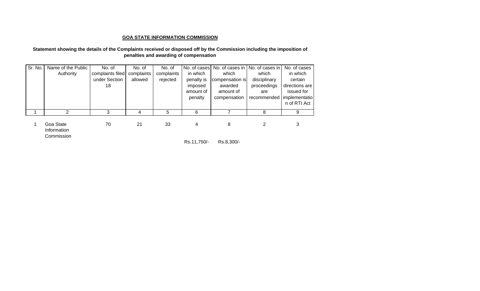#### **GOA STATE INFORMATION COMMISSION**

#### **Statement showing the details of the Complaints received or disposed off by the Commission including the imposition of penalties and awarding of compensation**

| Sr. No. | Name of the Public       | No. of           | No. of     | No. of     |            | No. of cases No. of cases in No. of cases in |                             | No. of cases   |
|---------|--------------------------|------------------|------------|------------|------------|----------------------------------------------|-----------------------------|----------------|
|         | Authority                | complaints filed | complaints | complaints | in which   | which                                        | which                       | in which       |
|         |                          | under Section    | allowed    | rejected   | penalty is | compensation is                              | disciplinary                | certain        |
|         |                          | 18               |            |            | imposed    | awarded                                      | proceedings                 | directions are |
|         |                          |                  |            |            | amount of  | amount of                                    | are                         | issued for     |
|         |                          |                  |            |            | penalty    | compensation                                 | recommended   implementatio |                |
|         |                          |                  |            |            |            |                                              |                             | n of RTI Act   |
|         |                          |                  |            |            | 6          |                                              | 8                           | 9              |
|         | Goa State<br>Information | 70               | 21         | 33         | 4          | 8                                            |                             |                |

Commission

Rs.11,750/- Rs.8,300/-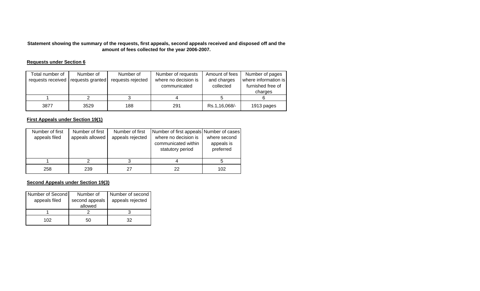**Statement showing the summary of the requests, first appeals, second appeals received and disposed off and the amount of fees collected for the year 2006-2007.**

# **Requests under Section 6**

| Total number of                      | Number of | Number of         | Number of requests   | Amount of fees | Number of pages      |
|--------------------------------------|-----------|-------------------|----------------------|----------------|----------------------|
| requests received   requests granted |           | requests rejected | where no decision is | and charges    | where information is |
|                                      |           |                   | communicated         | collected      | furnished free of    |
|                                      |           |                   |                      |                | charges              |
|                                      |           |                   |                      |                |                      |
| 3877                                 | 3529      | 188               | 291                  | Rs.1,16,068/-  | 1913 pages           |

# **First Appeals under Section 19(1)**

| Number of first<br>appeals filed | Number of first<br>appeals allowed | Number of first<br>appeals rejected | Number of first appeals Number of cases<br>where no decision is<br>communicated within<br>statutory period | where second<br>appeals is<br>preferred |
|----------------------------------|------------------------------------|-------------------------------------|------------------------------------------------------------------------------------------------------------|-----------------------------------------|
|                                  |                                    |                                     |                                                                                                            |                                         |
| 258                              | 239                                | 27                                  | 22                                                                                                         | 102                                     |

# **Second Appeals under Section 19(3)**

| Number of Second<br>appeals filed | Number of<br>second appeals | Number of second<br>appeals rejected |
|-----------------------------------|-----------------------------|--------------------------------------|
|                                   | allowed                     |                                      |
|                                   |                             |                                      |
| 102                               | 50                          | 32                                   |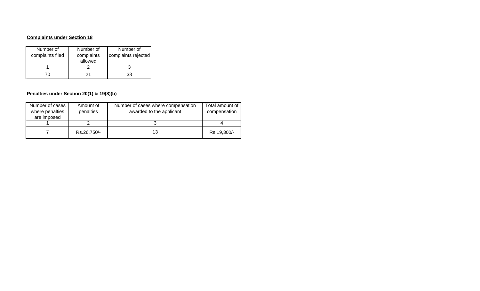# **Complaints under Section 18**

| Number of<br>complaints filed | Number of<br>complaints<br>allowed | Number of<br>complaints rejected |
|-------------------------------|------------------------------------|----------------------------------|
|                               |                                    |                                  |
|                               | 21                                 | 33                               |

# **Penalties under Section 20(1) & 19(8)(b)**

| Number of cases<br>where penalties<br>are imposed | Amount of<br>penalties | Number of cases where compensation<br>awarded to the applicant | Total amount of<br>compensation |
|---------------------------------------------------|------------------------|----------------------------------------------------------------|---------------------------------|
|                                                   |                        |                                                                |                                 |
|                                                   | Rs.26,750/-            | 13                                                             | Rs.19,300/-                     |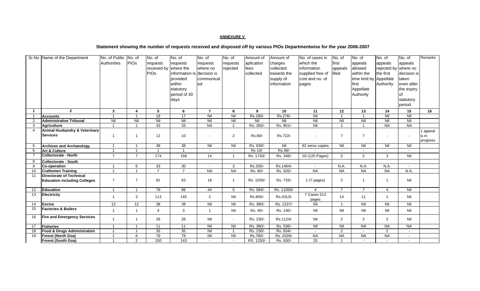#### **ANNEXURE V**

# **Statement showing the number of requests received and disposed off by various PIOs Departmentwise for the year 2006-2007**

|                | Sr.No Name of the Department             | No. of Public No. of    |                        | No. of                 | No. of                     | No. of         | No. of                   | Amount of  | Amount of   | No. of cases in      | No. of         | No. of         | No. of         | No. of                   | Remarks  |
|----------------|------------------------------------------|-------------------------|------------------------|------------------------|----------------------------|----------------|--------------------------|------------|-------------|----------------------|----------------|----------------|----------------|--------------------------|----------|
|                |                                          | Authorities             | <b>PIO<sub>s</sub></b> | requests               | requests                   | requests       | requests                 | aplication | charges     | which the            | first          | appeals        | appeals        | appeals                  |          |
|                |                                          |                         |                        | received by where the  |                            | where no       | rejected                 | fees       | collected   | information          | appeals        | allowed        | rejected by    | where no                 |          |
|                |                                          |                         |                        | <b>PIO<sub>s</sub></b> | information is decision is |                |                          | collected  | towards the | supplied free of     | filed          | within the     | the first      | decision is              |          |
|                |                                          |                         |                        |                        | provided                   | communicat     |                          |            | supply of   | cost and no. of      |                | time limit by  | Appellate      | taken                    |          |
|                |                                          |                         |                        |                        | within                     | led            |                          |            | information |                      |                |                | Authorlty      | even after               |          |
|                |                                          |                         |                        |                        |                            |                |                          |            |             | pages                |                | lfirst         |                |                          |          |
|                |                                          |                         |                        |                        | statutory                  |                |                          |            |             |                      |                | Appellate      |                | the expiry               |          |
|                |                                          |                         |                        |                        | period of 30               |                |                          |            |             |                      |                | Authority      |                |                          |          |
|                |                                          |                         |                        |                        | days                       |                |                          |            |             |                      |                |                |                | statutory                |          |
|                |                                          |                         |                        |                        |                            |                |                          |            |             |                      |                |                |                | period.                  |          |
| -1             | $\mathbf{2}$                             | $\mathbf{3}$            | 4                      | 5                      | 6                          | $\overline{7}$ | 8                        | 9          | 10          | 11                   | 12             | 13             | 14             | 15                       | 16       |
|                | <b>Accounts</b>                          | $\overline{\mathbf{1}}$ |                        | 19                     | 17                         | Nil            | Nil                      | Rs.180/-   | Rs.276/-    | Nil                  |                | $\overline{1}$ | Nil            | Nil                      |          |
| $\mathcal{P}$  | <b>Administrative Tribunal</b>           | Nil                     | Nil                    | Nil                    | Nil                        | Nil            | Nil                      | Nil        | Nil         | Nil                  | Nil            | Nil            | Nil            | Nil                      |          |
| 3              | <b>Agriculture</b>                       | $\overline{1}$          |                        | 33                     | 33                         | <b>NA</b>      | $\overline{2}$           | Rs. 260/-  | Rs. 801/-   | Nil                  |                | $\mathbf{1}$   | <b>NA</b>      | <b>NA</b>                |          |
| $\overline{4}$ | <b>Animal Husbandry &amp; Veterinary</b> |                         |                        |                        |                            |                |                          |            |             |                      |                |                |                |                          | appeal   |
|                | <b>Services</b>                          | $\overline{1}$          |                        | 12                     | 10                         |                | $\overline{2}$           | Rs.80/-    | Rs.722/-    |                      | $\overline{7}$ | $\overline{7}$ |                | $\overline{\phantom{a}}$ | is in    |
|                |                                          |                         |                        |                        |                            |                |                          |            |             |                      |                |                |                |                          | progress |
| 5              | <b>Archives and Archaeology</b>          | $\overline{\mathbf{1}}$ |                        | 38                     | 38                         | Nil            | Nil                      | Rs. 630/-  | Nil         | 62 xerox copies      | Nil            | Nil            | Nil            | Nil                      |          |
| 6              | <b>Art &amp; Culture</b>                 | $\overline{\mathbf{1}}$ |                        |                        | $\overline{\mathbf{1}}$    | $\sim$         | $\overline{\phantom{a}}$ | Rs 10/-    | Rs.48/-     |                      | $\sim$         | $\sim$         |                | $\overline{\phantom{a}}$ |          |
| 7              | <b>Collectorate - North</b>              | $\overline{7}$          | $\overline{7}$         | 174                    | 158                        | 14             |                          | Rs. 1730/- | Rs. 348/-   | 03 (120 Pages)       | 5              | 5              | 3              | Nil                      |          |
| 8              | <b>Collectorate - South</b>              |                         |                        |                        |                            |                |                          |            |             |                      |                |                |                |                          |          |
| 9              | <b>Co-operation</b>                      | - 1                     | 6                      | 33                     | 30                         |                | 3                        | Rs.330/-   | Rs.1464/-   |                      | N.A.           | N.A.           | N.A.           |                          |          |
| 10             | <b>Craftsmen Training</b>                | $\overline{\mathbf{1}}$ |                        | $\overline{7}$         | $\overline{7}$             | $N_A$          | <b>NA</b>                | Rs. 60/-   | Rs. 520/-   | <b>NA</b>            | <b>NA</b>      | <b>NA</b>      | NA             | N.A.                     |          |
| 11             | <b>Directorate of Technical</b>          |                         |                        |                        |                            |                |                          |            |             |                      |                |                |                |                          |          |
|                | <b>Education including Colleges</b>      | $\overline{7}$          | $\overline{7}$         | 81                     | 63                         | 18             | $\overline{\mathbf{1}}$  | Rs. 1030/- | Rs. 733/-   | 1(7 pages)           | $\overline{2}$ | 1              | $\mathbf 1$    | Nil                      |          |
|                |                                          |                         |                        |                        |                            |                |                          |            |             |                      |                |                |                |                          |          |
| 12             | <b>Education</b>                         | $\overline{1}$          |                        | 79                     | 66                         | 44             | 5                        | Rs. 584/-  | Rs. 11050/- | $\overline{4}$       | $\overline{7}$ | $\overline{7}$ | $\overline{4}$ | Nil                      |          |
| 13             | <b>Electrictiy</b>                       | -1                      | 3                      | 113                    | 145                        | $\overline{2}$ | Nil                      | Rs.800/-   | Rs.4313/-   | 7 Cases 513<br>pages | 14             | 11             | -1             | Nil                      |          |
| 14             | <b>Excise</b>                            | $\overline{12}$         | 12 <sup>2</sup>        | 38                     | 38                         | Nil            | Nil                      | Rs. 380/-  | Rs. 1237/-  | Nil                  |                | Nil            | Nil            | Nil                      |          |
| 15             | <b>Factories &amp; Boilers</b>           | $\overline{1}$          |                        | $\overline{4}$         | 3                          | $\overline{1}$ | Nil                      | Rs. 40/-   | Rs. 140/-   | Nil                  | Nil            | Nil            | Nil            | Nil                      |          |
| 16             | <b>Fire and Emergency Services</b>       |                         |                        |                        |                            |                |                          |            |             |                      |                |                |                |                          |          |
|                |                                          | $\overline{1}$          |                        | 26                     | 26                         | Nil            | $\blacksquare$           | Rs. 230/-  | Rs.1124/-   | Nil                  | $\overline{2}$ | $\overline{2}$ | $\overline{2}$ | Nil                      |          |
| 17             | <b>Fisheries</b>                         | $\overline{\mathbf{1}}$ |                        | 11                     | 11                         | Nil            | Nil                      | Rs. 380/-  | Rs. 536/-   | Nil                  | Nil            | <b>NA</b>      | NA             | <b>NA</b>                |          |
| 18             | <b>Food &amp; Drugs Administration</b>   |                         |                        | 35                     | 35                         | Nil            |                          | Rs .230/-  | Rs. 634/-   | $\sim$               | 2              |                | 2              |                          |          |
| 19             | <b>Forest (North Goa)</b>                | $\overline{1}$          | 6                      | 79                     | 79                         | Nil            | NII                      | Rs.790/-   | Rs. 2026/-  | <b>NA</b>            | <b>NA</b>      | <b>NA</b>      | <b>NA</b>      | $\sim$                   |          |
|                | <b>Forest (South Goa)</b>                | -1                      | $\overline{2}$         | 150                    | $\overline{143}$           |                |                          | RS. 1250/- | Rs. 630/-   | 25                   |                |                |                |                          |          |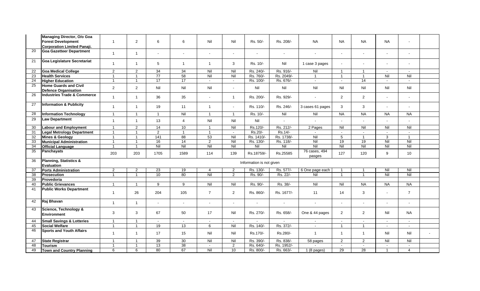|    | Managing Director, O/o Goa<br><b>Forest Development</b><br><b>Corporation Limited Panaji.</b> | $\overline{1}$ | $\overline{2}$ | 6               | 6              | Nil            | Nil                      | Rs. 50/-                 | Rs. 208/-  | <b>NA</b>               | <b>NA</b>       | <b>NA</b>       | <b>NA</b>                |                  |  |
|----|-----------------------------------------------------------------------------------------------|----------------|----------------|-----------------|----------------|----------------|--------------------------|--------------------------|------------|-------------------------|-----------------|-----------------|--------------------------|------------------|--|
| 20 | <b>Goa Gazetteer Department</b>                                                               | $\mathbf{1}$   | $\mathbf{1}$   | $\sim$          | $\sim$         | $\sim$         | $\overline{\phantom{a}}$ | $\blacksquare$           |            | $\blacksquare$          | $\sim$          | $\sim$          | $\overline{\phantom{a}}$ | $\blacksquare$   |  |
| 21 | <b>Goa Legislature Secretariat</b>                                                            | $\overline{1}$ | $\mathbf{1}$   | 5               | $\mathbf{1}$   | $\overline{1}$ | 3                        | Rs. 10/-                 | Nil        | 1 case 3 pages          | $\sim$          |                 |                          | $\blacksquare$   |  |
| 22 | <b>Goa Medical College</b>                                                                    | $\overline{2}$ | $\overline{2}$ | 34              | 34             | Nil            | Nil                      | Rs. 240/-                | Rs. 916/-  | Nil                     | $\overline{1}$  | $\overline{1}$  | $\sim$                   |                  |  |
| 23 | <b>Health Services</b>                                                                        | $\overline{1}$ | $\overline{1}$ | 77              | 58             | Nil            | Nil                      | Rs. 760/-                | Rs. 2049/- | $\overline{1}$          | $\overline{1}$  |                 | Nil                      | Nil              |  |
| 24 | <b>Higher Education</b>                                                                       | $\overline{1}$ | $\mathbf{1}$   | $\overline{17}$ | 17             | $\sim$         | $\sim$                   | Rs. 100/-                | Rs. 676/-  | $\sim$                  | $\sim$          | $\overline{14}$ | $\sim$                   | $\sim$           |  |
| 25 | <b>Home Guards and Civil</b><br><b>Defence Organisation</b>                                   | 2              | 2              | Nil             | Nil            | Nil            | ÷.                       | Nil                      | Nil        | Nil                     | Nil             | Nil             | Nil                      | Nil              |  |
| 26 | <b>Industries Trade &amp; Commerce</b>                                                        | $\mathbf{1}$   | $\mathbf{1}$   | 36              | 35             | $\mathbf{r}$   | $\overline{1}$           | Rs. 200/-                | Rs. 929/-  | $\overline{a}$          | $\overline{2}$  | $\overline{2}$  | $\overline{a}$           | $\mathbf{r}$     |  |
| 27 | <b>Information &amp; Publicity</b>                                                            | $\mathbf{1}$   | $\mathbf{1}$   | 19              | 11             | $\overline{1}$ | $\overline{a}$           | Rs. 110/-                | Rs. 246/-  | 3 cases 61 pages        | 3               | $\mathbf{3}$    | ÷.                       |                  |  |
| 28 | <b>Information Technology</b>                                                                 | $\mathbf{1}$   | $\overline{1}$ | $\overline{1}$  | Nil            | $\mathbf{1}$   | $\overline{1}$           | Rs. 10/-                 | Nil        | Nil                     | <b>NA</b>       | <b>NA</b>       | <b>NA</b>                | <b>NA</b>        |  |
| 29 | <b>Law Department</b>                                                                         | $\mathbf{1}$   | $\mathbf{1}$   | 13              | $\overline{4}$ | Nil            | Nil                      | Nil                      |            |                         |                 |                 |                          |                  |  |
| 30 | <b>Labour and Employment</b>                                                                  | $\overline{1}$ | $\overline{2}$ | 14              | 10             | $\overline{1}$ | Nil                      | Rs.120/-                 | Rs. 212/-  | 2 Pages                 | Nil             | Nil             | $\overline{N}$           | $\overline{N}$   |  |
| 31 | <b>Legal Metrology Department</b>                                                             | $\mathbf{1}$   | $\mathbf{1}$   | $\overline{2}$  | $\mathbf{1}$   | $\overline{1}$ | $\sim$                   | Rs.20/-                  | Rs.14/-    | $\sim$                  | $\sim$          | $\sim$          | $\sim$                   | $\sim$           |  |
| 32 | <b>Mines &amp; Geology</b>                                                                    | $\overline{1}$ | $\mathbf{1}$   | 141             | 88             | 53             | Nil                      | Rs. 1410/-               | Rs. 1738/- | Nil                     | $5\overline{5}$ | $\overline{1}$  | 3                        | $\overline{1}$   |  |
| 33 | <b>Municipal Administration</b>                                                               | $\overline{1}$ | $\overline{1}$ | 16              | 14             | $\overline{2}$ | Nil                      | Rs. 130/-                | Rs. 118/-  | Nil                     | 19              | 19              | Nil                      | Nil              |  |
| 34 | <b>Official Language</b>                                                                      | $\overline{1}$ |                | Nil             | Nil            | Nil            | Nil                      | Nil                      | Nil        | Nil                     | Nil             | Nil             | Nil                      | $\overline{Nil}$ |  |
| 35 | <b>Panchayats</b>                                                                             | 203            | 203            | 1705            | 1589           | 114            | 139                      | Rs.18759/-               | Rs.25585   | 76 cases, 494<br>pasges | 127             | 120             | 9                        | 10               |  |
| 36 | <b>Planning, Statistics &amp;</b><br>Evaluation                                               |                |                |                 |                |                |                          | Information is not given |            |                         |                 |                 |                          |                  |  |
| 37 | <b>Ports Administration</b>                                                                   | $\overline{2}$ | 2              | 23              | 19             | $\overline{4}$ | $\overline{c}$           | Rs. 130/-                | Rs. 577/-  | 6 One page each         | $\overline{1}$  |                 | $\overline{N}$           | $\overline{N}$   |  |
| 38 | <b>Prosecution</b>                                                                            | $\overline{1}$ | $\overline{1}$ | 10              | 80             | Nil            | 2                        | Rs. 90/-                 | Rs. 22/-   | Nil                     | $\overline{1}$  | $\overline{1}$  | Nil                      | Nil              |  |
| 39 | <b>Provedoria</b>                                                                             |                |                |                 |                |                |                          |                          |            |                         |                 |                 |                          |                  |  |
| 40 | <b>Public Grievances</b>                                                                      | $\overline{1}$ | $\overline{1}$ | 9               | 9              | Nil            | Nil                      | Rs. 90/-                 | Rs. 38/-   | Nil                     | Nil             | <b>NA</b>       | <b>NA</b>                | <b>NA</b>        |  |
| 41 | <b>Public Works Department</b>                                                                | $\mathbf{1}$   | 26             | 204             | 105            | $\overline{7}$ | 2                        | Rs. 860/-                | Rs. 1677/- | 11                      | 14              | 3               |                          | $\overline{7}$   |  |
| 42 | Raj Bhavan                                                                                    | $\mathbf{1}$   | $\mathbf{1}$   | $\mathbf{r}$    | $\sim$         | $\mathbf{L}$   | $\overline{\phantom{a}}$ | $\blacksquare$           | $\omega$   | $\overline{a}$          | $\mathbf{r}$    | $\mathbf{r}$    | $\blacksquare$           | $\sim$           |  |
| 43 | Science, Technology &<br><b>Environment</b>                                                   | 3              | 3              | 67              | 50             | 17             | Nil                      | Rs. 270/-                | Rs. 658/-  | One & 44 pages          | $\overline{2}$  | $\overline{2}$  | Nil                      | <b>NA</b>        |  |
| 44 | <b>Small Savings &amp; Lotteries</b>                                                          | $\overline{1}$ | $\overline{1}$ | $\sim$          |                | $\sim$         | $\overline{\phantom{a}}$ |                          |            | $\sim$                  | $\sim$          | $\sim$          | $\sim$                   | $\mathbf{r}$     |  |
| 45 | <b>Social Welfare</b>                                                                         | $\mathbf{1}$   | $\mathbf{1}$   | 19              | 13             | 6              | Nil                      | Rs. 140/-                | Rs. 372/-  | $\sim$                  | $\overline{1}$  |                 | $\sim$                   | $\mathbf{r}$     |  |
| 46 | <b>Sports and Youth Affairs</b>                                                               | $\overline{1}$ | $\mathbf{1}$   | 17              | 15             | Nil            | Nil                      | Rs.170/-                 | Rs.280/-   | $\mathbf{1}$            | $\mathbf{1}$    | $\overline{1}$  | Nil                      | Nil              |  |
| 47 | <b>State Registrar</b>                                                                        | $\mathbf{1}$   | $\mathbf{1}$   | 39              | 30             | Nil            | Nil                      | Rs. 390/-                | Rs. 838/-  | 58 pages                | $\overline{2}$  | $\overline{2}$  | Nil                      | Nil              |  |
| 48 | Tourism                                                                                       | $\overline{1}$ | $\mathbf{1}$   | 13              | 38             | $\sim$         | $\overline{2}$           | Rs. 640/-                | Rs. 1952/- |                         | $\sim$          | $\sim$          | $\sim$                   | $\sim$           |  |
| 49 | <b>Town and Country Planning</b>                                                              | 6              | 6              | 80              | 67             | Nil            | 10                       | Rs. 800/-                | Rs. 663/-  | $1(8$ pages)            | 29              | $\overline{28}$ | $\overline{1}$           | $\overline{4}$   |  |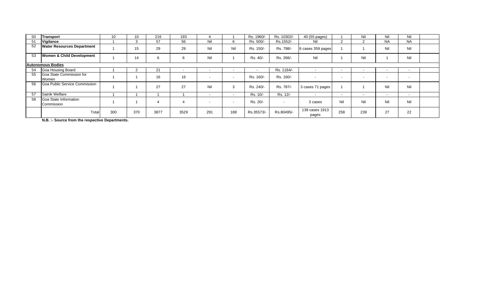| 50 | Transport                            | 10  | 10  | 216  | 193  |                          |        | Rs. 1960/-               | Rs. 10302/- | 40 (55 pages)            |                          | Nil                      | Nil         | Nil                      |  |
|----|--------------------------------------|-----|-----|------|------|--------------------------|--------|--------------------------|-------------|--------------------------|--------------------------|--------------------------|-------------|--------------------------|--|
| 51 | Vigilance                            |     |     | 57   | 56   | Nil                      |        | Rs. 500/-                | Rs.1552/-   | Nil                      |                          |                          | <b>NA</b>   | <b>NA</b>                |  |
| 52 | <b>Water Resources Department</b>    |     | 15  | 29   | 29   | Nil                      | Nil    | Rs. 150/-                | Rs. 798/-   | 6 cases 359 pages        |                          |                          | Nil         | Nil                      |  |
| 53 | <b>Women &amp; Child Development</b> |     | 14  | 6    | 6    | Nil                      |        | Rs. 40/-                 | Rs. 266/-   | Nil                      |                          | Nil                      |             | Nil                      |  |
|    | <b>Autonomous Bodies</b>             |     |     |      |      |                          |        |                          |             |                          |                          |                          |             |                          |  |
| 54 | Goa Housing Board                    |     |     | 21   |      | $\overline{\phantom{0}}$ |        | $\overline{\phantom{a}}$ | Rs. 1164/-  | $\sim$                   |                          | . .                      | $\,$ – $\,$ | $\sim$                   |  |
| 55 | Goa State Commission for<br>Women    |     |     | 16   | 16   | $\overline{\phantom{a}}$ |        | Rs. 160/-                | Rs. 160/-   | $\overline{\phantom{a}}$ | . .                      | ۰.                       |             | $\overline{\phantom{a}}$ |  |
| 56 | Goa Public Service Commission        |     |     | 27   | 27   | Nil                      | 3      | Rs. 240/-                | Rs. 787/-   | 3 cases 71 pages         |                          |                          | Nil         | Nil                      |  |
| 57 | Sainik Welfare                       |     |     |      |      | $\overline{\phantom{0}}$ | $\sim$ | Rs. 10/-                 | Rs. 12/-    | $\sim$                   | $\overline{\phantom{a}}$ | $\overline{\phantom{a}}$ | $\sim$      | $\sim$                   |  |
| 58 | Goa State Information<br>Commission  |     |     |      | 4    | -                        |        | Rs. 20/-                 |             | 3 cases                  | Nil                      | Nil                      | Nil         | Nil                      |  |
|    | Total                                | 300 | 370 | 3877 | 3529 | 291                      | 188    | Rs.35573/-               | Rs.80495/-  | 139 cases 1913<br>pages  | 258                      | 239                      | 27          | 22                       |  |

**N.B. :- Source from the respective Departments.**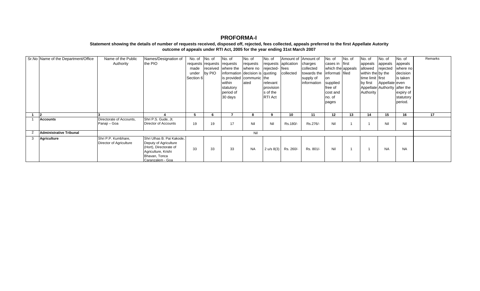### **PROFORMA-I**

**Statement showing the details of number of requests received, disposed off, rejected, fees collected, appeals preferred to the first Appellate Autority outcome of appeals under RTI Act, 2005 for the year ending 31st March 2007**

|   | Sr.No Name of the Department/Office | Name of the Public             | Names/Designation of                 | No. of            | No. of   | No. of                   | No. of                          | No. of         | Amount of           | Amount of   | No. of            | No. of | No. of            | No. of         | No. of                        | Remarks |
|---|-------------------------------------|--------------------------------|--------------------------------------|-------------------|----------|--------------------------|---------------------------------|----------------|---------------------|-------------|-------------------|--------|-------------------|----------------|-------------------------------|---------|
|   |                                     | Authority                      | the PIO                              | requests requests |          | requests                 | requests                        |                | requests aplication | charges     | cases in first    |        | appeals           | appeals        | appeals                       |         |
|   |                                     |                                |                                      | made              | received | where the                | where no                        | rejected fees  |                     | collected   | which the appeals |        | allowed           | rejected       | where no                      |         |
|   |                                     |                                |                                      | under             | by PIO   |                          | information decision is quoting |                | collected           | towards the | informati filed   |        | within the by the |                | decision                      |         |
|   |                                     |                                |                                      | Section 6         |          | is provided communic the |                                 |                |                     | supply of   | on                |        | time limit first  |                | is taken                      |         |
|   |                                     |                                |                                      |                   |          | within                   | ated                            | relevant       |                     | information | supplied          |        | by first          | Appellate even |                               |         |
|   |                                     |                                |                                      |                   |          | statutory                |                                 | provision      |                     |             | free of           |        |                   |                | Appellate Authority after the |         |
|   |                                     |                                |                                      |                   |          | period of                |                                 | s of the       |                     |             | cost and          |        | Authority         |                | expiry of                     |         |
|   |                                     |                                |                                      |                   |          | 30 days                  |                                 | <b>RTI Act</b> |                     |             | no. of            |        |                   |                | statutory                     |         |
|   |                                     |                                |                                      |                   |          |                          |                                 |                |                     |             | pages             |        |                   |                | period.                       |         |
|   |                                     |                                |                                      |                   |          |                          |                                 |                |                     |             |                   |        |                   |                |                               |         |
|   | l 2                                 |                                |                                      |                   | 6        |                          | 8                               | 9              | 10                  | 11          | 12                | 13     | 14                | 15             | 16                            | 17      |
|   | <b>Accounts</b>                     | Directorate of Accounts,       | Shri P.S. Gude, Jt.                  |                   |          |                          |                                 |                |                     |             |                   |        |                   |                |                               |         |
|   |                                     | Panaji - Goa                   | Director of Accounts                 | 19                | 19       | 17                       | Nil                             | Nil            | Rs.180/-            | Rs.276/-    | Nil               |        |                   | Nil            | Nil                           |         |
|   |                                     |                                |                                      |                   |          |                          |                                 |                |                     |             |                   |        |                   |                |                               |         |
| 2 | Administrative Tribunal             |                                |                                      |                   |          |                          | Nil                             |                |                     |             |                   |        |                   |                |                               |         |
| 3 | <b>Agriculture</b>                  | Shri P.P. Kumbhare,            | Shri Ulhas B. Pai Kakode,            |                   |          |                          |                                 |                |                     |             |                   |        |                   |                |                               |         |
|   |                                     | <b>Director of Agriculture</b> | Deputy of Agriculture                |                   |          |                          |                                 |                |                     |             |                   |        |                   |                |                               |         |
|   |                                     |                                | (Hort), Directorate of               | 33                | 33       | 33                       | <b>NA</b>                       | 2 u/s 8(3)     | Rs. 260/-           | Rs. 801/-   | Nil               |        |                   | <b>NA</b>      | <b>NA</b>                     |         |
|   |                                     |                                | Agriculture, Krishi<br>Bhavan, Tonca |                   |          |                          |                                 |                |                     |             |                   |        |                   |                |                               |         |
|   |                                     |                                | Caranzalem - Goa                     |                   |          |                          |                                 |                |                     |             |                   |        |                   |                |                               |         |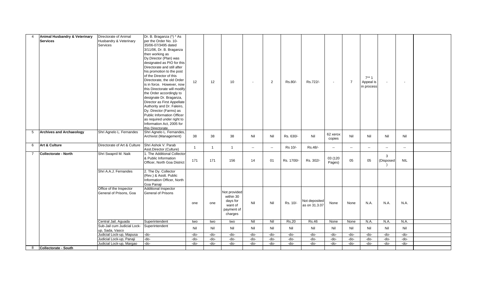| 4              | <b>Animal Husbandry &amp; Veterinary</b> | Directorate of Animal                       | Dr. B. Braganza (*) * As          |                |              |                |                          |                          |              |               |                          |                          |             |                          |                          |  |
|----------------|------------------------------------------|---------------------------------------------|-----------------------------------|----------------|--------------|----------------|--------------------------|--------------------------|--------------|---------------|--------------------------|--------------------------|-------------|--------------------------|--------------------------|--|
|                | <b>Services</b>                          | Husbandry & Veterinary                      | per the Order No. 10-             |                |              |                |                          |                          |              |               |                          |                          |             |                          |                          |  |
|                |                                          | Services                                    | 35/06-07/3495 dated               |                |              |                |                          |                          |              |               |                          |                          |             |                          |                          |  |
|                |                                          |                                             | 3/11/06, Dr. B. Braganza          |                |              |                |                          |                          |              |               |                          |                          |             |                          |                          |  |
|                |                                          |                                             | then working as                   |                |              |                |                          |                          |              |               |                          |                          |             |                          |                          |  |
|                |                                          |                                             | Dy.Director (Plan) was            |                |              |                |                          |                          |              |               |                          |                          |             |                          |                          |  |
|                |                                          |                                             | designated as PIO for this        |                |              |                |                          |                          |              |               |                          |                          |             |                          |                          |  |
|                |                                          |                                             | Directorate and still after       |                |              |                |                          |                          |              |               |                          |                          |             |                          |                          |  |
|                |                                          |                                             | his promotion to the post         |                |              |                |                          |                          |              |               |                          |                          |             |                          |                          |  |
|                |                                          |                                             | of the Director of this           |                |              |                |                          |                          |              |               |                          |                          |             |                          |                          |  |
|                |                                          |                                             | Directorate, the old Order        |                |              |                |                          |                          |              |               |                          |                          | $7**1$      |                          |                          |  |
|                |                                          |                                             | is in force. However, now         | 12             | 12           | 10             | $\overline{a}$           | 2                        | Rs.80/-      | Rs.722/-      | $\overline{\phantom{a}}$ | $\overline{7}$           | Appeal is   | $\sim$                   | $\blacksquare$           |  |
|                |                                          |                                             | this Directorate will modify      |                |              |                |                          |                          |              |               |                          |                          | in process  |                          |                          |  |
|                |                                          |                                             | the Order accordingly to          |                |              |                |                          |                          |              |               |                          |                          |             |                          |                          |  |
|                |                                          |                                             | designate Dr. Braganza,           |                |              |                |                          |                          |              |               |                          |                          |             |                          |                          |  |
|                |                                          |                                             | Director as First Appellate       |                |              |                |                          |                          |              |               |                          |                          |             |                          |                          |  |
|                |                                          |                                             | Authority and Dr. Faleiro,        |                |              |                |                          |                          |              |               |                          |                          |             |                          |                          |  |
|                |                                          |                                             | Dy. Director (Farms) as           |                |              |                |                          |                          |              |               |                          |                          |             |                          |                          |  |
|                |                                          |                                             | <b>Public Information Officer</b> |                |              |                |                          |                          |              |               |                          |                          |             |                          |                          |  |
|                |                                          |                                             | as required under right to        |                |              |                |                          |                          |              |               |                          |                          |             |                          |                          |  |
|                |                                          |                                             | Information Act, 2005 for         |                |              |                |                          |                          |              |               |                          |                          |             |                          |                          |  |
|                |                                          |                                             | this Directorate.                 |                |              |                |                          |                          |              |               |                          |                          |             |                          |                          |  |
| 5              | <b>Archives and Archaeology</b>          | Shri Agnelo L. Fernandes                    | Shri Agnelo L. Fernandes,         |                |              |                |                          |                          |              |               |                          |                          |             |                          |                          |  |
|                |                                          |                                             | Archivist (Management)            | 38             | 38           | 38             | Nil                      | Nil                      | Rs. 630/-    | Nil           | 62 xerox                 | Nil                      | Nil         | Nil                      | Nil                      |  |
|                |                                          |                                             |                                   |                |              |                |                          |                          |              |               | copies                   |                          |             |                          |                          |  |
| 6              | Art & Culture                            | Directorate of Art & Culture                | Shri Ashok V. Parab               | $\overline{1}$ | $\mathbf{1}$ | $\overline{1}$ | $\overline{\phantom{a}}$ | $\overline{\phantom{a}}$ | Rs 10/-      | Rs.48/-       | $\overline{\phantom{a}}$ | $\overline{\phantom{a}}$ | $\sim$      | $\overline{\phantom{a}}$ | $\overline{\phantom{a}}$ |  |
|                |                                          |                                             | Asst.Director (Culture)           |                |              |                |                          |                          |              |               |                          |                          |             |                          |                          |  |
| $\overline{7}$ | Collectorate - North                     | Shri Swapnil M. Naik                        | 1. The Additional Collector       |                |              |                |                          |                          |              |               |                          |                          |             | 3                        |                          |  |
|                |                                          |                                             | & Public Information              | 171            | 171          | 156            | 14                       | 01                       | Rs. 1700/-   | Rs. 302/-     | 03 (120                  | 05                       | 05          | (Disposed                | <b>NIL</b>               |  |
|                |                                          |                                             | Officer, North Goa District       |                |              |                |                          |                          |              |               | Pages)                   |                          |             |                          |                          |  |
|                |                                          |                                             |                                   |                |              |                |                          |                          |              |               |                          |                          |             |                          |                          |  |
|                |                                          | Shri A.A.J. Fernandes                       | 2. The Dy. Collector              |                |              |                |                          |                          |              |               |                          |                          |             |                          |                          |  |
|                |                                          |                                             | (Rev.) & Asstt. Public            |                |              |                |                          |                          |              |               |                          |                          |             |                          |                          |  |
|                |                                          |                                             | Information Officer, North        |                |              |                |                          |                          |              |               |                          |                          |             |                          |                          |  |
|                |                                          |                                             | Goa Panaji                        |                |              |                |                          |                          |              |               |                          |                          |             |                          |                          |  |
|                |                                          | Office of the Inspector                     | <b>Additional Inspector</b>       |                |              | Not provided   |                          |                          |              |               |                          |                          |             |                          |                          |  |
|                |                                          | General of Prisons, Goa                     | General of Prisons                |                |              | within 30      |                          |                          |              |               |                          |                          |             |                          |                          |  |
|                |                                          |                                             |                                   |                |              | days for       |                          |                          |              | Not deposited |                          |                          |             |                          |                          |  |
|                |                                          |                                             |                                   | one            | one          | want of        | Nil                      | Nil                      | Rs. 10/-     | as on 31.3.07 | None                     | None                     | N.A.        | N.A.                     | N.A.                     |  |
|                |                                          |                                             |                                   |                |              | payment of     |                          |                          |              |               |                          |                          |             |                          |                          |  |
|                |                                          |                                             |                                   |                |              | charges        |                          |                          |              |               |                          |                          |             |                          |                          |  |
|                |                                          |                                             |                                   |                |              |                |                          |                          |              |               |                          |                          |             |                          |                          |  |
|                |                                          | Central Jail, Aguada                        | Superintendent                    | two            | two          | two            | Nil                      | Nil                      | <b>Rs.20</b> | <b>Rs.46</b>  | None                     | None                     | <b>N.A.</b> | N.A.                     | N.A.                     |  |
|                |                                          | Sub-Jail cum Judicial Lock-                 | Superintendent                    | Nil            | Nil          | Nil            | Nil                      | Nil                      | Nil          | Nil           | Nil                      | Nil                      | Nil         | Nil                      | Nil                      |  |
|                |                                          | up, Sada, Vasco<br>Judicial Lock-up, Mapusa | -do-                              | -do-           | -do-         | -do-           | -do-                     | -do-                     | -do-         | -do-          | -do-                     | -do-                     | -do-        | -do-                     | -do-                     |  |
|                |                                          | Judicial Lock-up, Panaji                    | $-do-$                            | $-do-$         | $-do-$       | $-do-$         | $-do-$                   | $-do-$                   | $-do-$       | $-do-$        | $-do-$                   | $-do-$                   | -do-        | -do-                     | $-do-$                   |  |
|                |                                          | Judicial Lock-up, Margao                    | -do-                              | -do-           | -do-         | -do-           | -do-                     | -do-                     | -do-         | -do-          | -do-                     | -do-                     | -do-        | -do-                     | -do-                     |  |
|                |                                          |                                             |                                   |                |              |                |                          |                          |              |               |                          |                          |             |                          |                          |  |
| 8              | Collectorate - South                     |                                             |                                   |                |              |                |                          |                          |              |               |                          |                          |             |                          |                          |  |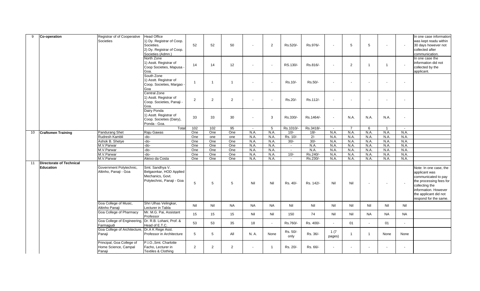| 9               | Co-operation              | Registrar of of Cooperative                          | <b>Head Office</b>                  |                |                |                |              |                          |                  |                |                          |                          |                          |                          |                          | In one case information |
|-----------------|---------------------------|------------------------------------------------------|-------------------------------------|----------------|----------------|----------------|--------------|--------------------------|------------------|----------------|--------------------------|--------------------------|--------------------------|--------------------------|--------------------------|-------------------------|
|                 |                           | Societies                                            | 1) Dy. Registrar of Coop.           |                |                |                |              |                          |                  |                |                          |                          |                          |                          |                          | was kept readu within   |
|                 |                           |                                                      | Societies.                          | 52             | 52             | 50             |              | 2                        | Rs.520/-         | Rs.976/-       |                          | 5                        | 5                        | $\overline{a}$           |                          | 30 days however not     |
|                 |                           |                                                      | 2) Dy. Registrar of Coop.           |                |                |                |              |                          |                  |                |                          |                          |                          |                          |                          | collected after         |
|                 |                           |                                                      | Societies (Admn.)<br>North Zone     |                |                |                |              |                          |                  |                |                          |                          |                          |                          |                          | communication.          |
|                 |                           |                                                      |                                     |                |                |                |              |                          |                  |                |                          |                          |                          |                          |                          | In one case the         |
|                 |                           |                                                      | 1) Asstt. Registrar of              | 14             | 14             | 12             |              | $\blacksquare$           | RS.130/-         | Rs.816/-       | ٠                        | 2                        | $\overline{1}$           | $\overline{1}$           | $\overline{\phantom{a}}$ | information did not     |
|                 |                           |                                                      | Coop Societies, Mapusa -            |                |                |                |              |                          |                  |                |                          |                          |                          |                          |                          | collected by the        |
|                 |                           |                                                      | Goa.<br>South Zone                  |                |                |                |              |                          |                  |                |                          |                          |                          |                          |                          | applicant.              |
|                 |                           |                                                      | 1) Asstt. Registrar of              |                |                |                |              |                          |                  |                |                          |                          |                          |                          |                          |                         |
|                 |                           |                                                      | Coop. Societies, Margao             | $\overline{1}$ | -1             | $\overline{1}$ |              | $\blacksquare$           | Rs.10/-          | Rs.50/-        | ٠                        | $\sim$                   | $\overline{\phantom{a}}$ | $\blacksquare$           | $\overline{\phantom{a}}$ |                         |
|                 |                           |                                                      | Goa                                 |                |                |                |              |                          |                  |                |                          |                          |                          |                          |                          |                         |
|                 |                           |                                                      | Central Zone                        |                |                |                |              |                          |                  |                |                          |                          |                          |                          |                          |                         |
|                 |                           |                                                      | 1) Asstt. Registrar of              |                |                |                |              |                          |                  |                |                          |                          |                          |                          |                          |                         |
|                 |                           |                                                      | Coop. Societies, Panaji -           | $\overline{2}$ | $\overline{2}$ | 2              |              |                          | Rs.20/-          | Rs.112/-       | $\blacksquare$           | $\overline{\phantom{a}}$ | $\blacksquare$           | $\blacksquare$           |                          |                         |
|                 |                           |                                                      | Goa.                                |                |                |                |              |                          |                  |                |                          |                          |                          |                          |                          |                         |
|                 |                           |                                                      | Dairy Ponda                         |                |                |                |              |                          |                  |                |                          |                          |                          |                          |                          |                         |
|                 |                           |                                                      | 1) Asstt. Registrar of              |                |                |                |              |                          |                  |                |                          |                          |                          |                          |                          |                         |
|                 |                           |                                                      | Coop. Societies (Dairy),            | 33             | 33             | 30             |              | 3                        | Rs.330/-         | Rs.1464/-      | $\overline{a}$           | N.A.                     | N.A.                     | N.A.                     | $\overline{\phantom{0}}$ |                         |
|                 |                           |                                                      | Ponda - Goa.                        |                |                |                |              |                          |                  |                |                          |                          |                          |                          |                          |                         |
|                 |                           |                                                      | Total                               | 102            | 102            | 95             | $\sim$       | 5                        | Rs.1010/-        | Rs.3418/-      | $\sim$                   | $\overline{7}$           | 6                        | $\overline{1}$           | $\overline{\phantom{a}}$ |                         |
| 10 <sup>°</sup> | <b>Craftsmen Training</b> | Pandurang Shet                                       | Raju Gawas                          | One            | One            | One            | N.A.         | N.A.                     | $10/-$           | $18/-$         | N.A.                     | N.A.                     | N.A.                     | N.A.                     | N.A.                     |                         |
|                 |                           | Rudresh Kambli                                       | -do-                                | One            | one            | one            | N.A.         | N.A.                     | Rs. 10/-         | $2/-$          | N.A.                     | N.A.                     | N.A.                     | N.A.                     | N.A.                     |                         |
|                 |                           | Ashok B. Shetye<br>M.V.Parwar                        | $-do-$<br>-do-                      | One<br>One     | One<br>One     | One<br>One     | N.A.<br>N.A. | N.A.<br>N.A.             | $30/-$<br>$\sim$ | $30/-$<br>N.A. | N.A.<br>N.A              | N.A.<br>N.A.             | N.A.<br>N.A.             | N.A.<br>N.A.             | N.A.<br>N.A.             |                         |
|                 |                           | M.V.Parwar                                           | -do-                                | One            | One            | One            | N.A.         | N.A.                     | $\sim$           | N.A.           | N.A.                     | N.A.                     | N.A.                     | N.A.                     | N.A.                     |                         |
|                 |                           | M.V.Parwar                                           | -do-                                | One            | One            | One            | N.A.         | N.A.                     | $10/-$           | Rs.240/-       | N.A.                     | N.A.                     | N.A                      | N.A.                     | N.A.                     |                         |
|                 |                           | M.V.Parwar                                           | Aleixo da Costa                     | One            | One            | One            | N.A.         | N.A.                     | $\sim$           | Rs.230/-       | N.A.                     | N.A.                     | N.A.                     | N.A.                     | N.A.                     |                         |
| 11              | Directorate of Technical  |                                                      |                                     |                |                |                |              |                          |                  |                |                          |                          |                          |                          |                          |                         |
|                 | Education                 | Government Polytechnic,                              | Smt. Sandhya V.                     |                |                |                |              |                          |                  |                |                          |                          |                          |                          |                          | Note: In one case, the  |
|                 |                           | Altinho, Panaji - Goa                                | Belgaonkar, HOD Applied             |                |                |                |              |                          |                  |                |                          |                          |                          |                          |                          | applicant was           |
|                 |                           |                                                      | Mechanics, Govt.                    |                |                |                |              |                          |                  |                |                          |                          |                          |                          |                          | communicated to pay     |
|                 |                           |                                                      | Polytechnic, Panaji - Goa           |                |                |                |              |                          |                  |                |                          |                          |                          |                          |                          | the processing fees for |
|                 |                           |                                                      |                                     | 5              | 5              | 5              | Nil          | Nil                      | Rs. 40/-         | Rs. 142/-      | Nil                      | Nil                      |                          | $\overline{\phantom{a}}$ |                          | collecting the          |
|                 |                           |                                                      |                                     |                |                |                |              |                          |                  |                |                          |                          |                          |                          |                          | information. However    |
|                 |                           |                                                      |                                     |                |                |                |              |                          |                  |                |                          |                          |                          |                          |                          | the applicant did not   |
|                 |                           |                                                      |                                     |                |                |                |              |                          |                  |                |                          |                          |                          |                          |                          | respond for the same.   |
|                 |                           | Goa College of Music,                                | Shri Ulhas Velingkar,               | Nil            | Nil            | <b>NA</b>      | <b>NA</b>    | <b>NA</b>                | Nil              | Nil            | Nil                      | Nil                      | Nil                      | Nil                      | Nil                      |                         |
|                 |                           | Altinho Panaji                                       | Lecturer in Tabla                   |                |                |                |              |                          |                  |                |                          |                          |                          |                          |                          |                         |
|                 |                           | Goa College of Pharmacy                              | Mr. M.G. Pai, Assistant             | 15             | 15             | 15             | Nil          | Nil                      | 150              | 74             | Nil                      | Nil                      | <b>NA</b>                | <b>NA</b>                | <b>NA</b>                |                         |
|                 |                           |                                                      | Professor                           |                |                |                |              |                          |                  |                |                          |                          |                          |                          |                          |                         |
|                 |                           | Goa College of Engineering, Dr. R.B. Lohani, Prof. & |                                     | 53             | 53             | 35             | 18           | $\overline{\phantom{a}}$ | Rs.760/-         | Rs. 400/-      | $\overline{\phantom{a}}$ | 01                       | $\overline{\phantom{a}}$ | 01                       | $\overline{\phantom{a}}$ |                         |
|                 |                           | Farmaqudi<br>Goa College of Architecture,            | Head of E.T.C.<br>Dr.A K Rege Asst. |                |                |                |              |                          |                  |                |                          |                          |                          |                          |                          |                         |
|                 |                           | Panaji                                               | Professor in Architecture           | 5              | 5              | All            | N. A.        | None                     | Rs. 50/-         | Rs. 36/-       | 1(7)                     | -1                       | $\overline{1}$           | None                     |                          |                         |
|                 |                           |                                                      |                                     |                |                |                |              |                          | only             |                | pages)                   |                          |                          |                          | None                     |                         |
|                 |                           | Principal, Goa College of                            | P.I.O., Smt. Charlotte              |                |                |                |              |                          |                  |                |                          |                          |                          |                          |                          |                         |
|                 |                           | Home Science, Campal                                 | Facho, Lecturer in                  | $\overline{2}$ | 2              | 2              |              | -1                       | Rs. 20/-         | Rs. 66/-       | $\blacksquare$           |                          | $\overline{\phantom{a}}$ | $\overline{\phantom{a}}$ | $\overline{\phantom{a}}$ |                         |
|                 |                           | Panaji                                               | <b>Textiles &amp; Clothing</b>      |                |                |                |              |                          |                  |                |                          |                          |                          |                          |                          |                         |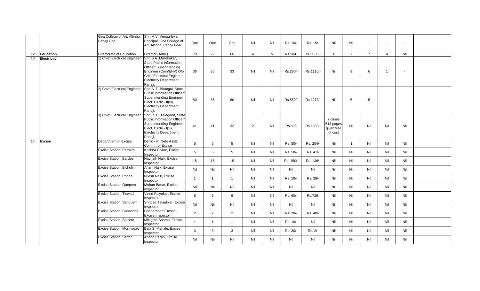|    |               | Goa College of Art, Altinho,   | Shri M.V. Vengurlekar,              |                 |                 |                |                |                 |           |           |                |                |                          |                          |                          |  |
|----|---------------|--------------------------------|-------------------------------------|-----------------|-----------------|----------------|----------------|-----------------|-----------|-----------|----------------|----------------|--------------------------|--------------------------|--------------------------|--|
|    |               | Panaji Goa                     | Principal, Goa College of           |                 |                 |                |                |                 |           |           |                |                |                          |                          |                          |  |
|    |               |                                | Art, Altinho, Panaji Goa            | One             | One             | One            | Nil            | Nil             | Rs. 10/-  | Rs. 15/-  | Nil            | Nil            | $\overline{\phantom{m}}$ | $\sim$                   | $\overline{\phantom{a}}$ |  |
|    |               |                                |                                     |                 |                 |                |                |                 |           |           |                |                |                          |                          |                          |  |
| 12 | Education     | Directorate of Education       | Director (Adm.)                     | $\overline{79}$ | $\overline{79}$ | 66             | $\overline{4}$ | $5\overline{5}$ | Rs.584    | Rs.11,050 | $\overline{4}$ | $\overline{7}$ | $\overline{7}$           | $\overline{4}$           | Nil                      |  |
| 13 | Electrictiy   | 1) Chief Electrical Engineer   | Shri S.A. Mandrekar,                |                 |                 |                |                |                 |           |           |                |                |                          |                          |                          |  |
|    |               |                                | <b>State Public Information</b>     |                 |                 |                |                |                 |           |           |                |                |                          |                          |                          |  |
|    |               |                                | Officer/ Superintending             |                 |                 |                |                |                 |           |           |                |                |                          |                          |                          |  |
|    |               |                                | Engineer (Com/EHV) O/o              | 36              | 36              | 33             | Nil            | Nil             | Rs.290/-  | Rs.1110/- | Nil            | 9              | 6                        | -1                       | $\overline{\phantom{a}}$ |  |
|    |               |                                | Chief Electrical Engineer,          |                 |                 |                |                |                 |           |           |                |                |                          |                          |                          |  |
|    |               |                                | Electricity Department,             |                 |                 |                |                |                 |           |           |                |                |                          |                          |                          |  |
|    |               |                                | Panaji.                             |                 |                 |                |                |                 |           |           |                |                |                          |                          |                          |  |
|    |               | 2) Chief Electrical Engineer   | Shri S. T. Bhangui, State           |                 |                 |                |                |                 |           |           |                |                |                          |                          |                          |  |
|    |               |                                | Public Information Officer/         |                 |                 |                |                |                 |           |           |                |                |                          |                          |                          |  |
|    |               |                                | <b>Superintending Engineer</b>      |                 |                 |                |                |                 |           |           |                |                |                          |                          |                          |  |
|    |               |                                | Elect. Circle - II(N),              | 80              | 36              | 80             | Nil            | Nil             | Rs.580/-  | Rs.1273/- | Nil            | 5              | 5                        | $\overline{\phantom{a}}$ | $\overline{\phantom{a}}$ |  |
|    |               |                                | Electricity Department,             |                 |                 |                |                |                 |           |           |                |                |                          |                          |                          |  |
|    |               |                                | Panaji.                             |                 |                 |                |                |                 |           |           |                |                |                          |                          |                          |  |
|    |               | 3) Chief Electrical Engineer   | Shri R. D. Telegaon, State          |                 |                 |                |                |                 |           |           |                |                |                          |                          |                          |  |
|    |               |                                | Public Information Officer/         |                 |                 |                |                |                 |           |           | 7 cases        |                |                          |                          |                          |  |
|    |               |                                | <b>Superintending Engineer</b>      |                 |                 |                |                |                 |           |           | 513 pages      |                |                          |                          |                          |  |
|    |               |                                | Elect. Circle - I(S),               | 41              | 41              | 32             | 2              | Nil             | Rs.30/-   | Rs.1930/- | given free     | Nil            | Nil                      | Nil                      | Nil                      |  |
|    |               |                                | <b>Electricity Department,</b>      |                 |                 |                |                |                 |           |           | of cost        |                |                          |                          |                          |  |
|    |               |                                | Panaji.                             |                 |                 |                |                |                 |           |           |                |                |                          |                          |                          |  |
| 14 | <b>Excise</b> | Department of Excise           | Derrick P. Neto Asstt.              |                 |                 |                |                |                 |           |           |                |                |                          |                          |                          |  |
|    |               |                                | Commr. of Excise                    | 5               | 5               | 5              | Nil            | Nil             | Rs. 50/-  | Rs. 254/- | Nil            | $\mathbf{1}$   | Nil                      | Nil                      | Nil                      |  |
|    |               | Excise Station, Pernem         | Krishna Divkar, Excise              |                 |                 |                |                |                 |           |           |                |                |                          |                          |                          |  |
|    |               |                                | Inspector                           | 5               | 5               | 5              | Nil            | Nil             | Rs. 50/-  | Rs. 41/-  | Nil            | Nil            | Nil                      | Nil                      | Nil                      |  |
|    |               | <b>Excise Station, Bardez</b>  | Navnath Naik, Excise                |                 |                 |                |                |                 |           |           |                |                |                          |                          |                          |  |
|    |               |                                | Inspector                           | 15              | 15              | 15             | Nil            | Nil             | Rs. 150/- | Rs. 136/- | Nil            | Nil            | Nil                      | Nil                      | Nil                      |  |
|    |               | Excise Station, Bicholim       | Anant Naik, Excise                  |                 |                 |                |                |                 |           |           |                |                |                          |                          |                          |  |
|    |               |                                |                                     |                 |                 |                |                |                 |           |           |                |                |                          |                          |                          |  |
|    |               |                                |                                     | Nil             | Nil             | Nil            | Nil            | Nil             | Nil       | Nil       | Nil            | Nil            | Nil                      | Nil                      | Nil                      |  |
|    |               |                                | Inspector                           |                 |                 |                |                |                 |           |           |                |                |                          |                          |                          |  |
|    |               | Excise Station. Ponda          | Nilesh Naik, Excise                 | $\overline{1}$  | $\overline{1}$  | $\overline{1}$ | Nil            | Nil             | Rs. 10/-  | Rs. 38/-  | Nil            | Nil            | Nil                      | Nil                      | Nil                      |  |
|    |               |                                | Inspector                           |                 |                 |                |                |                 |           |           |                |                |                          |                          |                          |  |
|    |               | Excise Station, Quepem         | Mohan Barve, Excise                 | Nil             | Nil             | Nil            | Nil            | Nil             | Nil       | Nil       | Nil            | Nil            | Nil                      | Nil                      | Nil                      |  |
|    |               | Excise Station, Tiswadi        | Inspector                           |                 |                 |                |                |                 |           |           |                |                |                          |                          |                          |  |
|    |               |                                | Vinod Palyekar, Excise<br>Inspector | 6               | 6               | 6              | Nil            | Nil             | Rs. 60/-  | Rs.726    | Nil            | Nil            | Nil                      | Nil                      | Nil                      |  |
|    |               | Excise Station, Sanguem        | Shripad Talaulikar, Excise          |                 |                 |                |                |                 |           |           |                |                |                          |                          |                          |  |
|    |               |                                | Inspector                           | Nil             | Nil             | Nil            | Nil            | Nil             | Nil       | Nil       | Nil            | Nil            | Nil                      | Nil                      | Nil                      |  |
|    |               | Excise Station, Canacona       | Chandranath Dessai,                 |                 |                 |                |                |                 |           |           |                |                |                          |                          |                          |  |
|    |               |                                | Excise Inspector                    | 2               | $\overline{2}$  | 2              | Nil            | Nil             | Rs. 20/-  | Rs. 40/-  | Nil            | Nil            | Nil                      | Nil                      | Nil                      |  |
|    |               | <b>Excise Station, Salcete</b> | Milagres Soares, Excise             | $\overline{1}$  | $\overline{1}$  |                |                |                 |           |           |                |                |                          |                          |                          |  |
|    |               |                                | Inspector                           |                 |                 | $\overline{1}$ | Nil            | Nil             | Rs. 10/-  | Nil       | Nil            | Nil            | Nil                      | Nil                      | Nil                      |  |
|    |               | Excise Station, Mormugao       | Bala S. Mahale, Excise              |                 |                 |                |                |                 |           |           |                |                |                          |                          |                          |  |
|    |               |                                | Inspector                           | 3               | 3               | $\mathbf{3}$   | Nil            | Nil             | Rs. 30/-  | Rs. 2/-   | Nil            | Nil            | Nil                      | Nil                      | Nil                      |  |
|    |               | Excise Station, Sattari        | Anand Parab, Excise<br>Inspector    | Nil             | Nil             | Nil            | Nil            | Nil             | Nil       | Nil       | Nil            | Nil            | Nil                      | Nil                      | Nil                      |  |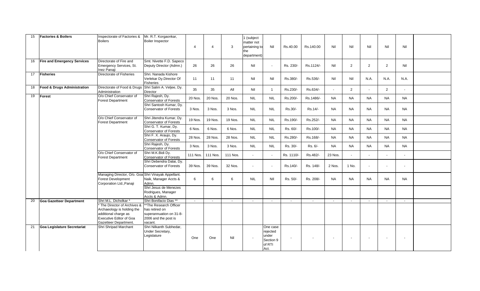| 15 | <b>Factories &amp; Boilers</b>     | Inspectorate of Factories &<br><b>Boilers</b>                                                         | Mr. R.T. Korgaonkar,<br>Boiler Inspector                            | $\overline{4}$ | $\overline{\mathcal{A}}$ | 3        | 1 (subject<br>matter not<br>pertaining to<br>the<br>department) | Nil                                                          | Rs.40.00                 | Rs.140.00                | Nil                      | Nil            | Nil            | Nil                      | Nil                      |  |
|----|------------------------------------|-------------------------------------------------------------------------------------------------------|---------------------------------------------------------------------|----------------|--------------------------|----------|-----------------------------------------------------------------|--------------------------------------------------------------|--------------------------|--------------------------|--------------------------|----------------|----------------|--------------------------|--------------------------|--|
| 16 | <b>Fire and Emergency Services</b> | Directorate of Fire and<br>Emergency Services, St.<br>Inez Panaji                                     | Smt. Nivette F.D. Sapeco<br>Deputy Director (Admn.)                 | 26             | 26                       | 26       | Nil                                                             | $\overline{\phantom{a}}$                                     | Rs. 230/-                | Rs.1124/-                | Nil                      | $\overline{2}$ | 2              | $\overline{2}$           | Nil                      |  |
| 17 | <b>Fisheries</b>                   | Directorate of Fisheries                                                                              | Shri. Nanada Kishore<br>Verlekar Dy.Director Of<br><b>Fisheries</b> | 11             | 11                       | 11       | Nil                                                             | Nil                                                          | Rs.380/-                 | Rs.536/-                 | Nil                      | Nil            | N.A.           | N.A.                     | N.A.                     |  |
| 18 | Food & Drugs Administration        | Directorate of Food & Drugs<br>Administration                                                         | Shri Salim A. Veljee, Dy.<br><b>Director</b>                        | 35             | 35                       | All      | Nil                                                             | $\mathbf{1}$                                                 | Rs.230/-                 | Rs.634/-                 |                          | $\overline{2}$ |                | 2                        |                          |  |
| 19 | Forest                             | O/o Chief Conservator of<br><b>Forest Department</b>                                                  | Shri Rajesh, Dy.<br><b>Conservator of Forests</b>                   | 20 Nos.        | 20 Nos.                  | 20 Nos.  | <b>NIL</b>                                                      | <b>NIL</b>                                                   | Rs.200/-                 | Rs.1486/-                | <b>NA</b>                | <b>NA</b>      | <b>NA</b>      | <b>NA</b>                | <b>NA</b>                |  |
|    |                                    |                                                                                                       | Shri Santosh Kumar, Dy.<br><b>Conservator of Forests</b>            | 3 Nos.         | 3 Nos.                   | 3 Nos.   | <b>NIL</b>                                                      | <b>NIL</b>                                                   | Rs.30/-                  | Rs.14/-                  | <b>NA</b>                | <b>NA</b>      | <b>NA</b>      | <b>NA</b>                | <b>NA</b>                |  |
|    |                                    | O/o Chief Conservator of<br><b>Forest Department</b>                                                  | Shri Jitendra Kumar, Dy.<br><b>Conservator of Forests</b>           | 19 Nos.        | 19 Nos.                  | 19 Nos.  | <b>NIL</b>                                                      | <b>NIL</b>                                                   | Rs.190/-                 | Rs.252/-                 | <b>NA</b>                | <b>NA</b>      | <b>NA</b>      | <b>NA</b>                | <b>NA</b>                |  |
|    |                                    |                                                                                                       | Shri G. T. Kumar, Dy.<br><b>Conservator of Forests</b>              | 6 Nos.         | 6 Nos.                   | 6 Nos.   | <b>NIL</b>                                                      | <b>NIL</b>                                                   | Rs. 60/-                 | Rs.100/-                 | <b>NA</b>                | <b>NA</b>      | <b>NA</b>      | <b>NA</b>                | <b>NA</b>                |  |
|    |                                    |                                                                                                       | Shri F. X. Araujo, Dy.<br>Conservator of Forests                    | 28 Nos.        | 28 Nos.                  | 28 Nos.  | <b>NIL</b>                                                      | <b>NIL</b>                                                   | Rs.280/-                 | Rs.168/-                 | <b>NA</b>                | <b>NA</b>      | <b>NA</b>      | <b>NA</b>                | <b>NA</b>                |  |
|    |                                    |                                                                                                       | Shri Rajesh, Dy.<br><b>Conservator of Forests</b>                   | 3 Nos.         | 3 Nos.                   | 3 Nos.   | <b>NIL</b>                                                      | <b>NIL</b>                                                   | Rs. 30/-                 | Rs. 6/-                  | <b>NA</b>                | <b>NA</b>      | <b>NA</b>      | <b>NA</b>                | <b>NA</b>                |  |
|    |                                    | O/o Chief Conservator of<br><b>Forest Department</b>                                                  | Shri M.K.Bidi Dy.<br>Conservator of Forests                         | 111 Nos.       | 111 Nos.                 | 111 Nos. | $\overline{a}$                                                  | $\sim$                                                       | Rs. 1110/-               | Rs.482/-                 | 23 Nos.                  |                | $\overline{a}$ | $\overline{a}$           | $\overline{a}$           |  |
|    |                                    |                                                                                                       | Shri Debendra Dalai, Dy.<br><b>Conservator of Forests</b>           | 39 Nos.        | 39 Nos.                  | 32 Nos.  | $\mathbf{r}$                                                    | $\overline{\phantom{a}}$                                     | Rs.140/-                 | Rs. 148/-                | 2 Nos.                   | 1 No.          |                | $\blacksquare$           |                          |  |
|    |                                    | Managing Director, O/o. Goa Shri Vinayak Appellant.<br>Forest Development<br>Corporation Ltd., Panaji | Naik, Manager Accts &<br>Admn.                                      | 6              | 6                        | 6        | <b>NIL</b>                                                      | <b>NII</b>                                                   | Rs. 50/-                 | Rs. 208/-                | <b>NA</b>                | <b>NA</b>      | <b>NA</b>      | <b>NA</b>                | <b>NA</b>                |  |
|    |                                    |                                                                                                       | Shri Jesus de Menezes<br>Rodrigues, Manager<br>Accts & Admn.        |                |                          |          |                                                                 |                                                              |                          |                          |                          |                |                |                          |                          |  |
| 20 | <b>Goa Gazetteer Department</b>    | Shri M.L. Dicholkar*                                                                                  | Shri Bonifacio Dias **                                              | $\sim$         | $\sim$                   | $\sim$   | $\sim$                                                          | $\sim$                                                       | $\sim$                   | $\sim$                   | $\sim$                   | $\sim$         | $\sim$         | $\sim$                   | $\sim$                   |  |
|    |                                    | The Director of Archives &                                                                            | **The Research Officer                                              |                |                          |          |                                                                 |                                                              |                          |                          |                          |                |                |                          |                          |  |
|    |                                    | Archaeology is holding the<br>additional charge as                                                    | has retired on<br>superannuation on 31-8-                           |                |                          |          |                                                                 |                                                              |                          |                          |                          |                |                |                          |                          |  |
|    |                                    | Executive Editor of Goa                                                                               | 2006 and the post is                                                |                |                          |          |                                                                 |                                                              |                          |                          |                          |                |                |                          |                          |  |
|    |                                    | Gazetteer Department.                                                                                 | vacant.                                                             |                |                          |          |                                                                 |                                                              |                          |                          |                          |                |                |                          |                          |  |
| 21 | Goa Legislature Secretariat        | Shri Shripad Marchant                                                                                 | Shri Nilkanth Subhedar,<br>Under Secretary,<br>Legislature          | One            | One                      | Nil      |                                                                 | One case<br>rejected<br>under<br>Section 9<br>of RTI<br>Act. | $\overline{\phantom{a}}$ | $\overline{\phantom{a}}$ | $\overline{\phantom{a}}$ | $\overline{a}$ | $\overline{a}$ | $\overline{\phantom{a}}$ | $\overline{\phantom{a}}$ |  |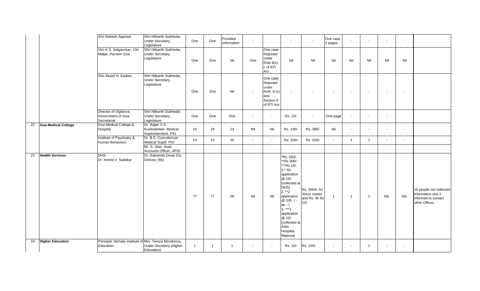|    |                         | Shri Rakesh Agarwal                                                | Shri Nilkanth Subhedar,<br>Under Secretary,<br>Legislature                                    | One            | One            | Provided<br>Information | $\overline{\phantom{a}}$ | $\blacksquare$                                                                | $\overline{\phantom{a}}$                                                                                                                                                                                                                       | $\overline{\phantom{a}}$                                      | One case<br>2 pages      | $\overline{\phantom{a}}$ | $\overline{\phantom{a}}$ | $\sim$                   | $\overline{\phantom{a}}$                                                                           |
|----|-------------------------|--------------------------------------------------------------------|-----------------------------------------------------------------------------------------------|----------------|----------------|-------------------------|--------------------------|-------------------------------------------------------------------------------|------------------------------------------------------------------------------------------------------------------------------------------------------------------------------------------------------------------------------------------------|---------------------------------------------------------------|--------------------------|--------------------------|--------------------------|--------------------------|----------------------------------------------------------------------------------------------------|
|    |                         | Shri K.S. Salgaonkar, 234<br>Malpe, Pernem Goa.                    | Shri Nilkanth Subhedar,<br>Under Secretary,<br>Legislature                                    | One            | One            | Nil                     | One                      | One case<br>Rejected<br>under<br>Rule 8(1)<br>c of RTI<br>Act.                | Nil                                                                                                                                                                                                                                            | Nil                                                           | Nil                      | Nil                      | Nil                      | Nil                      | Nil                                                                                                |
|    |                         | Shri Akash N. Kadam                                                | Shri Nilkanth Subhedar,<br>Under Secretary,<br>Legislature                                    | One            | One            | Nil                     | $\sim$                   | One case<br>Rejected<br>under<br>Rule 8 (c)<br>and<br>Section 9<br>of RTI Act | $\blacksquare$                                                                                                                                                                                                                                 | $\overline{\phantom{a}}$                                      | $\overline{\phantom{a}}$ | $\sim$                   | $\overline{\phantom{a}}$ | $\overline{\phantom{a}}$ | $\blacksquare$                                                                                     |
|    |                         | Director of Vigilance,<br>Government of Goa,<br>Secretariat.       | Shri Nilkanth Subhedar,<br>Under Secretary,<br>Legislature                                    | One            | One            | One                     | $\sim$                   | $\blacksquare$                                                                | Rs. 10/-                                                                                                                                                                                                                                       | $\sim$                                                        | One page                 | $\overline{\phantom{a}}$ | $\overline{a}$           | $\overline{\phantom{a}}$ |                                                                                                    |
|    | 22 Goa Medical College  | Goa Medical College &<br>Hospital                                  | Dr. Rajan V.S.<br>Kunkolienkar, Medical<br>Superintendent, PIO                                | 14             | 24             | 24                      | Nil                      | Nil                                                                           | Rs. 140/-                                                                                                                                                                                                                                      | Rs. 390/-                                                     | Nil                      | $\overline{\phantom{a}}$ | $\overline{a}$           | $\blacksquare$           | $\overline{\phantom{a}}$                                                                           |
|    |                         | Institute of Psychiatry &<br>Human Behaviour                       | Dr. B.S. Cuncoliencar,<br>Medical Supdt. PIO<br>Mr. S. Shet, Asstt.<br>Accounts Officer, APIO | 10             | 10             | 10                      | $\overline{\phantom{a}}$ | $\overline{\phantom{a}}$                                                      | Rs. 100/-                                                                                                                                                                                                                                      | Rs. 526/-                                                     |                          | $\overline{1}$           | $\overline{1}$           | $\overline{\phantom{a}}$ |                                                                                                    |
| 23 | <b>Health Services</b>  | <b>DHS</b><br>Dr. Arvind V. Salelkar                               | Dr. Rajnanda Desai (Dy.<br>Director (M))                                                      | 77             | 77             | 58                      | Nil                      | Nil                                                                           | *Rs. 550/-<br>**Rs 200/-<br>***Rs 10/-<br>$1.*-55$<br>application<br>@ 10/-<br>(collected at<br>DHS)<br>$2. *2$<br>application<br>$@100 (+$<br>$do - )$<br>$3.***1$<br>application<br>@ 10/-<br>(collected at<br>Asilo<br>Hospital,<br>Mapusa) | Rs. 2004/- for<br>Xerox copies<br>and Rs. 45 for<br><b>CD</b> | -1                       | $\overline{1}$           | $\overline{1}$           | <b>NIL</b>               | 16 people not collected<br>information and 2<br><b>NIL</b><br>informed to contact<br>other Offices |
| 24 | <b>Higher Education</b> | Principal, Nirmala Institute of Mrs. Tereza Mendonca,<br>Education | <b>Under Secretary (Higher</b><br>Education)                                                  | $\overline{1}$ | $\overline{1}$ | $\overline{1}$          | $\sim$                   | $\blacksquare$                                                                | Rs. 10/-                                                                                                                                                                                                                                       | Rs. 120/-                                                     | $\overline{\phantom{a}}$ | $\sim$                   | $\overline{1}$           | $\blacksquare$           | $\overline{\phantom{a}}$                                                                           |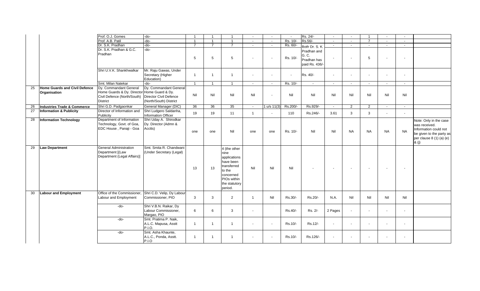|                 |                                               | Prof. O.J. Gomes                                                                                       | $-do-$                                                                                         | $\overline{1}$ | $\overline{1}$  |                                                                                                                                    | $\sim$                   | $\sim$                   | $\sim$                   | Rs. 24/-                                              | $\sim$                   | $\sim$                   | $\overline{1}$           | $\sim$                   | $\overline{\phantom{a}}$ |                                                                                                                                   |
|-----------------|-----------------------------------------------|--------------------------------------------------------------------------------------------------------|------------------------------------------------------------------------------------------------|----------------|-----------------|------------------------------------------------------------------------------------------------------------------------------------|--------------------------|--------------------------|--------------------------|-------------------------------------------------------|--------------------------|--------------------------|--------------------------|--------------------------|--------------------------|-----------------------------------------------------------------------------------------------------------------------------------|
|                 |                                               | Prof. A.B. Patil                                                                                       | $-do-$                                                                                         | $\overline{1}$ |                 |                                                                                                                                    |                          |                          |                          |                                                       |                          |                          | $\overline{7}$           |                          |                          |                                                                                                                                   |
|                 |                                               |                                                                                                        |                                                                                                |                | $\overline{1}$  | $\mathbf{1}$                                                                                                                       | $\sim$                   | $\sim$                   | Rs. 10/-                 | Rs.56/-                                               | $\sim$                   | $\sim$                   |                          | $\sim$                   | $\sim$                   |                                                                                                                                   |
|                 |                                               | Dr. S.K. Pradhan                                                                                       | $-do-$                                                                                         | $\overline{7}$ | $\overline{7}$  | $\overline{7}$                                                                                                                     | $\sim$                   | $\sim$                   | Rs. 60/-                 | Both Dr. S. K.                                        | $\sim$                   | $\sim$                   | $\sim$                   | $\sim$                   | $\overline{\phantom{a}}$ |                                                                                                                                   |
|                 |                                               | Dr. S.K. Pradhan & G.C.<br>Pradhan                                                                     | $-do-$                                                                                         | $\sqrt{5}$     | 5               | 5                                                                                                                                  |                          | $\overline{\phantom{a}}$ | Rs. 10/-                 | Pradhan and<br>G. C.<br>Pradhan has<br>paid Rs. 436/- | $\overline{\phantom{a}}$ |                          | 5                        | $\overline{\phantom{a}}$ |                          |                                                                                                                                   |
|                 |                                               | Shri U.V.K. Shankhwalkar                                                                               | Mr. Raju Gawas, Under<br>Secretary (Higher<br>Education)                                       | $\overline{1}$ | $\overline{1}$  | $\overline{1}$                                                                                                                     | $\overline{\phantom{a}}$ | $\overline{\phantom{a}}$ | $\overline{\phantom{a}}$ | Rs. 40/-                                              | $\blacksquare$           | $\overline{\phantom{a}}$ | $\overline{\phantom{a}}$ | $\overline{\phantom{a}}$ | $\blacksquare$           |                                                                                                                                   |
|                 |                                               | Smt. Milan Natekar                                                                                     | -do-                                                                                           | $\overline{1}$ | $\overline{1}$  | $\mathbf{1}$                                                                                                                       | $\sim$                   | $\sim$                   | Rs. 10/-                 | $\sim$                                                | $\sim$                   | $\sim$                   | $\sim$                   | $\sim$                   | $\sim$                   |                                                                                                                                   |
| 25              | Home Guards and Civil Defence<br>Organisation | Dy. Commandant General<br>Home Guards & Dy. Director<br>Civil Defence (North/South)<br><b>District</b> | Dy. Commandant General<br>Home Guard & Dy.<br>Director Civil Defence<br>(North/South) District | Nil            | Nil             | Nil                                                                                                                                | Nil                      | $\sim$                   | Nil                      | Nil                                                   | Nil                      | Nil                      | Nil                      | Nil                      | Nil                      |                                                                                                                                   |
| 26              | Industries Trade & Commerce                   | Shri G.D. Padgaonkar                                                                                   | General Manager (DIC)                                                                          | 36             | $\overline{36}$ | 35                                                                                                                                 | $\sim$                   | 1 u/s 11(3)              | Rs.200/-                 | Rs.929/-                                              | $\sim$                   | $\overline{2}$           | $\overline{2}$           | $\sim$                   | $\sim$                   |                                                                                                                                   |
| $\overline{27}$ | <b>Information &amp; Publicity</b>            | Director of Information and<br>Publicity                                                               | Shri Ludgero Saldanha,<br>Information Officer                                                  | 19             | 19              | 11                                                                                                                                 | $\overline{1}$           |                          | 110                      | Rs.246/-                                              | 3.61                     | 3                        | 3                        | $\overline{\phantom{a}}$ | $\overline{\phantom{0}}$ |                                                                                                                                   |
| 28              | <b>Information Technology</b>                 | Department of Information<br>Technology, Govt. of Goa,<br>EDC House, Panaji - Goa                      | Shri Uday A. Shirodkar<br>Dy. Director (Admn &<br>Acctts)                                      | one            | one             | Nil                                                                                                                                | one                      | one                      | Rs. 10/-                 | Nil                                                   | Nil                      | <b>NA</b>                | <b>NA</b>                | <b>NA</b>                | <b>NA</b>                | Note: Only in the case<br>was received.<br>Information could not<br>be given to the party as<br>per clause 8 (1) (a) (e)<br>& (j) |
| 29              | <b>Law Department</b>                         | General Administration<br>Department [(Law<br>Department (Legal Affairs)]                              | Smt. Smita R. Chandwani<br>(Under Secretary (Legal)                                            | 13             | 13              | 4 (the other<br>nine<br>applications<br>have been<br>transferred<br>to the<br>concerned<br>PIOs within<br>the statutory<br>period. | Nil                      | Nil                      | Nil                      | $\overline{\phantom{a}}$                              | $\overline{\phantom{a}}$ | $\overline{a}$           | $\overline{\phantom{a}}$ | $\overline{\phantom{a}}$ | $\overline{\phantom{a}}$ |                                                                                                                                   |
| 30              | <b>Labour and Employment</b>                  | Office of the Commissioner,                                                                            | Shri C.D. Velip, Dy Labour                                                                     |                |                 |                                                                                                                                    |                          |                          |                          |                                                       |                          |                          |                          |                          |                          |                                                                                                                                   |
|                 |                                               | Labour and Employment                                                                                  | Commissioner, PIO                                                                              | 3              | 3               | $\overline{2}$                                                                                                                     | $\overline{1}$           | Nil                      | Rs.30/-                  | Rs.20/-                                               | N.A.                     | Nil                      | Nil                      | Nil                      | Nil                      |                                                                                                                                   |
|                 |                                               | -do-                                                                                                   | Shri V.B.N. Raikar, Dy<br>Labour Commissioner,<br>Margao, PIO                                  | 6              | 6               | 3                                                                                                                                  | $\overline{\phantom{a}}$ |                          | Rs.40/-                  | Rs. 2/-                                               | 2 Pages                  | $\sim$                   | $\overline{\phantom{a}}$ | $\overline{\phantom{a}}$ | $\overline{\phantom{a}}$ |                                                                                                                                   |
|                 |                                               | -do-                                                                                                   | Smt. Pratima P. Naik,<br>A.L.C. Mapusa, Asstt<br><b>P.I.O.</b>                                 | $\overline{1}$ | $\overline{1}$  | $\mathbf{1}$                                                                                                                       | $\overline{a}$           | $\sim$                   | Rs.10/-                  | Rs.12/-                                               | $\blacksquare$           | $\sim$                   | $\overline{a}$           | $\overline{a}$           | $\blacksquare$           |                                                                                                                                   |
|                 |                                               | -do-                                                                                                   | Smt. Asha Khaunte,<br>A.L.C., Ponda, Asstt.<br><b>P.I.O</b>                                    | $\mathbf{1}$   | $\overline{1}$  | $\mathbf{1}$                                                                                                                       | $\overline{\phantom{a}}$ | $\overline{\phantom{a}}$ | Rs.10/-                  | Rs.126/-                                              | $\overline{\phantom{a}}$ | $\overline{\phantom{a}}$ | $\overline{\phantom{a}}$ | $\overline{\phantom{a}}$ | $\overline{\phantom{a}}$ |                                                                                                                                   |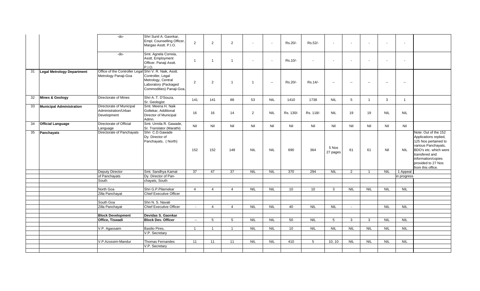|    |                                   | -do-                                                            | Shri Sunil A. Gaonkar,                                                                                                   |                 |                |                 |                |                          |           |                          |                          |                          |                          |                          |                          |                                                                                                                                                                                                          |
|----|-----------------------------------|-----------------------------------------------------------------|--------------------------------------------------------------------------------------------------------------------------|-----------------|----------------|-----------------|----------------|--------------------------|-----------|--------------------------|--------------------------|--------------------------|--------------------------|--------------------------|--------------------------|----------------------------------------------------------------------------------------------------------------------------------------------------------------------------------------------------------|
|    |                                   |                                                                 | Empl. Counselling Officer,<br>Margao Asstt. P.I.O.                                                                       | $\overline{2}$  | $\overline{2}$ | $\overline{2}$  | $\blacksquare$ | $\overline{\phantom{a}}$ | Rs.20/-   | Rs.52/-                  | $\overline{\phantom{a}}$ | $\overline{\phantom{a}}$ | $\overline{\phantom{a}}$ | $\blacksquare$           | $\overline{\phantom{a}}$ |                                                                                                                                                                                                          |
|    |                                   | -do-                                                            | Smt. Agnela Correia,<br>Asstt. Employment<br>Officer. Panaji Asstt.<br>P.I.O.                                            | $\overline{1}$  | $\overline{1}$ | $\overline{1}$  | $\blacksquare$ | $\overline{\phantom{a}}$ | Rs.10/-   | $\overline{\phantom{a}}$ | $\overline{\phantom{a}}$ | $\overline{\phantom{a}}$ | $\overline{\phantom{a}}$ | $\blacksquare$           | $\overline{\phantom{a}}$ |                                                                                                                                                                                                          |
| 31 | <b>Legal Metrology Department</b> | Office of the Controller Legal<br>Metrology Panaji-Goa          | I Shri V. R. Naik, Asstt.<br>Controller, Legal<br>Metrology, Central<br>Laboratory (Packaged<br>Commodities) Panaji-Goa. | 2               | $\overline{2}$ | $\overline{1}$  | $\overline{1}$ | $\overline{\phantom{a}}$ | Rs.20/-   | Rs.14/-                  | $\overline{\phantom{a}}$ | $\overline{\phantom{a}}$ | $\overline{\phantom{a}}$ | $\overline{\phantom{a}}$ | $\overline{\phantom{a}}$ |                                                                                                                                                                                                          |
| 32 | <b>Mines &amp; Geology</b>        | Directorate of Mines                                            | Shri A. T. D'Souza,<br>Sr. Geologist                                                                                     | 141             | 141            | 88              | 53             | <b>NIL</b>               | 1410      | 1738                     | <b>NIL</b>               | $5^{\circ}$              | $\mathbf{1}$             | 3                        | $\overline{1}$           |                                                                                                                                                                                                          |
| 33 | <b>Municipal Administration</b>   | Directorate of Municipal<br>Administration/Urban<br>Development | Smt. Meena H. Naik<br>Goltekar, Additional<br>Director of Municipal<br>Admn.                                             | 16              | 16             | 14              | 2              | <b>NIL</b>               | Rs. 130/- | Rs. 118/-                | <b>NIL</b>               | 19                       | 19                       | <b>NIL</b>               | <b>NIL</b>               |                                                                                                                                                                                                          |
| 34 | <b>Official Language</b>          | Directorate of Official<br>Language                             | Smt. Urmila R. Gawade,<br>Sr. Translator (Marathi)                                                                       | Nil             | Nil            | Nil             | Nil            | Nil                      | Nil       | Nil                      | Nil                      | Nil                      | Nil                      | Nil                      | Nil                      |                                                                                                                                                                                                          |
| 35 | <b>Panchayats</b>                 | Directorate of Panchayats                                       | Shri C.D.Gawade<br>Dy. Director of<br>Panchayats, (North)                                                                | 152             | 152            | 148             | <b>NIL</b>     | <b>NIL</b>               | 690       | 364                      | 5 Nos<br>27 pages        | 61                       | 61                       | Nil                      | <b>NIL</b>               | Note: Out of the 152<br>Applications replied,<br>125 Nos pertained to<br>various Panchayats,<br>BDO's etc. which were<br>transfered and<br>information/copies<br>provided to 27 Nos<br>from this office. |
|    |                                   | Deputy Director                                                 | Smt. Sandhya Kamat                                                                                                       | $\overline{37}$ | 47             | $\overline{37}$ | <b>NIL</b>     | <b>NIL</b>               | 370       | 294                      | <b>NIL</b>               | 2                        | $\overline{1}$           | <b>NIL</b>               | 1 Appeal                 |                                                                                                                                                                                                          |
|    |                                   | of Panchayats                                                   | Dy. Director of Pan-                                                                                                     |                 |                |                 |                |                          |           |                          |                          |                          |                          |                          | in progress              |                                                                                                                                                                                                          |
|    |                                   | South                                                           | chayats, South                                                                                                           |                 |                |                 |                |                          |           |                          |                          |                          |                          |                          |                          |                                                                                                                                                                                                          |
|    |                                   |                                                                 |                                                                                                                          |                 |                |                 |                |                          |           |                          |                          |                          |                          |                          |                          |                                                                                                                                                                                                          |
|    |                                   | North Goa                                                       | Shri G.P.Pilarnekar                                                                                                      | $\overline{4}$  | $\overline{4}$ | $\overline{4}$  | <b>NIL</b>     | NIL                      | 10        | 10 <sup>10</sup>         | $\mathbf{3}$             | <b>NIL</b>               | <b>NIL</b>               | <b>NIL</b>               | <b>NIL</b>               |                                                                                                                                                                                                          |
|    |                                   | Zilla Panchayat                                                 | <b>Chief Executive Officer</b>                                                                                           |                 |                |                 |                |                          |           |                          |                          |                          |                          |                          |                          |                                                                                                                                                                                                          |
|    |                                   | South Goa                                                       | Shri N. S. Navati                                                                                                        |                 |                |                 |                |                          |           |                          |                          |                          |                          |                          |                          |                                                                                                                                                                                                          |
|    |                                   | Zilla Panchayat                                                 | <b>Chief Executive Officer</b>                                                                                           | $\sim$          | $\overline{4}$ | $\overline{4}$  | <b>NIL</b>     | <b>NIL</b>               | 40        | <b>NIL</b>               | <b>NIL</b>               | $\sim$                   |                          | <b>NIL</b>               | <b>NIL</b>               |                                                                                                                                                                                                          |
|    |                                   |                                                                 |                                                                                                                          |                 |                |                 |                |                          |           |                          |                          |                          |                          |                          |                          |                                                                                                                                                                                                          |
|    |                                   | <b>Block Development</b>                                        | Devidas S. Gaonkar                                                                                                       |                 |                |                 |                |                          |           |                          |                          |                          |                          |                          |                          |                                                                                                                                                                                                          |
|    |                                   | Office, Tiswadi                                                 | <b>Block Dev. Officer</b>                                                                                                | $\sim$          | 5 <sup>5</sup> | $5\overline{)}$ | <b>NIL</b>     | <b>NIL</b>               | 50        | <b>NIL</b>               | $5^{\circ}$              | $\mathbf{3}$             | $\mathbf{3}$             | <b>NIL</b>               | <b>NIL</b>               |                                                                                                                                                                                                          |
|    |                                   |                                                                 |                                                                                                                          |                 |                |                 |                |                          |           |                          |                          |                          |                          |                          |                          |                                                                                                                                                                                                          |
|    |                                   | V.P. Agassaim                                                   | Basilio Pires,                                                                                                           | $\overline{1}$  | $\overline{1}$ | $\overline{1}$  | <b>NIL</b>     | NIL                      | 10        | NIL                      | <b>NIL</b>               | NIL                      | NIL                      | <b>NIL</b>               | <b>NIL</b>               |                                                                                                                                                                                                          |
|    |                                   |                                                                 | V.P. Secretary                                                                                                           |                 |                |                 |                |                          |           |                          |                          |                          |                          |                          |                          |                                                                                                                                                                                                          |
|    |                                   |                                                                 |                                                                                                                          |                 |                |                 |                |                          |           |                          |                          |                          |                          |                          |                          |                                                                                                                                                                                                          |
|    |                                   | V.P.Azossim-Mandur                                              | Thomas Fernandes                                                                                                         | 11              | 11             | 11              | NIL            | <b>NIL</b>               | 410       | $5^{\circ}$              | 10, 10                   | <b>NIL</b>               | <b>NIL</b>               | <b>NIL</b>               | <b>NIL</b>               |                                                                                                                                                                                                          |
|    |                                   |                                                                 | V.P. Secretary                                                                                                           |                 |                |                 |                |                          |           |                          |                          |                          |                          |                          |                          |                                                                                                                                                                                                          |
|    |                                   |                                                                 |                                                                                                                          |                 |                |                 |                |                          |           |                          |                          |                          |                          |                          |                          |                                                                                                                                                                                                          |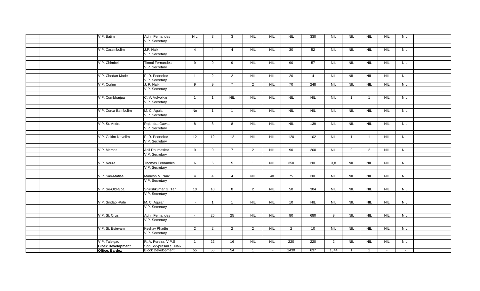| V.P. Batim               | <b>Adrin Fernandes</b>   | NIL             | 3               | 3               | <b>NIL</b>     | NIL                      | NIL             | 330            | <b>NIL</b>     | NIL            | NIL                                  | <b>NIL</b>                           | NIL        |  |
|--------------------------|--------------------------|-----------------|-----------------|-----------------|----------------|--------------------------|-----------------|----------------|----------------|----------------|--------------------------------------|--------------------------------------|------------|--|
|                          | V.P. Secretary           |                 |                 |                 |                |                          |                 |                |                |                |                                      |                                      |            |  |
|                          |                          |                 |                 |                 |                |                          |                 |                |                |                |                                      |                                      |            |  |
|                          | J.P. Naik                | $\overline{4}$  | $\overline{4}$  | $\overline{4}$  | <b>NIL</b>     | <b>NIL</b>               | 30              | 52             | <b>NIL</b>     | <b>NIL</b>     | <b>NIL</b>                           |                                      | <b>NIL</b> |  |
| V.P. Carambolim          |                          |                 |                 |                 |                |                          |                 |                |                |                |                                      | <b>NIL</b>                           |            |  |
|                          | V.P. Secretary           |                 |                 |                 |                |                          |                 |                |                |                |                                      |                                      |            |  |
|                          |                          |                 |                 |                 |                |                          |                 |                |                |                |                                      |                                      |            |  |
| V.P. Chimbel             | <b>Timoti Fernandes</b>  | 9               | 9               | 9               | <b>NIL</b>     | <b>NIL</b>               | 90              | 57             | <b>NIL</b>     | <b>NIL</b>     | <b>NIL</b>                           | <b>NIL</b>                           | <b>NIL</b> |  |
|                          | V.P. Secretary           |                 |                 |                 |                |                          |                 |                |                |                |                                      |                                      |            |  |
|                          |                          |                 |                 |                 |                |                          |                 |                |                |                |                                      |                                      |            |  |
| V.P. Chodan Madel        | P. R. Pednekar           | $\overline{1}$  | 2               | $\overline{2}$  | NIL            | NIL                      | $\overline{20}$ | $\overline{4}$ | NIL            | NIL            | NIL                                  | <b>NIL</b>                           | <b>NIL</b> |  |
|                          | V.P. Secretary           |                 |                 |                 |                |                          |                 |                |                |                |                                      |                                      |            |  |
| V.P. Corlim              | J. P. Naik               | 9               | 9               | $\overline{7}$  | 2              | <b>NIL</b>               | $\overline{70}$ | 248            | NIL            | NIL            | $\overline{\overline{\mathsf{NIL}}}$ | NIL                                  | NIL        |  |
|                          | V.P. Secretary           |                 |                 |                 |                |                          |                 |                |                |                |                                      |                                      |            |  |
|                          |                          |                 |                 |                 |                |                          |                 |                |                |                |                                      |                                      |            |  |
| V.P. Cumbharjua          | C. V. Volvoikar          | $\overline{1}$  | $\overline{1}$  | NIL             | NIL            | NIL                      | NIL             | <b>NIL</b>     | NIL            | $\overline{1}$ | $\overline{1}$                       | <b>NIL</b>                           | <b>NIL</b> |  |
|                          | V.P. Secretary           |                 |                 |                 |                |                          |                 |                |                |                |                                      |                                      |            |  |
|                          |                          |                 |                 |                 |                |                          |                 |                |                |                |                                      |                                      |            |  |
| V.P. Curca Bambolim      | M. C. Aguiar             | No              | $\mathbf{1}$    | $\overline{1}$  | NIL            | NIL                      | NIL             | NIL            | NIL            | NIL            | $\overline{\overline{\mathsf{NIL}}}$ | <b>NIL</b>                           | <b>NIL</b> |  |
|                          | V.P. Secretary           |                 |                 |                 |                |                          |                 |                |                |                |                                      |                                      |            |  |
|                          |                          |                 |                 |                 |                |                          |                 |                |                |                |                                      |                                      |            |  |
|                          |                          |                 |                 |                 |                |                          |                 |                |                |                |                                      |                                      |            |  |
| V.P. St. Andre           | Rajendra Gawas           | 8               | 8               | 8               | NIL            | NIL                      | NIL             | 139            | NIL            | NIL            | $\overline{\overline{\mathsf{NIL}}}$ | $\overline{\overline{\mathsf{NIL}}}$ | NIL        |  |
|                          | V.P. Secretary           |                 |                 |                 |                |                          |                 |                |                |                |                                      |                                      |            |  |
|                          |                          |                 |                 |                 |                |                          |                 |                |                |                |                                      |                                      |            |  |
| V.P. Goltim-Navelim      | P. R. Pednekar           | $\overline{12}$ | 12              | 12              | <b>NIL</b>     | <b>NIL</b>               | 120             | 102            | NIL            | $\overline{1}$ | $\overline{1}$                       | <b>NIL</b>                           | NIL        |  |
|                          | V.P. Secretary           |                 |                 |                 |                |                          |                 |                |                |                |                                      |                                      |            |  |
|                          |                          |                 |                 |                 |                |                          |                 |                |                |                |                                      |                                      |            |  |
| V.P. Merces              | Anil Dhumaskar           | 9               | 9               | $\overline{7}$  | $\overline{2}$ | <b>NIL</b>               | 90              | 200            | <b>NIL</b>     | 2              | 2                                    | <b>NIL</b>                           | <b>NIL</b> |  |
|                          | V.P. Secretary           |                 |                 |                 |                |                          |                 |                |                |                |                                      |                                      |            |  |
|                          |                          |                 |                 |                 |                |                          |                 |                |                |                |                                      |                                      |            |  |
| V.P. Neura               | Thomas Fernandes         | 6               | 6               | $5^{\circ}$     | $\overline{1}$ | <b>NIL</b>               | 350             | NIL            | 3,8            | <b>NIL</b>     | <b>NIL</b>                           | <b>NIL</b>                           | <b>NIL</b> |  |
|                          | V.P. Secretary           |                 |                 |                 |                |                          |                 |                |                |                |                                      |                                      |            |  |
|                          |                          |                 |                 |                 |                |                          |                 |                |                |                |                                      |                                      |            |  |
| V.P. Sao-Matias          | Mahesh M. Naik           | $\overline{4}$  | $\overline{4}$  | $\overline{4}$  | <b>NIL</b>     | 40                       | 75              | NIL            | <b>NIL</b>     | <b>NIL</b>     | <b>NIL</b>                           | <b>NIL</b>                           | <b>NIL</b> |  |
|                          | V.P. Secretary           |                 |                 |                 |                |                          |                 |                |                |                |                                      |                                      |            |  |
|                          |                          |                 |                 |                 |                |                          |                 |                |                |                |                                      |                                      |            |  |
| V.P. Se-Old-Goa          | Shirishkumar G. Tari     | 10              | 10 <sup>°</sup> | 8               | 2              | NIL                      | 50              | 304            | NIL            | NIL            | NIL                                  | <b>NIL</b>                           | <b>NIL</b> |  |
|                          | V.P. Secretary           |                 |                 |                 |                |                          |                 |                |                |                |                                      |                                      |            |  |
|                          |                          |                 |                 |                 |                |                          |                 |                |                |                |                                      |                                      |            |  |
| V.P. Siridao - Pale      | M. C. Aguiar             | $\sim$          | $\mathbf{1}$    | $\mathbf{1}$    | <b>NIL</b>     | NIL                      | 10              | NIL            | NIL            | <b>NIL</b>     | NIL                                  | <b>NIL</b>                           | <b>NIL</b> |  |
|                          | V.P. Secretary           |                 |                 |                 |                |                          |                 |                |                |                |                                      |                                      |            |  |
|                          |                          |                 |                 |                 |                |                          |                 |                |                |                |                                      |                                      |            |  |
|                          |                          |                 |                 |                 |                |                          |                 |                |                |                |                                      |                                      |            |  |
| V.P. St. Cruz            | <b>Adrin Fernandes</b>   | $\sim$          | 25              | $\overline{25}$ | <b>NIL</b>     | <b>NIL</b>               | 80              | 680            | 9              | <b>NIL</b>     | <b>NIL</b>                           | <b>NIL</b>                           | <b>NIL</b> |  |
|                          | V.P. Secretary           |                 |                 |                 |                |                          |                 |                |                |                |                                      |                                      |            |  |
|                          |                          |                 |                 |                 |                |                          |                 |                |                |                |                                      |                                      |            |  |
| V.P. St. Estevam         | <b>Keshav Phadte</b>     | 2               | 2               | $\overline{2}$  | $\overline{2}$ | <b>NIL</b>               | $\overline{2}$  | 10             | <b>NIL</b>     | <b>NIL</b>     | <b>NIL</b>                           | <b>NIL</b>                           | <b>NIL</b> |  |
|                          | V.P. Secretary           |                 |                 |                 |                |                          |                 |                |                |                |                                      |                                      |            |  |
|                          |                          |                 |                 |                 |                |                          |                 |                |                |                |                                      |                                      |            |  |
| V.P. Taleigao            | R. A. Pereira, V.P.S     | $\overline{1}$  | 22              | 16              | <b>NIL</b>     | <b>NIL</b>               | 220             | 220            | $\overline{2}$ | <b>NIL</b>     | <b>NIL</b>                           | <b>NIL</b>                           | <b>NIL</b> |  |
| <b>Block Development</b> | Shri Shivprasad S. Naik  |                 |                 |                 |                |                          |                 |                |                |                |                                      |                                      |            |  |
| Office, Bardez           | <b>Block Development</b> | 55              | 55              | 54              | $\overline{1}$ | $\overline{\phantom{a}}$ | 1430            | 637            | 1,44           | $\overline{1}$ | $\overline{1}$                       |                                      | $\sim$     |  |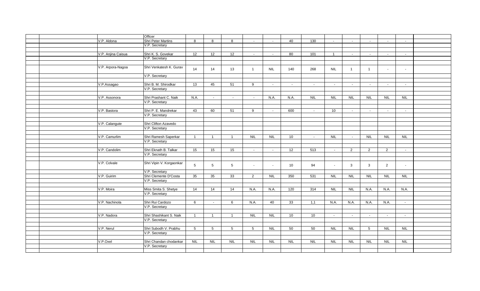|  |                    | Officer                  |                 |                |                |                          |                          |                          |        |                |                |                          |                          |                          |  |
|--|--------------------|--------------------------|-----------------|----------------|----------------|--------------------------|--------------------------|--------------------------|--------|----------------|----------------|--------------------------|--------------------------|--------------------------|--|
|  | V.P. Aldona        | Shri Peter Martins       | 8               | 8              | 8              | $\sim$                   | $\sim$                   | 40                       | 130    | $\sim$         | $\overline{a}$ | $\overline{\phantom{a}}$ | $\sim$                   | $\sim$                   |  |
|  |                    | V.P. Secretary           |                 |                |                |                          |                          |                          |        |                |                |                          |                          |                          |  |
|  |                    |                          |                 |                |                |                          |                          |                          |        |                |                |                          |                          |                          |  |
|  |                    |                          |                 |                |                |                          |                          |                          |        |                |                |                          |                          |                          |  |
|  | V.P. Anjina Caisua | Shri K. S. Govekar       | 12              | 12             | 12             | $\sim$                   | $\sim$                   | 80                       | 101    | $\overline{1}$ | $\sim$         | $\mathbf{r}$             | $\overline{\phantom{a}}$ | $\sim$                   |  |
|  |                    | V.P. Secretary           |                 |                |                |                          |                          |                          |        |                |                |                          |                          |                          |  |
|  |                    |                          |                 |                |                |                          |                          |                          |        |                |                |                          |                          |                          |  |
|  | V.P. Arpora-Nagoa  | Shri Venkatesh K. Gurav  | 14              | 14             | 13             | $\overline{1}$           | <b>NIL</b>               | 140                      | 268    | <b>NIL</b>     | $\overline{1}$ | $\mathbf{1}$             | $\overline{\phantom{a}}$ | $\overline{\phantom{a}}$ |  |
|  |                    |                          |                 |                |                |                          |                          |                          |        |                |                |                          |                          |                          |  |
|  |                    | V.P. Secretary           |                 |                |                |                          |                          |                          |        |                |                |                          |                          |                          |  |
|  |                    |                          |                 |                |                |                          |                          |                          |        |                |                |                          |                          |                          |  |
|  | V.P.Assagao        | Shri B. M. Shirodkar     | 13              | 45             | 51             | 9                        | $\sim$                   | $\overline{\phantom{a}}$ | $\sim$ | $\sim$         | $\sim$         | $\sim$                   | $\overline{a}$           | $\sim$                   |  |
|  |                    | V.P. Secretary           |                 |                |                |                          |                          |                          |        |                |                |                          |                          |                          |  |
|  |                    |                          |                 |                |                |                          |                          |                          |        |                |                |                          |                          |                          |  |
|  | V.P. Assonora      | Shri Prashant C. Naik    | N.A.            | $\sim$         | $\sim$         | $\sim$                   | N.A.                     | N.A.                     | NIL    | NIL            | NIL            | NIL                      | <b>NIL</b>               | <b>NIL</b>               |  |
|  |                    | V.P. Secretary           |                 |                |                |                          |                          |                          |        |                |                |                          |                          |                          |  |
|  |                    |                          |                 |                |                |                          |                          |                          |        |                |                |                          |                          |                          |  |
|  | V.P. Bastora       | Shri P. E. Mandrekar     | 43              | 60             | 51             | 9                        | $\sim$                   | 600                      | $\sim$ | 10             | $\sim$         | $\overline{\phantom{a}}$ | $\overline{\phantom{a}}$ | $\sim$                   |  |
|  |                    | V.P. Secretary           |                 |                |                |                          |                          |                          |        |                |                |                          |                          |                          |  |
|  |                    |                          |                 |                |                |                          |                          |                          |        |                |                |                          |                          |                          |  |
|  |                    |                          |                 |                |                |                          |                          |                          |        |                |                |                          |                          |                          |  |
|  | V.P. Calangute     | Shri Clifton Azavedo     |                 |                |                |                          |                          |                          |        |                |                |                          |                          |                          |  |
|  |                    | V.P. Secretary           |                 |                |                |                          |                          |                          |        |                |                |                          |                          |                          |  |
|  |                    |                          |                 |                |                |                          |                          |                          |        |                |                |                          |                          |                          |  |
|  | V.P. Camurlim      | Shri Ramesh Saperkar     | $\overline{1}$  | $\overline{1}$ | $\overline{1}$ | <b>NIL</b>               | <b>NIL</b>               | 10                       | $\sim$ | <b>NIL</b>     | $\sim$         | <b>NIL</b>               | <b>NIL</b>               | <b>NIL</b>               |  |
|  |                    | V.P. Secretary           |                 |                |                |                          |                          |                          |        |                |                |                          |                          |                          |  |
|  |                    |                          |                 |                |                |                          |                          |                          |        |                |                |                          |                          |                          |  |
|  | V.P. Candolim      | Shri Eknath B. Talkar    | 15              | 15             | 15             | $\sim$                   | $\sim$                   | 12                       | 513    | $\sim$         | 2              | $\overline{2}$           | 2                        | $\sim$                   |  |
|  |                    | V.P. Secretary           |                 |                |                |                          |                          |                          |        |                |                |                          |                          |                          |  |
|  |                    |                          |                 |                |                |                          |                          |                          |        |                |                |                          |                          |                          |  |
|  | V.P. Colvale       | Shri Vipin V. Korgaonkar |                 |                |                |                          |                          |                          |        |                |                |                          |                          |                          |  |
|  |                    |                          | 5               | 5 <sup>5</sup> | 5 <sup>5</sup> | $\overline{\phantom{a}}$ | $\overline{\phantom{a}}$ | 10                       | 94     | $\blacksquare$ | $\mathbf{3}$   | $\mathbf{3}$             | $\overline{2}$           | $\blacksquare$           |  |
|  |                    | V.P. Secretary           |                 |                |                |                          |                          |                          |        |                |                |                          |                          |                          |  |
|  | V.P. Guirim        | Shri Clemente D'Costa    | 35              | 35             | 33             |                          | NIL                      | 350                      | 531    | NIL            | NIL            | <b>NIL</b>               |                          |                          |  |
|  |                    |                          |                 |                |                | $\overline{2}$           |                          |                          |        |                |                |                          | <b>NIL</b>               | <b>NIL</b>               |  |
|  |                    | V.P. Secretary           |                 |                |                |                          |                          |                          |        |                |                |                          |                          |                          |  |
|  |                    |                          |                 |                |                |                          |                          |                          |        |                |                |                          |                          |                          |  |
|  | V.P. Moira         | Miss Smita S. Shetye     | 14              | 14             | 14             | N.A.                     | N.A.                     | 120                      | 314    | NIL            | <b>NIL</b>     | N.A.                     | N.A.                     | N.A.                     |  |
|  |                    | V.P. Secretary           |                 |                |                |                          |                          |                          |        |                |                |                          |                          |                          |  |
|  |                    |                          |                 |                |                |                          |                          |                          |        |                |                |                          |                          |                          |  |
|  | V.P. Nachinola     | Shri Rui Cardozo         | 6               | $\sim$         | 6              | N.A.                     | 40                       | 33                       | 1,1    | N.A.           | N.A.           | N.A.                     | N.A.                     | $\sim$                   |  |
|  |                    | V.P. Secretary           |                 |                |                |                          |                          |                          |        |                |                |                          |                          |                          |  |
|  |                    |                          |                 |                |                |                          |                          |                          |        |                |                |                          |                          |                          |  |
|  | V.P. Nadora        | Shri Shashikant S. Naik  | $\overline{1}$  | $\overline{1}$ | $\overline{1}$ | NIL                      | <b>NIL</b>               | 10                       | 10     | $\sim$         | $\sim$         | $\sim$                   | $\sim$                   | $\sim$                   |  |
|  |                    | V.P. Secretary           |                 |                |                |                          |                          |                          |        |                |                |                          |                          |                          |  |
|  |                    |                          |                 |                |                |                          |                          |                          |        |                |                |                          |                          |                          |  |
|  | V.P. Nerul         | Shri Subodh V. Prabhu    | $5\overline{5}$ | 5 <sup>5</sup> | 5              | $5\overline{)}$          | <b>NIL</b>               | 50                       | 50     | <b>NIL</b>     | NIL            | $5\overline{)}$          | NIL                      | NIL                      |  |
|  |                    | V.P. Secretary           |                 |                |                |                          |                          |                          |        |                |                |                          |                          |                          |  |
|  |                    |                          |                 |                |                |                          |                          |                          |        |                |                |                          |                          |                          |  |
|  | V.P.Oxel           | Shri Chandan chodankar   | <b>NIL</b>      | NIL            | NIL            | NIL                      | NIL                      | NIL                      | NIL    | NIL            | <b>NIL</b>     | NIL                      | <b>NIL</b>               | <b>NIL</b>               |  |
|  |                    | V.P. Secretary           |                 |                |                |                          |                          |                          |        |                |                |                          |                          |                          |  |
|  |                    |                          |                 |                |                |                          |                          |                          |        |                |                |                          |                          |                          |  |
|  |                    |                          |                 |                |                |                          |                          |                          |        |                |                |                          |                          |                          |  |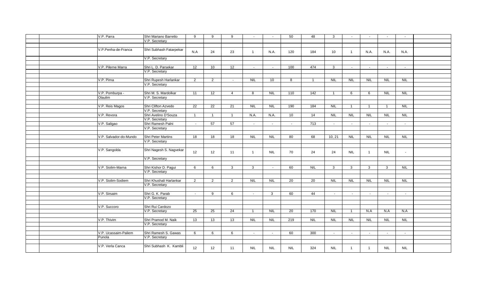| V.P. Parra             | Shri Mariano Barretto   | 9               | 9                 | 9               | $\sim$         | $\overline{a}$ | 50              | 48             | 3               | $\sim$         | $\overline{\phantom{a}}$ | $\sim$                   | $\overline{\phantom{a}}$ |  |
|------------------------|-------------------------|-----------------|-------------------|-----------------|----------------|----------------|-----------------|----------------|-----------------|----------------|--------------------------|--------------------------|--------------------------|--|
|                        | V.P. Secretary          |                 |                   |                 |                |                |                 |                |                 |                |                          |                          |                          |  |
|                        |                         |                 |                   |                 |                |                |                 |                |                 |                |                          |                          |                          |  |
| V.P.Penha-de-Franca    | Shri Subhash Fatarpekar |                 |                   |                 |                |                |                 |                |                 |                |                          |                          |                          |  |
|                        |                         | N.A             | 24                | 23              | $\mathbf{1}$   | N.A.           | 120             | 184            | 10 <sup>°</sup> | $\overline{1}$ | N.A.                     | N.A.                     | N.A.                     |  |
|                        |                         |                 |                   |                 |                |                |                 |                |                 |                |                          |                          |                          |  |
|                        | V.P. Secretary          |                 |                   |                 |                |                |                 |                |                 |                |                          |                          |                          |  |
|                        |                         |                 |                   |                 |                |                |                 |                |                 |                |                          |                          |                          |  |
| V.P. Pilerne Marra     | Shri L. D. Parsekar     | 12              | 10 <sup>°</sup>   | 12              | $\sim$         | $\sim$         | 100             | 474            | 3               | $\sim$         | $\sim$                   | $\sim$                   | $\sim$                   |  |
|                        | V.P. Secretary          |                 |                   |                 |                |                |                 |                |                 |                |                          |                          |                          |  |
|                        |                         |                 |                   |                 |                |                |                 |                |                 |                |                          |                          |                          |  |
| V.P. Pirna             | Shri Rupesh Harlankar   | $\overline{2}$  | $\overline{2}$    | $\sim$          | <b>NIL</b>     | 10             | 8               | $\overline{1}$ | <b>NIL</b>      | <b>NIL</b>     | NIL                      | <b>NIL</b>               | <b>NIL</b>               |  |
|                        | V.P. Secretary          |                 |                   |                 |                |                |                 |                |                 |                |                          |                          |                          |  |
|                        |                         |                 |                   |                 |                |                |                 |                |                 |                |                          |                          |                          |  |
| V.P. Pomburpa -        | Shri M. S. Mardolkar    | 11              | 12                | $\overline{4}$  | 8              | <b>NIL</b>     | 110             | 142            | -1              | 6              | 6                        | <b>NIL</b>               | NIL                      |  |
| Olaulim                | V.P. Secretary          |                 |                   |                 |                |                |                 |                |                 |                |                          |                          |                          |  |
|                        |                         |                 |                   |                 |                |                |                 |                |                 |                |                          |                          |                          |  |
| V.P. Reis Magos        | Shri Clifton Azvedo     | $\overline{22}$ | $\overline{22}$   | $\overline{21}$ | <b>NIL</b>     | <b>NIL</b>     | 190             | 184            | NIL             | $\overline{1}$ | $\overline{1}$           | $\overline{1}$           | NIL                      |  |
|                        | V.P. Secretary          |                 |                   |                 |                |                |                 |                |                 |                |                          |                          |                          |  |
| V.P. Revora            | Shri Avelino D'Souza    | $\overline{1}$  | $\overline{1}$    | $\overline{1}$  | N.A.           | N.A.           | 10              | 14             | NIL             | NIL            | NIL                      | <b>NIL</b>               | NIL                      |  |
|                        | V.P. Secretary          |                 |                   |                 |                |                |                 |                |                 |                |                          |                          |                          |  |
| V.P. Saligao           | Shri Ramesh Palni       | $\sim$          | 57                | 57              | $\sim$         | $\sim$         | $\sim$          | 713            | $\sim$          | $\sim$         | $\sim$                   | $\overline{\phantom{a}}$ | $\sim$                   |  |
|                        | V.P. Secretary          |                 |                   |                 |                |                |                 |                |                 |                |                          |                          |                          |  |
|                        |                         |                 |                   |                 |                |                |                 |                |                 |                |                          |                          |                          |  |
| V.P. Salvador-do-Mundo | Shri Peter Martins      | 18              | 18                | $\overline{18}$ | <b>NIL</b>     | <b>NIL</b>     | 80              | 68             | 10, 21          | <b>NIL</b>     | <b>NIL</b>               | <b>NIL</b>               | <b>NIL</b>               |  |
|                        | V.P. Secretary          |                 |                   |                 |                |                |                 |                |                 |                |                          |                          |                          |  |
|                        |                         |                 |                   |                 |                |                |                 |                |                 |                |                          |                          |                          |  |
| V.P. Sangolda          | Shri Nagesh S. Nagvekar |                 |                   |                 |                |                |                 |                |                 |                |                          |                          |                          |  |
|                        |                         | 12              | 12                | 11              | $\mathbf{1}$   | <b>NIL</b>     | 70              | 24             | 24              | <b>NIL</b>     | $\overline{1}$           | <b>NIL</b>               | $\blacksquare$           |  |
|                        | V.P. Secretary          |                 |                   |                 |                |                |                 |                |                 |                |                          |                          |                          |  |
|                        |                         |                 |                   |                 |                |                |                 |                |                 |                |                          |                          |                          |  |
| V.P. Siolim-Marna      | Shri Kishor D. Pagui    | 6               | 6                 | $\mathbf{3}$    | $\mathbf{3}$   | $\sim$         | 60              | <b>NIL</b>     | 3               | $\mathbf{3}$   | $\mathbf{3}$             | $\mathbf{3}$             | <b>NIL</b>               |  |
|                        | V.P. Secretary          |                 |                   |                 |                |                |                 |                |                 |                |                          |                          |                          |  |
|                        |                         |                 |                   |                 |                |                |                 |                |                 |                |                          |                          |                          |  |
| V.P. Siolim-Sodiem     | Shri Khushali Harlankar | 2               | $\overline{2}$    | $\overline{2}$  | <b>NIL</b>     | <b>NIL</b>     | $\overline{20}$ | 20             | NIL             | <b>NIL</b>     | NIL                      | <b>NIL</b>               | <b>NIL</b>               |  |
|                        | V.P. Secretary          |                 |                   |                 |                |                |                 |                |                 |                |                          |                          |                          |  |
|                        |                         |                 |                   |                 |                |                |                 |                |                 |                |                          |                          |                          |  |
| V.P. Sirsaim           | Shri G. K. Parab        | $\sim$          | 9                 | 6               | $\sim$         | $\mathbf{3}$   | 60              | 44             | $\sim$          | $\sim$         | $\sim$                   |                          | $\sim$                   |  |
|                        |                         |                 |                   |                 |                |                |                 |                |                 |                |                          | $\sim$                   |                          |  |
|                        | V.P. Secretary          |                 |                   |                 |                |                |                 |                |                 |                |                          |                          |                          |  |
|                        |                         |                 |                   |                 |                |                |                 |                |                 |                |                          |                          |                          |  |
| V.P. Succoro           | Shri Rui Cardozo        |                 |                   |                 |                |                |                 |                |                 |                |                          |                          |                          |  |
|                        | V.P. Secretary          | 25              | 25                | 24              | $\overline{1}$ | NIL            | 20              | 170            | <b>NIL</b>      | $\overline{1}$ | N.A                      | N.A                      | N.A                      |  |
|                        |                         |                 |                   |                 |                |                |                 |                |                 |                |                          |                          |                          |  |
| V.P. Thivim            | Shri Pramod M. Naik     | 13              | 13                | 13              | NIL            | NIL            | 219             | NIL            | NIL             | NIL            | NIL                      | NIL                      | NIL                      |  |
|                        | V.P. Secretary          |                 |                   |                 |                |                |                 |                |                 |                |                          |                          |                          |  |
|                        |                         |                 |                   |                 |                |                |                 |                |                 |                |                          |                          |                          |  |
| V.P. Ucassaim-Paliem   | Shri Ramesh S. Gawas    | 6               | 6                 | 6               | $\sim$         | $\sim$         | 60              | 300            | $\sim$          | $\sim$         | $\sim$                   | $\blacksquare$           | $\sim$                   |  |
| Punola                 | V.P. Secretary          |                 |                   |                 |                |                |                 |                |                 |                |                          |                          |                          |  |
|                        |                         |                 |                   |                 |                |                |                 |                |                 |                |                          |                          |                          |  |
| V.P. Verla Canca       | Shri Subhash K. Kambli  | 12              | $12 \overline{ }$ | 11              | <b>NIL</b>     | <b>NIL</b>     | <b>NIL</b>      | 324            | <b>NIL</b>      | $\overline{1}$ | $\overline{1}$           | <b>NIL</b>               | NIL                      |  |
|                        |                         |                 |                   |                 |                |                |                 |                |                 |                |                          |                          |                          |  |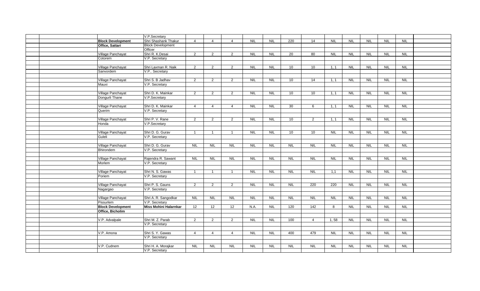|  |                          | V.P.Secretary                |                |                |                |                                      |            |                 |                |            |            |            |            |            |  |
|--|--------------------------|------------------------------|----------------|----------------|----------------|--------------------------------------|------------|-----------------|----------------|------------|------------|------------|------------|------------|--|
|  | <b>Block Development</b> | Shri Shashank Thakur         | $\overline{4}$ | $\overline{4}$ | $\overline{4}$ | <b>NIL</b>                           | <b>NIL</b> | 220             | 14             | <b>NIL</b> | <b>NIL</b> | <b>NIL</b> | <b>NIL</b> | <b>NIL</b> |  |
|  | Office, Sattari          | <b>Block Development</b>     |                |                |                |                                      |            |                 |                |            |            |            |            |            |  |
|  |                          | Officer                      |                |                |                |                                      |            |                 |                |            |            |            |            |            |  |
|  | Village Panchayat        | Shri R. K.Desai              | 2              | $\overline{2}$ | 2              | <b>NIL</b>                           | <b>NIL</b> | 20              | 80             | NIL        | <b>NIL</b> | <b>NIL</b> | <b>NIL</b> | <b>NIL</b> |  |
|  | Cotorem                  | V.P. Secretary               |                |                |                |                                      |            |                 |                |            |            |            |            |            |  |
|  |                          |                              |                |                |                |                                      |            |                 |                |            |            |            |            |            |  |
|  | Village Panchayat        | Shri Laxman R. Naik          | 2              | $\overline{2}$ | $\overline{2}$ | <b>NIL</b>                           | <b>NIL</b> | 10 <sup>°</sup> | 10             | 1, 1       | <b>NIL</b> | <b>NIL</b> | <b>NIL</b> | <b>NIL</b> |  |
|  | Sanvordem                | V.P Secretary                |                |                |                |                                      |            |                 |                |            |            |            |            |            |  |
|  |                          |                              |                |                |                |                                      |            |                 |                |            |            |            |            |            |  |
|  | Village Panchayat        | Shri S. B Jadhav             | 2              | $\overline{2}$ | 2              | <b>NIL</b>                           | <b>NIL</b> | 10              | 14             | 1, 1       | <b>NIL</b> | <b>NIL</b> | NIL        | <b>NIL</b> |  |
|  | Mauxi                    | V.P. Secretary               |                |                |                |                                      |            |                 |                |            |            |            |            |            |  |
|  |                          |                              |                |                |                |                                      |            |                 |                |            |            |            |            |            |  |
|  | Village Panchayat        | Shri D. K. Mainkar           | 2              | $\overline{2}$ | $\overline{2}$ | <b>NIL</b>                           | <b>NIL</b> | 10              | 10             | 1, 1       | <b>NIL</b> | <b>NIL</b> | <b>NIL</b> | <b>NIL</b> |  |
|  | Dongurli Thane           | V.P.Secretary                |                |                |                |                                      |            |                 |                |            |            |            |            |            |  |
|  |                          |                              |                |                |                |                                      |            |                 |                |            |            |            |            |            |  |
|  | Village Panchayat        | Shri D. K. Mainkar           | $\overline{4}$ | $\overline{4}$ | $\overline{4}$ | <b>NIL</b>                           | <b>NIL</b> | 30              | 6              | 1, 1       | <b>NIL</b> | <b>NIL</b> | <b>NIL</b> | <b>NIL</b> |  |
|  | Querim                   | V.P. Secretary               |                |                |                |                                      |            |                 |                |            |            |            |            |            |  |
|  |                          |                              |                |                |                |                                      |            |                 |                |            |            |            |            |            |  |
|  | Village Panchayat        | Shri P. V. Rane              | 2              | $\overline{2}$ | $\overline{2}$ | <b>NIL</b>                           | <b>NIL</b> | 10              | $\overline{2}$ | 1, 1       | <b>NIL</b> | NIL        | <b>NIL</b> | <b>NIL</b> |  |
|  | Honda                    | V.P.Secretary                |                |                |                |                                      |            |                 |                |            |            |            |            |            |  |
|  |                          |                              |                |                |                |                                      |            |                 |                |            |            |            |            |            |  |
|  | Village Panchayat        | Shri D. G. Gurav             | $\overline{1}$ | $\overline{1}$ | $\overline{1}$ | $\overline{\overline{\mathsf{NIL}}}$ | <b>NIL</b> | 10              | 10             | NIL        | NIL        | NIL        | <b>NIL</b> | <b>NIL</b> |  |
|  | Guleli                   | V.P. Secretary               |                |                |                |                                      |            |                 |                |            |            |            |            |            |  |
|  |                          |                              |                |                |                |                                      |            |                 |                |            |            |            |            |            |  |
|  | Village Panchayat        | Shri D. G. Gurav             | <b>NIL</b>     | NIL            | NIL            | <b>NIL</b>                           | <b>NIL</b> | NIL             | NIL            | NIL        | <b>NIL</b> | NIL        | <b>NIL</b> | <b>NIL</b> |  |
|  | Bhirondem                | V.P. Secretary               |                |                |                |                                      |            |                 |                |            |            |            |            |            |  |
|  |                          |                              |                |                |                |                                      |            |                 |                |            |            |            |            |            |  |
|  | Village Panchayat        | Rajendra R. Sawant           | <b>NIL</b>     | <b>NIL</b>     | NIL            | <b>NIL</b>                           | <b>NIL</b> | NIL             | NIL            | <b>NIL</b> | <b>NIL</b> | NIL        | <b>NIL</b> | <b>NIL</b> |  |
|  | Morlem                   | V.P. Secretary               |                |                |                |                                      |            |                 |                |            |            |            |            |            |  |
|  |                          |                              |                |                |                |                                      |            |                 |                |            |            |            |            |            |  |
|  | Village Panchayat        | Shri N. S. Gawas             | $\overline{1}$ | $\overline{1}$ | $\overline{1}$ | <b>NIL</b>                           | <b>NIL</b> | <b>NIL</b>      | <b>NIL</b>     | 1,1        | <b>NIL</b> | <b>NIL</b> | <b>NIL</b> | <b>NIL</b> |  |
|  | Poriem                   | V.P. Secretary               |                |                |                |                                      |            |                 |                |            |            |            |            |            |  |
|  |                          |                              |                |                |                |                                      |            |                 |                |            |            |            |            |            |  |
|  | Village Panchayat        | Shri P. S. Gauns             | $\overline{2}$ | $2^{\circ}$    | $\overline{2}$ | <b>NIL</b>                           | NIL        | NIL             | 220            | 220        | NIL        | NIL        | <b>NIL</b> | <b>NIL</b> |  |
|  | Nagargao                 | V.P. Secretary               |                |                |                |                                      |            |                 |                |            |            |            |            |            |  |
|  |                          |                              |                |                |                |                                      |            |                 |                |            |            |            |            |            |  |
|  | Village Panchayat        | Shri A. R. Sangodkar         | <b>NIL</b>     | <b>NIL</b>     | NIL            | <b>NIL</b>                           | <b>NIL</b> | NIL             | <b>NIL</b>     | NIL        | <b>NIL</b> | <b>NIL</b> | <b>NIL</b> | <b>NIL</b> |  |
|  | Pissurlem                | V.P. Secretary               |                |                |                |                                      |            |                 |                |            |            |            |            |            |  |
|  | <b>Block Development</b> | <b>Miss Mohini Halarnkar</b> | 12             | 12             | 12             | N.A.                                 | <b>NIL</b> | 120             | 142            | 8          | <b>NIL</b> | <b>NIL</b> | <b>NIL</b> | <b>NIL</b> |  |
|  | Office, Bicholim         |                              |                |                |                |                                      |            |                 |                |            |            |            |            |            |  |
|  |                          |                              |                |                |                |                                      |            |                 |                |            |            |            |            |            |  |
|  | V.P. Advalpale           | Shri M. Z. Parab             | 2              | $\overline{2}$ | $\overline{2}$ | <b>NIL</b>                           | <b>NIL</b> | 100             | $\overline{4}$ | 1,58       | <b>NIL</b> | NIL        | <b>NIL</b> | <b>NIL</b> |  |
|  |                          | V.P. Secretary               |                |                |                |                                      |            |                 |                |            |            |            |            |            |  |
|  |                          |                              |                |                |                |                                      |            |                 |                |            |            |            |            |            |  |
|  | V.P. Amona               | Shri S. Y. Gawas             | $\overline{4}$ | $\overline{4}$ | $\overline{4}$ | <b>NIL</b>                           | <b>NIL</b> | 400             | 479            | <b>NIL</b> | <b>NIL</b> | <b>NIL</b> | <b>NIL</b> | <b>NIL</b> |  |
|  |                          | V.P. Secretary               |                |                |                |                                      |            |                 |                |            |            |            |            |            |  |
|  |                          |                              |                |                |                |                                      |            |                 |                |            |            |            |            |            |  |
|  | V.P. Cudnem              | Shri H. A. Morajkar          | NIL            | NIL            | <b>NIL</b>     | NIL                                  | <b>NIL</b> | <b>NIL</b>      | <b>NIL</b>     | <b>NIL</b> | NIL        | NIL        | NIL        | <b>NIL</b> |  |
|  |                          | V.P. Secretary               |                |                |                |                                      |            |                 |                |            |            |            |            |            |  |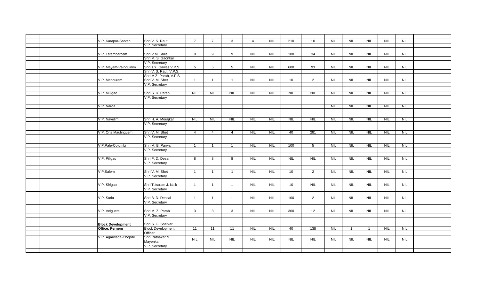| V.P. Karapur-Sarvan      | Shri V. S. Raut          | $\overline{7}$ | $\overline{7}$ | $\mathbf{3}$    | $\overline{4}$                       | <b>NIL</b> | 210        | 10 <sup>1</sup> | NIL        | <b>NIL</b>     | NIL            | <b>NIL</b>                           | <b>NIL</b> |  |
|--------------------------|--------------------------|----------------|----------------|-----------------|--------------------------------------|------------|------------|-----------------|------------|----------------|----------------|--------------------------------------|------------|--|
|                          | V.P. Secretary           |                |                |                 |                                      |            |            |                 |            |                |                |                                      |            |  |
|                          |                          |                |                |                 |                                      |            |            |                 |            |                |                |                                      |            |  |
| V.P. Latambarcem         | Shri V.M. Shet           | 9              | 9              | $\overline{9}$  | <b>NIL</b>                           | <b>NIL</b> | 180        | $\overline{34}$ | <b>NIL</b> | <b>NIL</b>     | <b>NIL</b>     | <b>NIL</b>                           | <b>NIL</b> |  |
|                          | Shri M. S. Gaonkar       |                |                |                 |                                      |            |            |                 |            |                |                |                                      |            |  |
|                          |                          |                |                |                 |                                      |            |            |                 |            |                |                |                                      |            |  |
|                          | V.P. Secretary           |                |                |                 |                                      |            |            |                 |            |                |                |                                      |            |  |
| V.P. Mayem-Vainguinim    | Shri s.Y. Gawas.V.P.S    | $5^{\circ}$    | 5 <sup>5</sup> | 5 <sup>5</sup>  | <b>NIL</b>                           | <b>NIL</b> | 600        | 93              | NIL        | <b>NIL</b>     | NIL            | <b>NIL</b>                           | <b>NIL</b> |  |
|                          | Shri V. S. Raut, V.P.S.  |                |                |                 |                                      |            |            |                 |            |                |                |                                      |            |  |
|                          | Shri M.Z. Parab, V.P.S   |                |                |                 |                                      |            |            |                 |            |                |                |                                      |            |  |
| V.P. Mencurem            | Shri V. M. Shet          | $\overline{1}$ | $\overline{1}$ | $\overline{1}$  | <b>NIL</b>                           | <b>NIL</b> | 10         | 2               | NIL        | <b>NIL</b>     | NIL            | <b>NIL</b>                           | <b>NIL</b> |  |
|                          | V.P. Secretary           |                |                |                 |                                      |            |            |                 |            |                |                |                                      |            |  |
|                          |                          |                |                |                 |                                      |            |            |                 |            |                |                |                                      |            |  |
|                          |                          |                |                |                 |                                      |            |            |                 |            |                |                |                                      |            |  |
| V.P. Mulgao              | Shri S. R. Parab         | <b>NIL</b>     | <b>NIL</b>     | <b>NIL</b>      | $\overline{\overline{\mathsf{NIL}}}$ | <b>NIL</b> | NIL        | NIL             | NIL        | <b>NIL</b>     | <b>NIL</b>     | <b>NIL</b>                           | <b>NIL</b> |  |
|                          | V.P. Secretary           |                |                |                 |                                      |            |            |                 |            |                |                |                                      |            |  |
|                          |                          |                |                |                 |                                      |            |            |                 |            |                |                |                                      |            |  |
| V.P. Naroa               |                          |                |                |                 |                                      |            |            |                 | NIL        | <b>NIL</b>     | NIL            | <b>NIL</b>                           | <b>NIL</b> |  |
|                          |                          |                |                |                 |                                      |            |            |                 |            |                |                |                                      |            |  |
|                          |                          |                |                |                 |                                      |            |            |                 |            |                |                |                                      |            |  |
|                          |                          |                |                |                 |                                      |            |            |                 |            |                |                |                                      |            |  |
| V.P. Navelim             | Shri H. A. Morajkar      | NIL            | <b>NIL</b>     | NIL             | $\overline{\overline{\mathsf{NIL}}}$ | <b>NIL</b> | <b>NIL</b> | <b>NIL</b>      | NIL        | NIL            | NIL            | <b>NIL</b>                           | <b>NIL</b> |  |
|                          | V.P. Secretary           |                |                |                 |                                      |            |            |                 |            |                |                |                                      |            |  |
|                          |                          |                |                |                 |                                      |            |            |                 |            |                |                |                                      |            |  |
| V.P. Ona Maulinguem      | Shri V. M. Shet          | $\overline{4}$ | $\overline{4}$ | $\overline{4}$  | $\overline{\overline{\mathsf{NIL}}}$ | NIL        | 40         | 281             | NIL        | NIL            | NIL            | <b>NIL</b>                           | <b>NIL</b> |  |
|                          | V.P. Secretary           |                |                |                 |                                      |            |            |                 |            |                |                |                                      |            |  |
|                          |                          |                |                |                 |                                      |            |            |                 |            |                |                |                                      |            |  |
|                          |                          |                |                |                 |                                      |            |            |                 |            |                |                |                                      |            |  |
| V.P.Pale-Cotombi         | Shri M. B. Parwar        | $\overline{1}$ | $\overline{1}$ | $\overline{1}$  | NIL                                  | NIL        | 100        | $5\overline{)}$ | NIL        | NIL            | NIL            | <b>NIL</b>                           | <b>NIL</b> |  |
|                          | V.P. Secretary           |                |                |                 |                                      |            |            |                 |            |                |                |                                      |            |  |
|                          |                          |                |                |                 |                                      |            |            |                 |            |                |                |                                      |            |  |
| V.P. Piligao             | Shri P. D. Desai         | 8              | 8              | 8               | <b>NIL</b>                           | <b>NIL</b> | NIL        | NIL             | NIL        | <b>NIL</b>     | NIL            | <b>NIL</b>                           | <b>NIL</b> |  |
|                          | V.P. Secretary           |                |                |                 |                                      |            |            |                 |            |                |                |                                      |            |  |
|                          |                          |                |                |                 |                                      |            |            |                 |            |                |                |                                      |            |  |
|                          |                          |                |                |                 |                                      |            |            |                 |            |                |                |                                      |            |  |
| V.P.Salem                | Shri V. M. Shet          | $\overline{1}$ | $\overline{1}$ | $\overline{1}$  | <b>NIL</b>                           | <b>NIL</b> | 10         | 2               | <b>NIL</b> | <b>NIL</b>     | NIL            | <b>NIL</b>                           | <b>NIL</b> |  |
|                          | V.P. Secretary           |                |                |                 |                                      |            |            |                 |            |                |                |                                      |            |  |
|                          |                          |                |                |                 |                                      |            |            |                 |            |                |                |                                      |            |  |
| V.P. Sirigao             | Shri Tukaram J. Naik     | $\overline{1}$ | $\overline{1}$ | $\overline{1}$  | <b>NIL</b>                           | <b>NIL</b> | 10         | <b>NIL</b>      | <b>NIL</b> | <b>NIL</b>     | <b>NIL</b>     | <b>NIL</b>                           | <b>NIL</b> |  |
|                          | V.P. Secretary           |                |                |                 |                                      |            |            |                 |            |                |                |                                      |            |  |
|                          |                          |                |                |                 |                                      |            |            |                 |            |                |                |                                      |            |  |
|                          |                          |                |                |                 |                                      |            |            |                 |            |                |                |                                      |            |  |
| V.P. Surla               | Shri B. D. Dessai        | $\overline{1}$ | $\overline{1}$ | $\overline{1}$  | NIL                                  | <b>NIL</b> | 100        | 2               | <b>NIL</b> | <b>NIL</b>     | <b>NIL</b>     | <b>NIL</b>                           | <b>NIL</b> |  |
|                          | V.P. Secretary           |                |                |                 |                                      |            |            |                 |            |                |                |                                      |            |  |
|                          |                          |                |                |                 |                                      |            |            |                 |            |                |                |                                      |            |  |
| V.P. Velguem             | Shri M. Z. Parab         | $\mathbf{3}$   | 3 <sup>1</sup> | $\mathbf{3}$    | NIL                                  | NIL        | 300        | 12              | <b>NIL</b> | NIL            | NIL            | NIL                                  | NIL        |  |
|                          | V.P. Secretary           |                |                |                 |                                      |            |            |                 |            |                |                |                                      |            |  |
|                          |                          |                |                |                 |                                      |            |            |                 |            |                |                |                                      |            |  |
| <b>Block Development</b> | Shri S. G. Shetkar       |                |                |                 |                                      |            |            |                 |            |                |                |                                      |            |  |
|                          |                          |                |                |                 |                                      |            |            |                 |            |                |                |                                      |            |  |
| Office, Pernem           | <b>Block Development</b> | 11             | 11             | $\overline{11}$ | NIL                                  | NIL        | 40         | 138             | NIL        | $\overline{1}$ | $\overline{1}$ | $\overline{\overline{\mathsf{NIL}}}$ | NIL        |  |
|                          | Officer                  |                |                |                 |                                      |            |            |                 |            |                |                |                                      |            |  |
| V.P. Agarwada-Chopde     | Shri Ratnakar N.         | <b>NIL</b>     | <b>NIL</b>     | <b>NIL</b>      | <b>NIL</b>                           |            | <b>NIL</b> |                 | <b>NIL</b> |                | <b>NIL</b>     |                                      |            |  |
|                          | Mayenkar                 |                |                |                 |                                      | <b>NIL</b> |            | <b>NIL</b>      |            | <b>NIL</b>     |                | <b>NIL</b>                           | <b>NIL</b> |  |
|                          | V.P. Secretary           |                |                |                 |                                      |            |            |                 |            |                |                |                                      |            |  |
|                          |                          |                |                |                 |                                      |            |            |                 |            |                |                |                                      |            |  |
|                          |                          |                |                |                 |                                      |            |            |                 |            |                |                |                                      |            |  |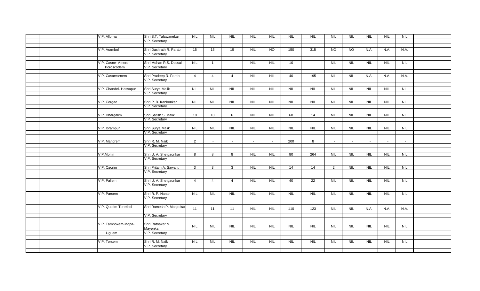| V.P. Allorna           | Shri S.T. Talawanekar    | <b>NIL</b>     | <b>NIL</b>     | NIL            | <b>NIL</b> | <b>NIL</b>     | <b>NIL</b> | NIL        | <b>NIL</b>      | <b>NIL</b>     | <b>NIL</b>                           | <b>NIL</b> | <b>NIL</b> |  |
|------------------------|--------------------------|----------------|----------------|----------------|------------|----------------|------------|------------|-----------------|----------------|--------------------------------------|------------|------------|--|
|                        | V.P. Secretary           |                |                |                |            |                |            |            |                 |                |                                      |            |            |  |
|                        |                          |                |                |                |            |                |            |            |                 |                |                                      |            |            |  |
| V.P. Arambol           | Shri Dashrath R. Parab   | 15             | 15             | 15             | <b>NIL</b> | $\overline{N}$ | 150        | 315        | $\overline{10}$ | $\overline{N}$ | N.A.                                 | N.A.       | N.A.       |  |
|                        | V.P. Secretary           |                |                |                |            |                |            |            |                 |                |                                      |            |            |  |
|                        |                          |                |                |                |            |                |            |            |                 |                |                                      |            |            |  |
| V.P. Casne- Amere-     | Shri Mohan R.S. Dessai   | NIL            | $\overline{1}$ |                | NIL        | NIL            | 10         |            | NIL             | NIL            | NIL                                  | <b>NIL</b> | NIL        |  |
| Poroscodem             | V.P. Secretary           |                |                |                |            |                |            |            |                 |                |                                      |            |            |  |
|                        |                          |                |                |                |            |                |            |            |                 |                |                                      |            |            |  |
| V.P. Casarvarnem       | Shri Pradeep R. Parab    | $\overline{4}$ | $\overline{4}$ | $\overline{4}$ | NIL        | NIL            | 40         | 195        | NIL             | NIL            | N.A.                                 | N.A.       | N.A.       |  |
|                        | V.P. Secretary           |                |                |                |            |                |            |            |                 |                |                                      |            |            |  |
|                        |                          |                |                |                |            |                |            |            |                 |                |                                      |            |            |  |
| V.P. Chandel- Hassapur | Shri Surya Malik         | NIL            | NIL            | NIL            | NIL        | NIL            | NIL        | NIL        | NIL             | NIL            | NIL                                  | <b>NIL</b> | <b>NIL</b> |  |
|                        | V.P. Secretary           |                |                |                |            |                |            |            |                 |                |                                      |            |            |  |
|                        |                          |                |                |                |            |                |            |            |                 |                |                                      |            |            |  |
| V.P. Corgao            | Shri P. B. Kankonkar     | NIL            | <b>NIL</b>     | <b>NIL</b>     | <b>NIL</b> | <b>NIL</b>     | <b>NIL</b> | <b>NIL</b> | <b>NIL</b>      | NIL            | NIL                                  | NIL        | <b>NIL</b> |  |
|                        | V.P. Secretary           |                |                |                |            |                |            |            |                 |                |                                      |            |            |  |
|                        |                          |                |                |                |            |                |            |            |                 |                |                                      |            |            |  |
| V.P. Dhargalim         | Shri Satish S. Malik     | 10             | 10             | 6              | NIL        | NIL            | 60         | 14         | NIL             | NIL            | NIL                                  | <b>NIL</b> | <b>NIL</b> |  |
|                        | V.P. Secretary           |                |                |                |            |                |            |            |                 |                |                                      |            |            |  |
|                        |                          |                |                |                |            |                |            |            |                 |                |                                      |            |            |  |
| V.P. Ibrampur          | Shri Surya Malik         | NIL            | NIL            | <b>NIL</b>     | NIL        | NIL            | NIL        | <b>NIL</b> | NIL             | NIL            | NIL                                  | NIL        | <b>NIL</b> |  |
|                        | V.P. Secretary           |                |                |                |            |                |            |            |                 |                |                                      |            |            |  |
|                        |                          |                |                |                |            |                |            |            |                 |                |                                      |            |            |  |
| V.P. Mandrem           | Shri R. M. Naik          | $\overline{2}$ | $\sim$         | $\sim$         | $\sim$     | $\sim$         | 200        | 8          | $\sim$          | $\sim$         | $\sim$                               | $\sim$     | $\sim$     |  |
|                        | V.P. Secretary           |                |                |                |            |                |            |            |                 |                |                                      |            |            |  |
|                        |                          |                |                |                |            |                |            |            |                 |                |                                      |            |            |  |
| V.P.Morjin             | Shri U. A. Shetgaonkar   | 8              | 8              | 8              | <b>NIL</b> | <b>NIL</b>     | 80         | 264        | <b>NIL</b>      | <b>NIL</b>     | <b>NIL</b>                           | <b>NIL</b> | <b>NIL</b> |  |
|                        | V.P. Secretary           |                |                |                |            |                |            |            |                 |                |                                      |            |            |  |
|                        |                          |                |                |                |            |                |            |            |                 |                |                                      |            |            |  |
| V.P. Ozorim            | Shri Pritam A. Sawant    | $\mathbf{3}$   | $\mathbf{3}$   | $\mathbf{3}$   | <b>NIL</b> | <b>NIL</b>     | 14         | 14         | $\overline{2}$  | <b>NIL</b>     | <b>NIL</b>                           | <b>NIL</b> | <b>NIL</b> |  |
|                        | V.P. Secretary           |                |                |                |            |                |            |            |                 |                |                                      |            |            |  |
|                        |                          |                |                |                |            |                |            |            |                 |                |                                      |            |            |  |
| V.P. Paliem            | Shri U. A. Shetgaonkar   | $\overline{4}$ | $\overline{4}$ | $\overline{4}$ | NIL        | <b>NIL</b>     | 40         | 22         | NIL             | NIL            | $\overline{\overline{\mathsf{NIL}}}$ | <b>NIL</b> | <b>NIL</b> |  |
|                        | V.P. Secretary           |                |                |                |            |                |            |            |                 |                |                                      |            |            |  |
|                        |                          |                |                |                |            |                |            |            |                 |                |                                      |            |            |  |
| V.P. Parcem            | Shri R. P. Narse         | <b>NIL</b>     | <b>NIL</b>     | <b>NIL</b>     | <b>NIL</b> | <b>NIL</b>     | <b>NIL</b> | <b>NIL</b> | <b>NIL</b>      | <b>NIL</b>     | <b>NIL</b>                           | NIL        | <b>NIL</b> |  |
|                        | V.P. Secretary           |                |                |                |            |                |            |            |                 |                |                                      |            |            |  |
|                        |                          |                |                |                |            |                |            |            |                 |                |                                      |            |            |  |
| V.P. Querim-Terekhol   | Shri Ramesh P. Manjrekar | 11             | 11             | 11             | <b>NIL</b> | <b>NIL</b>     |            | 123        | <b>NIL</b>      | <b>NIL</b>     | N.A.                                 |            | N.A.       |  |
|                        |                          |                |                |                |            |                | 110        |            |                 |                |                                      | N.A.       |            |  |
|                        | V.P. Secretary           |                |                |                |            |                |            |            |                 |                |                                      |            |            |  |
|                        |                          |                |                |                |            |                |            |            |                 |                |                                      |            |            |  |
| V.P. Tamboxem-Mopa-    | Shri Ratnakar N.         | <b>NIL</b>     | <b>NIL</b>     | <b>NIL</b>     | <b>NIL</b> | <b>NIL</b>     | <b>NIL</b> | <b>NIL</b> | <b>NIL</b>      | <b>NIL</b>     | <b>NIL</b>                           | <b>NIL</b> | <b>NIL</b> |  |
|                        | Mayenkar                 |                |                |                |            |                |            |            |                 |                |                                      |            |            |  |
| Uguem                  | V.P. Secretary           |                |                |                |            |                |            |            |                 |                |                                      |            |            |  |
|                        |                          |                |                |                |            |                |            |            |                 |                |                                      |            |            |  |
| V.P. Torxem            | Shri R. M. Naik          | NIL            | NIL            | NIL            | NIL        | NIL            | NIL        | NIL        | NIL             | NIL            | $\overline{\overline{\mathsf{NIL}}}$ | NIL        | NIL        |  |
|                        | V.P. Secretary           |                |                |                |            |                |            |            |                 |                |                                      |            |            |  |
|                        |                          |                |                |                |            |                |            |            |                 |                |                                      |            |            |  |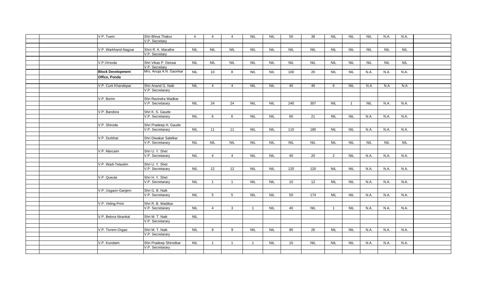| V.P. Tuem                | Shri Bhiva Thakur       | $\overline{4}$ | $\overline{4}$ | $\overline{4}$ | <b>NIL</b>     | NIL        | 50         | 38              | NIL                         | NIL            | NIL        | N.A.       | N.A.       |  |
|--------------------------|-------------------------|----------------|----------------|----------------|----------------|------------|------------|-----------------|-----------------------------|----------------|------------|------------|------------|--|
|                          | V.P. Secretary          |                |                |                |                |            |            |                 |                             |                |            |            |            |  |
|                          |                         |                |                |                |                |            |            |                 |                             |                |            |            |            |  |
| V.P. Warkhand-Nagzar     | Shrri R. K. Marathe     | <b>NIL</b>     | <b>NIL</b>     | NIL            | <b>NIL</b>     | NIL        | NIL        | NIL             | <b>NIL</b>                  | <b>NIL</b>     | <b>NIL</b> | <b>NIL</b> | <b>NIL</b> |  |
|                          | V.P. Secretary          |                |                |                |                |            |            |                 |                             |                |            |            |            |  |
|                          |                         |                |                |                |                |            |            |                 |                             |                |            |            |            |  |
| V.P.Virnoda              | Shri Vikas P. Dessai    | <b>NIL</b>     | <b>NIL</b>     | <b>NIL</b>     | <b>NIL</b>     | <b>NIL</b> | <b>NIL</b> | <b>NIL</b>      | <b>NIL</b>                  | <b>NIL</b>     | <b>NIL</b> | <b>NIL</b> | <b>NIL</b> |  |
|                          | V.P. Secretary          |                |                |                |                |            |            |                 |                             |                |            |            |            |  |
| <b>Block Development</b> | Mrs. Anuja A.N. Gaonkar | <b>NIL</b>     | 10             | 8              | <b>NIL</b>     | <b>NIL</b> | 100        | 20              | $\ensuremath{\mathsf{NIL}}$ | <b>NIL</b>     | N.A.       | N.A.       | N.A.       |  |
| Office, Ponda            |                         |                |                |                |                |            |            |                 |                             |                |            |            |            |  |
|                          |                         |                |                |                |                |            |            |                 |                             |                |            |            |            |  |
| V.P. Curti Khandepar     | Shri Anand G. Naik      | NIL            | $\overline{4}$ | $\overline{4}$ | <b>NIL</b>     | NIL        | 40         | 46              | 6                           | NIL            | N.A        | N.A        | N.A        |  |
|                          | V.P. Secretarary        |                |                |                |                |            |            |                 |                             |                |            |            |            |  |
|                          |                         |                |                |                |                |            |            |                 |                             |                |            |            |            |  |
| V.P. Borim               | Shri Ravindra Wadkar    |                |                |                |                |            |            |                 |                             |                |            |            |            |  |
|                          | V.P. Secretarary        | NIL            | 24             | 24             | <b>NIL</b>     | NIL        | 240        | 307             | NIL                         | $\overline{1}$ | <b>NIL</b> | N.A.       | N.A.       |  |
|                          |                         |                |                |                |                |            |            |                 |                             |                |            |            |            |  |
| V.P. Bandora             | Shri K. S. Gaude        |                |                |                |                |            |            |                 |                             |                |            |            |            |  |
|                          | V.P. Secretarary        | <b>NIL</b>     | 6              | 6              | NIL            | NIL        | 60         | 21              | NIL                         | NIL            | N.A.       | N.A.       | N.A.       |  |
|                          |                         |                |                |                |                |            |            |                 |                             |                |            |            |            |  |
| V.P. Shiroda             | Shri Pradeep H. Gaude   |                |                |                |                |            |            |                 |                             |                |            |            |            |  |
|                          | V.P. Secretarary        | <b>NIL</b>     | 11             | 11             | NIL            | NIL        | 110        | 180             | NIL                         | NIL            | N.A.       | N.A.       | N.A.       |  |
|                          |                         |                |                |                |                |            |            |                 |                             |                |            |            |            |  |
| V.P. Durbhat             | Shri Diwakar Salelkar   |                |                |                |                |            |            |                 |                             |                |            |            |            |  |
|                          | V.P. Secretarary        | <b>NIL</b>     | <b>NIL</b>     | <b>NIL</b>     | NIL            | <b>NIL</b> | <b>NIL</b> | <b>NIL</b>      | <b>NIL</b>                  | <b>NIL</b>     | <b>NIL</b> | <b>NIL</b> | NIL        |  |
|                          |                         |                |                |                |                |            |            |                 |                             |                |            |            |            |  |
| V.P. Marcaim             | Shri U.Y. Shet          |                |                |                |                |            |            |                 |                             |                |            |            |            |  |
|                          | V.P. Secretarary        | <b>NIL</b>     | $\overline{4}$ | $\overline{4}$ | NIL            | <b>NIL</b> | 40         | $\overline{20}$ | $\overline{2}$              | NIL            | N.A.       | N.A.       | N.A.       |  |
|                          |                         |                |                |                |                |            |            |                 |                             |                |            |            |            |  |
| V.P. Wadi-Telaulim       | Shri U.Y. Shet          |                |                |                |                |            |            |                 |                             |                |            |            |            |  |
|                          | V.P. Secretarary        | <b>NIL</b>     | 12             | 12             | <b>NIL</b>     | <b>NIL</b> | 120        | 120             | NIL                         | <b>NIL</b>     | N.A.       | N.A.       | N.A.       |  |
|                          |                         |                |                |                |                |            |            |                 |                             |                |            |            |            |  |
| V.P. Queula              | Shri H. Y. Shet         |                |                |                |                |            |            |                 |                             |                |            |            |            |  |
|                          | V.P. Secretarary        | <b>NIL</b>     | $\mathbf{1}$   | $\overline{1}$ | <b>NIL</b>     | <b>NIL</b> | 10         | 12              | <b>NIL</b>                  | <b>NIL</b>     | N.A.       | N.A.       | N.A.       |  |
|                          |                         |                |                |                |                |            |            |                 |                             |                |            |            |            |  |
| V.P. Usgaon-Ganjem       | Shri G. B. Naik         |                |                |                |                |            |            |                 |                             |                |            |            |            |  |
|                          | V.P. Secretarary        | <b>NIL</b>     | 5 <sup>5</sup> | 5 <sup>5</sup> | <b>NIL</b>     | <b>NIL</b> | 50         | $\frac{1}{174}$ | <b>NIL</b>                  | <b>NIL</b>     | N.A.       | N.A.       | N.A.       |  |
|                          |                         |                |                |                |                |            |            |                 |                             |                |            |            |            |  |
| V.P. Veling-Priol        | Shri R. B. Wadikar      |                |                |                |                |            |            |                 |                             |                |            |            |            |  |
|                          | V.P. Secretarary        | <b>NIL</b>     | $\overline{4}$ | $\mathbf{3}$   | $\overline{1}$ | NIL        | 40         | <b>NIL</b>      | $\mathbf{1}$                | NIL            | N.A.       | N.A.       | N.A.       |  |
|                          |                         |                |                |                |                |            |            |                 |                             |                |            |            |            |  |
| V.P. Betora Nirankal     | Shri M. T. Naik         | <b>NIL</b>     |                |                |                |            |            |                 |                             |                |            |            |            |  |
|                          | V.P. Secretarary        |                |                |                |                |            |            |                 |                             |                |            |            |            |  |
|                          |                         |                |                |                |                |            |            |                 |                             |                |            |            |            |  |
| V.P. Tivrem-Orgao        | Shri M. T. Naik         | NIL            | 9              | 9              | NIL            | <b>NIL</b> | 90         | $\overline{26}$ | <b>NIL</b>                  | NIL            | N.A.       | N.A.       | N.A.       |  |
|                          | V.P. Secretarary        |                |                |                |                |            |            |                 |                             |                |            |            |            |  |
|                          |                         |                |                |                |                |            |            |                 |                             |                |            |            |            |  |
| V.P. Kundaim             | Shri Pradeep Shirodkar  | <b>NIL</b>     | $\overline{1}$ |                |                | <b>NIL</b> | 10         | <b>NIL</b>      | <b>NIL</b>                  | <b>NIL</b>     | N.A.       | N.A.       | N.A.       |  |
|                          | V.P. Secretarary        |                |                |                |                |            |            |                 |                             |                |            |            |            |  |
|                          |                         |                |                |                |                |            |            |                 |                             |                |            |            |            |  |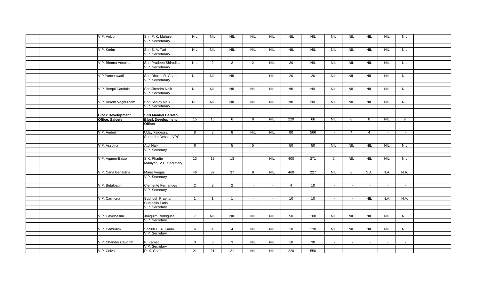| V.P. Volvoi              | Shri P. K. Mahale          | NIL            | NIL            | NIL            | <b>NIL</b>      | NIL        | NIL            | NIL             | NIL            | NIL            | NIL                                  | NIL            | NIL        |  |
|--------------------------|----------------------------|----------------|----------------|----------------|-----------------|------------|----------------|-----------------|----------------|----------------|--------------------------------------|----------------|------------|--|
|                          | V.P. Secretarary           |                |                |                |                 |            |                |                 |                |                |                                      |                |            |  |
|                          |                            |                |                |                |                 |            |                |                 |                |                |                                      |                |            |  |
|                          |                            |                |                |                |                 |            |                |                 |                |                |                                      |                |            |  |
| V.P. Kerim               | Shri S. A. Tari            | <b>NIL</b>     | <b>NIL</b>     | NIL            | <b>NIL</b>      | <b>NIL</b> | <b>NIL</b>     | <b>NIL</b>      | <b>NIL</b>     | <b>NIL</b>     | <b>NIL</b>                           | <b>NIL</b>     | <b>NIL</b> |  |
|                          | V.P. Secretarary           |                |                |                |                 |            |                |                 |                |                |                                      |                |            |  |
|                          |                            |                |                |                |                 |            |                |                 |                |                |                                      |                |            |  |
| V.P. Bhoma Adcolna       | Shri Pradeep Shirodkar     | <b>NIL</b>     | $\overline{2}$ | $\overline{2}$ | 2               | <b>NIL</b> | 20             | NIL             | <b>NIL</b>     | <b>NIL</b>     | <b>NIL</b>                           | <b>NIL</b>     | <b>NIL</b> |  |
|                          | V.P. Secretarary           |                |                |                |                 |            |                |                 |                |                |                                      |                |            |  |
|                          |                            |                |                |                |                 |            |                |                 |                |                |                                      |                |            |  |
| V.P.Panchawadi           | Shri Dhaklu R. Ghadi       | NIL            | NIL            | <b>NIL</b>     | $\overline{1}$  | NIL        | 20             | 20              | NIL            | NIL            | NIL                                  | NIL            | <b>NIL</b> |  |
|                          | V.P. Secretarary           |                |                |                |                 |            |                |                 |                |                |                                      |                |            |  |
|                          |                            |                |                |                |                 |            |                |                 |                |                |                                      |                |            |  |
| V.P. Betqui Candola      | Shri Jitendra Naik         | <b>NIL</b>     | <b>NIL</b>     | <b>NIL</b>     | <b>NIL</b>      | <b>NIL</b> | <b>NIL</b>     | <b>NIL</b>      | <b>NIL</b>     | <b>NIL</b>     | <b>NIL</b>                           | NIL            | NIL        |  |
|                          |                            |                |                |                |                 |            |                |                 |                |                |                                      |                |            |  |
|                          | V.P. Secretarary           |                |                |                |                 |            |                |                 |                |                |                                      |                |            |  |
|                          |                            |                |                |                |                 |            |                |                 |                |                |                                      |                |            |  |
| V.P. Verem Vaghurbem     | Shri Sanjay Naik           | NIL            | NIL            | NIL            | NIL             | NIL        | NIL            | <b>NIL</b>      | NIL            | NIL            | $\overline{\overline{\mathsf{NIL}}}$ | <b>NIL</b>     | NIL        |  |
|                          | V.P. Secretarary           |                |                |                |                 |            |                |                 |                |                |                                      |                |            |  |
|                          |                            |                |                |                |                 |            |                |                 |                |                |                                      |                |            |  |
| <b>Block Development</b> | <b>Shri Manuel Barreto</b> |                |                |                |                 |            |                |                 |                |                |                                      |                |            |  |
| Office, Salcete          | <b>Block Development</b>   | 15             | 15             | 6              | 9               | <b>NIL</b> | 220            | 66              | <b>NIL</b>     | 8              | 8                                    | <b>NIL</b>     | 9          |  |
|                          | Officer                    |                |                |                |                 |            |                |                 |                |                |                                      |                |            |  |
|                          |                            |                |                |                |                 |            |                |                 |                |                |                                      |                |            |  |
| V.P. Ambelim             | Uday Faldessai             | 8              | 8              | 8              | <b>NIL</b>      | <b>NIL</b> | 80             | 566             | $\sim$         | $\overline{4}$ | $\overline{4}$                       | $\sim$         | $\sim$     |  |
|                          | Surendra Dessai, VPS       |                |                |                |                 |            |                |                 |                |                |                                      |                |            |  |
|                          |                            |                |                |                |                 |            |                |                 |                |                |                                      |                |            |  |
|                          |                            |                |                |                |                 |            |                |                 |                |                |                                      |                |            |  |
| V.P. Assolna             | <b>Atul Naik</b>           | 6              |                | $5^{\circ}$    | $5\overline{5}$ |            | 50             | 50              | <b>NIL</b>     | <b>NIL</b>     | <b>NIL</b>                           | <b>NIL</b>     | <b>NIL</b> |  |
|                          | V.P. Secretary             |                |                |                |                 |            |                |                 |                |                |                                      |                |            |  |
|                          |                            |                |                |                |                 |            |                |                 |                |                |                                      |                |            |  |
| V.P. Aquem-Baixo         | S.K. Phadte                | 13             | 13             | 13             |                 | <b>NIL</b> | 400            | 271             | $\overline{2}$ | <b>NIL</b>     | <b>NIL</b>                           | <b>NIL</b>     | <b>NIL</b> |  |
|                          | Maniyar, V.P. Secretary    |                |                |                |                 |            |                |                 |                |                |                                      |                |            |  |
|                          |                            |                |                |                |                 |            |                |                 |                |                |                                      |                |            |  |
| V.P. Cana Benaulim       | Mario Viegas               | 46             | 37             | 37             | 9               | <b>NIL</b> | 460            | 227             | NIL            | 8              | N.A.                                 | N.A.           | N.A.       |  |
|                          | V.P. Secretary             |                |                |                |                 |            |                |                 |                |                |                                      |                |            |  |
|                          |                            |                |                |                |                 |            |                |                 |                |                |                                      |                |            |  |
| V.P. Betalbatim          | <b>Clemente Fernandes</b>  | 2              | $\overline{2}$ | $\overline{2}$ | $\sim$          | $\sim$     | $\overline{4}$ | 10 <sup>1</sup> | $\sim$         | $\sim$         | $\sim$                               | $\sim$         | $\sim$     |  |
|                          | V.P. Secretary             |                |                |                |                 |            |                |                 |                |                |                                      |                |            |  |
|                          |                            |                |                |                |                 |            |                |                 |                |                |                                      |                |            |  |
|                          |                            |                |                |                |                 |            |                |                 |                |                |                                      |                |            |  |
| V.P. Carmona             | Subhodh Prabhu             | -1             | $\overline{1}$ | $\overline{1}$ | $\sim$          | $\sim$     | 10             | 10              | $\sim$         | $\sim$         | $\overline{\overline{\mathsf{NIL}}}$ | N.A.           | N.A.       |  |
|                          | Custodiio Faria            |                |                |                |                 |            |                |                 |                |                |                                      |                |            |  |
|                          | V.P. Secretary             |                |                |                |                 |            |                |                 |                |                |                                      |                |            |  |
|                          |                            |                |                |                |                 |            |                |                 |                |                |                                      |                |            |  |
| V.P. Cavelossim          | Joaquim Rodrigues          | $\overline{7}$ | <b>NIL</b>     | <b>NIL</b>     | <b>NIL</b>      | <b>NIL</b> | 50             | 108             | NIL            | <b>NIL</b>     | <b>NIL</b>                           | <b>NIL</b>     | NIL        |  |
|                          | V.P. Secretary             |                |                |                |                 |            |                |                 |                |                |                                      |                |            |  |
|                          |                            |                |                |                |                 |            |                |                 |                |                |                                      |                |            |  |
| V.P. Camurlim            | Shaikh H. A. Karim         | $\overline{4}$ | $\overline{4}$ | $\overline{4}$ | <b>NIL</b>      | <b>NIL</b> | 10             | 130             | <b>NIL</b>     | <b>NIL</b>     | <b>NIL</b>                           | <b>NIL</b>     | <b>NIL</b> |  |
|                          | V.P. Secretary             |                |                |                |                 |            |                |                 |                |                |                                      |                |            |  |
|                          |                            |                |                |                |                 |            |                |                 |                |                |                                      |                |            |  |
| V.P. Chandor Cavorim     | P. Kamati                  | 3              | 3              | $\mathbf{3}$   | NIL             | <b>NIL</b> | 10             | 30              | $\sim$         | $\overline{a}$ | $\overline{\phantom{a}}$             | $\overline{a}$ | $\sim$     |  |
|                          | V.P. Secretary             |                |                |                |                 |            |                |                 |                |                |                                      |                |            |  |
| V.P. Colva               |                            |                |                |                |                 |            |                | 550             |                |                |                                      |                |            |  |
|                          | R. K. Chari                | 21             | 21             | 21             | <b>NIL</b>      | <b>NIL</b> | 220            |                 | $\sim$         | $\overline{a}$ | $\sim$                               | $\sim$         | $\sim$     |  |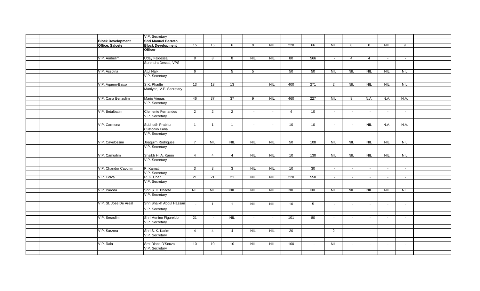|  |                          | V.P. Secretary           |                 |                 |                 |                          |                          |                 |                 |                |                |                          |                          |            |  |
|--|--------------------------|--------------------------|-----------------|-----------------|-----------------|--------------------------|--------------------------|-----------------|-----------------|----------------|----------------|--------------------------|--------------------------|------------|--|
|  | <b>Block Development</b> | Shri Manuel Barreto      |                 |                 |                 |                          |                          |                 |                 |                |                |                          |                          |            |  |
|  | Office, Salcete          | <b>Block Development</b> | 15              | 15              | 6               | 9                        | <b>NIL</b>               | 220             | 66              | <b>NIL</b>     | 8              | 8                        | <b>NIL</b>               | 9          |  |
|  |                          |                          |                 |                 |                 |                          |                          |                 |                 |                |                |                          |                          |            |  |
|  |                          | Officer                  |                 |                 |                 |                          |                          |                 |                 |                |                |                          |                          |            |  |
|  |                          |                          |                 |                 |                 |                          |                          |                 |                 |                |                |                          |                          |            |  |
|  | V.P. Ambelim             | Uday Faldessai           | 8               | 8               | 8               | <b>NIL</b>               | <b>NIL</b>               | 80              | 566             | $\sim$         | $\overline{4}$ | $\overline{4}$           | $\overline{\phantom{a}}$ | $\sim$     |  |
|  |                          | Surendra Dessai, VPS     |                 |                 |                 |                          |                          |                 |                 |                |                |                          |                          |            |  |
|  |                          |                          |                 |                 |                 |                          |                          |                 |                 |                |                |                          |                          |            |  |
|  | V.P. Assolna             | <b>Atul Naik</b>         | 6               |                 | $5\overline{)}$ | $5\overline{)}$          |                          | 50              | 50              | <b>NIL</b>     | <b>NIL</b>     | <b>NIL</b>               | <b>NIL</b>               | <b>NIL</b> |  |
|  |                          | V.P. Secretary           |                 |                 |                 |                          |                          |                 |                 |                |                |                          |                          |            |  |
|  |                          |                          |                 |                 |                 |                          |                          |                 |                 |                |                |                          |                          |            |  |
|  | V.P. Aquem-Baixo         | S.K. Phadte              | 13              | 13              | 13              |                          | <b>NIL</b>               | 400             | 271             | $\overline{2}$ | <b>NIL</b>     | <b>NIL</b>               | <b>NIL</b>               | <b>NIL</b> |  |
|  |                          | Maniyar, V.P. Secretary  |                 |                 |                 |                          |                          |                 |                 |                |                |                          |                          |            |  |
|  |                          |                          |                 |                 |                 |                          |                          |                 |                 |                |                |                          |                          |            |  |
|  | V.P. Cana Benaulim       | Mario Viegas             | 46              | 37              | $\overline{37}$ | 9                        | <b>NIL</b>               | 460             | 227             | <b>NIL</b>     | 8              | N.A.                     | N.A.                     | N.A.       |  |
|  |                          |                          |                 |                 |                 |                          |                          |                 |                 |                |                |                          |                          |            |  |
|  |                          | V.P. Secretary           |                 |                 |                 |                          |                          |                 |                 |                |                |                          |                          |            |  |
|  |                          | Clemente Fernandes       |                 |                 |                 |                          |                          |                 |                 |                |                |                          |                          |            |  |
|  | V.P. Betalbatim          |                          | 2               | $\overline{2}$  | $\overline{2}$  | $\overline{\phantom{a}}$ | $\overline{\phantom{a}}$ | $\overline{4}$  | 10              | $\sim$         | $\sim$         | $\sim$                   | $\overline{\phantom{a}}$ | $\sim$     |  |
|  |                          | V.P. Secretary           |                 |                 |                 |                          |                          |                 |                 |                |                |                          |                          |            |  |
|  |                          |                          |                 |                 |                 |                          |                          |                 |                 |                |                |                          |                          |            |  |
|  | V.P. Carmona             | Subhodh Prabhu           | $\overline{1}$  | $\overline{1}$  | $\overline{1}$  | $\sim$                   | $\sim$                   | 10              | 10              | $\sim$         | $\sim$         | <b>NIL</b>               | N.A.                     | N.A.       |  |
|  |                          | Custodiio Faria          |                 |                 |                 |                          |                          |                 |                 |                |                |                          |                          |            |  |
|  |                          | V.P. Secretary           |                 |                 |                 |                          |                          |                 |                 |                |                |                          |                          |            |  |
|  |                          |                          |                 |                 |                 |                          |                          |                 |                 |                |                |                          |                          |            |  |
|  | V.P. Cavelossim          | Joaquim Rodrigues        | $\overline{7}$  | NIL             | NIL             | NIL                      | NIL                      | 50              | 108             | NIL            | NIL            | NIL                      | NIL                      | NIL        |  |
|  |                          | V.P. Secretary           |                 |                 |                 |                          |                          |                 |                 |                |                |                          |                          |            |  |
|  |                          |                          |                 |                 |                 |                          |                          |                 |                 |                |                |                          |                          |            |  |
|  | V.P. Camurlim            | Shaikh H. A. Karim       | $\overline{4}$  | $\overline{4}$  | $\overline{4}$  | <b>NIL</b>               | <b>NIL</b>               | 10              | 130             | <b>NIL</b>     | <b>NIL</b>     | <b>NIL</b>               | <b>NIL</b>               | <b>NIL</b> |  |
|  |                          | V.P. Secretary           |                 |                 |                 |                          |                          |                 |                 |                |                |                          |                          |            |  |
|  |                          |                          |                 |                 |                 |                          |                          |                 |                 |                |                |                          |                          |            |  |
|  | V.P. Chandor Cavorim     | P. Kamati                | $\mathbf{3}$    | $\mathbf{3}$    | $\overline{3}$  | <b>NIL</b>               | <b>NIL</b>               | 10 <sup>1</sup> | 30              | $\sim$         | $\sim$         | $\sim$                   | $\sim$                   | $\sim$     |  |
|  |                          | V.P. Secretary           |                 |                 |                 |                          |                          |                 |                 |                |                |                          |                          |            |  |
|  | V.P. Colva               | R. K. Chari              | 21              | 21              | 21              | NIL                      | <b>NIL</b>               | 220             | 550             | $\sim$         | $\sim$         | $\sim$                   | $\overline{\phantom{a}}$ | $\sim$     |  |
|  |                          | V.P. Secretary           |                 |                 |                 |                          |                          |                 |                 |                |                |                          |                          |            |  |
|  |                          |                          |                 |                 |                 |                          |                          |                 |                 |                |                |                          |                          |            |  |
|  | V.P. Paroda              | Shri S. K. Phadte        | <b>NIL</b>      | <b>NIL</b>      | <b>NIL</b>      | <b>NIL</b>               | <b>NIL</b>               | <b>NIL</b>      | <b>NIL</b>      | <b>NIL</b>     | <b>NIL</b>     | <b>NIL</b>               | <b>NIL</b>               | <b>NIL</b> |  |
|  |                          | V.P. Secretary           |                 |                 |                 |                          |                          |                 |                 |                |                |                          |                          |            |  |
|  |                          |                          |                 |                 |                 |                          |                          |                 |                 |                |                |                          |                          |            |  |
|  | V.P. St. Jose De Areal   | Shri Shaikh Abdul Hassan | $\sim$          | $\overline{1}$  | $\mathbf{1}$    | <b>NIL</b>               | <b>NIL</b>               | 10 <sup>1</sup> | $5\phantom{.0}$ | $\sim$         | $\sim$         | $\sim$                   | $\sim$                   | $\sim$     |  |
|  |                          |                          |                 |                 |                 |                          |                          |                 |                 |                |                |                          |                          |            |  |
|  |                          | V.P. Secretary           |                 |                 |                 |                          |                          |                 |                 |                |                |                          |                          |            |  |
|  |                          |                          |                 |                 |                 |                          |                          |                 |                 |                |                |                          |                          |            |  |
|  | V.P. Seraulim            | Shri Menino Figureido    | 21              | $\sim$          | <b>NIL</b>      | $\sim$                   | $\sim$                   | 101             | 80              | $\sim$         | $\sim$         | $\sim$                   | $\sim$                   | $\sim$     |  |
|  |                          | V.P. Secretary           |                 |                 |                 |                          |                          |                 |                 |                |                |                          |                          |            |  |
|  |                          |                          |                 |                 |                 |                          |                          |                 |                 |                |                |                          |                          |            |  |
|  | V.P. Sarzora             | Shri S. K. Karim         | $\overline{4}$  | $\overline{4}$  | $\overline{4}$  | NIL                      | NIL                      | $\overline{20}$ | $\sim$          | $\overline{2}$ | $\sim$         | $\sim$                   | $\sim$                   | $\sim$     |  |
|  |                          | V.P. Secretary           |                 |                 |                 |                          |                          |                 |                 |                |                |                          |                          |            |  |
|  |                          |                          |                 |                 |                 |                          |                          |                 |                 |                |                |                          |                          |            |  |
|  | V.P. Raia                | Smt Diana D'Souza        | 10 <sup>°</sup> | 10 <sup>1</sup> | 10 <sup>°</sup> | <b>NIL</b>               | <b>NIL</b>               | 100             | $\sim$          | <b>NIL</b>     | $\sim$         | $\overline{\phantom{a}}$ |                          | $\sim$     |  |
|  |                          | V.P. Secretary           |                 |                 |                 |                          |                          |                 |                 |                |                |                          |                          |            |  |
|  |                          |                          |                 |                 |                 |                          |                          |                 |                 |                |                |                          |                          |            |  |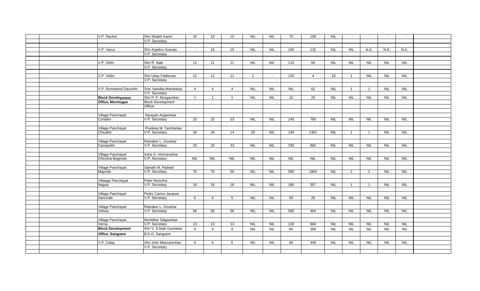| V.P. Rachol        |                          | Shri Shaikh Karim        | 10              | 10 <sup>1</sup> | 10 <sup>1</sup> | <b>NIL</b> | NIL        | 70         | 108            | <b>NIL</b> | $\sim$         | $\overline{\phantom{a}}$             |            | $\sim$     |  |
|--------------------|--------------------------|--------------------------|-----------------|-----------------|-----------------|------------|------------|------------|----------------|------------|----------------|--------------------------------------|------------|------------|--|
|                    |                          | V.P. Secretary           |                 |                 |                 |            |            |            |                |            |                |                                      |            |            |  |
|                    |                          |                          |                 |                 |                 |            |            |            |                |            |                |                                      |            |            |  |
| V.P. Varca         |                          | Shri Anjelico Gracias    | $\sim$          | 19              | 19              | <b>NIL</b> | <b>NIL</b> | 190        | 132            | <b>NIL</b> | <b>NIL</b>     | N.A.                                 | N.A.       | N.A.       |  |
|                    |                          | V.P. Secretary           |                 |                 |                 |            |            |            |                |            |                |                                      |            |            |  |
|                    |                          |                          |                 |                 |                 |            |            |            |                |            |                |                                      |            |            |  |
| V.P. Orlim         | Shri R. Naik             |                          | 11              | 11              | 11              | NIL        | <b>NIL</b> | 110        | 56             | <b>NIL</b> | <b>NIL</b>     | <b>NIL</b>                           | <b>NIL</b> | <b>NIL</b> |  |
|                    |                          | V.P. Secretary           |                 |                 |                 |            |            |            |                |            |                |                                      |            |            |  |
|                    |                          |                          |                 |                 |                 |            |            |            |                |            |                |                                      |            |            |  |
| V.P. Velim         |                          | Shri Uday Faldessai      | 12              | 12              | 11              |            | $\sim$     | 120        | $\overline{4}$ | 10         | $\overline{1}$ | <b>NIL</b>                           | <b>NIL</b> | <b>NIL</b> |  |
|                    |                          | V.P. Secretary           |                 |                 |                 |            |            |            |                |            |                |                                      |            |            |  |
|                    |                          |                          |                 |                 |                 |            |            |            |                |            |                |                                      |            |            |  |
|                    | V.P. Rumdamol Davorlim   | Smt. Nandita Mandrekar   | $\overline{4}$  | $\overline{4}$  | $\overline{4}$  | <b>NIL</b> | <b>NIL</b> | <b>NIL</b> | 62             | <b>NIL</b> | $\mathbf{1}$   | $\overline{1}$                       | <b>NIL</b> | <b>NIL</b> |  |
|                    |                          | V.P. Secretary           |                 |                 |                 |            |            |            |                |            |                |                                      |            |            |  |
|                    | <b>Block Development</b> | Shri P. P. Murgaonkar,   | $\overline{1}$  | $\overline{1}$  | $\overline{1}$  | NIL        | NIL        | 10         | 20             | NIL        | NIL            | $\overline{\overline{\mathsf{NIL}}}$ | NIL        | NIL        |  |
| Office, Mormugao   |                          | <b>Block Development</b> |                 |                 |                 |            |            |            |                |            |                |                                      |            |            |  |
|                    | Officer                  |                          |                 |                 |                 |            |            |            |                |            |                |                                      |            |            |  |
|                    |                          |                          |                 |                 |                 |            |            |            |                |            |                |                                      |            |            |  |
| Village Panchayat  |                          | Narayan Azgaonkar        |                 |                 |                 |            |            |            |                |            |                |                                      |            |            |  |
| Cortalim           |                          | V.P. Secretary           | 23              | 23              | 23              | <b>NIL</b> | <b>NIL</b> | 140        | 760            | <b>NIL</b> | <b>NIL</b>     | <b>NIL</b>                           | <b>NIL</b> | <b>NIL</b> |  |
|                    |                          |                          |                 |                 |                 |            |            |            |                |            |                |                                      |            |            |  |
| Village Panchayat  |                          | Pradeep M. Tamhankar     |                 |                 |                 |            |            |            |                |            |                |                                      |            |            |  |
| Chicalim           |                          | V.P. Secretary           | 34              | 34              | 14              | 20         | <b>NIL</b> | 140        | 1391           | <b>NIL</b> | $\mathbf{1}$   | $\overline{1}$                       | NIL        | <b>NIL</b> |  |
|                    |                          |                          |                 |                 |                 |            |            |            |                |            |                |                                      |            |            |  |
| Village Panchayat  |                          | Ratnakar L. Govekar      |                 |                 |                 |            |            |            |                |            |                |                                      |            |            |  |
| Cansaulim          |                          | V.P. Secretary           | 33              | 33              | 33              | <b>NIL</b> | <b>NIL</b> | 330        | 882            | <b>NIL</b> | <b>NIL</b>     | <b>NIL</b>                           | <b>NIL</b> | <b>NIL</b> |  |
|                    |                          |                          |                 |                 |                 |            |            |            |                |            |                |                                      |            |            |  |
| Village Panchayat  |                          | Asha G. Honnavarkar      |                 |                 |                 |            |            |            |                |            |                |                                      |            |            |  |
| Chicolna-Bogmolo   |                          | V.P. Secretary           | <b>NIL</b>      | <b>NIL</b>      | NIL             | <b>NIL</b> | <b>NIL</b> | <b>NIL</b> | NIL            | <b>NIL</b> | <b>NIL</b>     | <b>NIL</b>                           | <b>NIL</b> | <b>NIL</b> |  |
|                    |                          |                          |                 |                 |                 |            |            |            |                |            |                |                                      |            |            |  |
| Village Panchayat  |                          | Sainath M, Padwal        |                 |                 |                 |            |            |            |                |            |                |                                      |            |            |  |
| Majorda            |                          | V.P. Secretary           | 70              | 70              | 50              | <b>NIL</b> | <b>NIL</b> | 580        | 1884           | <b>NIL</b> | 2              | 2                                    | <b>NIL</b> | <b>NIL</b> |  |
|                    |                          |                          |                 |                 |                 |            |            |            |                |            |                |                                      |            |            |  |
| Villaage Panchayat |                          | Peter Noronha            |                 |                 |                 |            |            |            |                |            |                |                                      |            |            |  |
| Nagoa              |                          | V.P. Secretary           | 16              | 16              | 16              | NIL        | NIL        | 160        | 357            | <b>NIL</b> | $\overline{1}$ | $\overline{1}$                       | NIL        | <b>NIL</b> |  |
|                    |                          |                          |                 |                 |                 |            |            |            |                |            |                |                                      |            |            |  |
| Village Panchayat  |                          | Pedro Carmo Jacques      |                 |                 |                 |            |            |            |                |            |                |                                      |            |            |  |
| Sancoale           |                          | V.P. Secretary           | $5\overline{5}$ | $5^{\circ}$     | $5\overline{5}$ | NIL        | <b>NIL</b> | 50         | 26             | NIL        | <b>NIL</b>     | <b>NIL</b>                           | <b>NIL</b> | <b>NIL</b> |  |
|                    |                          |                          |                 |                 |                 |            |            |            |                |            |                |                                      |            |            |  |
| Village Panchayat  |                          | Ratnakar L. Govekar      |                 |                 |                 |            |            |            |                |            |                |                                      |            |            |  |
| Velsao             |                          | V.P. Secretary           | 56              | 56              | 56              | NIL        | NIL        | 560        | 464            | <b>NIL</b> | NIL            | NIL                                  | <b>NIL</b> | NIL        |  |
|                    |                          |                          |                 |                 |                 |            |            |            |                |            |                |                                      |            |            |  |
| Village Panchayat  |                          | Murlidhar Salgaonkar     |                 |                 |                 |            |            |            |                |            |                |                                      |            |            |  |
| Verna              |                          | V.P. Secretary           | 13              | 13              | 13              | <b>NIL</b> | <b>NIL</b> | 130        | 684            | <b>NIL</b> | <b>NIL</b>     | <b>NIL</b>                           | <b>NIL</b> | <b>NIL</b> |  |
|                    | <b>Block Development</b> | Shri V. S.Naik Gaunekar  | 9               | 9               | 9               | <b>NIL</b> | <b>NIL</b> | 60         | 388            | <b>NIL</b> | <b>NIL</b>     | <b>NIL</b>                           | <b>NIL</b> | <b>NIL</b> |  |
| Office, Sanguem    |                          | B.D.O. Sanguem           |                 |                 |                 |            |            |            |                |            |                |                                      |            |            |  |
|                    |                          |                          |                 |                 |                 |            |            |            |                |            |                |                                      |            |            |  |
| V.P. Calay         |                          | Shri John Mascarenhas    | 6               | 6               | 6               | NIL        | <b>NIL</b> | 60         | 440            | NIL        | <b>NIL</b>     | NIL                                  | <b>NIL</b> | NIL        |  |
|                    |                          | V.P. Secretary           |                 |                 |                 |            |            |            |                |            |                |                                      |            |            |  |
|                    |                          |                          |                 |                 |                 |            |            |            |                |            |                |                                      |            |            |  |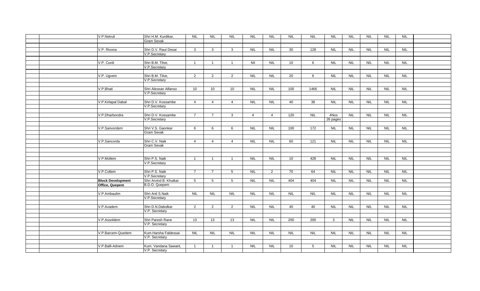|  | V.P.Netruli              | Shri H.M. Kurdikar,    | <b>NIL</b>     | <b>NIL</b>     | <b>NIL</b>      | <b>NIL</b>     | <b>NIL</b>     | <b>NIL</b> | <b>NIL</b>      | <b>NIL</b>   | <b>NIL</b> | <b>NIL</b> | <b>NIL</b> | <b>NIL</b> |  |
|--|--------------------------|------------------------|----------------|----------------|-----------------|----------------|----------------|------------|-----------------|--------------|------------|------------|------------|------------|--|
|  |                          | <b>Gram Sevak</b>      |                |                |                 |                |                |            |                 |              |            |            |            |            |  |
|  |                          |                        |                |                |                 |                |                |            |                 |              |            |            |            |            |  |
|  | V.P. Rivona              | Shri D.V. Raut Desai   | $\mathbf{3}$   | $\mathbf{3}$   | $\mathbf{3}$    | <b>NIL</b>     | <b>NIL</b>     | 30         | 128             | <b>NIL</b>   | <b>NIL</b> | <b>NIL</b> | <b>NIL</b> | <b>NIL</b> |  |
|  |                          | V.P.Secretary          |                |                |                 |                |                |            |                 |              |            |            |            |            |  |
|  |                          |                        |                |                |                 |                |                |            |                 |              |            |            |            |            |  |
|  | V.P. Curdi               | Shri B.M. Tilve,       | $\overline{1}$ | $\overline{1}$ | $\overline{1}$  | Nil            | <b>NIL</b>     | 10         | 6               | <b>NIL</b>   | <b>NIL</b> | NIL        | <b>NIL</b> | <b>NIL</b> |  |
|  |                          | V.P.Secretary          |                |                |                 |                |                |            |                 |              |            |            |            |            |  |
|  |                          |                        |                |                |                 |                |                |            |                 |              |            |            |            |            |  |
|  | V.P. Ugvem               | Shri B.M. Tilve,       | 2              | $\overline{2}$ | 2               | NIL            | NIL            | 20         | 6               | <b>NIL</b>   | NIL        | NIL        | <b>NIL</b> | <b>NIL</b> |  |
|  |                          | V.P.Secretary          |                |                |                 |                |                |            |                 |              |            |            |            |            |  |
|  |                          |                        |                |                |                 |                |                |            |                 |              |            |            |            |            |  |
|  | V.P.Bhati                | Shri Alexean Alfanso   | 10             | 10             | 10              | <b>NIL</b>     | NIL            | 100        | 1466            | <b>NIL</b>   | NIL        | NIL        | <b>NIL</b> | <b>NIL</b> |  |
|  |                          | V.P.Secretary          |                |                |                 |                |                |            |                 |              |            |            |            |            |  |
|  |                          |                        |                |                |                 |                |                |            |                 |              |            |            |            |            |  |
|  | V.P.Kirlapal Dabal       | Shri D.V. Kossambe     | $\overline{4}$ | $\overline{4}$ | $\overline{4}$  | <b>NIL</b>     | <b>NIL</b>     | 40         | 38              | NIL          | <b>NIL</b> | NIL        | <b>NIL</b> | NIL        |  |
|  |                          | V.P.Secretary          |                |                |                 |                |                |            |                 |              |            |            |            |            |  |
|  |                          |                        |                |                |                 |                |                |            |                 |              |            |            |            |            |  |
|  | V.P.Dharbondra           | Shri D.V. Kossambe     | $\overline{7}$ | $\overline{7}$ | $\mathbf{3}$    | $\overline{4}$ | $\overline{4}$ | 120        | NIL             | 4Nos         | NIL        | NIL        | NIL        | NIL        |  |
|  |                          | V.P.Secretary          |                |                |                 |                |                |            |                 | 26 pages     |            |            |            |            |  |
|  |                          |                        |                |                |                 |                |                |            |                 |              |            |            |            |            |  |
|  | V.P.Sanvordem            | Shri V.S. Gaonkar      | 6              | 6              | 6               | <b>NIL</b>     | <b>NIL</b>     | 100        | 172             | <b>NIL</b>   | <b>NIL</b> | <b>NIL</b> | <b>NIL</b> | <b>NIL</b> |  |
|  |                          | Gram Sevak             |                |                |                 |                |                |            |                 |              |            |            |            |            |  |
|  |                          |                        |                |                |                 |                |                |            |                 |              |            |            |            |            |  |
|  | V.P.Sancorda             | Shri C.V. Naik         | $\overline{4}$ | $\overline{4}$ | $\overline{4}$  | <b>NIL</b>     | NIL            | 60         | $\frac{1}{21}$  | NIL          | NIL        | NIL        | <b>NIL</b> | <b>NIL</b> |  |
|  |                          | <b>Gram Sevak</b>      |                |                |                 |                |                |            |                 |              |            |            |            |            |  |
|  |                          |                        |                |                |                 |                |                |            |                 |              |            |            |            |            |  |
|  |                          |                        |                |                |                 |                |                |            |                 |              |            |            |            |            |  |
|  | V.P.Mollem               | Shri P.S. Naik         | $\overline{1}$ | $\overline{1}$ | $\overline{1}$  | <b>NIL</b>     | <b>NIL</b>     | 10         | 428             | <b>NIL</b>   | <b>NIL</b> | <b>NIL</b> | <b>NIL</b> | <b>NIL</b> |  |
|  |                          | V.P.Secretary          |                |                |                 |                |                |            |                 |              |            |            |            |            |  |
|  |                          |                        |                |                |                 |                |                |            |                 |              |            |            |            |            |  |
|  | V.P.Collem               | Shri P.S. Naik         | $\overline{7}$ | $\overline{7}$ | $5^{\circ}$     | <b>NIL</b>     | 2              | 70         | 64              | <b>NIL</b>   | <b>NIL</b> | NIL        | <b>NIL</b> | <b>NIL</b> |  |
|  |                          | V.P.Secretary          |                |                |                 |                |                |            |                 |              |            |            |            |            |  |
|  | <b>Block Development</b> | Shri Arvind B. Khutkar | 5              | $5^{\circ}$    | $5\overline{5}$ | <b>NIL</b>     | <b>NIL</b>     | 404        | 404             | <b>NIL</b>   | <b>NIL</b> | <b>NIL</b> | <b>NIL</b> | <b>NIL</b> |  |
|  | Office, Quepem           | B.D.O. Quepem          |                |                |                 |                |                |            |                 |              |            |            |            |            |  |
|  |                          |                        |                |                |                 |                |                |            |                 |              |            |            |            |            |  |
|  | V.P.Ambaulim             | Shri Anil S.Naik       | NIL            | NIL            | <b>NIL</b>      | NIL            | NIL            | NIL        | <b>NIL</b>      | NIL          | NIL        | NIL        | NIL        | NIL        |  |
|  |                          | V.P.Secretary          |                |                |                 |                |                |            |                 |              |            |            |            |            |  |
|  |                          |                        |                |                |                 |                |                |            |                 |              |            |            |            |            |  |
|  | V.P.Avadem               | Shri D.N.Dabolkar      | 2              | $\overline{2}$ | $\overline{2}$  | <b>NIL</b>     | <b>NIL</b>     | 40         | 40              | NIL          | <b>NIL</b> | <b>NIL</b> | <b>NIL</b> | <b>NIL</b> |  |
|  |                          | V.P. Secretary         |                |                |                 |                |                |            |                 |              |            |            |            |            |  |
|  |                          |                        |                |                |                 |                |                |            |                 |              |            |            |            |            |  |
|  | V.P.Assoldem             | Shri Paresh Rane       | 13             | 13             | 13              | NIL            | <b>NIL</b>     | 200        | 200             | $\mathbf{3}$ | <b>NIL</b> | NIL        | <b>NIL</b> | <b>NIL</b> |  |
|  |                          | V.P. Secretary         |                |                |                 |                |                |            |                 |              |            |            |            |            |  |
|  |                          |                        |                |                |                 |                |                |            |                 |              |            |            |            |            |  |
|  | V.P.Barcem-Quedem        | Kum.Harsha Faldessai   | <b>NIL</b>     | <b>NIL</b>     | <b>NIL</b>      | <b>NIL</b>     | <b>NIL</b>     | <b>NIL</b> | <b>NIL</b>      | <b>NIL</b>   | <b>NIL</b> | <b>NIL</b> | <b>NIL</b> | <b>NIL</b> |  |
|  |                          | V.P. Secretary         |                |                |                 |                |                |            |                 |              |            |            |            |            |  |
|  |                          |                        |                |                |                 |                |                |            |                 |              |            |            |            |            |  |
|  | V.P.Balli-Adnem          | Kum. Vandana Sawant,   | $\overline{1}$ | $\overline{1}$ | $\overline{1}$  | <b>NIL</b>     | NIL            | 10         | $5\overline{5}$ | NIL          | NIL        | NIL        | NIL        | NIL        |  |
|  |                          | V.P. Secretary         |                |                |                 |                |                |            |                 |              |            |            |            |            |  |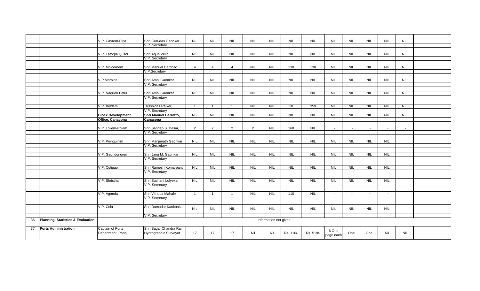|    |                                   | V.P. Cavrem-Pirla        | Shri Gurudas Gaonkar                     | NIL            | NIL            | NIL            | <b>NIL</b> | NIL                    | NIL        | NIL        | NIL        | <b>NIL</b>               | NIL                      | <b>NIL</b>               | <b>NIL</b>               |
|----|-----------------------------------|--------------------------|------------------------------------------|----------------|----------------|----------------|------------|------------------------|------------|------------|------------|--------------------------|--------------------------|--------------------------|--------------------------|
|    |                                   |                          | V.P. Secretary                           |                |                |                |            |                        |            |            |            |                          |                          |                          |                          |
|    |                                   |                          |                                          |                |                |                |            |                        |            |            |            |                          |                          |                          |                          |
|    |                                   | V.P. Fatorpa Quitol      | Shri Arjun Velip                         | NIL            | NIL            | <b>NIL</b>     | NIL        | NIL                    | NIL        | <b>NIL</b> | NIL        | NIL                      | NIL                      | NIL                      | NIL                      |
|    |                                   |                          | V.P. Secretary                           |                |                |                |            |                        |            |            |            |                          |                          |                          |                          |
|    |                                   | V.P. Molcornem           | Shri Manuel Cardozo                      | $\overline{4}$ | $\overline{4}$ | $\overline{4}$ | <b>NIL</b> | <b>NIL</b>             | 130        | 130        | <b>NIL</b> | <b>NIL</b>               | <b>NIL</b>               | <b>NIL</b>               | <b>NIL</b>               |
|    |                                   |                          | V.P.Secretary                            |                |                |                |            |                        |            |            |            |                          |                          |                          |                          |
|    |                                   |                          |                                          |                |                |                |            |                        |            |            |            |                          |                          |                          |                          |
|    |                                   | V.P.Morpirla             | Shri Amol Gaonkar                        | NIL            | NIL            | <b>NIL</b>     | <b>NIL</b> | <b>NIL</b>             | <b>NIL</b> | <b>NIL</b> | NIL        | <b>NIL</b>               | <b>NIL</b>               | NIL                      | NIL                      |
|    |                                   |                          | V.P. Secretary                           |                |                |                |            |                        |            |            |            |                          |                          |                          |                          |
|    |                                   |                          |                                          |                |                |                |            |                        |            |            |            |                          |                          |                          |                          |
|    |                                   | V.P. Naqueri Betul       | Shri Amol Gaonkar                        | NIL            | NIL            | NIL            | <b>NIL</b> | NIL                    | NIL        | <b>NIL</b> | NIL        | NIL                      | NIL                      | NIL                      | NIL                      |
|    |                                   |                          | V.P. Secretary                           |                |                |                |            |                        |            |            |            |                          |                          |                          |                          |
|    |                                   |                          |                                          |                |                |                |            |                        |            |            |            |                          |                          |                          |                          |
|    |                                   | V.P. Xeldem              | Tulshidas Raiker.                        | $\overline{1}$ | $\overline{1}$ | $\overline{1}$ | <b>NIL</b> | NIL                    | 10         | 359        | NIL        | NIL                      | NIL                      | NIL                      | NIL                      |
|    |                                   |                          | V.P. Secretary                           |                |                |                |            |                        |            |            |            |                          |                          |                          |                          |
|    |                                   | <b>Block Development</b> | Shri Manuel Barretto,                    | <b>NIL</b>     | NIL            | <b>NIL</b>     | NIL        | <b>NIL</b>             | <b>NIL</b> | <b>NIL</b> | NIL        | <b>NIL</b>               | NIL                      | NIL                      | NIL                      |
|    |                                   | Office, Canacona         | Canacona                                 |                |                |                |            |                        |            |            |            |                          |                          |                          |                          |
|    |                                   |                          |                                          |                |                |                |            |                        |            |            |            |                          |                          |                          |                          |
|    |                                   | V.P. Loliem-Polem        | Shri Sandep S. Desai,                    | 2              | $\overline{2}$ | 2              | 2          | <b>NIL</b>             | 168        | NIL        | $\sim$     | $\overline{\phantom{a}}$ | $\overline{\phantom{a}}$ | $\overline{\phantom{a}}$ | $\overline{\phantom{a}}$ |
|    |                                   |                          | V.P. Secretary                           |                |                |                |            |                        |            |            |            |                          |                          |                          |                          |
|    |                                   |                          |                                          | <b>NIL</b>     | <b>NIL</b>     | <b>NIL</b>     | <b>NIL</b> | <b>NIL</b>             | <b>NIL</b> | NIL        | <b>NIL</b> | <b>NIL</b>               | <b>NIL</b>               |                          |                          |
|    |                                   | V.P. Poinguinim          | Shri Manjunath Gaonkar<br>V.P. Secretary |                |                |                |            |                        |            |            |            |                          |                          | <b>NIL</b>               |                          |
|    |                                   |                          |                                          |                |                |                |            |                        |            |            |            |                          |                          |                          |                          |
|    |                                   | V.P. Gaondongrem         | Shri Janu M. Gaonkar                     | NIL            | NIL            | <b>NIL</b>     | <b>NIL</b> | NIL                    | NIL        | <b>NIL</b> | NIL        | NIL                      | NIL                      | NIL                      |                          |
|    |                                   |                          | V.P. Secretary                           |                |                |                |            |                        |            |            |            |                          |                          |                          |                          |
|    |                                   |                          |                                          |                |                |                |            |                        |            |            |            |                          |                          |                          |                          |
|    |                                   | V.P. Cotigao             | Shri Ramesh Komarpant                    | <b>NIL</b>     | <b>NIL</b>     | <b>NIL</b>     | <b>NIL</b> | <b>NIL</b>             | NIL        | NIL        | <b>NIL</b> | <b>NIL</b>               | <b>NIL</b>               | <b>NIL</b>               |                          |
|    |                                   |                          | V.P. Secretary                           |                |                |                |            |                        |            |            |            |                          |                          |                          |                          |
|    |                                   |                          |                                          |                |                |                |            |                        |            |            |            |                          |                          |                          |                          |
|    |                                   | V.P. Shristhal           | Shri Sushant Lolyekar                    | <b>NIL</b>     | NIL            | <b>NIL</b>     | NIL        | <b>NIL</b>             | <b>NIL</b> | <b>NIL</b> | NIL        | <b>NIL</b>               | NIL                      | <b>NIL</b>               |                          |
|    |                                   |                          | V.P. Secretary                           |                |                |                |            |                        |            |            |            |                          |                          |                          |                          |
|    |                                   |                          |                                          |                |                |                |            |                        |            |            |            |                          |                          |                          |                          |
|    |                                   | V.P. Agonda              | Shri Vithoba Mahale                      | $\overline{1}$ | $\overline{1}$ |                | NIL        | NIL                    | 110        | NIL        | $\sim$     | $\sim$                   | $\overline{\phantom{a}}$ | $\sim$                   |                          |
|    |                                   |                          | V.P. Secretary                           |                |                |                |            |                        |            |            |            |                          |                          |                          |                          |
|    |                                   |                          |                                          |                |                |                |            |                        |            |            |            |                          |                          |                          |                          |
|    |                                   | V.P. Cola                | Shri Damodar Kankonkar                   | <b>NIL</b>     | <b>NIL</b>     | <b>NIL</b>     | <b>NIL</b> | <b>NIL</b>             | <b>NIL</b> | <b>NIL</b> | <b>NIL</b> | <b>NIL</b>               | <b>NIL</b>               | <b>NIL</b>               |                          |
|    |                                   |                          | V.P. Secretary                           |                |                |                |            |                        |            |            |            |                          |                          |                          |                          |
| 36 | Planning, Statistics & Evaluation |                          |                                          |                |                |                |            | Information not given. |            |            |            |                          |                          |                          |                          |
|    |                                   |                          |                                          |                |                |                |            |                        |            |            |            |                          |                          |                          |                          |
| 37 | <b>Ports Administration</b>       | Captain of Ports         | Shri Sagar Chandra Rai,                  |                |                |                |            |                        |            |            |            |                          |                          |                          |                          |
|    |                                   | Department, Panaji       | Hydrographic Surveyor                    | 17             | 17             | 17             | Nil        | Nil                    | Rs. 110/-  | Rs. 519/-  | 6 One      | One                      | One                      | Nil                      | Nil                      |
|    |                                   |                          |                                          |                |                |                |            |                        |            |            | page each  |                          |                          |                          |                          |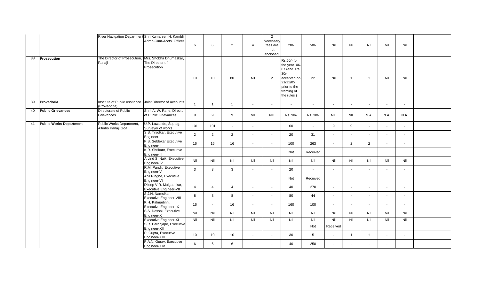|    |                                | River Navigation Department Shri Kumarsen H. Kambli | Admn-Cum-Accts. Officer                                  | 6              | 6              | 2              | 4                        | 2<br>Necessary<br>fees are<br>not<br>enclosed. | $20/-$                                                                                                                      | 58/             | Nil                      | Nil                      | Nil                      | Nil                      | Nil                      |  |
|----|--------------------------------|-----------------------------------------------------|----------------------------------------------------------|----------------|----------------|----------------|--------------------------|------------------------------------------------|-----------------------------------------------------------------------------------------------------------------------------|-----------------|--------------------------|--------------------------|--------------------------|--------------------------|--------------------------|--|
| 38 | <b>Prosecution</b>             | The Director of Prosecution.<br>Panaji              | Mrs. Shobha Dhumaskar.<br>The Director of<br>Prosecution | 10             | 10             | 80             | Nil                      | 2                                              | Rs.60/- for<br>the year 06-<br>07 (and Rs.<br>$30/-$<br>accepted on<br>21/11/05<br>prior to the<br>framing of<br>the rules) | 22              | Nil                      | $\overline{1}$           | $\overline{1}$           | Nil                      | Nil                      |  |
| 39 | Provedoria                     | Institute of Public Assitance<br>(Provedoria)       | Joint Director of Accounts                               | $\mathbf{1}$   | $\overline{1}$ | $\overline{1}$ | $\sim$                   | $\sim$                                         | $\blacksquare$                                                                                                              | $\blacksquare$  | $\overline{\phantom{a}}$ | $\sim$                   | $\overline{\phantom{a}}$ | $\overline{\phantom{a}}$ | $\overline{\phantom{a}}$ |  |
| 40 | <b>Public Grievances</b>       | Directorate of Public<br>Grievances                 | Shri. A. W. Rane, Director<br>of Public Grievances       | 9              | 9              | 9              | <b>NIL</b>               | <b>NIL</b>                                     | Rs. 90/-                                                                                                                    | Rs. 38/-        | <b>NIL</b>               | <b>NIL</b>               | N.A.                     | N.A.                     | N.A.                     |  |
| 41 | <b>Public Works Department</b> | Public Works Department,<br>Altinho Panaji Goa      | U.P. Lawande, Suptdg.<br>Surveyor of works               | 101            | 101            | $\blacksquare$ | $\overline{\phantom{a}}$ |                                                | 60                                                                                                                          | $\overline{a}$  | 9                        | 9                        | $\blacksquare$           |                          | $\blacksquare$           |  |
|    |                                |                                                     | S.S. Tirodkar, Executive<br>Engineer-I                   | 2              | $\overline{2}$ | $\overline{2}$ | $\overline{\phantom{a}}$ | $\blacksquare$                                 | 20                                                                                                                          | 31              | $\overline{\phantom{a}}$ | $\overline{\phantom{a}}$ | $\blacksquare$           | $\sim$                   | $\blacksquare$           |  |
|    |                                |                                                     | P.B. Seldekar Executive<br>Engineer-II                   | 16             | 16             | 16             | $\overline{a}$           | $\overline{\phantom{a}}$                       | 100                                                                                                                         | 263             | $\overline{\phantom{a}}$ | $\overline{2}$           | $\overline{2}$           | $\sim$                   | $\blacksquare$           |  |
|    |                                |                                                     | K.R. Shrikant, Executive<br>Engineer-III                 |                |                |                |                          |                                                | Not                                                                                                                         | Received        |                          |                          |                          |                          |                          |  |
|    |                                |                                                     | Arvind S. Naik, Executive<br>Engineer-IV                 | Nil            | Nil            | Nil            | Nil                      | Nil                                            | Nil                                                                                                                         | Nil             | Nil                      | Nil                      | Nil                      | Nil                      | Nil                      |  |
|    |                                |                                                     | R.M. Pandit, Executive<br>Engineer-V                     | $\mathbf{3}$   | 3              | $\mathbf{3}$   | $\sim$                   | $\sim$                                         | 20                                                                                                                          | $\blacksquare$  | $\overline{\phantom{a}}$ | $\sim$                   | $\overline{\phantom{a}}$ | $\sim$                   | $\sim$                   |  |
|    |                                |                                                     | Anil Ringne, Executive<br>Engineer-VI                    |                |                |                |                          |                                                | Not                                                                                                                         | Received        |                          |                          |                          |                          |                          |  |
|    |                                |                                                     | Dileep V.R. Mulgaonkar,<br>Executive Engineer-VII        | $\overline{4}$ | $\overline{4}$ | $\overline{4}$ | $\sim$                   | $\sim$                                         | 40                                                                                                                          | 270             | $\sim$                   | $\sim$                   | $\blacksquare$           | $\sim$                   | $\mathbf{r}$             |  |
|    |                                |                                                     | S.J.N. Namsikar,<br><b>Executive Engineer-VIII</b>       | 8              | 8              | 8              | $\sim$                   | $\sim$                                         | 80                                                                                                                          | 44              | $\sim$                   | $\sim$                   | $\overline{\phantom{a}}$ | $\sim$                   | $\blacksquare$           |  |
|    |                                |                                                     | K.H. Kalmadinni,<br><b>Executive Engineer-IX</b>         | 16             | $\overline{a}$ | 16             | $\overline{\phantom{a}}$ | $\overline{\phantom{a}}$                       | 160                                                                                                                         | 100             | $\overline{\phantom{a}}$ | $\sim$                   | $\overline{\phantom{a}}$ | $\overline{\phantom{a}}$ | $\blacksquare$           |  |
|    |                                |                                                     | S.S. Dessai, Executive<br>Engineer-X                     | Nil            | Nil            | Nil            | Nil                      | Nil                                            | Nil                                                                                                                         | Nil             | Nil                      | Nil                      | Nil                      | Nil                      | Nil                      |  |
|    |                                |                                                     | Executive Engineer-XI<br>S.R. Paranjape, Executive       | Nil            | Nil            | Nil            | Nil                      | Nil                                            | Nil                                                                                                                         | Nil             | Nil                      | Nil                      | Nil                      | Nil                      | Nil                      |  |
|    |                                |                                                     | Engineer-XII                                             |                |                |                |                          |                                                |                                                                                                                             | Not             | Received                 |                          |                          |                          |                          |  |
|    |                                |                                                     | P. Gupta, Executive<br>Engineer-XIII                     | 10             | 10             | 10             | $\overline{a}$           | $\overline{\phantom{a}}$                       | 30                                                                                                                          | $5\phantom{.0}$ | $\overline{\phantom{a}}$ | $\mathbf{1}$             | $\overline{1}$           | $\overline{a}$           | $\blacksquare$           |  |
|    |                                |                                                     | P.A.N. Gurav, Executive<br>Engineer-XIV                  | 6              | 6              | 6              |                          | $\sim$                                         | 40                                                                                                                          | 250             | $\overline{a}$           | $\sim$                   | $\sim$                   | $\sim$                   |                          |  |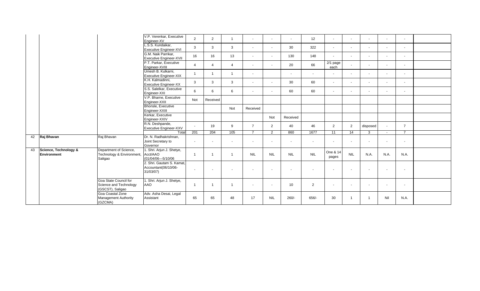|    |                                      |                                                                     | V.P. Verenkar, Executive                                       |                          |                          |                          |                          |                          |                          |                          |                               |                 |                          |                |                          |  |
|----|--------------------------------------|---------------------------------------------------------------------|----------------------------------------------------------------|--------------------------|--------------------------|--------------------------|--------------------------|--------------------------|--------------------------|--------------------------|-------------------------------|-----------------|--------------------------|----------------|--------------------------|--|
|    |                                      |                                                                     | Engineer-XV                                                    | 2                        | $\overline{2}$           | $\overline{1}$           | $\overline{a}$           | $\overline{\phantom{a}}$ | $\overline{\phantom{a}}$ | 12                       | $\sim$                        | $\sim$          | $\overline{\phantom{a}}$ | $\overline{a}$ | $\overline{\phantom{a}}$ |  |
|    |                                      |                                                                     | L.S.S. Kundaikar,<br><b>Executive Engineer-XVI</b>             | 3                        | 3                        | $\mathbf{3}$             | $\sim$                   | $\overline{\phantom{a}}$ | 30                       | 322                      | $\sim$                        | $\sim$          | $\overline{\phantom{a}}$ | $\sim$         | $\overline{\phantom{a}}$ |  |
|    |                                      |                                                                     | G.M. Naik Parrikar,<br>Executive Engineer-XVII                 | 16                       | 16                       | 13                       | $\overline{a}$           | $\overline{\phantom{a}}$ | 130                      | 148                      | $\sim$                        | $\sim$          | $\overline{\phantom{a}}$ | $\overline{a}$ | $\blacksquare$           |  |
|    |                                      |                                                                     | P.T. Parkar, Executive<br>Engineer-XVIII                       | $\overline{4}$           | $\boldsymbol{\Lambda}$   | $\overline{4}$           | $\sim$                   | $\overline{\phantom{a}}$ | 20                       | 66                       | $\overline{2/1}$ page<br>each | $\sim$          | $\overline{\phantom{a}}$ | $\sim$         | $\blacksquare$           |  |
|    |                                      |                                                                     | Umesh B. Kulkarni.<br>Executive Engineer-XIX                   | -1                       |                          | $\overline{1}$           | $\sim$                   |                          | $\sim$                   | $\overline{\phantom{a}}$ | $\overline{\phantom{a}}$      | $\sim$          | $\overline{\phantom{a}}$ | $\sim$         | $\overline{\phantom{a}}$ |  |
|    |                                      |                                                                     | K.H. Kalmadinni.<br>Executive Engineer-XX                      | 3                        | 3                        | $\mathbf{3}$             | $\sim$                   | $\overline{\phantom{a}}$ | 30                       | 60                       | $\sim$                        | $\sim$          | $\overline{\phantom{a}}$ | $\sim$         | $\overline{\phantom{a}}$ |  |
|    |                                      |                                                                     | S.S. Salelkar, Executive<br>Engineer-XXI                       | 6                        | 6                        | 6                        | $\sim$                   | $\overline{\phantom{a}}$ | 60                       | 60                       | $\sim$                        | $\sim$          | $\overline{\phantom{a}}$ | $\sim$         | $\overline{\phantom{a}}$ |  |
|    |                                      |                                                                     | V.P. Bharne, Executive<br>Engineer-XXII                        | Not                      | Received                 |                          |                          |                          |                          |                          |                               |                 |                          |                |                          |  |
|    |                                      |                                                                     | Bhonsle, Executive<br>Engineer-XXIII                           |                          |                          | Not                      | Received                 |                          |                          |                          |                               |                 |                          |                |                          |  |
|    |                                      |                                                                     | Kerkar, Executive<br>Engineer-XXIV                             |                          |                          |                          |                          | Not                      | Received                 |                          |                               |                 |                          |                |                          |  |
|    |                                      |                                                                     | R.N. Deshpande,<br>Executive Engineer-XXV                      |                          | 19                       | 9                        | $\overline{7}$           | 2                        | 40                       | 46                       | $\overline{2}$                | $\overline{2}$  | disposed                 | $\sim$         | $\overline{7}$           |  |
|    |                                      |                                                                     | Total                                                          | 201                      | 204                      | 105                      | $\overline{7}$           | $\overline{2}$           | 860                      | 1677                     | $\overline{11}$               | $\overline{14}$ | 3                        |                | $\overline{7}$           |  |
| 42 | Raj Bhavan                           | Raj Bhavan                                                          | Dr. N. Radhakrishnan,<br>Joint Secretary to<br>Governor        | $\overline{\phantom{a}}$ |                          | $\overline{\phantom{a}}$ | $\overline{\phantom{a}}$ | $\overline{\phantom{a}}$ | $\overline{\phantom{a}}$ | $\overline{\phantom{a}}$ | $\blacksquare$                | $\overline{a}$  | $\overline{\phantom{a}}$ | $\sim$         | $\blacksquare$           |  |
| 43 | Science, Technology &<br>Environment | Department of Science,<br>Technology & Environment,<br>Saligao      | 1. Shri. Arjun J. Shetye,<br>Acct/AAO<br>(01/04/06-5/10/06     | -1                       |                          | $\overline{1}$           | <b>NIL</b>               | <b>NIL</b>               | <b>NIL</b>               | <b>NIL</b>               | One & 14<br>pages             | <b>NIL</b>      | N.A.                     | N.A.           | N.A.                     |  |
|    |                                      |                                                                     | 2. Shri. Gautam S. Kamat,<br>Accountant(06/10/06-<br>31/03/07) | $\overline{a}$           | $\overline{\phantom{a}}$ | $\overline{\phantom{a}}$ | $\overline{a}$           | $\overline{\phantom{a}}$ | $\sim$                   | $\sim$                   | $\overline{\phantom{a}}$      | $\sim$          | $\overline{\phantom{a}}$ | $\sim$         | $\overline{\phantom{a}}$ |  |
|    |                                      | Goa State Council for<br>Science and Technology<br>(GSCST), Saligao | 1. Shri. Arjun J. Shetye,<br><b>AAO</b>                        | -1                       |                          | $\overline{1}$           |                          | $\overline{\phantom{a}}$ | 10                       | $\overline{2}$           | $\blacksquare$                |                 | $\overline{\phantom{a}}$ |                | $\overline{\phantom{a}}$ |  |
|    |                                      | Goa Coastal Zone<br>Management Authority<br>(GZCMA)                 | Adv. Asha Desai, Legal<br>Assistant                            | 65                       | 65                       | 48                       | 17                       | <b>NIL</b>               | $260/-$                  | 656/-                    | 30                            | -1              |                          | Nil            | N.A.                     |  |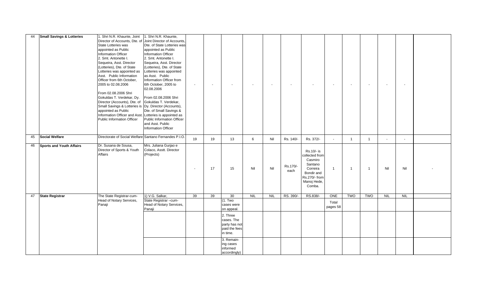| 44 | <b>Small Savings &amp; Lotteries</b> | 1. Shri N.R. Khaunte, Joint                             | 1. Shri N.R. Khaunte,                                     |                |        |               |                          |                          |           |                |                          |                          |                          |            |                          |  |
|----|--------------------------------------|---------------------------------------------------------|-----------------------------------------------------------|----------------|--------|---------------|--------------------------|--------------------------|-----------|----------------|--------------------------|--------------------------|--------------------------|------------|--------------------------|--|
|    |                                      |                                                         | Director of Accounts, Dte. of Joint Director of Accounts, |                |        |               |                          |                          |           |                |                          |                          |                          |            |                          |  |
|    |                                      | State Lotteries was                                     | Dte. of State Lotteries was                               |                |        |               |                          |                          |           |                |                          |                          |                          |            |                          |  |
|    |                                      | appointed as Public                                     | appointed as Public                                       |                |        |               |                          |                          |           |                |                          |                          |                          |            |                          |  |
|    |                                      | <b>Information Officer</b>                              | <b>Information Officer</b>                                |                |        |               |                          |                          |           |                |                          |                          |                          |            |                          |  |
|    |                                      |                                                         |                                                           |                |        |               |                          |                          |           |                |                          |                          |                          |            |                          |  |
|    |                                      | 2. Smt. Antonette I.                                    | 2. Smt. Antonette I.                                      |                |        |               |                          |                          |           |                |                          |                          |                          |            |                          |  |
|    |                                      | Sequeira, Asst. Director                                | Sequeira, Asst. Director                                  |                |        |               |                          |                          |           |                |                          |                          |                          |            |                          |  |
|    |                                      | (Lotteries), Dte. of State                              | (Lotteries), Dte. of State                                |                |        |               |                          |                          |           |                |                          |                          |                          |            |                          |  |
|    |                                      | Lotteries was appointed as                              | Lotteries was appointed                                   |                |        |               |                          |                          |           |                |                          |                          |                          |            |                          |  |
|    |                                      | Asst. Public Information                                | as Asst. Public                                           |                |        |               |                          |                          |           |                |                          |                          |                          |            |                          |  |
|    |                                      | Officer from 6th October,                               | Information Officer from                                  |                |        |               |                          |                          |           |                |                          |                          |                          |            |                          |  |
|    |                                      | 2005 to 02.08.2006                                      | 6th October, 2005 to                                      | $\blacksquare$ | $\sim$ |               | $\overline{\phantom{a}}$ | $\overline{\phantom{a}}$ | $\sim$    |                | $\overline{\phantom{a}}$ | $\overline{\phantom{a}}$ | $\overline{\phantom{a}}$ | $\sim$     | $\overline{\phantom{a}}$ |  |
|    |                                      |                                                         | 02.08.2006                                                |                |        |               |                          |                          |           |                |                          |                          |                          |            |                          |  |
|    |                                      | From 02.08.2006 Shri                                    |                                                           |                |        |               |                          |                          |           |                |                          |                          |                          |            |                          |  |
|    |                                      | Gokuldas T. Verdekar, Dy.                               | From 02.08.2006 Shri                                      |                |        |               |                          |                          |           |                |                          |                          |                          |            |                          |  |
|    |                                      | Director (Accounts), Dte. of                            | Gokuldas T. Verdekar,                                     |                |        |               |                          |                          |           |                |                          |                          |                          |            |                          |  |
|    |                                      | Small Savings & Lotteries is Dy. Director (Accounts),   |                                                           |                |        |               |                          |                          |           |                |                          |                          |                          |            |                          |  |
|    |                                      | appointed as Public                                     | Dte. of Small Savings &                                   |                |        |               |                          |                          |           |                |                          |                          |                          |            |                          |  |
|    |                                      | Information Officer and Asst. Lotteries is appointed as |                                                           |                |        |               |                          |                          |           |                |                          |                          |                          |            |                          |  |
|    |                                      | <b>Public Information Officer</b>                       | <b>Public Information Officer</b>                         |                |        |               |                          |                          |           |                |                          |                          |                          |            |                          |  |
|    |                                      |                                                         | and Asst. Public                                          |                |        |               |                          |                          |           |                |                          |                          |                          |            |                          |  |
|    |                                      |                                                         | Information Officer                                       |                |        |               |                          |                          |           |                |                          |                          |                          |            |                          |  |
|    |                                      |                                                         |                                                           |                |        |               |                          |                          |           |                |                          |                          |                          |            |                          |  |
| 45 | Social Welfare                       |                                                         | Directorate of Social Welfare Santano Fernandes P.I.O.    | 19             | 19     | 13            | 6                        | Nil                      | Rs. 140/- | Rs. 372/-      | $\sim$                   | $\mathbf{1}$             | $\overline{1}$           | $\sim$     | $\mathbf{r}$             |  |
| 46 |                                      | Dr. Susana de Sousa,                                    | Mrs. Juliana Gurjao e                                     |                |        |               |                          |                          |           |                |                          |                          |                          |            |                          |  |
|    | <b>Sports and Youth Affairs</b>      | Director of Sports & Youth                              | Colaco, Asstt. Director                                   |                |        |               |                          |                          |           |                |                          |                          |                          |            |                          |  |
|    |                                      | Affairs                                                 | (Projects)                                                |                |        |               |                          |                          |           | Rs.10/- is     |                          |                          |                          |            |                          |  |
|    |                                      |                                                         |                                                           |                |        |               |                          |                          |           | collected from |                          |                          |                          |            |                          |  |
|    |                                      |                                                         |                                                           |                |        |               |                          |                          |           | Casmiro        |                          |                          |                          |            |                          |  |
|    |                                      |                                                         |                                                           |                |        |               |                          |                          | Rs.170/-  | Santano        |                          |                          |                          |            |                          |  |
|    |                                      |                                                         |                                                           | $\blacksquare$ | 17     | 15            | Nil                      | Nil                      | each      | Correira       | $\overline{1}$           | $\overline{1}$           | $\overline{1}$           | Nil        | Nil                      |  |
|    |                                      |                                                         |                                                           |                |        |               |                          |                          |           | Bondir and     |                          |                          |                          |            |                          |  |
|    |                                      |                                                         |                                                           |                |        |               |                          |                          |           | Rs.270/- from  |                          |                          |                          |            |                          |  |
|    |                                      |                                                         |                                                           |                |        |               |                          |                          |           | Manoj Hede,    |                          |                          |                          |            |                          |  |
|    |                                      |                                                         |                                                           |                |        |               |                          |                          |           | Comba.         |                          |                          |                          |            |                          |  |
|    |                                      |                                                         |                                                           |                |        |               |                          |                          |           |                |                          |                          |                          |            |                          |  |
| 47 | <b>State Registrar</b>               | The State Registrar-cum-                                | 1) V.G. Salkar,                                           | 39             | 39     | 30            | <b>NIL</b>               | <b>NIL</b>               | RS. 390/- | RS.838/-       | ONE                      | <b>TWO</b>               | <b>TWO</b>               | <b>NIL</b> | <b>NIL</b>               |  |
|    |                                      | Head of Notary Services,                                | State Registrar-cum-                                      |                |        | (1. Two       |                          |                          |           |                | Total                    |                          |                          |            |                          |  |
|    |                                      | Panaji                                                  | Head of Notary Services,                                  |                |        | cases were    |                          |                          |           |                | pages 58                 |                          |                          |            |                          |  |
|    |                                      |                                                         | Panaji                                                    |                |        | on appeal.    |                          |                          |           |                |                          |                          |                          |            |                          |  |
|    |                                      |                                                         |                                                           |                |        | 2. Three      |                          |                          |           |                |                          |                          |                          |            |                          |  |
|    |                                      |                                                         |                                                           |                |        | cases. The    |                          |                          |           |                |                          |                          |                          |            |                          |  |
|    |                                      |                                                         |                                                           |                |        | party has not |                          |                          |           |                |                          |                          |                          |            |                          |  |
|    |                                      |                                                         |                                                           |                |        | paid the fees |                          |                          |           |                |                          |                          |                          |            |                          |  |
|    |                                      |                                                         |                                                           |                |        | in time.      |                          |                          |           |                |                          |                          |                          |            |                          |  |
|    |                                      |                                                         |                                                           |                |        | 3. Remain-    |                          |                          |           |                |                          |                          |                          |            |                          |  |
|    |                                      |                                                         |                                                           |                |        | ing cases     |                          |                          |           |                |                          |                          |                          |            |                          |  |
|    |                                      |                                                         |                                                           |                |        | informed      |                          |                          |           |                |                          |                          |                          |            |                          |  |
|    |                                      |                                                         |                                                           |                |        |               |                          |                          |           |                |                          |                          |                          |            |                          |  |
|    |                                      |                                                         |                                                           |                |        | accordingly)  |                          |                          |           |                |                          |                          |                          |            |                          |  |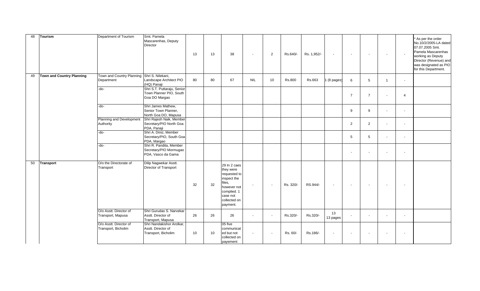| 48 | <b>Tourism</b>            | Department of Tourism                                     | Smt. Pamela<br>Mascarenhas, Deputy<br><b>Director</b>                   | 13 | 13 | 38                                                                                                                                      |            | $\overline{2}$           | Rs.640/-  | Rs. 1,952/- | $\blacksquare$ | $\sim$                   | $\overline{\phantom{a}}$ | $\sim$                   | $\sim$                   | * As per the order<br>No.10/2/2005-LA dated<br>07.07.2005 Smt.<br>Pamela Mascarenhas<br>working as Deputy<br>Director (Revenue) and<br>was designated as PIO<br>for this Department. |
|----|---------------------------|-----------------------------------------------------------|-------------------------------------------------------------------------|----|----|-----------------------------------------------------------------------------------------------------------------------------------------|------------|--------------------------|-----------|-------------|----------------|--------------------------|--------------------------|--------------------------|--------------------------|--------------------------------------------------------------------------------------------------------------------------------------------------------------------------------------|
| 49 | Town and Country Planning | Town and Country Planning Shri S. Nilekani,<br>Department | Landscape Architect PIO<br>(HQ) Panaji                                  | 80 | 80 | 67                                                                                                                                      | <b>NIL</b> | 10 <sup>°</sup>          | Rs.800    | Rs.663      | 1 (8 pages)    | 6                        | 5                        | $\mathbf 1$              | $\overline{\phantom{a}}$ |                                                                                                                                                                                      |
|    |                           | $-do-$                                                    | Shri S.T. Puttaraju, Senior<br>Town Planner PIO, South<br>Goa DO Margao |    |    |                                                                                                                                         |            |                          |           |             |                | $\overline{7}$           | $\overline{7}$           | $\overline{\phantom{a}}$ | $\overline{4}$           |                                                                                                                                                                                      |
|    |                           | -do-                                                      | Shri James Mathew,<br>Senior Town Planner,<br>North Goa DO, Mapusa      |    |    |                                                                                                                                         |            |                          |           |             |                | 9                        | 9                        | $\blacksquare$           | $\overline{\phantom{a}}$ |                                                                                                                                                                                      |
|    |                           | <b>Planning and Development</b><br>Authority              | Shri Rajesh Naik, Member<br>Secretary/PIO North Goa<br>PDA, Panaji      |    |    |                                                                                                                                         |            |                          |           |             |                | $\overline{2}$           | $\overline{2}$           | $\blacksquare$           | $\overline{\phantom{a}}$ |                                                                                                                                                                                      |
|    |                           | $-do-$                                                    | Shri A. Diniz, Member<br>Secretary/PIO, South Goa<br>PDA, Margao        |    |    |                                                                                                                                         |            |                          |           |             |                | 5                        | 5                        | $\overline{\phantom{a}}$ | $\overline{\phantom{a}}$ |                                                                                                                                                                                      |
|    |                           | -do-                                                      | Shri R. Pandita, Member<br>Secretary/PIO Mormugao<br>PDA, Vasco da Gama |    |    |                                                                                                                                         |            |                          |           |             |                | $\overline{\phantom{a}}$ | $\blacksquare$           | $\blacksquare$           | $\overline{\phantom{a}}$ |                                                                                                                                                                                      |
| 50 | <b>Transport</b>          | O/o the Directorate of<br>Transport                       | Dilip Nagwekar Asstt.<br>Director of Transport                          | 32 | 32 | 29 In 2 caes<br>they were<br>requested to<br>inspect the<br>iles,<br>however not<br>complied. 1<br>case not<br>collected on<br>payment. | $\sim$     | $\overline{\phantom{a}}$ | Rs. 320/- | RS.944/-    | $\blacksquare$ | $\sim$                   | $\overline{\phantom{a}}$ | $\overline{\phantom{a}}$ | $\overline{\phantom{a}}$ |                                                                                                                                                                                      |
|    |                           | O/o Asstt. Director of<br>Transport, Mapusa               | Shri Gurudas S. Narvekar<br>Asstt. Director of<br>Transport, Mapusa     | 26 | 26 | 26                                                                                                                                      | $\sim$     | $\overline{\phantom{a}}$ | Rs.320/-  | Rs.320/-    | 13<br>13 pages |                          | $\overline{\phantom{a}}$ | $\overline{\phantom{a}}$ | $\overline{\phantom{a}}$ |                                                                                                                                                                                      |
|    |                           | O/o Asstt. Director of<br>Transport, Bicholim             | Shri Nandakishor Arolkar,<br>Asstt. Director of<br>Transport, Bicholim  | 10 | 10 | 05 five<br>communicat<br>ed but not<br>collected on<br>payement                                                                         |            | $\overline{\phantom{a}}$ | Rs. 60/-  | Rs.186/-    | $\blacksquare$ | $\overline{\phantom{a}}$ | $\overline{\phantom{a}}$ | $\overline{\phantom{a}}$ | $\overline{\phantom{a}}$ |                                                                                                                                                                                      |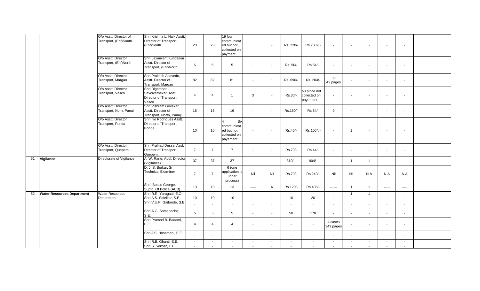|    |                                   | O/o Asstt. Director of<br>Transport, (Enf)South | Shri Krishna L. Naik Asstt.<br>Director of Transport,<br>(Enf)South      | 23                       | 23                       | 19 four<br>communicat<br>ed but not<br>collected on<br>payment |                          | $\overline{\phantom{a}}$ | Rs. 220/-                | Rs.7302/-                                 | $\overline{\phantom{a}}$ | $\overline{a}$           | $\overline{\phantom{a}}$ |                          | $\overline{\phantom{a}}$ |  |
|----|-----------------------------------|-------------------------------------------------|--------------------------------------------------------------------------|--------------------------|--------------------------|----------------------------------------------------------------|--------------------------|--------------------------|--------------------------|-------------------------------------------|--------------------------|--------------------------|--------------------------|--------------------------|--------------------------|--|
|    |                                   | O/o Asstt. Director<br>Transport, (Enf)North    | Shri Laxmikant Kundaikar<br>Asstt. Director of<br>Transport, (Enf)North  | 6                        | 6                        | 5                                                              | $\overline{1}$           | $\overline{\phantom{a}}$ | Rs. 50/-                 | Rs.54/-                                   | $\overline{\phantom{a}}$ |                          | $\overline{\phantom{a}}$ |                          | $\overline{\phantom{a}}$ |  |
|    |                                   | O/o Asstt. Director<br>Transport, Margao        | Shri Prakash Azavedo,<br>Asstt. Director of<br>Transport, Margao         | 82                       | 82                       | 81                                                             | $\overline{\phantom{a}}$ | $\overline{1}$           | Rs. 690/-                | Rs. 284/-                                 | 38<br>42 pages           |                          | $\blacksquare$           | $\blacksquare$           | $\overline{\phantom{a}}$ |  |
|    |                                   | O/o Asstt. Director<br>Transport, Vasco         | Shri Digambar<br>Savoivernekar, Asst.<br>Director of Transport,<br>Vasco | $\overline{4}$           | $\overline{4}$           | $\overline{1}$                                                 | 3                        | $\sim$                   | Rs.30/-                  | Nil since not<br>collected on<br>payement | $\overline{\phantom{a}}$ | $\overline{\phantom{a}}$ | $\blacksquare$           | $\overline{\phantom{a}}$ | $\overline{\phantom{a}}$ |  |
|    |                                   | O/o Asstt. Director<br>Transport, Norh, Panai   | Shri Vishram Govekar,<br>Asstt. Director of<br>Transport, North, Panaji  | 16                       | 16                       | 16                                                             | $\blacksquare$           | $\sim$                   | Rs.160/-                 | Rs.54/-                                   | 9                        | $\overline{\phantom{a}}$ | $\overline{\phantom{a}}$ | $\overline{\phantom{a}}$ | $\overline{\phantom{a}}$ |  |
|    |                                   | O/o Asstt. Director<br>Transport, Ponda         | Shri Ivo Rodrigues Asstt.<br>Director of Transport,<br>Ponda             | 10                       | 10                       | Six<br>communicat<br>ed but not<br>collected on<br>payement    | $\blacksquare$           | $\sim$                   | Rs.40/-                  | Rs.1064/-                                 | $\blacksquare$           | $\mathbf{1}$             | $\overline{\phantom{a}}$ | $\overline{\phantom{a}}$ | $\overline{\phantom{a}}$ |  |
|    |                                   | O/o Asstt. Director<br>Transport, Quepem        | Shri Pralhad Dessai Asst.<br>Director of Transport,<br>Quepem.           | $\overline{7}$           | $\overline{7}$           | $\overline{7}$                                                 | $\blacksquare$           | $\overline{\phantom{a}}$ | Rs.70/-                  | Rs.44/-                                   | $\overline{\phantom{a}}$ | $\overline{\phantom{a}}$ | $\blacksquare$           |                          | $\overline{\phantom{a}}$ |  |
| 51 | Vigilance                         | Directorate of Vigilance                        | A. W. Rane, Addl. Director<br>(Vigilance)                                | 37                       | 37                       | 37                                                             | ----                     | $\hspace{0.05cm} \ldots$ | $310/-$                  | $904/-$                                   | ----                     | $\mathbf{1}$             | $\overline{1}$           | -----                    | ------                   |  |
|    |                                   |                                                 | D. J. S. Borkar, Sr.<br><b>Technical Examiner</b>                        | $\overline{7}$           | $\overline{7}$           | 6 (one<br>application is<br>under<br>process)                  | Nil                      | Nil                      | Rs.70/-                  | Rs.240/-                                  | Nil                      | Nil                      | N.A                      | N.A                      | N.A                      |  |
|    |                                   |                                                 | Shri Bosco George,<br>Suptd. Of Police (ACB)                             | 13                       | 13                       | 13                                                             | ------                   | 6                        | Rs.120/-                 | Rs.408/-                                  | ------                   | $\mathbf{1}$             | $\overline{\mathbf{1}}$  | -----                    | -----                    |  |
| 52 | <b>Water Resources Department</b> | <b>Water Resources</b>                          | Shri R.R. Yaragatti, E.O                                                 | $\sim$                   | $\sim$                   | $\sim$                                                         | $\sim$                   | $\sim$                   | $\sim$                   | $\sim$                                    | $\sim$                   | $\mathbf{1}$             | $\overline{1}$           | $\sim$                   | $\sim$                   |  |
|    |                                   | Department                                      | Shri A.S. Salelkar, S.E.                                                 | 10                       | 10                       | 10                                                             | $\sim$                   | $\sim$                   | 10                       | 20                                        | $\sim$                   | $\sim$                   | $\sim$                   | $\sim$                   | $\sim$                   |  |
|    |                                   |                                                 | Shri V.U.P. Gaitonde, S.E.                                               |                          | $\overline{\phantom{a}}$ | $\blacksquare$                                                 | $\blacksquare$           | $\overline{\phantom{a}}$ | $\blacksquare$           | $\overline{\phantom{a}}$                  | $\blacksquare$           | $\overline{\phantom{a}}$ | $\blacksquare$           | $\blacksquare$           | $\overline{\phantom{a}}$ |  |
|    |                                   |                                                 | Shri A.G. Somanache,<br>S.E.                                             | 5                        | 5                        | 5                                                              | $\blacksquare$           | $\overline{\phantom{a}}$ | 50                       | 170                                       | $\overline{\phantom{a}}$ |                          | $\blacksquare$           |                          | $\overline{\phantom{a}}$ |  |
|    |                                   |                                                 | Shri Pramod B. Badami,<br>E.E.                                           | $\overline{4}$           | $\overline{4}$           | $\overline{4}$                                                 | $\blacksquare$           | $\overline{\phantom{a}}$ | $\overline{\phantom{a}}$ | $\overline{\phantom{a}}$                  | 4 cases<br>343 pages     | $\sim$                   | $\blacksquare$           | $\overline{\phantom{0}}$ | $\overline{\phantom{a}}$ |  |
|    |                                   |                                                 | Shri J.S. Hosamani, E.E.                                                 |                          |                          | ٠                                                              | $\overline{\phantom{a}}$ | $\overline{\phantom{a}}$ | $\overline{\phantom{a}}$ |                                           | $\overline{a}$           |                          | $\blacksquare$           |                          | $\overline{\phantom{a}}$ |  |
|    |                                   |                                                 | Shri R.B. Ghanti, E.E.                                                   | $\overline{\phantom{a}}$ | $\overline{\phantom{a}}$ | $\overline{\phantom{a}}$                                       | $\blacksquare$           | $\overline{\phantom{a}}$ | $\overline{\phantom{a}}$ | $\overline{\phantom{a}}$                  | $\blacksquare$           |                          | $\overline{\phantom{a}}$ | $\overline{\phantom{a}}$ | $\overline{\phantom{a}}$ |  |
|    |                                   |                                                 | Shri S. Sekhar, E.E.                                                     | $\overline{\phantom{a}}$ |                          |                                                                |                          |                          |                          |                                           |                          |                          | $\blacksquare$           |                          | $\blacksquare$           |  |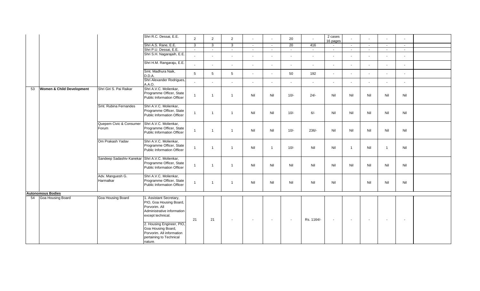|    |                           |                                  | Shri R.C. Dessai, E.E.                                                                                                                                                                                                                       | 2                       | $\overline{2}$           | 2                        | $\sim$ | $\overline{a}$ | 20                       | $\sim$                   | 2 cases<br>16 pages      |                | $\overline{a}$           | $\sim$                   | $\blacksquare$           |  |
|----|---------------------------|----------------------------------|----------------------------------------------------------------------------------------------------------------------------------------------------------------------------------------------------------------------------------------------|-------------------------|--------------------------|--------------------------|--------|----------------|--------------------------|--------------------------|--------------------------|----------------|--------------------------|--------------------------|--------------------------|--|
|    |                           |                                  | Shri A.S. Rane, E.E.                                                                                                                                                                                                                         | $\mathbf{3}$            | $\mathbf{3}$             | $\mathbf{3}$             | $\sim$ | $\sim$         | 20                       | 416                      | $\sim$                   | $\sim$         | $\sim$                   | $\sim$                   | $\sim$                   |  |
|    |                           |                                  | Shri P.U. Dessai, E.E.                                                                                                                                                                                                                       | $\sim$                  | $\sim$                   | $\sim$                   | $\sim$ | $\sim$         | $\sim$                   | $\sim$                   | $\sim$                   | $\sim$         | $\sim$                   | $\sim$                   | $\sim$                   |  |
|    |                           |                                  | Shri S.H. Nagarajaih, E.E.                                                                                                                                                                                                                   |                         | $\overline{a}$           | $\blacksquare$           |        | $\overline{a}$ | $\overline{\phantom{a}}$ | $\overline{a}$           | $\overline{a}$           |                | $\overline{a}$           | $\sim$                   | $\blacksquare$           |  |
|    |                           |                                  | Shri H.M. Rangaraju, E.E.                                                                                                                                                                                                                    |                         |                          | $\blacksquare$           |        | $\blacksquare$ | $\overline{\phantom{a}}$ | $\blacksquare$           | $\blacksquare$           |                | $\blacksquare$           | $\overline{\phantom{a}}$ | $\blacksquare$           |  |
|    |                           |                                  | Smt. Madhura Naik,<br>D.D.A.                                                                                                                                                                                                                 | 5                       | 5                        | $5\overline{)}$          | $\sim$ | $\overline{a}$ | 50                       | 192                      | $\overline{\phantom{a}}$ | $\overline{a}$ | $\overline{a}$           | $\sim$                   | $\blacksquare$           |  |
|    |                           |                                  | Shri Alexander Rodrigues,<br>A.A.O.                                                                                                                                                                                                          |                         | $\overline{\phantom{a}}$ | $\blacksquare$           | $\sim$ | $\blacksquare$ | $\overline{\phantom{a}}$ | $\overline{\phantom{a}}$ | $\overline{\phantom{a}}$ | $\sim$         | $\overline{\phantom{a}}$ | $\sim$                   | $\overline{\phantom{a}}$ |  |
| 53 | Women & Child Development | Shri Giri S. Pai Raikar          | Shri A.V.C. Molienkar,<br>Programme Officer, State<br>Public Information Officer                                                                                                                                                             | $\overline{1}$          | $\overline{1}$           | $\overline{1}$           | Nil    | Nil            | $10/-$                   | $24/-$                   | Nil                      | Nil            | Nil                      | Nil                      | Nil                      |  |
|    |                           | Smt. Rubina Fernandes            | Shri A.V.C. Molienkar,<br>Programme Officer, State<br>Public Information Officer                                                                                                                                                             | $\overline{1}$          | $\overline{1}$           | $\overline{1}$           | Nil    | Nil            | $10/-$                   | $6/-$                    | Nil                      | Nil            | Nil                      | Nil                      | Nil                      |  |
|    |                           | Quepem Civic & Consumer<br>Forum | Shri A.V.C. Molienkar,<br>Programme Officer, State<br>Public Information Officer                                                                                                                                                             | $\overline{1}$          | -1                       | $\overline{1}$           | Nil    | Nil            | $10/-$                   | $236/-$                  | Nil                      | Nil            | Nil                      | Nil                      | Nil                      |  |
|    |                           | Om Prakash Yadav                 | Shri A.V.C. Molienkar,<br>Programme Officer, State<br>Public Information Officer                                                                                                                                                             | $\overline{\mathbf{1}}$ | -1                       | $\overline{1}$           | Nil    | $\overline{1}$ | $10/-$                   | Nil                      | Nil                      | $\overline{1}$ | Nil                      | $\overline{1}$           | Nil                      |  |
|    |                           | Sandeep Sadashiv Kanekar         | Shri A.V.C. Molienkar,<br>Programme Officer, State<br>Public Information Officer                                                                                                                                                             | $\overline{1}$          | $\overline{1}$           | $\overline{1}$           | Nil    | Nil            | Nil                      | Nil                      | Nil                      | Nil            | Nil                      | Nil                      | Nil                      |  |
|    |                           | Adv. Manguesh G.<br>Harmalkar    | Shri A.V.C. Molienkar,<br>Programme Officer, State<br><b>Public Information Officer</b>                                                                                                                                                      | $\overline{1}$          | $\overline{1}$           | $\overline{1}$           | Nil    | Nil            | Nil                      | Nil                      | Nil                      |                | Nil                      | Nil                      | Nil                      |  |
|    | <b>Autonomous Bodies</b>  |                                  |                                                                                                                                                                                                                                              |                         |                          |                          |        |                |                          |                          |                          |                |                          |                          |                          |  |
| 54 | Goa Housing Board         | Goa Housing Board                | 1. Assistant Secretary,<br>PIO, Goa Housing Board,<br>Porvorim. All<br>Administrative information<br>except technical.<br>2. Housing Engineer, PIO,<br>Goa Housing Board,<br>Porvorim. All information<br>pertaining to Technical<br>nature. | 21                      | 21                       | $\overline{\phantom{a}}$ | $\sim$ | $\sim$         | $\sim$                   | Rs. 1164/-               | $\overline{\phantom{a}}$ | $\sim$         | $\sim$                   | $\sim$                   | $\overline{\phantom{a}}$ |  |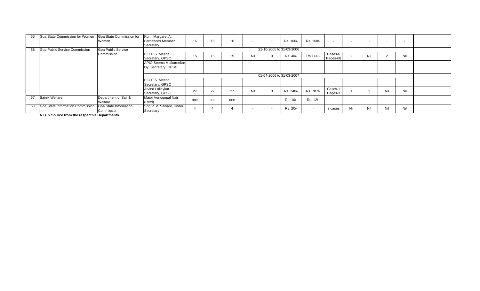| 55 | Goa State Commission for Women Goa State Commission for | Women                               | Kum. Margaret A.<br>Fernandes Member<br>Secretary | 16  | 16  | 16  |     | $\overline{\phantom{a}}$ | Rs. 160/-                | Rs. 160/-                | $\sim$              | - - | $\overline{\phantom{a}}$ | $\overline{\phantom{a}}$ | $\overline{\phantom{a}}$ |  |
|----|---------------------------------------------------------|-------------------------------------|---------------------------------------------------|-----|-----|-----|-----|--------------------------|--------------------------|--------------------------|---------------------|-----|--------------------------|--------------------------|--------------------------|--|
| 56 | Goa Public Service Commission                           | Goa Public Service                  |                                                   |     |     |     |     |                          | 21-10-2005 to 31-03-2006 |                          |                     |     |                          |                          |                          |  |
|    |                                                         | Commission                          | <b>PIO P.S. Meena</b><br>Secretary, GPSC          | 15  | 15  | 15  | Nil | - 3                      | Rs. 40/-                 | Rs.114/-                 | Cases-6<br>Pages-68 |     | Nil                      |                          | Nil                      |  |
|    |                                                         |                                     | APIO Seema Malkarnekar<br>Dy. Secretary, GPSC     |     |     |     |     |                          |                          |                          |                     |     |                          |                          |                          |  |
|    |                                                         |                                     |                                                   |     |     |     |     |                          | 01-04-2006 to 31-03-2007 |                          |                     |     |                          |                          |                          |  |
|    |                                                         |                                     | PIO P.S. Meena<br>Secretary, GPSC                 |     |     |     |     |                          |                          |                          |                     |     |                          |                          |                          |  |
|    |                                                         |                                     | Arvind Lolieykar<br>Secretary, GPSC               | 27  | 27  | 27  | Nil | 3                        | Rs. 240/-                | Rs. 787/-                | Cases-1<br>Pages-3  |     |                          | Nil                      | Nil                      |  |
| 57 | Sainik Welfare                                          | Department of Sainik<br>Welfare     | Major Venugopal Nair<br>(Retd)                    | one | one | one |     | $\overline{\phantom{a}}$ | Rs. 10/-                 | Rs. 12/-                 | $\sim$              | . . | $\overline{\phantom{a}}$ |                          | $\overline{\phantom{a}}$ |  |
| 58 | Goa State Information Commission                        | Goa State Information<br>Commission | Shri V. V. Sawant, Under<br>Secretary             |     |     | 4   |     |                          | Rs. 20/-                 | $\overline{\phantom{a}}$ | 3 cases             | Nil | Nil                      | Nil                      | Nil                      |  |

**N.B. :- Source from the respective Departments.**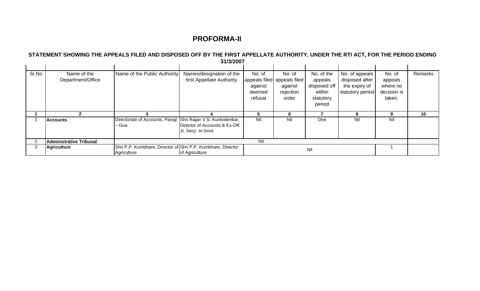# **PROFORMA-II**

# **STATEMENT SHOWING THE APPEALS FILED AND DISPOSED OFF BY THE FIRST APPELLATE AUTHORITY, UNDER THE RTI ACT, FOR THE PERIOD ENDING 31/3/2007**

| Sr.No | Name of the                    | Name of the Public Authority                                           | Names/designation of the       | No. of  | No. of                      | No. of the   | No. of appeals   | No. of      | Remarks |
|-------|--------------------------------|------------------------------------------------------------------------|--------------------------------|---------|-----------------------------|--------------|------------------|-------------|---------|
|       | Department/Office              |                                                                        | first Appellate Authority      |         | appeals filed appeals filed | appeals      | disposed after   | appeals     |         |
|       |                                |                                                                        |                                | against | against                     | disposed off | the expiry of    | where no    |         |
|       |                                |                                                                        |                                | deemed  | rejection                   | within       | statutory period | decision is |         |
|       |                                |                                                                        |                                | refusal | order                       | statutory    |                  | taken.      |         |
|       |                                |                                                                        |                                |         |                             | period       |                  |             |         |
|       |                                |                                                                        |                                |         |                             |              |                  |             |         |
|       |                                |                                                                        |                                |         | 6                           |              |                  | 9           |         |
|       | <b>Accounts</b>                |                                                                        |                                | Nil     | Nil                         | One          | Nil              | Nil         | 10      |
|       |                                | Directorate of Accounts, Panaji Shri Rajan V.S. Kunkolienkar,<br>– Goa | Director of Accounts & Ex-Off. |         |                             |              |                  |             |         |
|       |                                |                                                                        | Jt. Secy. to Govt.             |         |                             |              |                  |             |         |
|       |                                |                                                                        |                                |         |                             |              |                  |             |         |
|       | <b>Administrative Tribunal</b> |                                                                        |                                | Nil     |                             |              |                  |             |         |
|       | <b>Agriculture</b>             | Shri P.P. Kumbhare, Director of Shri P.P. Kumbhare, Director           | of Agriculture                 |         |                             | Nil          |                  |             |         |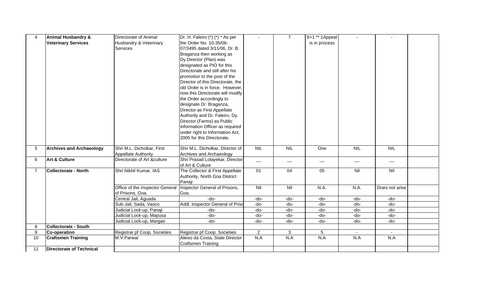|                | <b>Animal Husbandry &amp;</b>   | Directorate of Animal           | Dr. H. Faleiro (*) (*) * As per   |                | $\overline{7}$  | 6+1 <sup>**</sup> 1Appeal         |                               |                   |  |
|----------------|---------------------------------|---------------------------------|-----------------------------------|----------------|-----------------|-----------------------------------|-------------------------------|-------------------|--|
|                | <b>Veterinary Services</b>      | Husbandry & Veterinary          | the Order No. 10-35/06-           |                |                 | is in process                     |                               |                   |  |
|                |                                 | Services                        | 07/3495 dated 3/11/06, Dr. B.     |                |                 |                                   |                               |                   |  |
|                |                                 |                                 | Braganza then working as          |                |                 |                                   |                               |                   |  |
|                |                                 |                                 | Dy.Director (Plan) was            |                |                 |                                   |                               |                   |  |
|                |                                 |                                 | designated as PIO for this        |                |                 |                                   |                               |                   |  |
|                |                                 |                                 | Directorate and still after his   |                |                 |                                   |                               |                   |  |
|                |                                 |                                 | promotion to the post of the      |                |                 |                                   |                               |                   |  |
|                |                                 |                                 | Director of this Directorate, the |                |                 |                                   |                               |                   |  |
|                |                                 |                                 | old Order is in force. However,   |                |                 |                                   |                               |                   |  |
|                |                                 |                                 | now this Directorate will modify  |                |                 |                                   |                               |                   |  |
|                |                                 |                                 | the Order accordingly to          |                |                 |                                   |                               |                   |  |
|                |                                 |                                 | designate Dr. Braganza,           |                |                 |                                   |                               |                   |  |
|                |                                 |                                 | Director as First Appellate       |                |                 |                                   |                               |                   |  |
|                |                                 |                                 | Authority and Dr. Faleiro, Dy.    |                |                 |                                   |                               |                   |  |
|                |                                 |                                 | Director (Farms) as Public        |                |                 |                                   |                               |                   |  |
|                |                                 |                                 | Information Officer as required   |                |                 |                                   |                               |                   |  |
|                |                                 |                                 | under right to Information Act,   |                |                 |                                   |                               |                   |  |
|                |                                 |                                 | 2005 for this Directorate.        |                |                 |                                   |                               |                   |  |
|                |                                 |                                 |                                   |                |                 |                                   |                               |                   |  |
| 5              | <b>Archives and Archaeology</b> | Shri M.L. Dicholkar, First      | Shri M.L. Dicholkar, Director of  | <b>NIL</b>     | <b>NIL</b>      | One                               | <b>NIL</b>                    | <b>NIL</b>        |  |
|                |                                 | Appellate Authority             | Archives and Archaeology          |                |                 |                                   |                               |                   |  |
| 6              | Art & Culture                   | Directorate of Art &culture     | Shri Prasad Lolayekar, Director   | $\frac{1}{1}$  | $\qquad \qquad$ | $\overbrace{\phantom{aaaaa}}^{x}$ | $\overbrace{\phantom{aaaaa}}$ | $\hspace{0.05cm}$ |  |
|                |                                 |                                 | of Art & Culture                  |                |                 |                                   |                               |                   |  |
| $\overline{7}$ | <b>Collectorate - North</b>     | Shri Nikhil Kumar, IAS          | The Collector & First Appellate   | 01             | 04              | 05                                | Nil                           | Nil               |  |
|                |                                 |                                 | Authority, North Goa District     |                |                 |                                   |                               |                   |  |
|                |                                 |                                 | Panaji                            |                |                 |                                   |                               |                   |  |
|                |                                 | Office of the Inspector General | Inspector General of Prisons,     | Nil            | Nil             | N.A.                              | N.A.                          | Does not arise    |  |
|                |                                 | of Prisons, Goa.                | Goa.                              |                |                 |                                   |                               |                   |  |
|                |                                 | Central Jail, Aguada            | $-do-$                            | $-do-$         | $-do-$          | $-do-$                            | -do-                          | -do-              |  |
|                |                                 | Sub-Jail, Sada, Vasco           | Addl. Inspector General of Priso  | $-do-$         | $-do-$          | $-do-$                            | $-do-$                        | $-do-$            |  |
|                |                                 | Judicial Lock-up, Panaji        | -do-                              | -do-           | $-do-$          | $-do-$                            | -do-                          | -do-              |  |
|                |                                 | Judicial Lock-up, Mapusa        | -do-                              | -do-           | $-do-$          | -do-                              | -do-                          | -do-              |  |
|                |                                 | Judicial Lock-up, Margao        | $-do-$                            | $-do-$         | $-do-$          | $-do-$                            | -do-                          | -do-              |  |
| 8              | <b>Collectorate - South</b>     |                                 |                                   |                |                 |                                   |                               |                   |  |
| 9              | Co-operation                    | Registrar pf Coop. Societies    | Registrar pf Coop. Societies      | $\overline{2}$ | 3               | 5                                 |                               | $\sim$            |  |
| 10             | <b>Craftsmen Training</b>       | M.V.Parwar                      | Aleixo da Costa, State Director   | N.A            | N.A             | N.A                               | N.A                           | N.A               |  |
|                |                                 |                                 | <b>Craftsmen Training</b>         |                |                 |                                   |                               |                   |  |
| 11             | Directorate of Technical        |                                 |                                   |                |                 |                                   |                               |                   |  |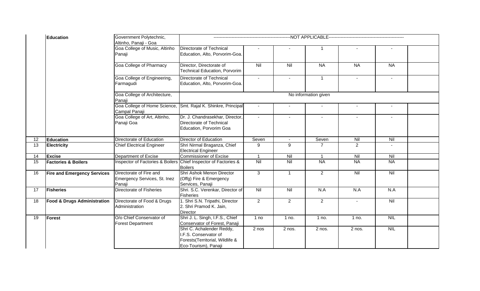|    | Education                              | Government Polytechnic,<br>Altinho, Panaji - Goa                  |                                                                                                                |                    |                |                |                |            |  |
|----|----------------------------------------|-------------------------------------------------------------------|----------------------------------------------------------------------------------------------------------------|--------------------|----------------|----------------|----------------|------------|--|
|    |                                        | Goa College of Music, Altinho<br>Panaji                           | Directorate of Technical<br>Education, Alto, Porvorim-Goa.                                                     |                    |                | -1             |                |            |  |
|    |                                        | Goa College of Pharmacy                                           | Director, Directorate of<br><b>Technical Education, Porvorim</b>                                               | Nil                | Nil            | <b>NA</b>      | <b>NA</b>      | <b>NA</b>  |  |
|    |                                        | Goa College of Engineering,<br>Farmagudi                          | Directorate of Technical<br>Education, Alto, Porvorim-Goa.                                                     | $\mathbf{r}$       | $\sim$         | $\mathbf{1}$   | $\blacksquare$ | $\sim$     |  |
|    |                                        | Goa College of Architecture,<br>Panaji                            | No information given                                                                                           |                    |                |                |                |            |  |
|    |                                        | Campal Panaji                                                     | Goa College of Home Science, Smt. Rajal K. Shinkre, Principal                                                  | $\blacksquare$     |                |                |                |            |  |
|    |                                        | Goa College of Art, Altinho,<br>Panaji Goa                        | Dr. J. Chandrasekhar, Director,<br>Directorate of Technical<br>Education, Porvorim Goa                         | $\sim$             |                |                |                |            |  |
| 12 | Education                              | Directorate of Education                                          | Director of Education                                                                                          | Seven              | $\sim$         | Seven          | Nil            | Nil        |  |
| 13 | <b>Electricity</b>                     | <b>Chief Electrical Engineer</b>                                  | Shri Nirmal Braganza, Chief<br><b>Electrical Engineer</b>                                                      | 9                  | 9              | $\overline{7}$ | $\overline{2}$ |            |  |
| 14 | <b>Excise</b>                          | Department of Excise                                              | <b>Commissioner of Excise</b>                                                                                  | $\overline{1}$     | Nil            | $\overline{1}$ | Nil            | Nil        |  |
| 15 | <b>Factories &amp; Boilers</b>         | Inspector of Factories & Boilers Chief Inspector of Factories &   | <b>Boilers</b>                                                                                                 | $\overline{N}$     | Nil            | <b>NA</b>      | <b>NA</b>      | <b>NA</b>  |  |
| 16 | <b>Fire and Emergency Services</b>     | Directorate of Fire and<br>Emergency Services, St. Inez<br>Panaji | Shri Ashok Menon Director<br>(Offg) Fire & Emergency<br>Services, Panaji                                       | 3                  | $\mathbf{1}$   | $\overline{2}$ | Nil            | Nil        |  |
| 17 | <b>Fisheries</b>                       | Directorate of Fisheries                                          | Shri. S.C. Verenkar, Director of<br>Fisheries                                                                  | Nil                | Nil            | N.A            | N.A            | N.A        |  |
| 18 | <b>Food &amp; Drugs Administration</b> | Directorate of Food & Drugs<br>Administration                     | 1. Shri S.N. Tripathi, Director<br>2. Shri Pramod K. Jain,<br><b>Director</b>                                  | $\overline{a}$     | $\overline{2}$ | $\overline{2}$ |                | Nil        |  |
| 19 | Forest                                 | O/o Chief Conservator of<br><b>Forest Department</b>              | Shri J. L. Singh, I.F.S., Chief<br>Conservator of Forest, Panaji                                               | 1 no               | 1 no.          | 1 no.          | 1 no.          | <b>NIL</b> |  |
|    |                                        |                                                                   | Shri C. Achalender Reddy,<br>I.F.S. Conservator of<br>Forests (Territorial, Wildlife &<br>Eco-Tourism), Panaji | $\overline{2}$ nos | 2 nos.         | 2 nos.         | 2 nos.         | NIL        |  |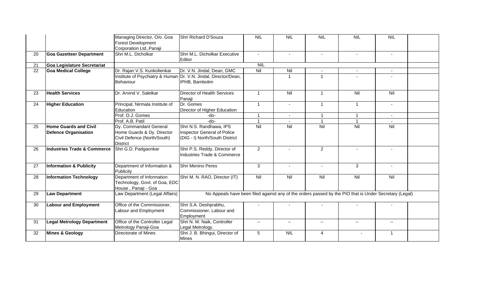|                 |                                                             | Managing Director, O/o. Goa<br><b>Forest Development</b><br>Corporation Ltd., Panaji                   | Shri Richard D'Souza                                                                                   | <b>NIL</b>               | <b>NIL</b>               | <b>NIL</b>               | <b>NIL</b>               | <b>NIL</b>               |  |
|-----------------|-------------------------------------------------------------|--------------------------------------------------------------------------------------------------------|--------------------------------------------------------------------------------------------------------|--------------------------|--------------------------|--------------------------|--------------------------|--------------------------|--|
| 20              | <b>Goa Gazetteer Department</b>                             | Shri M.L. Dicholkar                                                                                    | Shri M.L. Dicholkar Executive<br>Editor                                                                | $\blacksquare$           | $\blacksquare$           | $\sim$                   | $\blacksquare$           | $\blacksquare$           |  |
| 21              | <b>Goa Legislature Secretariat</b>                          |                                                                                                        |                                                                                                        | NIL                      |                          |                          |                          |                          |  |
| $\overline{22}$ | <b>Goa Medical College</b>                                  | Dr. Rajan V.S. Kunkolienkar                                                                            | Dr. V.N. Jindal, Dean, GMC                                                                             | Nil                      | Nil                      |                          |                          | $\blacksquare$           |  |
|                 |                                                             | Institute of Psychiatry & Human Dr. V.N. Jindal, Director/Dean,<br>Behaviour                           | IPHB, Bambolim                                                                                         |                          |                          | $\overline{1}$           |                          |                          |  |
| 23              | <b>Health Services</b>                                      | Dr. Arvind V. Salelkar                                                                                 | Director of Health Services<br>Panaji                                                                  | $\mathbf{1}$             | Nil                      | $\overline{1}$           | Nil                      | Nil                      |  |
| 24              | <b>Higher Education</b>                                     | Principal, Nirmala Institute of<br>Education                                                           | Dr. Gomes<br>Director of Higher Education                                                              | $\mathbf{1}$             |                          | $\overline{1}$           | $\overline{1}$           | $\blacksquare$           |  |
|                 |                                                             | Prof. O.J. Gomes                                                                                       | -do-                                                                                                   | $\overline{1}$           |                          | $\overline{1}$           | $\overline{A}$           |                          |  |
|                 |                                                             | Prof. A.B. Patil                                                                                       | $-do-$                                                                                                 | $\overline{1}$           |                          | $\overline{1}$           | $\overline{ }$           |                          |  |
| 25              | <b>Home Guards and Civil</b><br><b>Defence Organisation</b> | Dy. Commandant General<br>Home Guards & Dy. Director<br>Civil Defence (North/South)<br><b>District</b> | Shri N.S. Randhawa, IPS<br><b>Inspector General of Police</b><br>(DIG - I) North/South District        | Nil                      | Nil                      | Nil                      | Nil                      | Nil                      |  |
| 26              | Industries Trade & Commerce                                 | Shri G.D. Padgaonkar                                                                                   | Shri P.S. Reddy, Director of<br><b>Industries Trade &amp; Commerce</b>                                 | $\overline{2}$           |                          | $\overline{2}$           |                          |                          |  |
| 27              | Information & Publicity                                     | Department of Information &<br>Publicity                                                               | Shri Menino Peres                                                                                      | 3                        |                          |                          | 3                        |                          |  |
| 28              | <b>Information Technology</b>                               | Department of Information<br>Technology, Govt. of Goa, EDC<br>House, Panaji - Goa                      | Shri M. N. RAO, Director (IT)                                                                          | Nil                      | Nil                      | Nil                      | Nil                      | Nil                      |  |
| 29              | <b>Law Department</b>                                       | Law Department (Legal Affairs)                                                                         | No Appeals have been filed against any of the orders passed by the PIO that is Under Secretary (Legal) |                          |                          |                          |                          |                          |  |
| 30              | <b>Labour and Employment</b>                                | Office of the Commissioner,<br>Labour and Employment                                                   | Shri S.A. Deshprabhu,<br>Commissioner, Labour and<br>Employment                                        |                          |                          |                          |                          |                          |  |
| 31              | <b>Legal Metrology Department</b>                           | Office of the Controller Legal<br>Metrology Panaji-Goa                                                 | Shri N. M. Naik, Controller<br>Legal Metrology.                                                        | $\overline{\phantom{a}}$ | $\overline{\phantom{a}}$ | $\overline{\phantom{a}}$ | $\overline{\phantom{a}}$ | $\overline{\phantom{a}}$ |  |
| 32              | Mines & Geology                                             | Directorate of Mines                                                                                   | Shri J. B. Bhingui, Director of<br><b>Mines</b>                                                        | 5                        | <b>NIL</b>               | 4                        |                          | -1                       |  |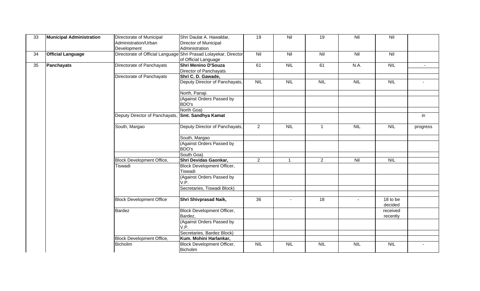| 33 | <b>Municipal Administration</b> | Directorate of Municipal                          | Shri Daulat A. Hawaldar,                                         | 19             | Nil            | $\overline{19}$          | $\overline{N}$ | Nil        |          |
|----|---------------------------------|---------------------------------------------------|------------------------------------------------------------------|----------------|----------------|--------------------------|----------------|------------|----------|
|    |                                 | Administration/Urban                              | Director of Municipal                                            |                |                |                          |                |            |          |
|    |                                 | Development                                       | Administration                                                   |                |                |                          |                |            |          |
| 34 | <b>Official Language</b>        |                                                   | Directorate of Official Language Shri Prasad Lolayekar, Director | Nil            | $\overline{N}$ | $\overline{N}$           | Nil            | Nil        |          |
|    |                                 |                                                   | of Official Language                                             |                |                |                          |                |            |          |
| 35 | Panchayats                      | Directorate of Panchayats                         | Shri Menino D'Souza                                              | 61             | NIL            | 61                       | N.A.           | <b>NIL</b> | $\sim$   |
|    |                                 |                                                   | Director of Panchayats                                           |                |                |                          |                |            |          |
|    |                                 | Directorate of Panchayats                         | Shri C. D. Gawade,                                               |                |                |                          |                |            |          |
|    |                                 |                                                   | Deputy Director of Panchayats,                                   | NIL            | <b>NIL</b>     | NIL                      | <b>NIL</b>     | <b>NIL</b> |          |
|    |                                 |                                                   | North, Panaji.                                                   |                |                |                          |                |            |          |
|    |                                 |                                                   | (Against Orders Passed by                                        |                |                |                          |                |            |          |
|    |                                 |                                                   | <b>BDO's</b>                                                     |                |                |                          |                |            |          |
|    |                                 |                                                   | North Goa)                                                       |                |                |                          |                |            |          |
|    |                                 | Deputy Director of Panchayats, Smt. Sandhya Kamat |                                                                  |                |                |                          |                |            | in       |
|    |                                 | South, Margao                                     | Deputy Director of Panchayats,                                   | $2^{\circ}$    | <b>NIL</b>     | $\mathbf{1}$             | <b>NIL</b>     | <b>NIL</b> | progress |
|    |                                 |                                                   | South, Margao                                                    |                |                |                          |                |            |          |
|    |                                 |                                                   | (Against Orders Passed by<br><b>BDO's</b>                        |                |                |                          |                |            |          |
|    |                                 |                                                   | South Goa)                                                       |                |                |                          |                |            |          |
|    |                                 | <b>Block Development Office,</b>                  | Shri Devidas Gaonkar,                                            | $\overline{2}$ | $\mathbf{1}$   | $\overline{2}$           | Nil            | <b>NIL</b> |          |
|    |                                 | Tiswadi                                           | <b>Block Development Officer,</b>                                |                |                |                          |                |            |          |
|    |                                 |                                                   | Tiswadi                                                          |                |                |                          |                |            |          |
|    |                                 |                                                   | (Against Orders Passed by                                        |                |                |                          |                |            |          |
|    |                                 |                                                   | V.P.                                                             |                |                |                          |                |            |          |
|    |                                 |                                                   | Secretaries, Tiswadi Block)                                      |                |                |                          |                |            |          |
|    |                                 |                                                   |                                                                  |                |                |                          |                |            |          |
|    |                                 | <b>Block Development Office</b>                   | Shri Shivprasad Naik,                                            | 36             | $\blacksquare$ | $\overline{18}$          | $\blacksquare$ | 18 to be   |          |
|    |                                 |                                                   |                                                                  |                |                |                          |                | decided    |          |
|    |                                 | <b>Bardez</b>                                     | <b>Block Development Officer,</b>                                |                |                |                          |                | received   |          |
|    |                                 |                                                   | Bardez,                                                          |                |                |                          |                | recently   |          |
|    |                                 |                                                   | (Against Orders Passed by<br>V.P.                                |                |                |                          |                |            |          |
|    |                                 |                                                   | Secretaries, Bardez Block)                                       |                |                |                          |                |            |          |
|    |                                 | <b>Block Development Office,</b>                  | Kum. Mohini Harlankar,                                           |                |                |                          |                |            |          |
|    |                                 | Bicholim                                          | <b>Block Development Officer,</b><br><b>Bicholim</b>             | NIL            | <b>NIL</b>     | $\overline{\text{N}}$ IL | <b>NIL</b>     | <b>NIL</b> |          |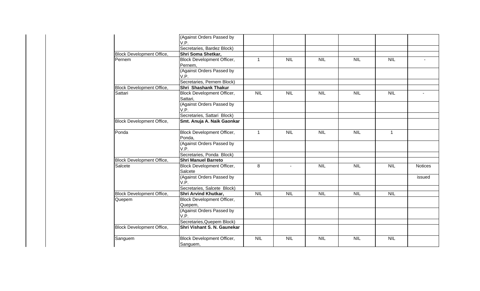|                                  | (Against Orders Passed by<br>V.P. |              |                |            |            |              |                |
|----------------------------------|-----------------------------------|--------------|----------------|------------|------------|--------------|----------------|
|                                  | Secretaries, Bardez Block)        |              |                |            |            |              |                |
| <b>Block Development Office,</b> | Shri Soma Shetkar,                |              |                |            |            |              |                |
| Pernem                           | <b>Block Development Officer,</b> | $\mathbf{1}$ | <b>NIL</b>     | <b>NIL</b> | <b>NIL</b> | <b>NIL</b>   | $\sim$         |
|                                  | Pernem,                           |              |                |            |            |              |                |
|                                  | (Against Orders Passed by<br>V.P. |              |                |            |            |              |                |
|                                  | Secretaries, Pernem Block)        |              |                |            |            |              |                |
| <b>Block Development Office,</b> | Shri Shashank Thakur              |              |                |            |            |              |                |
| Sattari                          | Block Development Officer,        | <b>NIL</b>   | <b>NIL</b>     | <b>NIL</b> | <b>NIL</b> | <b>NIL</b>   |                |
|                                  | Sattari,                          |              |                |            |            |              |                |
|                                  | (Against Orders Passed by         |              |                |            |            |              |                |
|                                  | V.P.                              |              |                |            |            |              |                |
|                                  | Secretaries, Sattari Block)       |              |                |            |            |              |                |
| <b>Block Development Office,</b> | Smt. Anuja A. Naik Gaonkar        |              |                |            |            |              |                |
| Ponda                            | <b>Block Development Officer,</b> | $\mathbf{1}$ | <b>NIL</b>     | <b>NIL</b> | <b>NIL</b> | $\mathbf{1}$ |                |
|                                  | Ponda,                            |              |                |            |            |              |                |
|                                  | (Against Orders Passed by<br>V.P. |              |                |            |            |              |                |
|                                  | Secretaries, Ponda Block)         |              |                |            |            |              |                |
| <b>Block Development Office,</b> | <b>Shri Manuel Barreto</b>        |              |                |            |            |              |                |
| Salcete                          | <b>Block Development Officer,</b> | 8            | $\blacksquare$ | <b>NIL</b> | NIL        | <b>NIL</b>   | <b>Notices</b> |
|                                  | Salcete                           |              |                |            |            |              |                |
|                                  | (Against Orders Passed by<br>V.P. |              |                |            |            |              | issued         |
|                                  | Secretaries, Salcete Block)       |              |                |            |            |              |                |
| <b>Block Development Office,</b> | Shri Arvind Khutkar,              | NIL          | <b>NIL</b>     | <b>NIL</b> | <b>NIL</b> | <b>NIL</b>   |                |
| Quepem                           | <b>Block Development Officer,</b> |              |                |            |            |              |                |
|                                  | Quepem,                           |              |                |            |            |              |                |
|                                  | (Against Orders Passed by         |              |                |            |            |              |                |
|                                  | V.P.                              |              |                |            |            |              |                |
|                                  | Secretaries, Quepem Block)        |              |                |            |            |              |                |
| Block Development Office,        | Shri Vishant S. N. Gaunekar       |              |                |            |            |              |                |
| Sanguem                          | Block Development Officer,        | <b>NIL</b>   | <b>NIL</b>     | <b>NIL</b> | <b>NIL</b> | <b>NIL</b>   |                |
|                                  | Sanguem,                          |              |                |            |            |              |                |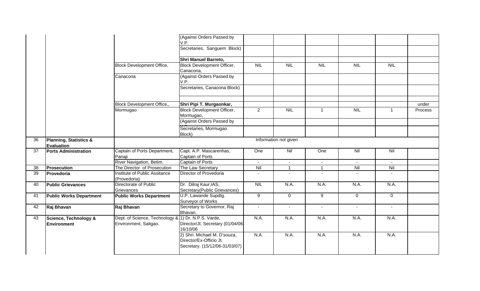|    |                                                        |                                                     | (Against Orders Passed by<br>V.P.                                                         |                |                       |                          |             |                |         |
|----|--------------------------------------------------------|-----------------------------------------------------|-------------------------------------------------------------------------------------------|----------------|-----------------------|--------------------------|-------------|----------------|---------|
|    |                                                        |                                                     | Secretaries, Sanguem Block)                                                               |                |                       |                          |             |                |         |
|    |                                                        |                                                     | Shri Manuel Barreto,                                                                      |                |                       |                          |             |                |         |
|    |                                                        | <b>Block Development Office,</b>                    | <b>Block Development Officer,</b><br>Canacona,                                            | <b>NIL</b>     | <b>NIL</b>            | $\overline{\text{N}}$ IL | <b>NIL</b>  | <b>NIL</b>     |         |
|    |                                                        | Canacona                                            | (Against Orders Passed by<br>V.P.                                                         |                |                       |                          |             |                |         |
|    |                                                        |                                                     | Secretaries, Canacona Block)                                                              |                |                       |                          |             |                |         |
|    |                                                        |                                                     |                                                                                           |                |                       |                          |             |                |         |
|    |                                                        | <b>Block Development Office,,</b>                   | Shri Pipi T. Murgaonkar,                                                                  |                |                       |                          |             |                | under   |
|    |                                                        | Mormugao                                            | <b>Block Development Officer,</b><br>Mormugao,                                            | $\overline{2}$ | <b>NIL</b>            | $\overline{1}$           | <b>NIL</b>  | $\overline{1}$ | Process |
|    |                                                        |                                                     | (Against Orders Passed by                                                                 |                |                       |                          |             |                |         |
|    |                                                        |                                                     | Secretaries, Mormugao<br>Block)                                                           |                |                       |                          |             |                |         |
| 36 | <b>Planning, Statistics &amp;</b><br><b>Evaluation</b> |                                                     |                                                                                           |                | Information not given |                          |             |                |         |
| 37 | <b>Ports Administration</b>                            | Captain of Ports Department,                        | Capt. A.P. Mascarenhas,                                                                   | One            | Nil                   | One                      | Nil         | Nil            |         |
|    |                                                        | Panaji                                              | Captain of Ports                                                                          |                |                       |                          |             |                |         |
|    |                                                        | River Navigation, Betim.                            | Captain of Ports                                                                          | $\sim$         |                       | $\overline{\phantom{a}}$ |             |                |         |
| 38 | Prosecution                                            | The Director of Prosecution                         | The Law Secretary                                                                         | Nil            | $\mathbf{1}$          | $\overline{1}$           | Nil         | Nil            |         |
| 39 | Provedoria                                             | Institute of Public Assitance<br>(Provedoria)       | Director of Provedoria                                                                    | $\sim$         | $\blacksquare$        | $\blacksquare$           | $\sim$      | $\overline{a}$ |         |
| 40 | <b>Public Grievances</b>                               | Directorate of Public                               | Dr. Dilraj Kaur, IAS,                                                                     | NIL            | N.A.                  | N.A.                     | N.A.        | <b>N.A.</b>    |         |
|    |                                                        | Grievances                                          | Secretary(Public Grievances)                                                              |                |                       |                          |             |                |         |
| 41 | <b>Public Works Department</b>                         | <b>Public Works Department</b>                      | U.P. Lawande Supdtg.<br>Surveyor of Works                                                 | $\overline{9}$ | $\mathbf 0$           | 9                        | $\mathbf 0$ | $\mathbf 0$    |         |
| 42 | Raj Bhavan                                             | Raj Bhavan                                          | Secretary to Governor, Raj<br>Bhavan.                                                     | $\overline{a}$ | $\sim$                | $\overline{a}$           | $\sim$      | $\sim$         |         |
| 43 | Science, Technology &                                  | Dept. of Science, Technology & 1) Dr. N.P.S. Varde, |                                                                                           | N.A.           | N.A.                  | N.A.                     | <b>N.A.</b> | <b>N.A.</b>    |         |
|    | Environment                                            | Environment, Saligao.                               | Director/Jt. Secretary (01/04/06<br>16/10/06                                              |                |                       |                          |             |                |         |
|    |                                                        |                                                     | 2) Shri. Michael M. D'souza,<br>Director/Ex-Officio Jt.<br>Secretary. (15/12/06-31/03/07) | N.A.           | N.A.                  | N.A.                     | N.A.        | N.A.           |         |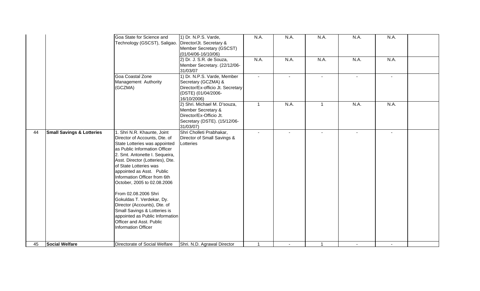|    |                                      | Goa State for Science and<br>Technology (GSCST), Saligao.                                                                                                                                                                                                                                                                                                                                                                                                                                                                                    | 1) Dr. N.P.S. Varde,<br>Director/Jt. Secretary &<br>Member Secretary (GSCST)<br>$(01/04/06-16/10/06)$                         | N.A.                 | N.A.   | N.A.           | N.A.                     | N.A.                     |  |
|----|--------------------------------------|----------------------------------------------------------------------------------------------------------------------------------------------------------------------------------------------------------------------------------------------------------------------------------------------------------------------------------------------------------------------------------------------------------------------------------------------------------------------------------------------------------------------------------------------|-------------------------------------------------------------------------------------------------------------------------------|----------------------|--------|----------------|--------------------------|--------------------------|--|
|    |                                      |                                                                                                                                                                                                                                                                                                                                                                                                                                                                                                                                              | 2) Dr. J. S.R. de Souza,<br>Member Secretary. (22/12/06-<br>31/03/07                                                          | N.A.                 | N.A.   | N.A.           | <b>N.A.</b>              | <b>N.A.</b>              |  |
|    |                                      | Goa Coastal Zone<br>Management Authority<br>(GCZMA)                                                                                                                                                                                                                                                                                                                                                                                                                                                                                          | 1) Dr. N.P.S. Varde, Member<br>Secretary (GCZMA) &<br>Director/Ex-officio Jt. Secretary<br>(DSTE) (01/04/2006-<br>16/10/2006) | $\blacksquare$       | $\sim$ |                | $\blacksquare$           | $\blacksquare$           |  |
|    |                                      |                                                                                                                                                                                                                                                                                                                                                                                                                                                                                                                                              | 2) Shri. Michael M. D'souza,<br>Member Secretary &<br>Director/Ex-Officio Jt.<br>Secretary (DSTE). (15/12/06-<br>31/03/07)    | $\mathbf{1}$         | N.A.   | $\overline{1}$ | <b>N.A.</b>              | N.A.                     |  |
| 44 | <b>Small Savings &amp; Lotteries</b> | 1. Shri N.R. Khaunte, Joint<br>Director of Accounts, Dte. of<br>State Lotteries was appointed<br>as Public Information Officer<br>2. Smt. Antonette I. Sequeira,<br>Asst. Director (Lotteries), Dte.<br>of State Lotteries was<br>appointed as Asst. Public<br>Information Officer from 6th<br>October, 2005 to 02.08.2006<br>From 02.08.2006 Shri<br>Gokuldas T. Verdekar, Dy.<br>Director (Accounts), Dte. of<br>Small Savings & Lotteries is<br>appointed as Public Information<br>Officer and Asst. Public<br><b>Information Officer</b> | Shri Cholleti Prabhakar,<br>Director of Small Savings &<br>Lotteries                                                          |                      |        |                |                          | $\overline{\phantom{0}}$ |  |
| 45 | <b>Social Welfare</b>                | Directorate of Social Welfare                                                                                                                                                                                                                                                                                                                                                                                                                                                                                                                | Shri. N.D. Agrawal Director                                                                                                   | $\blacktriangleleft$ |        | -1             | $\overline{\phantom{a}}$ |                          |  |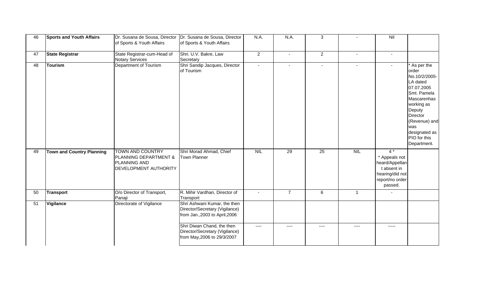| 46 | <b>Sports and Youth Affairs</b>  | Dr. Susana de Sousa, Director<br>of Sports & Youth Affairs                                       | Dr. Susana de Sousa, Director<br>of Sports & Youth Affairs                                       | N.A.           | N.A.            | 3               | $\sim$         | Nil                                                                                                      |                                                                                                                                                                                                          |
|----|----------------------------------|--------------------------------------------------------------------------------------------------|--------------------------------------------------------------------------------------------------|----------------|-----------------|-----------------|----------------|----------------------------------------------------------------------------------------------------------|----------------------------------------------------------------------------------------------------------------------------------------------------------------------------------------------------------|
| 47 | <b>State Registrar</b>           | State Registrar-cum-Head of<br><b>Notary Services</b>                                            | Shri. U.V. Bakre, Law<br>Secretary                                                               | $\overline{2}$ | $\blacksquare$  | $\overline{2}$  | $\blacksquare$ | $\blacksquare$                                                                                           |                                                                                                                                                                                                          |
| 48 | <b>Tourism</b>                   | Department of Tourism                                                                            | Shri Sandip Jacques, Director<br>of Tourism                                                      | $\blacksquare$ |                 |                 | $\blacksquare$ | $\overline{a}$                                                                                           | As per the<br>order<br>No.10/2/2005-<br>LA dated<br>07.07.2005<br>Smt. Pamela<br>Mascarenhas<br>working as<br>Deputy<br>Director<br>(Revenue) and<br>was<br>designated as<br>PIO for this<br>Department. |
| 49 | <b>Town and Country Planning</b> | <b>TOWN AND COUNTRY</b><br>PLANNING DEPARTMENT &<br><b>PLANNING AND</b><br>DEVELOPMENT AUTHORITY | Shri Morad Ahmad, Chief<br><b>Town Planner</b>                                                   | NIL            | $\overline{29}$ | $\overline{25}$ | NIL            | $4 *$<br>* Appeals not<br>heard/Appellan<br>t absent in<br>hearing/did not<br>report/no order<br>passed. |                                                                                                                                                                                                          |
| 50 | <b>Transport</b>                 | O/o Director of Transport,<br>Panaji                                                             | R. Mihir Vardhan, Director of<br>Transport                                                       | $\blacksquare$ | $\overline{7}$  | $\,6\,$         | $\mathbf{1}$   | $\blacksquare$                                                                                           |                                                                                                                                                                                                          |
| 51 | Vigilance                        | Directorate of Vigilance                                                                         | Shri Ashwani Kumar, the then<br>Director/Secretary (Vigilance)<br>from Jan., 2003 to April, 2006 |                |                 |                 |                |                                                                                                          |                                                                                                                                                                                                          |
|    |                                  |                                                                                                  | Shri Diwan Chand, the then<br>Director/Secretary (Vigilance)<br>from May, 2006 to 29/3/2007      | $---$          | ----            | $---$           | $---$          | -----                                                                                                    |                                                                                                                                                                                                          |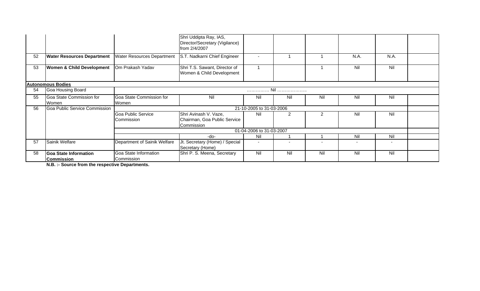|    |                                                   |                                     | Shri Uddipta Ray, IAS,<br>Director/Secretary (Vigilance)<br>from 2/4/2007 |                          |     |                |      |      |  |
|----|---------------------------------------------------|-------------------------------------|---------------------------------------------------------------------------|--------------------------|-----|----------------|------|------|--|
| 52 | <b>Water Resources Department</b>                 | <b>Water Resources Department</b>   | S.T. Nadkarni Chief Engineer                                              | $\overline{\phantom{a}}$ |     |                | N.A. | N.A. |  |
| 53 | <b>Women &amp; Child Development</b>              | Om Prakash Yadav                    | Shri T.S. Sawant, Director of<br>Women & Child Development                |                          |     |                | Nil  | Nil  |  |
|    | <b>Autonomous Bodies</b>                          |                                     |                                                                           |                          |     |                |      |      |  |
| 54 | Goa Housing Board                                 |                                     |                                                                           | .                        | Nil |                |      |      |  |
| 55 | Goa State Commission for<br>Women                 | Goa State Commission for<br>Women   | Nil                                                                       | Nil                      | Nil | Nil            | Nil  | Nil  |  |
| 56 | Goa Public Service Commission                     |                                     |                                                                           | 21-10-2005 to 31-03-2006 |     |                |      |      |  |
|    |                                                   | Goa Public Service<br>Commission    | Shri Avinash V. Vaze,<br>Chairman, Goa Public Service<br>Commission       | Nil                      | 2   | $\overline{2}$ | Nil  | Nil  |  |
|    |                                                   |                                     |                                                                           | 01-04-2006 to 31-03-2007 |     |                |      |      |  |
|    |                                                   |                                     | -do-                                                                      | Nil                      |     |                | Nil  | Nil  |  |
| 57 | Sainik Welfare                                    | Department of Sainik Welfare        | Jt. Secretary (Home) / Special<br>Secretary (Home)                        |                          |     |                |      |      |  |
| 58 | <b>Goa State Information</b><br><b>Commission</b> | Goa State Information<br>Commission | Shri P. S. Meena, Secretary                                               | Nil                      | Nil | Nil            | Nil  | Nil  |  |

**N.B. :- Source from the respective Departments.**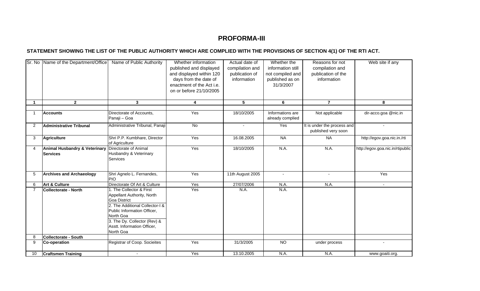## **PROFORMA-III**

## **STATEMENT SHOWING THE LIST OF THE PUBLIC AUTHORITY WHICH ARE COMPLIED WITH THE PROVISIONS OF SECTION 4(1) OF THE RTI ACT.**

|                 | Sr. No Name of the Department/Office                                   | Name of Public Authority                                                                                                                                                                                                                 | Whether information<br>published and displayed<br>and displayed within 120<br>days from the date of<br>enactment of the Act i.e.<br>on or before 21/10/2005 | Actual date of<br>compilation and<br>publication of<br>information | Whether the<br>information still<br>not compiled and<br>published as on<br>31/3/2007 | Reasons for not<br>compilation and<br>publication of the<br>information | Web site if any                  |
|-----------------|------------------------------------------------------------------------|------------------------------------------------------------------------------------------------------------------------------------------------------------------------------------------------------------------------------------------|-------------------------------------------------------------------------------------------------------------------------------------------------------------|--------------------------------------------------------------------|--------------------------------------------------------------------------------------|-------------------------------------------------------------------------|----------------------------------|
| $\mathbf 1$     | $\overline{2}$                                                         | 3                                                                                                                                                                                                                                        | 4                                                                                                                                                           | $\overline{\mathbf{5}}$                                            | 6                                                                                    | $\overline{7}$                                                          | 8                                |
|                 | <b>Accounts</b>                                                        | Directorate of Accounts,<br>Panaji - Goa                                                                                                                                                                                                 | Yes                                                                                                                                                         | 18/10/2005                                                         | Informations are<br>already complied                                                 | Not applicable                                                          | dir-acco.goa @nic.in             |
| 2               | <b>Administrative Tribunal</b>                                         | Administrative Tribunal, Panaji                                                                                                                                                                                                          | No                                                                                                                                                          | $\blacksquare$                                                     | Yes                                                                                  | It is under the process and<br>published very soon                      | $\blacksquare$                   |
| 3               | <b>Agriculture</b>                                                     | Shri P.P. Kumbhare, Director<br>of Agriculture                                                                                                                                                                                           | Yes                                                                                                                                                         | 16.08.2005                                                         | <b>NA</b>                                                                            | <b>NA</b>                                                               | http://egov.goa.nic.in./rti      |
| 4               | Animal Husbandry & Veterinary Directorate of Animal<br><b>Services</b> | Husbandry & Veterinary<br><b>Services</b>                                                                                                                                                                                                | Yes                                                                                                                                                         | 18/10/2005                                                         | N.A.                                                                                 | N.A.                                                                    | http://egov.goa.nic.in/rtipublic |
| 5               | <b>Archives and Archaeology</b>                                        | Shri Agnelo L. Fernandes,<br><b>PIO</b>                                                                                                                                                                                                  | Yes                                                                                                                                                         | 11th August 2005                                                   | $\overline{\phantom{0}}$                                                             | $\overline{a}$                                                          | Yes                              |
| 6               | <b>Art &amp; Culture</b>                                               | Directorate Of Art & Culture                                                                                                                                                                                                             | Yes                                                                                                                                                         | 27/07/2006                                                         | N.A.                                                                                 | N.A.                                                                    | $\sim$                           |
|                 | <b>Collectorate - North</b>                                            | 1. The Collector & First<br>Appellant Authority, North<br><b>Goa District</b><br>2. The Additional Collector-I &<br>Public Information Officer,<br>North Goa<br>3. The Dy. Collector (Rev) &<br>Asstt. Information Officer,<br>North Goa | Yes                                                                                                                                                         | N.A.                                                               | N.A.                                                                                 |                                                                         |                                  |
|                 | Collectorate - South                                                   |                                                                                                                                                                                                                                          |                                                                                                                                                             |                                                                    |                                                                                      |                                                                         |                                  |
| 9               | Co-operation                                                           | Registrar of Coop. Socieites                                                                                                                                                                                                             | Yes                                                                                                                                                         | 31/3/2005                                                          | <b>NO</b>                                                                            | under process                                                           |                                  |
| 10 <sup>°</sup> | <b>Craftsmen Training</b>                                              |                                                                                                                                                                                                                                          | Yes                                                                                                                                                         | 13.10.2005                                                         | N.A.                                                                                 | N.A.                                                                    | www.goaiti.org.                  |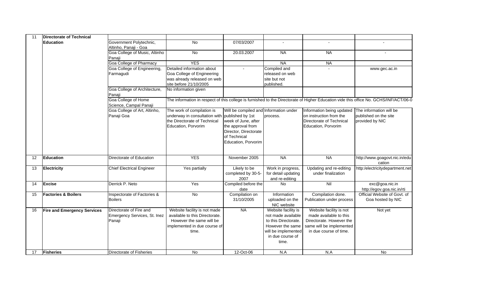| 11 | <b>Directorate of Technical</b>    |                                  |                                                |                                        |                                    |                           |                                                                                                                                       |
|----|------------------------------------|----------------------------------|------------------------------------------------|----------------------------------------|------------------------------------|---------------------------|---------------------------------------------------------------------------------------------------------------------------------------|
|    | <b>Education</b>                   | Government Polytechnic,          | No                                             | 07/03/2007                             |                                    |                           |                                                                                                                                       |
|    |                                    | Altinho, Panaji - Goa            |                                                |                                        |                                    |                           |                                                                                                                                       |
|    |                                    | Goa College of Music, Altinho    | <b>No</b>                                      | 20.03.2007                             | <b>NA</b>                          | <b>NA</b>                 |                                                                                                                                       |
|    |                                    | Panaji                           |                                                |                                        |                                    |                           |                                                                                                                                       |
|    |                                    | Goa College of Pharmacy          | <b>YES</b>                                     |                                        | <b>NA</b>                          | <b>NA</b>                 |                                                                                                                                       |
|    |                                    | Goa College of Engineering,      | Detailed information about                     |                                        | Compiled and                       |                           | www.gec.ac.in                                                                                                                         |
|    |                                    | Farmagudi                        | Goa College of Engineering                     |                                        | released on web                    |                           |                                                                                                                                       |
|    |                                    |                                  | was already released on web                    |                                        | site but not                       |                           |                                                                                                                                       |
|    |                                    |                                  | site before 21/10/2005                         |                                        | published.                         |                           |                                                                                                                                       |
|    |                                    | Goa College of Architecture,     | No information given                           |                                        |                                    |                           |                                                                                                                                       |
|    |                                    | Panaji                           |                                                |                                        |                                    |                           |                                                                                                                                       |
|    |                                    | Goa College of Home              |                                                |                                        |                                    |                           | The information in respect of this college is furnished to the Directorate of Higher Education vide this office No. GCHS/INF/ACT/06-0 |
|    |                                    | Science, Campal Panaji           |                                                |                                        |                                    |                           |                                                                                                                                       |
|    |                                    | Goa College of Art, Altinho,     | The work of compilation is                     | Will be compiled and Information under |                                    | Information being updated | The information will be                                                                                                               |
|    |                                    | Panaji Goa                       | underway in consultation with published by 1st |                                        | process.                           | on instruction from the   | published on the site                                                                                                                 |
|    |                                    |                                  | the Directorate of Technical                   | week of June, after                    |                                    | Directorate of Technical  | provided by NIC                                                                                                                       |
|    |                                    |                                  | Education, Porvorim                            | the approval from                      |                                    | Education, Porvorim       |                                                                                                                                       |
|    |                                    |                                  |                                                | Director, Directorate                  |                                    |                           |                                                                                                                                       |
|    |                                    |                                  |                                                | of Technical                           |                                    |                           |                                                                                                                                       |
|    |                                    |                                  |                                                | Education, Porvorim                    |                                    |                           |                                                                                                                                       |
|    |                                    |                                  |                                                |                                        |                                    |                           |                                                                                                                                       |
|    |                                    |                                  |                                                |                                        |                                    |                           |                                                                                                                                       |
| 12 | <b>Education</b>                   | Directorate of Education         | <b>YES</b>                                     | November 2005                          | <b>NA</b>                          | <b>NA</b>                 | http://www.goagovt.nic.in/edu                                                                                                         |
|    |                                    |                                  |                                                |                                        |                                    |                           | cation                                                                                                                                |
| 13 | <b>Electricity</b>                 | <b>Chief Electrical Engineer</b> | Yes partially                                  | Likely to be                           | Work in progress,                  | Updating and re-editing   | http:/electricitydepartment.net                                                                                                       |
|    |                                    |                                  |                                                | completed by 30-5-                     | for detail updating                | under finalization        |                                                                                                                                       |
|    |                                    |                                  |                                                | 2007                                   | and re-editing                     |                           |                                                                                                                                       |
| 14 | <b>Excise</b>                      | Derrick P. Neto                  | Yes                                            | Compiled before the                    | No                                 | Nil                       | exc@goa.nic.in                                                                                                                        |
|    |                                    |                                  |                                                | date                                   |                                    |                           | http://egov.goa.nic.in/rti                                                                                                            |
| 15 | <b>Factories &amp; Boilers</b>     | Inspectorate of Factories &      | <b>No</b>                                      | Compilation on                         | Information                        | Compilation done.         | Official Website of Govt. of                                                                                                          |
|    |                                    | <b>Boilers</b>                   |                                                | 31/10/2005                             | uploaded on the                    | Publication under process | Goa hosted by NIC                                                                                                                     |
| 16 | <b>Fire and Emergency Services</b> | Directorate of Fire and          | Website facility is not made                   | NA                                     | NIC website<br>Website facility is | Website facility is not   | Not yet                                                                                                                               |
|    |                                    | Emergency Services, St. Inez     | available to this Directorate.                 |                                        | not made available                 | made available to this    |                                                                                                                                       |
|    |                                    | Panaji                           | However the same will be                       |                                        | to this Directorate.               | Directorate. However the  |                                                                                                                                       |
|    |                                    |                                  | implemented in due course of                   |                                        | However the same                   | same will be implemented  |                                                                                                                                       |
|    |                                    |                                  | time.                                          |                                        | will be implemented                | in due course of time.    |                                                                                                                                       |
|    |                                    |                                  |                                                |                                        | in due course of                   |                           |                                                                                                                                       |
|    |                                    |                                  |                                                |                                        | time.                              |                           |                                                                                                                                       |
|    |                                    |                                  |                                                |                                        |                                    |                           |                                                                                                                                       |
| 17 | <b>Fisheries</b>                   | Directorate of Fisheries         | $\overline{N}$                                 | 12-Oct-06                              | N.A                                | N.A                       | <b>No</b>                                                                                                                             |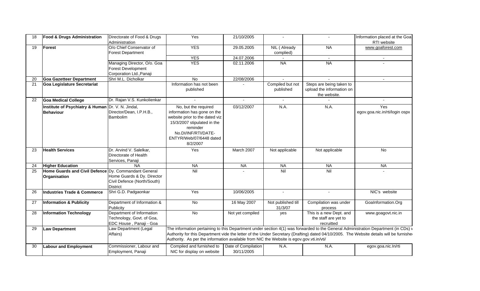| 18 | <b>Food &amp; Drugs Administration</b>                                | Directorate of Food & Drugs<br>Administration                                     | Yes                                                                                                                                                                                                                                                                                                                                                                      | 21/10/2005                        |                               |                                                                       | Information placed at the Goa<br>RTI website |
|----|-----------------------------------------------------------------------|-----------------------------------------------------------------------------------|--------------------------------------------------------------------------------------------------------------------------------------------------------------------------------------------------------------------------------------------------------------------------------------------------------------------------------------------------------------------------|-----------------------------------|-------------------------------|-----------------------------------------------------------------------|----------------------------------------------|
| 19 | Forest                                                                | O/o Chief Conservator of<br><b>Forest Department</b>                              | <b>YES</b>                                                                                                                                                                                                                                                                                                                                                               | 29.05.2005                        | NIL (Already<br>complied)     | <b>NA</b>                                                             | www.goaforest.com                            |
|    |                                                                       |                                                                                   | <b>YES</b>                                                                                                                                                                                                                                                                                                                                                               | 24.07.2006                        |                               | $\sim$                                                                | $\overline{\phantom{a}}$                     |
|    |                                                                       | Managing Director, O/o. Goa<br>Forest Development<br>Corporation Ltd., Panaji     | <b>YES</b>                                                                                                                                                                                                                                                                                                                                                               | 02.11.2006                        | $N_A$                         | <b>NA</b>                                                             |                                              |
| 20 | <b>Goa Gazetteer Department</b>                                       | Shri M.L. Dicholkar                                                               | No                                                                                                                                                                                                                                                                                                                                                                       | 22/08/2006                        | $\sim$                        |                                                                       | $\sim$                                       |
| 21 | <b>Goa Legislature Secretariat</b>                                    |                                                                                   | Information has not been<br>published                                                                                                                                                                                                                                                                                                                                    |                                   | Compiled but not<br>published | Steps are being taken to<br>upload the information on<br>the website. |                                              |
| 22 | <b>Goa Medical College</b>                                            | Dr. Rajan V.S. Kunkolienkar                                                       |                                                                                                                                                                                                                                                                                                                                                                          | $\mathbf{r}$                      | $\blacksquare$                |                                                                       | $\sim$                                       |
|    | Institute of Psychiatry & Human Dr. V. N. Jindal,<br><b>Behaviour</b> | Director/Dean, I.P.H.B.,<br>Bambolim                                              | No, but the required<br>information has gone on the<br>website prior to the dated viz<br>15/3/2007 stipulated in the<br>reminder<br>No.DI/INF/RTI/DATE-<br>ENTYR/Web/07/6448 dated<br>8/2/2007                                                                                                                                                                           | 03/12/2007                        | N.A.                          | N.A.                                                                  | Yes<br>egov.goa.nic.in/rti/login ospx        |
| 23 | <b>Health Services</b>                                                | Dr. Arvind V. Salelkar,<br>Directorate of Health<br>Services, Panaji              | Yes                                                                                                                                                                                                                                                                                                                                                                      | March 2007                        | Not applicable                | Not applicable                                                        | No                                           |
| 24 | <b>Higher Education</b>                                               | <b>NA</b>                                                                         | <b>NA</b>                                                                                                                                                                                                                                                                                                                                                                | <b>NA</b>                         | <b>NA</b>                     | <b>NA</b>                                                             | <b>NA</b>                                    |
| 25 | Home Guards and Civil Defence Dy. Commandant General<br>Organisation  | Home Guards & Dy. Director<br>Civil Defence (North/South)<br><b>District</b>      | Nil                                                                                                                                                                                                                                                                                                                                                                      |                                   | Nil                           | $\overline{N}$                                                        |                                              |
| 26 | Industries Trade & Commerce                                           | Shri G.D. Padgaonkar                                                              | Yes                                                                                                                                                                                                                                                                                                                                                                      | 10/06/2005                        | $\sim$                        | $\mathbf{r}$                                                          | NIC's website                                |
| 27 | <b>Information &amp; Publicity</b>                                    | Department of Information &<br>Publicity                                          | $\overline{N}$                                                                                                                                                                                                                                                                                                                                                           | 16 May 2007                       | Not published till<br>31/3/07 | Compilation was under<br>process                                      | Goalnformation.Org                           |
| 28 | <b>Information Technology</b>                                         | Department of Information<br>Technology, Govt. of Goa,<br>EDC House, Panaji - Goa | $\overline{N}$                                                                                                                                                                                                                                                                                                                                                           | Not yet compiled                  | yes                           | This is a new Dept. and<br>the staff are yet to<br>recruitted         | www.goagovt.nic.in                           |
| 29 | <b>Law Department</b>                                                 | Law Department (Legal<br>Affairs)                                                 | The information pertaining to this Department under section 4(1) was forwarded to the General Administration Department (in CDs) v<br>Authority for this Department vide the letter of the Under Secretary (Drafting) dated 04/10/2005. The Website details will be furnishe<br>Authority. As per the information available from NIC the Website is egov.gov.vti.in/vti/ |                                   |                               |                                                                       |                                              |
| 30 | <b>Labour and Employment</b>                                          | Commissioner, Labour and<br>Employment, Panaji                                    | Compiled and furnished to<br>NIC for display on website                                                                                                                                                                                                                                                                                                                  | Date of Compilation<br>30/11/2005 | N.A.                          | N.A.                                                                  | egov.goa.nic.ln/rti                          |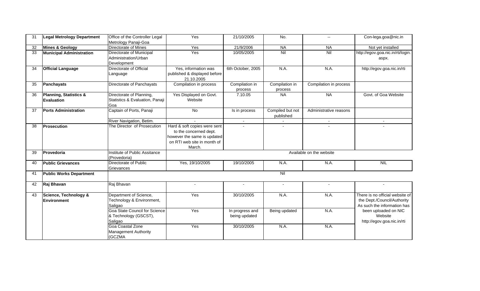| 31       | <b>Legal Metrology Department</b> | Office of the Controller Legal                      | Yes                          | 21/10/2005        | No.              | --                       | Con-lega.goa@nic.in               |
|----------|-----------------------------------|-----------------------------------------------------|------------------------------|-------------------|------------------|--------------------------|-----------------------------------|
|          |                                   | Metrology Panaji-Goa<br><b>Directorate of Mines</b> | Yes                          | 21/9/2006         | <b>NA</b>        | <b>NA</b>                | Not yet installed                 |
| 32<br>33 | <b>Mines &amp; Geology</b>        | Directorate of Municipal                            | Yes                          | 10/05/2005        | Nil              | $\overline{N}$           | http://egov.goa.nic.in/rti/login. |
|          | <b>Municipal Administration</b>   | Administration/Urban                                |                              |                   |                  |                          |                                   |
|          |                                   | Development                                         |                              |                   |                  |                          | aspx.                             |
| 34       | <b>Official Language</b>          | Directorate of Official                             | Yes, information was         | 6th October, 2005 | N.A.             | N.A.                     | http://egov.goa.nic.in/rti        |
|          |                                   | Language                                            | published & displayed before |                   |                  |                          |                                   |
|          |                                   |                                                     | 21.10.2005                   |                   |                  |                          |                                   |
| 35       | <b>Panchayats</b>                 | Directorate of Panchayats                           | Compilation in process       | Compilation in    | Compilation in   | Compilation in process   |                                   |
|          |                                   |                                                     |                              | process           | process          |                          |                                   |
| 36       | <b>Planning, Statistics &amp;</b> | Directorate of Planning,                            | Yes Displayed on Govt.       | 7.10.05           | <b>NA</b>        | $N_A$                    | Govt. of Goa Website              |
|          | <b>Evaluation</b>                 | Statistics & Evaluation, Panaji                     | Website                      |                   |                  |                          |                                   |
|          |                                   | Goa                                                 |                              |                   |                  |                          |                                   |
| 37       | <b>Ports Administration</b>       | Captain of Ports, Panaji                            | $\overline{N}$               | Is in process     | Compiled but not | Administrative reasons   |                                   |
|          |                                   |                                                     |                              |                   | published        |                          |                                   |
|          |                                   | River Navigation, Betim.                            |                              |                   |                  |                          |                                   |
| 38       | Prosecution                       | The Director of Prosecution                         | Hard & soft copies were sent |                   |                  |                          |                                   |
|          |                                   |                                                     | to the concerned dept.       |                   |                  |                          |                                   |
|          |                                   |                                                     | however the same is updated  |                   |                  |                          |                                   |
|          |                                   |                                                     | on RTI web site in month of  |                   |                  |                          |                                   |
|          |                                   |                                                     | March.                       |                   |                  |                          |                                   |
| 39       | Provedoria                        | Institute of Public Assitance                       |                              |                   |                  | Available on the website |                                   |
|          |                                   | (Provedoria)                                        |                              |                   |                  |                          |                                   |
| 40       | <b>Public Grievances</b>          | Directorate of Public                               | Yes, 19/10/2005              | 19/10/2005        | N.A.             | N.A.                     | NIL                               |
|          |                                   | Grievances                                          |                              |                   |                  |                          |                                   |
| 41       | <b>Public Works Department</b>    |                                                     |                              |                   | $\overline{N}$   |                          |                                   |
| 42       | Raj Bhavan                        | Raj Bhavan                                          |                              |                   |                  |                          |                                   |
|          |                                   |                                                     | Yes                          |                   | N.A.             | N.A.                     | There is no official website of   |
| 43       | Science, Technology &             | Department of Science,                              |                              | 30/10/2005        |                  |                          | the Dept./Council/Authority       |
|          | <b>Environment</b>                | Technology & Environment,                           |                              |                   |                  |                          | As such the information has       |
|          |                                   | Saligao<br>Goa State Council for Science            | Yes                          | In progress and   | Being updated    | N.A.                     | been uploaded on NIC              |
|          |                                   | & Technology (GSCST),                               |                              | being updated     |                  |                          | Website                           |
|          |                                   | Saligao                                             |                              |                   |                  |                          | http://egov.goa.nic.in/rti        |
|          |                                   | Goa Coastal Zone                                    | Yes                          | 30/10/2005        | N.A.             | N.A.                     |                                   |
|          |                                   | <b>Management Authority</b>                         |                              |                   |                  |                          |                                   |
|          |                                   | (GCZMA                                              |                              |                   |                  |                          |                                   |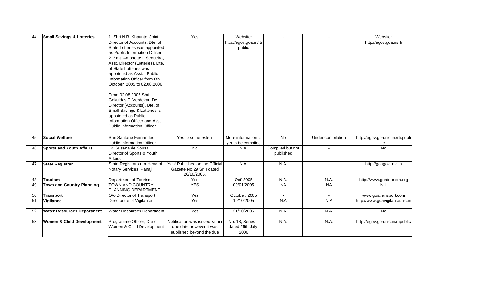| 44       | <b>Small Savings &amp; Lotteries</b> | 1. Shri N.R. Khaunte, Joint       | Yes                                                 | Website:                 |                  |                   | Website:                          |
|----------|--------------------------------------|-----------------------------------|-----------------------------------------------------|--------------------------|------------------|-------------------|-----------------------------------|
|          |                                      | Director of Accounts, Dte. of     |                                                     | http://egov.goa.in/rti   |                  |                   | http://egov.goa.in/rti            |
|          |                                      | State Lotteries was appointed     |                                                     | public                   |                  |                   |                                   |
|          |                                      | as Public Information Officer     |                                                     |                          |                  |                   |                                   |
|          |                                      | 2. Smt. Antonette I. Sequeira,    |                                                     |                          |                  |                   |                                   |
|          |                                      | Asst. Director (Lotteries), Dte.  |                                                     |                          |                  |                   |                                   |
|          |                                      | of State Lotteries was            |                                                     |                          |                  |                   |                                   |
|          |                                      | appointed as Asst. Public         |                                                     |                          |                  |                   |                                   |
|          |                                      | Information Officer from 6th      |                                                     |                          |                  |                   |                                   |
|          |                                      | October, 2005 to 02.08.2006       |                                                     |                          |                  |                   |                                   |
|          |                                      | From 02.08.2006 Shri              |                                                     |                          |                  |                   |                                   |
|          |                                      | Gokuldas T. Verdekar, Dy.         |                                                     |                          |                  |                   |                                   |
|          |                                      | Director (Accounts), Dte. of      |                                                     |                          |                  |                   |                                   |
|          |                                      | Small Savings & Lotteries is      |                                                     |                          |                  |                   |                                   |
|          |                                      | appointed as Public               |                                                     |                          |                  |                   |                                   |
|          |                                      | Information Officer and Asst.     |                                                     |                          |                  |                   |                                   |
|          |                                      | Public Information Officer        |                                                     |                          |                  |                   |                                   |
| 45       | <b>Social Welfare</b>                | Shri Santano Fernandes            | Yes to some extent                                  | More information is      | No               | Under compilation | http://egov.goa.nic.in./rti.publi |
|          |                                      | Public Information Officer        |                                                     | yet to be compiled       |                  |                   | C                                 |
| 46       | <b>Sports and Youth Affairs</b>      | Dr. Susana de Sousa,              | No                                                  | N.A.                     | Complied but not |                   | $\overline{N}$                    |
|          |                                      | Director of Sports & Youth        |                                                     |                          | published        |                   |                                   |
|          |                                      | <b>Affairs</b>                    |                                                     |                          |                  |                   |                                   |
| 47       | <b>State Registrar</b>               | State Registrar-cum-Head of       | Yes! Published on the Official                      | N.A.                     | N.A.             | $\sim$            | http://goagovt.nic.in             |
|          |                                      | Notary Services, Panaji           | Gazette No.29 Sr.II dated                           |                          |                  |                   |                                   |
|          |                                      |                                   | 20/10/2005.                                         |                          |                  |                   |                                   |
| 48       | <b>Tourism</b>                       | Department of Tourism             | Yes                                                 | Oct' 2005                | N.A.             | N.A.              | http://www.goatourism.org         |
| 49       | <b>Town and Country Planning</b>     | <b>TOWN AND COUNTRY</b>           | <b>YES</b>                                          | 09/01/2005               | <b>NA</b>        | <b>NA</b>         | <b>NIL</b>                        |
|          |                                      | PLANNING DEPARTMENT               | Yes                                                 | October, 2005            |                  |                   |                                   |
| 50<br>51 | <b>Transport</b>                     | O/o Director of Transport         | Yes                                                 | 10/10/2005               | N.A              | N.A               | www.goatransport.com              |
|          | Vigilance                            | Directorate of Vigilance          |                                                     |                          |                  |                   | http://www.goavigilance.nic.in    |
| 52       | <b>Water Resources Department</b>    | <b>Water Resources Department</b> | Yes                                                 | 21/10/2005               | N.A.             | N.A.              | <b>No</b>                         |
| 53       | <b>Women &amp; Child Development</b> | Programme Officer, Dte of         | Notification was issued within                      | No. 18, Series II        | N.A.             | N.A.              | http://egov.goa.nic.in/rtipublic  |
|          |                                      | Women & Child Development         | due date however it was<br>published beyond the due | dated 25th July,<br>2006 |                  |                   |                                   |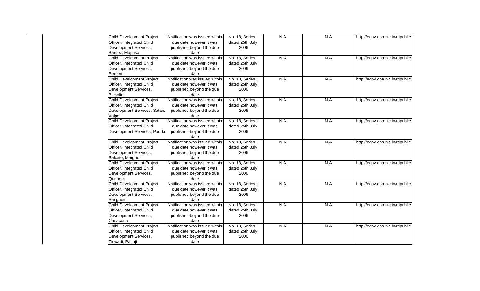| <b>Child Development Project</b> | Notification was issued within | No. 18, Series II | N.A. | N.A. | http://egov.goa.nic.in/rtipublic |
|----------------------------------|--------------------------------|-------------------|------|------|----------------------------------|
| Officer, Integrated Child        | due date however it was        | dated 25th July,  |      |      |                                  |
| Development Services,            | published beyond the due       | 2006              |      |      |                                  |
| Bardez, Mapusa                   | date                           |                   |      |      |                                  |
| Child Development Project        | Notification was issued within | No. 18, Series II | N.A. | N.A. | http://egov.goa.nic.in/rtipublic |
| Officer, Integrated Child        | due date however it was        | dated 25th July,  |      |      |                                  |
| Development Services,            | published beyond the due       | 2006              |      |      |                                  |
| Pernem                           | date                           |                   |      |      |                                  |
| Child Development Project        | Notification was issued within | No. 18, Series II | N.A. | N.A. | http://egov.goa.nic.in/rtipublic |
| Officer, Integrated Child        | due date however it was        | dated 25th July,  |      |      |                                  |
| Development Services,            | published beyond the due       | 2006              |      |      |                                  |
| Bicholim                         | date                           |                   |      |      |                                  |
| <b>Child Development Project</b> | Notification was issued within | No. 18, Series II | N.A. | N.A. | http://egov.goa.nic.in/rtipublic |
| Officer, Integrated Child        | due date however it was        | dated 25th July,  |      |      |                                  |
| Development Services, Satari,    | published beyond the due       | 2006              |      |      |                                  |
| Valpoi                           | date                           |                   |      |      |                                  |
| <b>Child Development Project</b> | Notification was issued within | No. 18, Series II | N.A. | N.A. | http://egov.goa.nic.in/rtipublic |
| Officer, Integrated Child        | due date however it was        | dated 25th July,  |      |      |                                  |
| Development Services, Ponda      | published beyond the due       | 2006              |      |      |                                  |
|                                  | date                           |                   |      |      |                                  |
| Child Development Project        | Notification was issued within | No. 18, Series II | N.A. | N.A. | http://egov.goa.nic.in/rtipublic |
| Officer, Integrated Child        | due date however it was        | dated 25th July,  |      |      |                                  |
| Development Services,            | published beyond the due       | 2006              |      |      |                                  |
| Salcete, Margao                  | date                           |                   |      |      |                                  |
| Child Development Project        | Notification was issued within | No. 18, Series II | N.A. | N.A. | http://egov.goa.nic.in/rtipublic |
| Officer, Integrated Child        | due date however it was        | dated 25th July,  |      |      |                                  |
| Development Services,            | published beyond the due       | 2006              |      |      |                                  |
| Quepem                           | date                           |                   |      |      |                                  |
| <b>Child Development Project</b> | Notification was issued within | No. 18, Series II | N.A. | N.A. | http://egov.goa.nic.in/rtipublic |
| Officer, Integrated Child        | due date however it was        | dated 25th July,  |      |      |                                  |
| Development Services,            | published beyond the due       | 2006              |      |      |                                  |
| Sanguem                          | date                           |                   |      |      |                                  |
| <b>Child Development Project</b> | Notification was issued within | No. 18, Series II | N.A. | N.A. | http://egov.goa.nic.in/rtipublic |
| Officer, Integrated Child        | due date however it was        | dated 25th July,  |      |      |                                  |
| Development Services,            | published beyond the due       | 2006              |      |      |                                  |
| Canacona                         | date                           |                   |      |      |                                  |
| <b>Child Development Project</b> | Notification was issued within | No. 18, Series II | N.A. | N.A. | http://egov.goa.nic.in/rtipublic |
| Officer, Integrated Child        | due date however it was        | dated 25th July,  |      |      |                                  |
| Development Services,            | published beyond the due       | 2006              |      |      |                                  |
| Tiswadi, Panaji                  | date                           |                   |      |      |                                  |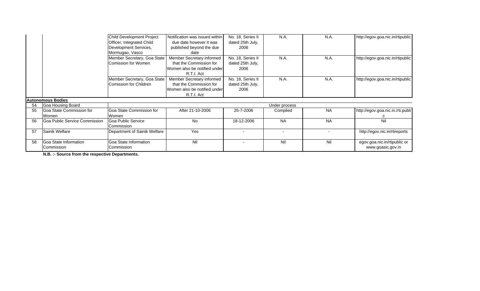|    |                                      | <b>Child Development Project</b> | Notification was issued within | No. 18, Series II        | N.A.          | N.A       | http://egov.goa.nic.in/rtipublic  |
|----|--------------------------------------|----------------------------------|--------------------------------|--------------------------|---------------|-----------|-----------------------------------|
|    |                                      | Officer, Integrated Child        | due date however it was        | dated 25th July,         |               |           |                                   |
|    |                                      | Development Services,            | published beyond the due       | 2006                     |               |           |                                   |
|    |                                      | Mormugao, Vasco                  | date                           |                          |               |           |                                   |
|    |                                      | Member Secretary, Goa State      | Member Secretary informed      | No. 18, Series II        | N.A.          | N.A.      | http://egov.goa.nic.in/rtipublic  |
|    |                                      | Comission for Women              | that the Commission for        | dated 25th July,         |               |           |                                   |
|    |                                      |                                  | Women also be notified under   | 2006                     |               |           |                                   |
|    |                                      |                                  | R.T.I. Act                     |                          |               |           |                                   |
|    |                                      | Member Secretary, Goa State      | Member Secretary informed      | No. 18, Series II        | N.A.          | N.A.      | http://egov.goa.nic.in/rtipublic  |
|    |                                      | Comission for Children           | that the Commission for        | dated 25th July,         |               |           |                                   |
|    |                                      |                                  | Women also be notified under   | 2006                     |               |           |                                   |
|    |                                      |                                  | R.T.I. Act                     |                          |               |           |                                   |
|    | <b>Autonomous Bodies</b>             |                                  |                                |                          |               |           |                                   |
| 54 | Goa Housing Board                    |                                  |                                |                          | Under process |           |                                   |
| 55 | Goa State Commission for             | Goa State Commission for         | After 21-10-2006               | 25-7-2006                | Complied      | <b>NA</b> | http://egov.goa.nic.in./rti.publi |
|    | Women                                | Women                            |                                |                          |               |           |                                   |
| 56 | <b>Goa Public Service Commission</b> | Goa Public Service               | <b>No</b>                      | 18-12-2006               | <b>NA</b>     | <b>NA</b> | Nil                               |
|    |                                      | Commission                       |                                |                          |               |           |                                   |
| 57 | Sainik Welfare                       | Department of Sainik Welfare     | Yes                            | $\overline{\phantom{0}}$ |               |           | http://egov.nic.in/rtireports     |
|    |                                      |                                  |                                |                          |               |           |                                   |
| 58 | Goa State Information                | Goa State Information            | Nil                            |                          | Nil           | Nil       | egov.goa.nic.in/rtipublic or      |
|    | Commission                           | Commission                       |                                |                          |               |           | www.goasic.gov.in                 |

**N.B. :- Source from the respective Departments.**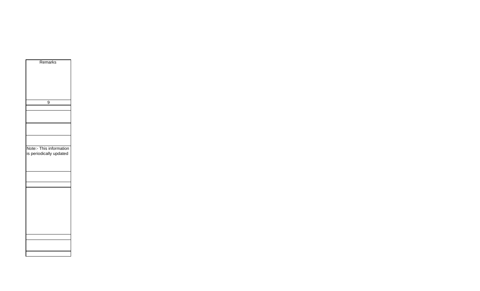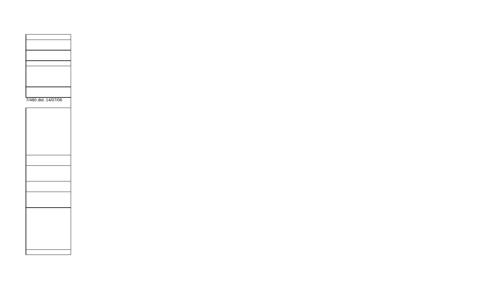

7/480 dtd. 14/07/06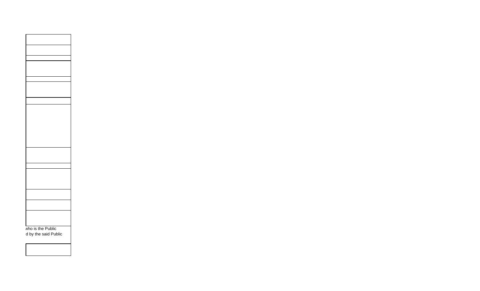

d by the said Public

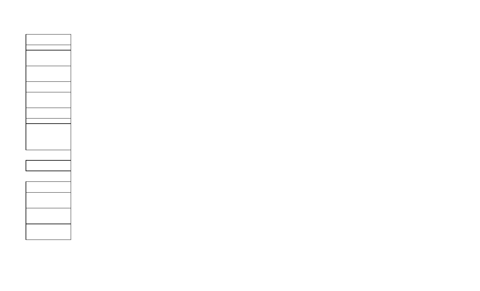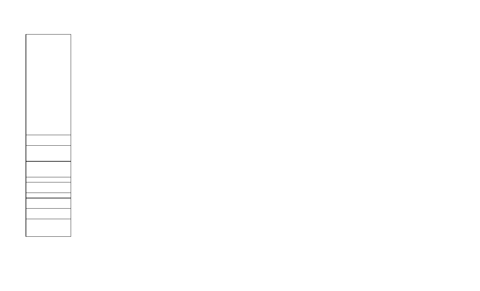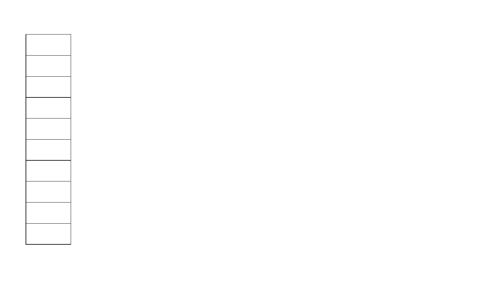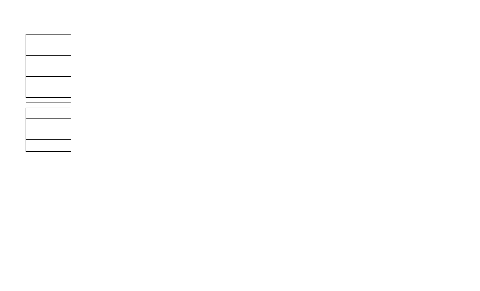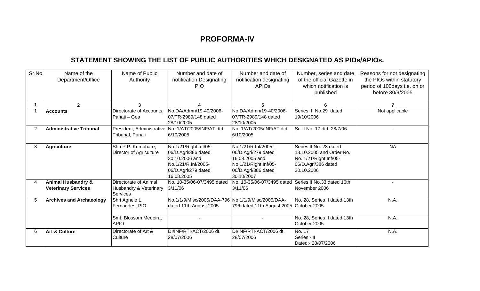## **PROFORMA-IV**

## **STATEMENT SHOWING THE LIST OF PUBLIC AUTHORITIES WHICH DESIGNATED AS PIOs/APIOs.**

| Sr.No          | Name of the<br>Department/Office                            | Name of Public<br>Authority                                 | Number and date of<br>notification Designating<br><b>PIO</b>                                                               | Number and date of<br>notification designating<br><b>APIO<sub>s</sub></b>                                                  | Number, series and date<br>of the official Gazette in<br>which notification is<br>published                       | Reasons for not designating<br>the PIOs within statutory<br>period of 100days i.e. on or<br>before 30/9/2005 |
|----------------|-------------------------------------------------------------|-------------------------------------------------------------|----------------------------------------------------------------------------------------------------------------------------|----------------------------------------------------------------------------------------------------------------------------|-------------------------------------------------------------------------------------------------------------------|--------------------------------------------------------------------------------------------------------------|
|                | $\mathbf{2}$                                                | 3                                                           | 4                                                                                                                          | 5.                                                                                                                         | 6                                                                                                                 |                                                                                                              |
|                | <b>Accounts</b>                                             | Directorate of Accounts,<br>Panaji - Goa                    | No.DA/Admn/19-40/2006-<br>07/TR-2989/148 dated<br>28/10/2005                                                               | No.DA/Admn/19-40/2006-<br>07/TR-2989/148 dated<br>28/10/2005                                                               | Series II No.29 dated<br>19/10/2006                                                                               | Not applicable                                                                                               |
| $\overline{2}$ | <b>Administrative Tribunal</b>                              | President, Administrative<br>Tribunal, Panaji               | No. 1/AT/2005/INF/AT dtd.<br>6/10/2005                                                                                     | No. 1/AT/2005/INF/AT dtd.<br>6/10/2005                                                                                     | Sr. II No. 17 dtd. 28/7/06                                                                                        |                                                                                                              |
| 3              | <b>Agriculture</b>                                          | Shri P.P. Kumbhare,<br>Director of Agriculture              | No.1/21/Right.Inf/05-<br>06/D.Agri/386 dated<br>30.10.2006 and<br>No.1/21/R.Inf/2005-<br>06/D.Agri/279 dated<br>16.08.2005 | No.1/21/R.Inf/2005-<br>06/D.Agri/279 dated<br>16.08.2005 and<br>No.1/21/Right.Inf/05-<br>06/D.Agri/386 dated<br>30.10/2007 | Series II No. 28 dated<br>13.10.2005 and Order No.<br>No. 1/21/Right.Inf/05-<br>06/D.Agri/386 dated<br>30.10.2006 | <b>NA</b>                                                                                                    |
| 4              | <b>Animal Husbandry &amp;</b><br><b>Veterinary Services</b> | Directorate of Animal<br>Husbandry & Veterinary<br>Services | No. 10-35/06-07/3495 dated<br>3/11/06                                                                                      | No. 10-35/06-07/3495 dated Series II No.33 dated 16th<br>3/11/06                                                           | November 2006                                                                                                     |                                                                                                              |
| 5              | <b>Archives and Archaeology</b>                             | Shri Agnelo L.<br>Fernandes, PIO                            | No.1/1/9/Misc/2005/DAA-796 No.1/1/9/Misc/2005/DAA-<br>dated 11th August 2005                                               | 796 dated 11th August 2005 October 2005                                                                                    | No. 28, Series II dated 13th                                                                                      | N.A.                                                                                                         |
|                |                                                             | Smt. Blossom Medeira,<br><b>APIO</b>                        |                                                                                                                            |                                                                                                                            | No. 28, Series II dated 13th<br>October 2005                                                                      | N.A.                                                                                                         |
| 6              | <b>Art &amp; Culture</b>                                    | Directorate of Art &<br><b>Culture</b>                      | DI/INF/RTI-ACT/2006 dt.<br>28/07/2006                                                                                      | DI/INF/RTI-ACT/2006 dt.<br>28/07/2006                                                                                      | No. 17<br>Series:- II<br>Dated:- 28/07/2006                                                                       | N.A.                                                                                                         |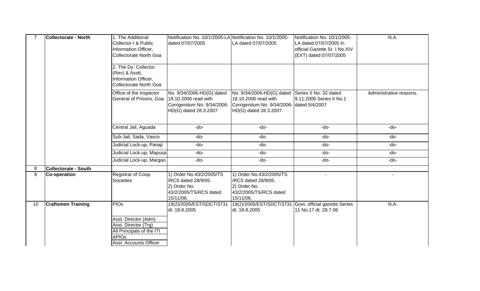| $\overline{7}$  | Collectorate - North      | 1. The Additional             | Notification No. 10/1/2005-LA Notification No. 10/1/2005- |                                                  | Notification No. 10/1/2005-   | N.A.                    |
|-----------------|---------------------------|-------------------------------|-----------------------------------------------------------|--------------------------------------------------|-------------------------------|-------------------------|
|                 |                           | Collector-I & Public          | dated 07/07/2005                                          | LA dated 07/07/2005                              | LA dated 07/07/2005 In        |                         |
|                 |                           | Information Officer,          |                                                           |                                                  | official Gazette Sr. I No.XIV |                         |
|                 |                           | <b>Collectorate North Goa</b> |                                                           |                                                  | (EXT) dated 07/07/2005        |                         |
|                 |                           |                               |                                                           |                                                  |                               |                         |
|                 |                           | 2. The Dy. Collector          |                                                           |                                                  |                               |                         |
|                 |                           | (Rev) & Asstt.                |                                                           |                                                  |                               |                         |
|                 |                           | Information Officer,          |                                                           |                                                  |                               |                         |
|                 |                           | Collectorate North Goa        |                                                           |                                                  |                               |                         |
|                 |                           | Office of the Inspector       | No. 9/34/2006-HD(G) dated                                 | No. 9/34/2006-HD(G) dated Series II No. 32 dated |                               | Administrative reasons. |
|                 |                           | General of Prisons, Goa       | 18.10.2006 read with                                      | 18.10.2006 read with                             | 9.11.2006 Series II No.1      |                         |
|                 |                           |                               | Corrigendum No. 9/34/2006-                                | Corrigendum No. 9/34/2006- dated 5/4/2007        |                               |                         |
|                 |                           |                               | HD(G) dated 28.3.2007                                     | HD(G) dated 28.3.2007                            |                               |                         |
|                 |                           |                               |                                                           |                                                  |                               |                         |
|                 |                           | Central Jail, Aguada          | -do-                                                      | -do-                                             | $-do-$                        | -do-                    |
|                 |                           |                               |                                                           |                                                  |                               |                         |
|                 |                           | Sub-Jail, Sada, Vasco         | -do-                                                      | -do-                                             | -do-                          | -do-                    |
|                 |                           | Judicial Lock-up, Panaji      | -do-                                                      | -do-                                             | $-do-$                        | -do-                    |
|                 |                           | Judicial Lock-up, Mapusa      | -do-                                                      | -do-                                             | -do-                          | -do-                    |
|                 |                           | Judicial Lock-up, Margao      | -do-                                                      | -do-                                             | -do-                          | -do-                    |
| 8               | Collectorate - South      |                               |                                                           |                                                  |                               |                         |
| 9               | Co-operation              | Registrar of Coop.            | 1) Order No.43/2/2005/TS                                  | 1) Order No.43/2/2005/TS                         |                               |                         |
|                 |                           | <b>Societies</b>              | /RCS dated 28/9/05.                                       | /RCS dated 28/9/05.                              |                               |                         |
|                 |                           |                               | 2) Order No.                                              | 2) Order No.                                     |                               |                         |
|                 |                           |                               | 43/2/2005/TS/RCS dated                                    | 43/2/2005/TS/RCS dated                           |                               |                         |
|                 |                           |                               | 15/11/06.                                                 | 15/11/06.                                        |                               |                         |
| 10 <sup>°</sup> | <b>Craftsmen Training</b> | <b>PIO<sub>s</sub></b>        | 19(2)/2005/EST/SDCT/3731                                  | 19(2)/2005/EST/SDCT/3731                         | Govt. official gazette Series | N.A.                    |
|                 |                           |                               | dt. 18.8.2005                                             | dt. 18.8.2005                                    | 11 No.17 dt. 28.7.06          |                         |
|                 |                           | Asst. Director (Adm)          |                                                           |                                                  |                               |                         |
|                 |                           | Asst. Director (Trg)          |                                                           |                                                  |                               |                         |
|                 |                           | All Principals of the ITI     |                                                           |                                                  |                               |                         |
|                 |                           | <b>APIO<sub>s</sub></b>       |                                                           |                                                  |                               |                         |
|                 |                           | Asst. Accounts Officer        |                                                           |                                                  |                               |                         |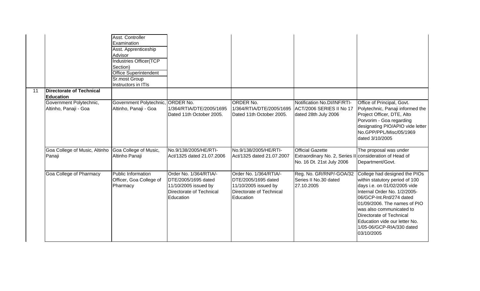|    |                                                  | Asst. Controller<br>Examination<br>Asst. Apprenticeship<br>Advisor<br>Industries Officer(TCP<br>Section)<br><b>Office Superintendent</b><br>Sr.most Group<br>Instructors in ITIs |                                                                                                                |                                                                                                                |                                                                                        |                                                                                                                                                                                                                                                                                                                                 |
|----|--------------------------------------------------|----------------------------------------------------------------------------------------------------------------------------------------------------------------------------------|----------------------------------------------------------------------------------------------------------------|----------------------------------------------------------------------------------------------------------------|----------------------------------------------------------------------------------------|---------------------------------------------------------------------------------------------------------------------------------------------------------------------------------------------------------------------------------------------------------------------------------------------------------------------------------|
| 11 | Directorate of Technical<br><b>Education</b>     |                                                                                                                                                                                  |                                                                                                                |                                                                                                                |                                                                                        |                                                                                                                                                                                                                                                                                                                                 |
|    | Government Polytechnic,<br>Altinho, Panaji - Goa | Government Polytechnic, ORDER No.<br>Altinho, Panaji - Goa                                                                                                                       | 1/364/RTIA/DTE/2005/1695<br>Dated 11th October 2005.                                                           | <b>ORDER No.</b><br>1/364/RTIA/DTE/2005/1695<br>Dated 11th October 2005.                                       | Notification No.DI/INF/RTI-<br>ACT/2006 SERIES II No 17<br>dated 28th July 2006        | Office of Principal, Govt.<br>Polytechnic, Panaji informed the<br>Project Officer, DTE, Alto<br>Porvorim - Goa regarding<br>designating PIO/APIO vide letter<br>No.GPP/PPL/Misc/05/1969<br>dated 3/10/2005                                                                                                                      |
|    | Goa College of Music, Altinho<br>Panaji          | Goa College of Music,<br>Altinho Panaji                                                                                                                                          | No.9/138/2005/HE/RTI-<br>Act/1325 dated 21.07.2006                                                             | No.9/138/2005/HE/RTI-<br>Act/1325 dated 21.07.2007                                                             | <b>Official Gazette</b><br>Extraordinary No. 2, Series II<br>No. 16 Dt. 21st July 2006 | The proposal was under<br>consideration of Head of<br>Department/Govt.                                                                                                                                                                                                                                                          |
|    | Goa College of Pharmacy                          | Public Information<br>Officer, Goa College of<br>Pharmacy                                                                                                                        | Order No. 1/364/RTIA/-<br>DTE/2005/1695 dated<br>11/10/2005 issued by<br>Directorate of Technical<br>Education | Order No. 1/364/RTIA/-<br>DTE/2005/1695 dated<br>11/10/2005 issued by<br>Directorate of Technical<br>Education | Reg. No. GR/RNP/-GOA/32<br>Series II No.30 dated<br>27.10.2005                         | College had designed the PIOs<br>within statutory period of 100<br>days i.e. on 01/02/2005 vide<br>Internal Order No. 1/2/2005-<br>06/GCP-Int.Rrd/274 dated<br>01/09/2006. The names of PIO<br>was also communicated to<br>Directorate of Technical<br>Education vide our letter No.<br>1/05-06/GCP-RIA/330 dated<br>03/10/2005 |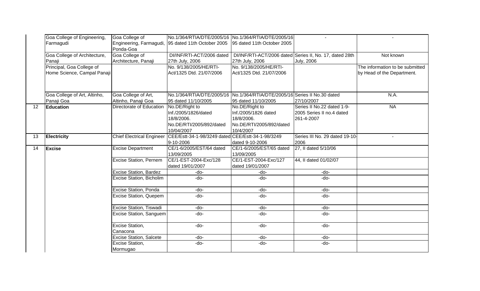|    | Goa College of Engineering,  | Goa College of                   | No.1/364/RTIA/DTE/2005/16 No.1/364/RTIA/DTE/2005/16                           |                                                         |                                |                                 |
|----|------------------------------|----------------------------------|-------------------------------------------------------------------------------|---------------------------------------------------------|--------------------------------|---------------------------------|
|    | Farmagudi                    | Ponda-Goa                        | Engineering, Farmagudi, 95 dated 11th October 2005 95 dated 11th October 2005 |                                                         |                                |                                 |
|    | Goa College of Architecture, | Goa College of                   | DI/INF/RTI-ACT/2006 dated                                                     | DI/INF/RTI-ACT/2006 dated Series II, No. 17, dated 28th |                                | Not known                       |
|    | Panaji                       | Architecture, Panaji             | 27th July, 2006                                                               | 27th July, 2006                                         | <b>July, 2006</b>              |                                 |
|    | Principal, Goa College of    |                                  | No. 9/138/2005/HE/RTI-                                                        | No. 9/138/2005/HE/RTI-                                  |                                | The information to be submitted |
|    | Home Science, Campal Panaji  |                                  | Act/1325 Dtd. 21/07/2006                                                      | Act/1325 Dtd. 21/07/2006                                |                                | by Head of the Department.      |
|    |                              |                                  |                                                                               |                                                         |                                |                                 |
|    | Goa College of Art, Altinho, | Goa College of Art,              | No.1/364/RTIA/DTE/2005/16 No.1/364/RTIA/DTE/2005/16 Series II No.30 dated     |                                                         |                                | N.A.                            |
|    | Panaji Goa                   | Altinho, Panaji Goa              | 95 dated 11/10/2005                                                           | 95 dated 11/10/2005                                     | 27/10/2007                     |                                 |
| 12 | Education                    | Directorate of Education         | No.DE/Right to                                                                | No.DE/Right to                                          | Series II No.22 dated 1-9-     | <b>NA</b>                       |
|    |                              |                                  | Inf./2005/1826/dated                                                          | Inf./2005/1826 dated                                    | 2005 Series II no.4 dated      |                                 |
|    |                              |                                  | 18/8/2006.                                                                    | 18/8/2006.                                              | 261-4-2007                     |                                 |
|    |                              |                                  | No.DE/RTI/2005/892/dated                                                      | No.DE/RTI/2005/892/dated                                |                                |                                 |
|    |                              |                                  | 10/04/2007                                                                    | 10/4/2007                                               |                                |                                 |
| 13 | <b>Electricity</b>           | <b>Chief Electrical Engineer</b> | CEE/Estt-34-1-98/3249 dated CEE/Estt-34-1-98/3249                             |                                                         | Series III No. 29 dated 19-10- |                                 |
|    |                              |                                  | 9-10-2006                                                                     | dated 9-10-2006                                         | 2006                           |                                 |
| 14 | <b>Excise</b>                | <b>Excise Department</b>         | CE/1-6/2005/EST/64 dated                                                      | CE/1-6/2005/EST/65 dated                                | 27, II dated 5/10/06           |                                 |
|    |                              |                                  | 13/09/2005                                                                    | 13/09/2005                                              |                                |                                 |
|    |                              | <b>Excise Station, Pernem</b>    | CE/1-EST-2004-Exc/128                                                         | CE/1-EST-2004-Exc/127                                   | 44, II dated 01/02/07          |                                 |
|    |                              | <b>Excise Station, Bardez</b>    | dated 19/01/2007<br>-do-                                                      | dated 19/01/2007<br>-do-                                | -do-                           |                                 |
|    |                              | Excise Station, Bicholim         | -do-                                                                          | -do-                                                    | -do-                           |                                 |
|    |                              |                                  |                                                                               |                                                         |                                |                                 |
|    |                              | Excise Station, Ponda            | -do-                                                                          | -do-                                                    | -do-                           |                                 |
|    |                              | Excise Station, Quepem           | $-do-$                                                                        | -do-                                                    | $-do-$                         |                                 |
|    |                              | Excise Station, Tiswadi          | -do-                                                                          | -do-                                                    | -do-                           |                                 |
|    |                              | Excise Station, Sanguem          | -do-                                                                          | -do-                                                    | -do-                           |                                 |
|    |                              | Excise Station,                  | -do-                                                                          | -do-                                                    | -do-                           |                                 |
|    |                              | Canacona                         |                                                                               |                                                         |                                |                                 |
|    |                              | <b>Excise Station, Salcete</b>   | -do-                                                                          | -do-                                                    | -do-                           |                                 |
|    |                              | Excise Station,                  | -do-                                                                          | -do-                                                    | -do-                           |                                 |
|    |                              | Mormugao                         |                                                                               |                                                         |                                |                                 |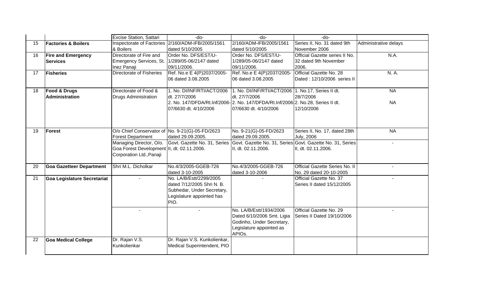|    |                                              | <b>Excise Station, Sattari</b>                                                                    | -do-                                                                                                                     | -do-                                                                                                                                  | -do-                                                                             |                       |
|----|----------------------------------------------|---------------------------------------------------------------------------------------------------|--------------------------------------------------------------------------------------------------------------------------|---------------------------------------------------------------------------------------------------------------------------------------|----------------------------------------------------------------------------------|-----------------------|
| 15 | <b>Factories &amp; Boilers</b>               | & Boilers                                                                                         | Inspectorate of Factories 2/160/ADM-IFB/2005/1561<br>dated 5/10/2005                                                     | 2/160/ADM-IFB/2005/1561<br>dated 5/10/2005                                                                                            | Series II, No. 31 dated 9th<br>November 2006                                     | Administrative delays |
| 16 | <b>Fire and Emergency</b><br><b>Services</b> | Directorate of Fire and<br>Emergency Services, St. 1/289/05-06/2147 dated<br>Inez Panaji          | Order No. DFS/EST/U-<br>09/11/2006.                                                                                      | Order No. DFS/EST/U-<br>1/289/05-06/2147 dated<br>09/11/2006.                                                                         | Official Gazette series II No.<br>32 dated 9th November<br>2006.                 | N.A.                  |
| 17 | Fisheries                                    | Directorate of Fisheries                                                                          | Ref. No.e E 4(P)2037/2005-<br>06 dated 3.08.2005                                                                         | Ref. No.e E 4(P)2037/2005-<br>06 dated 3.08.2005                                                                                      | Official Gazette No. 28<br>Dated: 12/10/2006 series II                           | N. A.                 |
| 18 | Food & Drugs<br><b>Administration</b>        | Directorate of Food &<br><b>Drugs Administration</b>                                              | 1. No. DI/INF/RTI/ACT/2006<br>dt. 27/7/2006                                                                              | 1. No. DI/INF/RTI/ACT/2006 1. No.17, Series II dt.<br>dt. 27/7/2006                                                                   | 28/7/2006                                                                        | <b>NA</b>             |
|    |                                              |                                                                                                   | 2. No. 147/DFDA/Rt.Inf/2006-2. No. 147/DFDA/Rt.Inf/2006 2. No.28, Series II dt.<br>07/6630 dt. 4/10/2006                 | 07/6630 dt. 4/10/2006                                                                                                                 | 12/10/2006                                                                       | <b>NA</b>             |
| 19 | Forest                                       | O/o Chief Conservator of No. 9-21(G)-05-FD/2623<br><b>Forest Department</b>                       | dated 29.09.2005.                                                                                                        | No. 9-21(G)-05-FD/2623<br>dated 29.09.2005.                                                                                           | Series II, No. 17, dated 28th<br><b>July, 2006</b>                               | <b>NA</b>             |
|    |                                              | Managing Director, O/o.<br>Goa Forest Development II, dt. 02.11.2006.<br>Corporation Ltd., Panaji | Govt. Gazette No. 31, Series                                                                                             | II, dt. 02.11.2006.                                                                                                                   | Govt. Gazette No. 31, Series Govt. Gazette No. 31, Series<br>II, dt. 02.11.2006. |                       |
| 20 | <b>Goa Gazetteer Department</b>              | Shri M.L. Dicholkar                                                                               | No.4/3/2005-GGEB-726<br>dated 3-10-2005                                                                                  | No.4/3/2005-GGEB-726<br>dated 3-10-2006                                                                                               | Official Gazette Series No. II<br>No. 29 dated 20-10-2005                        |                       |
| 21 | <b>Goa Legislature Secretariat</b>           |                                                                                                   | No. LA/B/Estt/2299/2005<br>dated 7/12/2005 Shri N. B.<br>Subhedar, Under Secretary,<br>Legislature appointed has<br>PIO. |                                                                                                                                       | Official Gazette No. 37<br>Series II dated 15/12/2005                            |                       |
|    |                                              |                                                                                                   |                                                                                                                          | No. LA/B/Estt/1934/2006<br>Dated 6/10/2006 Smt. Ligia<br>Godinho, Under Secretary,<br>Legislature appointed as<br>APIO <sub>s</sub> . | Official Gazette No. 29<br>Series II Dated 19/10/2006                            |                       |
| 22 | <b>Goa Medical College</b>                   | Dr. Rajan V.S.<br>Kunkolienkar                                                                    | Dr. Rajan V.S. Kunkolienkar,<br>Medical Superintendent, PIO                                                              |                                                                                                                                       |                                                                                  |                       |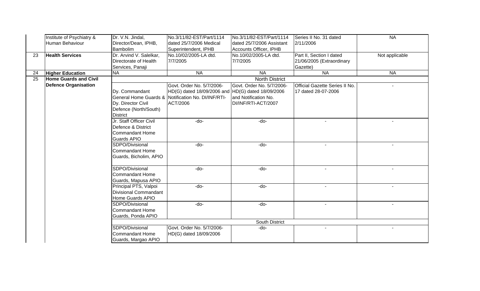|    | Institute of Psychiatry &    | Dr. V.N. Jindal,        | No.3/11/82-EST/Part/1114                           | No.3/11/82-EST/Part/1114  | Series II No. 31 dated         | <b>NA</b>      |
|----|------------------------------|-------------------------|----------------------------------------------------|---------------------------|--------------------------------|----------------|
|    | Human Behaviour              | Director/Dean, IPHB,    | dated 25/7/2006 Medical                            | dated 25/7/2006 Assistant | 2/11/2006                      |                |
|    |                              | Bambolim                | Superintendent, IPHB                               | Accounts Officer, IPHB    |                                |                |
| 23 | <b>Health Services</b>       | Dr. Arvind V. Salelkar, | No.10/02/2005-LA dtd.                              | No.10/02/2005-LA dtd.     | Part II, Section I dated       | Not applicable |
|    |                              | Directorate of Health   | 7/7/2005                                           | 7/7/2005                  | 21/06/2005 (Extraordinary      |                |
|    |                              | Services, Panaji        |                                                    |                           | Gazette)                       |                |
| 24 | <b>Higher Education</b>      | <b>NA</b>               | <b>NA</b>                                          | <b>NA</b>                 | <b>NA</b>                      | <b>NA</b>      |
| 25 | <b>Home Guards and Civil</b> |                         |                                                    | <b>North District</b>     |                                |                |
|    | <b>Defence Organisation</b>  |                         | Govt. Order No. 5/7/2006-                          | Govt. Order No. 5/7/2006- | Official Gazette Series II No. |                |
|    |                              | Dy. Commandant          | HD(G) dated 18/09/2006 and HD(G) dated 18/09/2006  |                           | 17 dated 28-07-2006            |                |
|    |                              |                         | General Home Guards & Notification No. DI/INF/RTI- | and Notification No.      |                                |                |
|    |                              | Dy. Director Civil      | ACT/2006                                           | DI/INF/RTI-ACT/2007       |                                |                |
|    |                              | Defence (North/South)   |                                                    |                           |                                |                |
|    |                              | <b>District</b>         |                                                    |                           |                                |                |
|    |                              | Jr. Staff Officer Civil | -do-                                               | $-do-$                    |                                |                |
|    |                              | Defence & District      |                                                    |                           |                                |                |
|    |                              | <b>Commandant Home</b>  |                                                    |                           |                                |                |
|    |                              | <b>Guards APIO</b>      |                                                    |                           |                                |                |
|    |                              | SDPO/Divisional         | -do-                                               | -do-                      |                                |                |
|    |                              | Commandant Home         |                                                    |                           |                                |                |
|    |                              | Guards, Bicholim, APIO  |                                                    |                           |                                |                |
|    |                              |                         |                                                    |                           |                                |                |
|    |                              | SDPO/Divisional         | $-do-$                                             | $-do-$                    |                                |                |
|    |                              | <b>Commandant Home</b>  |                                                    |                           |                                |                |
|    |                              | Guards, Mapusa APIO     |                                                    |                           |                                |                |
|    |                              | Principal PTS, Valpoi   | -do-                                               | -do-                      |                                |                |
|    |                              | Divisional Commandant   |                                                    |                           |                                |                |
|    |                              | Home Guards APIO        |                                                    |                           |                                |                |
|    |                              | SDPO/Divisional         | -do-                                               | -do-                      |                                |                |
|    |                              | <b>Commandant Home</b>  |                                                    |                           |                                |                |
|    |                              | Guards, Ponda APIO      |                                                    |                           |                                |                |
|    |                              |                         |                                                    | South District            |                                |                |
|    |                              | SDPO/Divisional         | Govt. Order No. 5/7/2006-                          | -do-                      |                                |                |
|    |                              | <b>Commandant Home</b>  | HD(G) dated 18/09/2006                             |                           |                                |                |
|    |                              | Guards, Margao APIO     |                                                    |                           |                                |                |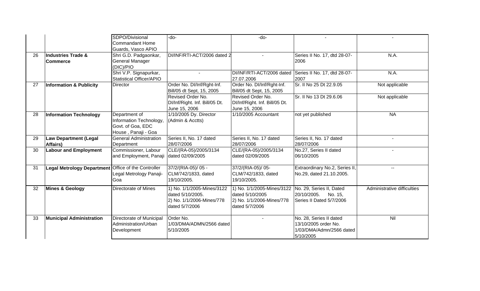|    |                                                     | SDPO/Divisional<br><b>Commandant Home</b><br>Guards, Vasco APIO                      | -do-                                                                                          | -do-                                                                                                                  |                                                                                          |                             |
|----|-----------------------------------------------------|--------------------------------------------------------------------------------------|-----------------------------------------------------------------------------------------------|-----------------------------------------------------------------------------------------------------------------------|------------------------------------------------------------------------------------------|-----------------------------|
| 26 | Industries Trade &<br><b>Commerce</b>               | Shri G.D. Padgaonkar,<br>General Manager<br>(DIC)/PIO                                | DI/INF/RTI-ACT/2006 dated 2                                                                   |                                                                                                                       | Series II No. 17, dtd 28-07-<br>2006                                                     | N.A.                        |
|    |                                                     | Shri V.P. Signapurkar,<br><b>Statistical Officer/APIO</b>                            |                                                                                               | DI/INF/RTI-ACT/2006 dated<br>27.07.2006                                                                               | Series II No. 17, dtd 28-07-<br>2007                                                     | N.A.                        |
| 27 | Information & Publicity                             | Director                                                                             | Order No. Dl/Inf/Rght-Inf.<br>Bill/05 dt Sept, 15, 2005                                       | Order No. DI/Inf/Rght-Inf.<br>Bill/05 dt Sept, 15, 2005                                                               | Sr. II No 25 Dt 22.9.05                                                                  | Not applicable              |
|    |                                                     |                                                                                      | Revised Order No.<br>DI/Inf/Right. Inf. Bill/05 Dt.<br>June 15, 2006                          | <b>Revised Order No.</b><br>DI/Inf/Right. Inf. Bill/05 Dt.<br>June 15, 2006                                           | Sr. II No 13 Dt 29.6.06                                                                  | Not applicable              |
| 28 | <b>Information Technology</b>                       | Department of<br>Information Technology,<br>Govt. of Goa, EDC<br>House, Panaji - Goa | 1/10/2005 Dy. Director<br>(Admin & Acctts)                                                    | $1/10/2005$ Accountant                                                                                                | not yet published                                                                        | <b>NA</b>                   |
| 29 | <b>Law Department (Legal</b><br>Affairs)            | <b>General Administration</b><br>Department                                          | Series II, No. 17 dated<br>28/07/2006                                                         | Series II, No. 17 dated<br>28/07/2006                                                                                 | Series II, No. 17 dated<br>28/07/2006                                                    | $\sim$                      |
| 30 | <b>Labour and Employment</b>                        | Commissioner, Labour<br>and Employment, Panaji                                       | CLE/(RA-05)/2005/3134<br>dated 02/09/2005                                                     | CLE/(RA-05)/2005/3134<br>dated 02/09/2005                                                                             | No.27, Series II dated<br>06/10/2005                                                     |                             |
| 31 | Legal Metrology Department Office of the Controller | Legal Metrology Panaji-<br>Goa                                                       | 37/2/(RIA-05)/ 05 -<br>CLM/742/1833, dated<br>19/10/2005.                                     | 37/2/(RIA-05)/05-<br>CLM/742/1833, dated<br>19/10/2005.                                                               | Extraordinary No.2, Series II,<br>No.29, dated 21.10.2005.                               |                             |
| 32 | Mines & Geology                                     | <b>Directorate of Mines</b>                                                          | 1) No. 1/1/2005-Mines/3122<br>dated 5/10/2005.<br>2) No. 1/1/2006-Mines/778<br>dated 5/7/2006 | 1) No. 1/1/2005-Mines/3122 No. 29, Series II, Dated<br>dated 5/10/2005<br>2) No. 1/1/2006-Mines/778<br>dated 5/7/2006 | 20/10/2005.<br>No. 15.<br>Series II Dated 5/7/2006                                       | Administrative difficulties |
| 33 | <b>Municipal Administration</b>                     | Directorate of Municipal<br>Administration/Urban<br>Development                      | Order No.<br>1/03/DMA/ADMN/2566 dated<br>5/10/2005                                            |                                                                                                                       | No. 28, Series II dated<br>13/10/2005 order No.<br>1/03/DMA/Admn/2566 dated<br>5/10/2005 | Nil                         |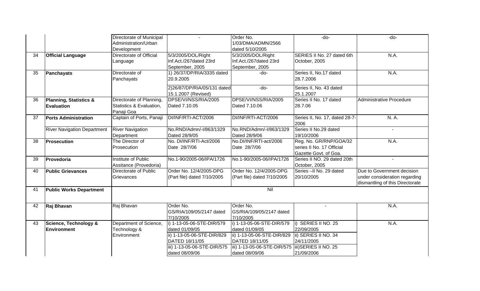|    |                                    | Directorate of Municipal    |                                        | Order No.                                         | $-do-$                         | $-do-$                          |
|----|------------------------------------|-----------------------------|----------------------------------------|---------------------------------------------------|--------------------------------|---------------------------------|
|    |                                    | Administration/Urban        |                                        | 1/03/DMA/ADMN/2566                                |                                |                                 |
|    |                                    | Development                 |                                        | dated 5/10/2005                                   |                                |                                 |
| 34 | <b>Official Language</b>           | Directorate of Official     | 5/3/2005/DOL/Right                     | 5/3/2005/DOL/Right                                | SERIES II No. 27 dated 6th     | N.A.                            |
|    |                                    | Language                    | Inf.Act./267dated 23rd                 | Inf.Act./267dated 23rd                            | October, 2005                  |                                 |
|    |                                    |                             | September, 2005                        | September, 2005                                   |                                |                                 |
| 35 | Panchayats                         | Directorate of              | 1) 26/37/DP/RIA/3335 dated             | -do-                                              | Series II, No.17 dated         | N.A.                            |
|    |                                    | Panchayats                  | 20.9.2005                              |                                                   | 28.7.2006                      |                                 |
|    |                                    |                             |                                        |                                                   |                                |                                 |
|    |                                    |                             | 2)26/87/DP/RIA/05/131 dated            | -do-                                              | Series II, No. 43 dated        |                                 |
|    |                                    |                             | 15.1.2007 (Revised)                    |                                                   | 25.1.2007                      |                                 |
| 36 | <b>Planning, Statistics &amp;</b>  | Directorate of Planning,    | DPSE/VI/NSS/RIA/2005                   | DPSE/VI/NSS/RIA/2005                              | Series II No. 17 dated         | <b>Administrative Procedure</b> |
|    | <b>Evaluation</b>                  | Statistics & Evaluation,    | Dated 7.10.05                          | Dated 7.10.06                                     | 28.7.06                        |                                 |
|    |                                    | Panaji Goa                  |                                        |                                                   |                                |                                 |
| 37 | <b>Ports Administration</b>        | Captain of Ports, Panaji    | DI/INF/RTI-ACT/2006                    | DI/INF/RTI-ACT/2006                               | Series II, No. 17, dated 28-7- | N. A.                           |
|    |                                    |                             |                                        |                                                   | 2006                           |                                 |
|    | <b>River Navigation Department</b> | <b>River Navigation</b>     | No.RND/Admn/-I/863/1329                | No.RND/Admn/-I/863/1329                           | Series II No.29 dated          | $\blacksquare$                  |
|    |                                    | Department                  | Dated 28/9/05                          | Dated 28/9/06                                     | 19/10/2006                     |                                 |
| 38 | <b>Prosecution</b>                 | The Director of             | No. DI/INF/RTI-Act/2006                | No.DI/INF/RTI-act/2006                            | Reg. No. GR/RNP/GOA/32         | N.A.                            |
|    |                                    | Prosecution                 | Date 28/7/06                           | Date 28/7/06                                      | series II No. 17 Official      |                                 |
|    |                                    |                             |                                        |                                                   | Gazette Govt. of Goa.          |                                 |
| 39 | Provedoria                         | Institute of Public         | No.1-90/2005-06/IPA/1726               | No.1-90/2005-06/IPA/1726                          | Series II NO. 29 dated 20th    | $\blacksquare$                  |
|    |                                    | Assitance (Provedoria)      |                                        |                                                   | October, 2005                  |                                 |
| 40 | <b>Public Grievances</b>           | Directorate of Public       | Order No. 12/4/2005-DPG                | Order No. 12/4/2005-DPG                           | Series -II No. 29 dated        | Due to Government decision      |
|    |                                    | Grievances                  | (Part file) dated 7/10/2005            | (Part file) dated 7/10/2005                       | 20/10/2005                     | under consideration regarding   |
|    |                                    |                             |                                        |                                                   |                                | dismantling of this Directorate |
| 41 | <b>Public Works Department</b>     |                             |                                        | Nil                                               |                                |                                 |
|    |                                    |                             |                                        |                                                   |                                |                                 |
|    |                                    |                             | Order No.                              | Order No.                                         |                                | N.A.                            |
| 42 | Raj Bhavan                         | Raj Bhavan                  | GS/RIA/109/05/2147 dated               | GS/RIA/109/05/2147 dated                          |                                |                                 |
|    |                                    |                             |                                        |                                                   |                                |                                 |
| 43 | <b>Science, Technology &amp;</b>   | Department of Science,      | 7/10/2005<br>i) 1-13-05-06-STE-DIR/579 | 7/10/2005<br>i) 1-13-05-06-STE-DIR/579            | SERIES II NO. 25               | N.A.                            |
|    |                                    |                             | dated 01/09/05                         | dated 01/09/05                                    | 22/09/2005                     |                                 |
|    | <b>Environment</b>                 | Technology &<br>Environment | ii) 1-13-05-06-STE-DIR/829             | ii) 1-13-05-06-STE-DIR/829                        | ii) SERIES II NO. 34           |                                 |
|    |                                    |                             | DATED 18/11/05                         | DATED 18/11/05                                    | 24/11/2005                     |                                 |
|    |                                    |                             |                                        |                                                   |                                |                                 |
|    |                                    |                             | iii) 1-13-05-06-STE-DIR/575            | iii) 1-13-05-06-STE-DIR/575  iii)SERIES II NO. 25 |                                |                                 |
|    |                                    |                             | dated 08/09/06                         | dated 08/09/06                                    | 21/09/2006                     |                                 |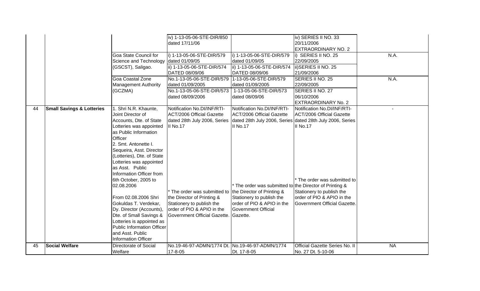|    |                                      |                             | iv) 1-13-05-06-STE-DIR/850                      |                                                       | iv) SERIES II NO. 33                                      |           |
|----|--------------------------------------|-----------------------------|-------------------------------------------------|-------------------------------------------------------|-----------------------------------------------------------|-----------|
|    |                                      |                             | dated 17/11/06                                  |                                                       | 20/11/2006                                                |           |
|    |                                      |                             |                                                 |                                                       | <b>EXTRAORDINARY NO. 2</b>                                |           |
|    |                                      | Goa State Council for       | i) 1-13-05-06-STE-DIR/579                       | i) 1-13-05-06-STE-DIR/579                             | i) SERIES II NO. 25                                       | N.A.      |
|    |                                      | Science and Technology      | dated 01/09/05                                  | dated 01/09/05                                        | 22/09/2005                                                |           |
|    |                                      | (GSCST), Saligao.           | ii) 1-13-05-06-STE-DIR/574                      | ii) 1-13-05-06-STE-DIR/574                            | ii)SERIES II NO. 25                                       |           |
|    |                                      |                             | DATED 08/09/06                                  | DATED 08/09/06                                        | 21/09/2006                                                |           |
|    |                                      | Goa Coastal Zone            | No.1-13-05-06-STE-DIR/579                       | 1-13-05-06-STE-DIR/579                                | SERIES II NO. 25                                          | N.A.      |
|    |                                      | <b>Management Authority</b> | dated 01/09/2005                                | dated 01/09/2005                                      | 22/09/2005                                                |           |
|    |                                      | (GCZMA)                     | No.1-13-05-06-STE-DIR/573                       | 1-13-05-06-STE-DIR/573                                | SERIES II NO. 27                                          |           |
|    |                                      |                             | dated 08/09/2006                                | dated 08/09/06                                        | 06/10/2006                                                |           |
|    |                                      |                             |                                                 |                                                       | <b>EXTRAORDINARY No. 2</b>                                |           |
| 44 | <b>Small Savings &amp; Lotteries</b> | 1. Shri N.R. Khaunte,       | Notification No.DI/INF/RTI-                     | Notification No.DI/INF/RTI-                           | Notification No.DI/INF/RTI-                               |           |
|    |                                      | Joint Director of           | ACT/2006 Official Gazette                       | ACT/2006 Official Gazette                             | ACT/2006 Official Gazette                                 |           |
|    |                                      | Accounts, Dte. of State     | dated 28th July 2006, Series                    |                                                       | dated 28th July 2006, Series dated 28th July 2006, Series |           |
|    |                                      | Lotteries was appointed     | <b>II No.17</b>                                 | <b>II No.17</b>                                       | II No.17                                                  |           |
|    |                                      | as Public Information       |                                                 |                                                       |                                                           |           |
|    |                                      | Officer                     |                                                 |                                                       |                                                           |           |
|    |                                      | 2. Smt. Antonette I.        |                                                 |                                                       |                                                           |           |
|    |                                      | Sequeira, Asst. Director    |                                                 |                                                       |                                                           |           |
|    |                                      | (Lotteries), Dte. of State  |                                                 |                                                       |                                                           |           |
|    |                                      | Lotteries was appointed     |                                                 |                                                       |                                                           |           |
|    |                                      | las Asst. Public            |                                                 |                                                       |                                                           |           |
|    |                                      | Information Officer from    |                                                 |                                                       |                                                           |           |
|    |                                      | 6th October, 2005 to        |                                                 |                                                       | The order was submitted to                                |           |
|    |                                      | 02.08.2006                  |                                                 | The order was submitted to the Director of Printing & |                                                           |           |
|    |                                      |                             | The order was submitted to                      | the Director of Printing &                            | Stationery to publish the                                 |           |
|    |                                      | From 02.08.2006 Shri        | the Director of Printing &                      | Stationery to publish the                             | order of PIO & APIO in the                                |           |
|    |                                      | Gokuldas T. Verdekar,       | Stationery to publish the                       | order of PIO & APIO in the                            | Government Official Gazette.                              |           |
|    |                                      | Dy. Director (Accounts),    | order of PIO & APIO in the                      | <b>Government Official</b>                            |                                                           |           |
|    |                                      | Dte. of Small Savings &     | Government Official Gazette.                    | Gazette.                                              |                                                           |           |
|    |                                      | Lotteries is appointed as   |                                                 |                                                       |                                                           |           |
|    |                                      | Public Information Officer  |                                                 |                                                       |                                                           |           |
|    |                                      | and Asst. Public            |                                                 |                                                       |                                                           |           |
|    |                                      | Information Officer         |                                                 |                                                       |                                                           |           |
| 45 | <b>Social Welfare</b>                | Directorate of Social       | No.19-46-97-ADMN/1774 Dt. No.19-46-97-ADMN/1774 |                                                       | Official Gazette Series No. II                            | <b>NA</b> |
|    |                                      | Welfare                     | 17-8-05                                         | Dt. 17-8-05                                           | No. 27 Dt. 5-10-06                                        |           |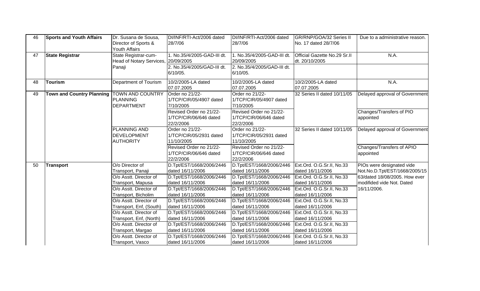| 46 | <b>Sports and Youth Affairs</b>              | Dr. Susana de Sousa,                | DI/INF/RTI-Act/2006 dated   | DI/INF/RTI-Act/2006 dated   | GR/RNP/GOA/32 Series II      | Due to a administrative reason. |
|----|----------------------------------------------|-------------------------------------|-----------------------------|-----------------------------|------------------------------|---------------------------------|
|    |                                              | Director of Sports &                | 28/7/06                     | 28/7/06                     | No. 17 dated 28/7/06         |                                 |
|    |                                              | <b>Youth Affairs</b>                |                             |                             |                              |                                 |
| 47 | <b>State Registrar</b>                       | State Registrar-cum-                | 1. No.35/4/2005-GAD-III dt. | 1. No.35/4/2005-GAD-III dt. | Official Gazette No.29 Sr.II | N.A.                            |
|    |                                              | Head of Notary Services, 20/09/2005 |                             | 20/09/2005                  | dt. 20/10/2005               |                                 |
|    |                                              | Panaji                              | 2. No.35/4/2005/GAD-III dt. | 2. No.35/4/2005/GAD-III dt. |                              |                                 |
|    |                                              |                                     | $6/10/05$ .                 | 6/10/05.                    |                              |                                 |
| 48 | <b>Tourism</b>                               | Department of Tourism               | 10/2/2005-LA dated          | 10/2/2005-LA dated          | 10/2/2005-LA dated           | N.A.                            |
|    |                                              |                                     | 07.07.2005                  | 07.07.2005                  | 07.07.2005                   |                                 |
| 49 | Town and Country Planning   TOWN AND COUNTRY |                                     | Order no 21/22-             | Order no 21/22-             | 32 Series II dated 10/11/05  | Delayed approval of Government  |
|    |                                              | <b>PLANNING</b>                     | 1/TCP/CIR/05/4907 dated     | 1/TCP/CIR/05/4907 dated     |                              |                                 |
|    |                                              | <b>DEPARTMENT</b>                   | 7/10/2005                   | 7/10/2005                   |                              |                                 |
|    |                                              |                                     | Revised Order no 21/22-     | Revised Order no 21/22-     |                              | Changes/Transfers of PIO        |
|    |                                              |                                     | 1/TCP/CIR/06/646 dated      | 1/TCP/CIR/06/646 dated      |                              | appointed                       |
|    |                                              |                                     | 22/2/2006                   | 22/2/2006                   |                              |                                 |
|    |                                              | <b>PLANNING AND</b>                 | Order no 21/22-             | Order no 21/22-             | 32 Series II dated 10/11/05  | Delayed approval of Government  |
|    |                                              | <b>DEVELOPMENT</b>                  | 1/TCP/CIR/05/2931 dated     | 1/TCP/CIR/05/2931 dated     |                              |                                 |
|    |                                              | <b>AUTHORITY</b>                    | 11/10/2005                  | 11/10/2005                  |                              |                                 |
|    |                                              |                                     | Revised Order no 21/22-     | Revised Order no 21/22-     |                              | Changes/Transfers of APIO       |
|    |                                              |                                     | 1/TCP/CIR/06/646 dated      | 1/TCP/CIR/06/646 dated      |                              | appointed                       |
|    |                                              |                                     | 22/2/2006                   | 22/2/2006                   |                              |                                 |
| 50 | <b>Transport</b>                             | O/o Director of                     | D.Tpt/EST/1668/2006/2446    | D.Tpt/EST/1668/2006/2446    | Ext.Ord. O.G.Sr.II, No.33    | PIOs were designated vide       |
|    |                                              | Transport, Panaji                   | dated 16/11/2006            | dated 16/11/2006            | dated 16/11/2006             | Not.No.D.Tpt/EST/1668/2005/15   |
|    |                                              | O/o Asstt. Director of              | D.Tpt/EST/1668/2006/2446    | D.Tpt/EST/1668/2006/2446    | Ext.Ord. O.G.Sr.II, No.33    | 63/dated 18/08/2005. How ever   |
|    |                                              | Transport, Mapusa                   | dated 16/11/2006            | dated 16/11/2006            | dated 16/11/2006             | modifided vide Not. Dated       |
|    |                                              | O/o Asstt. Director of              | D.Tpt/EST/1668/2006/2446    | D.Tpt/EST/1668/2006/2446    | Ext.Ord. O.G.Sr.II, No.33    | 16/11/2006.                     |
|    |                                              | Transport, Bicholim                 | dated 16/11/2006            | dated 16/11/2006            | dated 16/11/2006             |                                 |
|    |                                              | O/o Asstt. Director of              | D.Tpt/EST/1668/2006/2446    | D.Tpt/EST/1668/2006/2446    | Ext.Ord. O.G.Sr.II, No.33    |                                 |
|    |                                              | Transport, Enf, (South)             | dated 16/11/2006            | dated 16/11/2006            | dated 16/11/2006             |                                 |
|    |                                              | O/o Asstt. Director of              | D.Tpt/EST/1668/2006/2446    | D.Tpt/EST/1668/2006/2446    | Ext.Ord. O.G.Sr.II, No.33    |                                 |
|    |                                              | Transport, Enf, (North)             | dated 16/11/2006            | dated 16/11/2006            | dated 16/11/2006             |                                 |
|    |                                              | O/o Asstt. Director of              | D.Tpt/EST/1668/2006/2446    | D.Tpt/EST/1668/2006/2446    | Ext.Ord. O.G.Sr.II, No.33    |                                 |
|    |                                              | Transport, Margao                   | dated 16/11/2006            | dated 16/11/2006            | dated 16/11/2006             |                                 |
|    |                                              | O/o Asstt. Director of              | D.Tpt/EST/1668/2006/2446    | D.Tpt/EST/1668/2006/2446    | Ext.Ord. O.G.Sr.II, No.33    |                                 |
|    |                                              | Transport, Vasco                    | dated 16/11/2006            | dated 16/11/2006            | dated 16/11/2006             |                                 |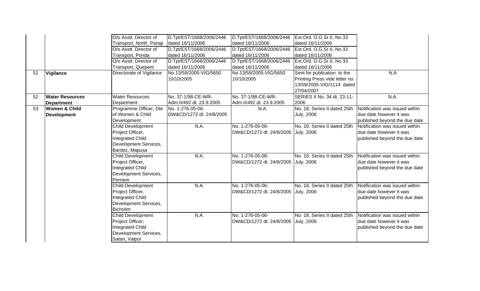|    |                          | O/o Asstt. Director of   | D.Tpt/EST/1668/2006/2446 | D.Tpt/EST/1668/2006/2446            | Ext.Ord. O.G.Sr.II, No.33      |                                |
|----|--------------------------|--------------------------|--------------------------|-------------------------------------|--------------------------------|--------------------------------|
|    |                          | Transport, North, Panaji | dated 16/11/2006         | dated 16/11/2006                    | dated 16/11/2006               |                                |
|    |                          | O/o Asstt. Director of   | D.Tpt/EST/1668/2006/2446 | D.Tpt/EST/1668/2006/2446            | Ext.Ord. O.G.Sr.II, No.33      |                                |
|    |                          | Transport, Ponda         | dated 16/11/2006         | dated 16/11/2006                    | dated 16/11/2006               |                                |
|    |                          | O/o Asstt. Director of   | D.Tpt/EST/1668/2006/2446 | D.Tpt/EST/1668/2006/2446            | Ext.Ord. O.G.Sr.II, No.33      |                                |
|    |                          | Transport, Quepem        | dated 16/11/2006         | dated 16/11/2006                    | dated 16/11/2006               |                                |
| 51 | Vigilance                | Directorate of Vigilance | No.13/59/2005-VIG/5650   | No.13/59/2005-VIG/5650              | Sent for publication to the    | N.A                            |
|    |                          |                          | 10/10/2005               | 10/10/2005                          | Printing Press vide letter no. |                                |
|    |                          |                          |                          |                                     | 13/59/2005-VIG/1114 dated      |                                |
|    |                          |                          |                          |                                     | 27/04/2007                     |                                |
| 52 | <b>Water Resources</b>   | <b>Water Resources</b>   | No. 37-1/98-CE-WR-       | No. 37-1/98-CE-WR-                  | SERIES II No. 34 dt. 23-11-    | N.A.                           |
|    | <b>Department</b>        | Department               | Adm.II/492 dt. 23.9.2005 | Adm.II/492 dt. 23.9.2005            | 2006                           |                                |
| 53 | <b>Women &amp; Child</b> | Programme Officer, Dte   | No. 1-276-05-06-         | N.A.                                | No. 18, Series II dated 25th   | Notification was issued within |
|    | <b>Development</b>       | of Women & Child         | DW&CD/1272 dt. 24/8/2005 |                                     | <b>July, 2006</b>              | due date however it was        |
|    |                          | Development              |                          |                                     |                                | published beyond the due date  |
|    |                          | <b>Child Development</b> | N.A.                     | No. 1-276-05-06-                    | No. 18, Series II dated 25th   | Notification was issued within |
|    |                          | Project Officer,         |                          | DW&CD/1272 dt. 24/8/2005            | <b>July, 2006</b>              | due date however it was        |
|    |                          | <b>Integrated Child</b>  |                          |                                     |                                | published beyond the due date  |
|    |                          | Development Services,    |                          |                                     |                                |                                |
|    |                          | Bardez, Mapusa           |                          |                                     |                                |                                |
|    |                          | <b>Child Development</b> | N.A.                     | No. 1-276-05-06-                    | No. 18, Series II dated 25th   | Notification was issued within |
|    |                          | Project Officer,         |                          | DW&CD/1272 dt. 24/8/2005            | <b>July, 2006</b>              | due date however it was        |
|    |                          | <b>Integrated Child</b>  |                          |                                     |                                | published beyond the due date  |
|    |                          | Development Services,    |                          |                                     |                                |                                |
|    |                          | Pernem                   |                          |                                     |                                |                                |
|    |                          | Child Development        | N.A.                     | No. 1-276-05-06-                    | No. 18, Series II dated 25th   | Notification was issued within |
|    |                          | Project Officer,         |                          | DW&CD/1272 dt. 24/8/2005 July, 2006 |                                | due date however it was        |
|    |                          | <b>Integrated Child</b>  |                          |                                     |                                | published beyond the due date  |
|    |                          | Development Services,    |                          |                                     |                                |                                |
|    |                          | Bicholim                 |                          |                                     |                                |                                |
|    |                          | Child Development        | N.A.                     | No. 1-276-05-06-                    | No. 18, Series II dated 25th   | Notification was issued within |
|    |                          | Project Officer,         |                          | DW&CD/1272 dt. 24/8/2005            | <b>July, 2006</b>              | due date however it was        |
|    |                          | <b>Integrated Child</b>  |                          |                                     |                                | published beyond the due date  |
|    |                          | Development Services,    |                          |                                     |                                |                                |
|    |                          | Satari, Valpoi           |                          |                                     |                                |                                |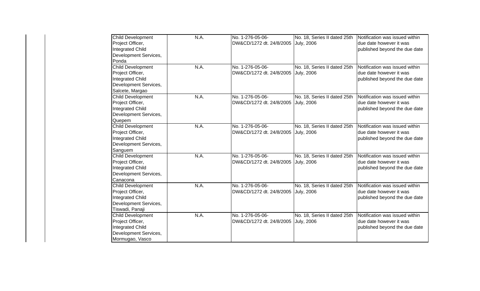| <b>Child Development</b> | N.A. | No. 1-276-05-06-         | No. 18, Series II dated 25th | Notification was issued within |
|--------------------------|------|--------------------------|------------------------------|--------------------------------|
| Project Officer,         |      | DW&CD/1272 dt. 24/8/2005 | <b>July, 2006</b>            | due date however it was        |
| <b>Integrated Child</b>  |      |                          |                              | published beyond the due date  |
| Development Services,    |      |                          |                              |                                |
| Ponda                    |      |                          |                              |                                |
| <b>Child Development</b> | N.A. | No. 1-276-05-06-         | No. 18, Series II dated 25th | Notification was issued within |
| Project Officer,         |      | DW&CD/1272 dt. 24/8/2005 | <b>July, 2006</b>            | due date however it was        |
| <b>Integrated Child</b>  |      |                          |                              | published beyond the due date  |
| Development Services,    |      |                          |                              |                                |
| Salcete, Margao          |      |                          |                              |                                |
| <b>Child Development</b> | N.A. | No. 1-276-05-06-         | No. 18, Series II dated 25th | Notification was issued within |
| Project Officer,         |      | DW&CD/1272 dt. 24/8/2005 | <b>July, 2006</b>            | due date however it was        |
| <b>Integrated Child</b>  |      |                          |                              | published beyond the due date  |
| Development Services,    |      |                          |                              |                                |
| Quepem                   |      |                          |                              |                                |
| <b>Child Development</b> | N.A. | No. 1-276-05-06-         | No. 18, Series II dated 25th | Notification was issued within |
| Project Officer,         |      | DW&CD/1272 dt. 24/8/2005 | <b>July, 2006</b>            | due date however it was        |
| <b>Integrated Child</b>  |      |                          |                              | published beyond the due date  |
| Development Services,    |      |                          |                              |                                |
| Sanguem                  |      |                          |                              |                                |
| <b>Child Development</b> | N.A. | No. 1-276-05-06-         | No. 18, Series II dated 25th | Notification was issued within |
| Project Officer,         |      | DW&CD/1272 dt. 24/8/2005 | <b>July, 2006</b>            | due date however it was        |
| <b>Integrated Child</b>  |      |                          |                              | published beyond the due date  |
| Development Services,    |      |                          |                              |                                |
| Canacona                 |      |                          |                              |                                |
| <b>Child Development</b> | N.A. | No. 1-276-05-06-         | No. 18, Series II dated 25th | Notification was issued within |
| Project Officer,         |      | DW&CD/1272 dt. 24/8/2005 | <b>July, 2006</b>            | due date however it was        |
| <b>Integrated Child</b>  |      |                          |                              | published beyond the due date  |
| Development Services,    |      |                          |                              |                                |
| Tiswadi, Panaji          |      |                          |                              |                                |
| <b>Child Development</b> | N.A. | No. 1-276-05-06-         | No. 18, Series II dated 25th | Notification was issued within |
| Project Officer,         |      | DW&CD/1272 dt. 24/8/2005 | <b>July, 2006</b>            | due date however it was        |
| <b>Integrated Child</b>  |      |                          |                              | published beyond the due date  |
| Development Services,    |      |                          |                              |                                |
|                          |      |                          |                              |                                |
| Mormugao, Vasco          |      |                          |                              |                                |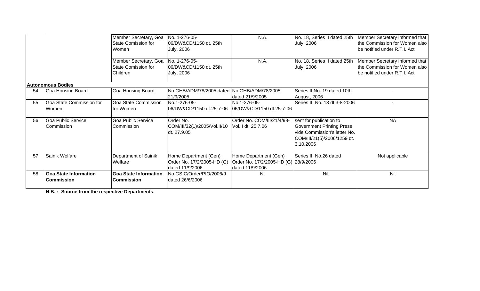|    |                                                    | Member Secretary, Goa<br>State Comission for<br>Women    | No. 1-276-05-<br>06/DW&CD/1150 dt. 25th<br><b>July, 2006</b>           | N.A.                                                                             | No. 18, Series II dated 25th<br><b>July, 2006</b>                                                                                       | Member Secretary informed that<br>the Commission for Women also<br>be notified under R.T.I. Act |
|----|----------------------------------------------------|----------------------------------------------------------|------------------------------------------------------------------------|----------------------------------------------------------------------------------|-----------------------------------------------------------------------------------------------------------------------------------------|-------------------------------------------------------------------------------------------------|
|    |                                                    | Member Secretary, Goa<br>State Comission for<br>Children | No. 1-276-05-<br>06/DW&CD/1150 dt. 25th<br><b>July, 2006</b>           | N.A.                                                                             | No. 18, Series II dated 25th<br><b>July, 2006</b>                                                                                       | Member Secretary informed that<br>the Commission for Women also<br>be notified under R.T.I. Act |
|    | <b>Autonomous Bodies</b>                           |                                                          |                                                                        |                                                                                  |                                                                                                                                         |                                                                                                 |
| 54 | Goa Housing Board                                  | Goa Housing Board                                        | No.GHB/ADM/78/2005 dated No.GHB/ADM/78/2005<br>21/9/2005               | dated 21/9/2005                                                                  | Series II No. 19 dated 10th<br>August, 2006                                                                                             |                                                                                                 |
| 55 | Goa State Commission for<br><b>Women</b>           | Goa State Commission<br>Ifor Women                       | No.1-276-05-<br>06/DW&CD/1150 dt.25-7-06                               | No.1-276-05-<br>06/DW&CD/1150 dt.25-7-06                                         | Series II, No. 18 dt.3-8-2006                                                                                                           |                                                                                                 |
| 56 | Goa Public Service<br>Commission                   | <b>Goa Public Service</b><br>Commission                  | Order No.<br>COM/III/32(1)/2005/Vol.II/10<br>dt. 27.9.05               | Order No. COM/III/21/4/98-<br>Vol.II dt. 25.7.06                                 | sent for publication to<br><b>Government Printing Press</b><br>vide Commission's letter No.<br>COM/III/21(5)/2006/1259 dt.<br>3.10.2006 | <b>NA</b>                                                                                       |
| 57 | Sainik Welfare                                     | Department of Sainik<br>Welfare                          | Home Department (Gen)<br>Order No. 17/2/2005-HD (G)<br>dated 11/9/2006 | Home Department (Gen)<br>Order No. 17/2/2005-HD (G) 28/9/2006<br>dated 11/9/2006 | Series II, No.26 dated                                                                                                                  | Not applicable                                                                                  |
| 58 | <b>Goa State Information</b><br><b>ICommission</b> | <b>Goa State Information</b><br><b>Commission</b>        | No.GSIC/Order/PIO/2006/9<br>dated 26/6/2006                            | Nil                                                                              | Nil                                                                                                                                     | Nil                                                                                             |

**N.B. :- Source from the respective Departments.**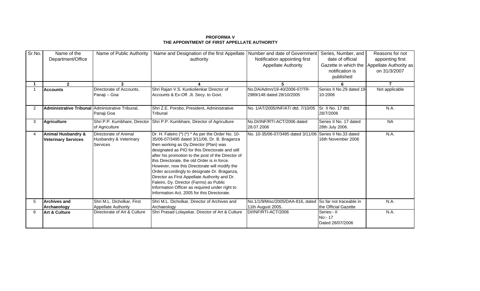**PROFORMA VTHE APPOINTMENT OF FIRST APPELLATE AUTHORITY**

| Sr.No. | Name of the<br>Department/Office<br>$\overline{2}$          | Name of Public Authority                                           | Name and Designation of the first Appellate   Number and date of Government<br>authority                                                                                                                                                                                                                                                                                                                                                                                                                                                                                                            | Notification appointing first<br><b>Appellate Authority</b> | Series, Number, and<br>date of official<br>Gazette in which the<br>notification is<br>published | Reasons for not<br>appointing first<br>Appellate Authority as<br>on 31/3/2007<br>$\overline{ }$ |
|--------|-------------------------------------------------------------|--------------------------------------------------------------------|-----------------------------------------------------------------------------------------------------------------------------------------------------------------------------------------------------------------------------------------------------------------------------------------------------------------------------------------------------------------------------------------------------------------------------------------------------------------------------------------------------------------------------------------------------------------------------------------------------|-------------------------------------------------------------|-------------------------------------------------------------------------------------------------|-------------------------------------------------------------------------------------------------|
|        | <b>Accounts</b>                                             | Directorate of Accounts,<br>Panaji - Goa                           | Shri Rajan V.S. Kunkolienkar Director of<br>Accounts & Ex-Off. Jt. Secy. to Govt.                                                                                                                                                                                                                                                                                                                                                                                                                                                                                                                   | No.DA/Admn/19-40/2006-07/TR-<br>2989/148 dated 28/10/2005   | Series II No.29 dated 19<br>10-2006                                                             | Not applicable                                                                                  |
| 2      | Administrative Tribunal Administrative Tribunal,            | Panaji Goa                                                         | Shri Z.E. Porobo, President, Administrative<br>Tribunal                                                                                                                                                                                                                                                                                                                                                                                                                                                                                                                                             | No. 1/AT/2005/INF/AT/ dtd. 7/10/05                          | Sr. II No. 17 dtd.<br>28/7/2006                                                                 | N.A.                                                                                            |
| 3      | <b>Agriculture</b>                                          | of Agriculture                                                     | Shri P.P. Kumbhare, Director Shri P.P. Kumbhare, Director of Agriculture                                                                                                                                                                                                                                                                                                                                                                                                                                                                                                                            | No.DI/INF/RTI-ACT/2006 dated<br>28.07.2006                  | Series II No. 17 dated<br>28th July 2006.                                                       | <b>NA</b>                                                                                       |
|        | <b>Animal Husbandry &amp;</b><br><b>Veterinary Services</b> | Directorate of Animal<br>Husbandry & Veterinary<br><b>Services</b> | Dr. H. Faleiro (*) (*) * As per the Order No. 10-<br>35/06-07/3495 dated 3/11/06, Dr. B. Braganza<br>then working as Dy.Director (Plan) was<br>designated as PIO for this Directorate and still<br>after his promotion to the post of the Director of<br>this Directorate, the old Order is in force.<br>However, now this Directorate will modify the<br>Order accordingly to designate Dr. Braganza,<br>Director as First Appellate Authority and Dr.<br>Faleiro, Dy. Director (Farms) as Public<br>Information Officer as required under right to<br>Information Act, 2005 for this Directorate. | No. 10-35/06-07/3495 dated 3/11/06                          | Series II No.33 dated<br>16th November 2006                                                     | N.A.                                                                                            |
| 5      | <b>Archives and</b><br>Archaeology                          | Shri M.L. Dicholkar, First<br><b>Appellate Authority</b>           | Shri M.L. Dicholkar, Director of Archives and<br>Archaeology                                                                                                                                                                                                                                                                                                                                                                                                                                                                                                                                        | No.1/1/9/Misc/2005/DAA-816, dated<br>11th August 2005.      | So far not traceable in<br>the Official Gazette                                                 | N.A.                                                                                            |
| 6.     | <b>Art &amp; Culture</b>                                    | Directorate of Art & Culture                                       | Shri Prasad Lolayekar, Director of Art & Culture                                                                                                                                                                                                                                                                                                                                                                                                                                                                                                                                                    | DI/INF/RTI-ACT/2006                                         | Series:- II<br>No:- 17<br>Dated 28/07/2006                                                      | N.A.                                                                                            |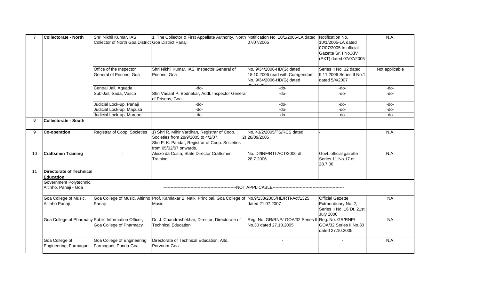|    | Collectorate - North                                | Shri Nikhil Kumar, IAS<br>Collector of North Goa District Goa District Panaji  | 1. The Collector & First Appellate Authority, North Notification No. 10/1/2005-LA dated                                                                           | 07/07/2005                                                                                              | Notification No.<br>10/1/2005-LA dated<br>07/07/2005 In official<br>Gazette Sr. I No.XIV<br>(EXT) dated 07/07/2005 | N.A.           |
|----|-----------------------------------------------------|--------------------------------------------------------------------------------|-------------------------------------------------------------------------------------------------------------------------------------------------------------------|---------------------------------------------------------------------------------------------------------|--------------------------------------------------------------------------------------------------------------------|----------------|
|    |                                                     | Office of the Inspector<br>General of Prisons, Goa                             | Shri Nikhil Kumar, IAS, Inspector General of<br>Prisons, Goa                                                                                                      | No. 9/34/2006-HD(G) dated<br>18.10.2006 read with Corrigendum<br>No. 9/34/2006-HD(G) dated<br>as a goot | Series II No. 32 dated<br>9.11.2006 Series II No.1<br>dated 5/4/2007                                               | Not applicable |
|    |                                                     | Central Jail, Aguada                                                           | $-do-$                                                                                                                                                            | -do-                                                                                                    | $-do-$                                                                                                             | -do-           |
|    |                                                     | Sub-Jail, Sada, Vasco                                                          | Shri Vasant P. Bodnekar, Addl. Inspector General<br>of Prisons, Goa                                                                                               | $-do-$                                                                                                  | $-do-$                                                                                                             | -do-           |
|    |                                                     | Judicial Lock-up, Panaji                                                       | -do-                                                                                                                                                              | -do-                                                                                                    | -do-                                                                                                               | -do-           |
|    |                                                     | Judicial Lock-up, Mapusa                                                       | $-do-$                                                                                                                                                            | $-do-$                                                                                                  | -do-                                                                                                               | -do-           |
|    |                                                     | Judicial Lock-up, Margao                                                       | -do-                                                                                                                                                              | -do-                                                                                                    | $-do-$                                                                                                             | -do-           |
| 8  | Collectorate - South                                |                                                                                |                                                                                                                                                                   |                                                                                                         |                                                                                                                    |                |
| 9  | Co-operation                                        | Registrar of Coop. Societies                                                   | 1) Shri R. Mihir Vardhan, Registrar of Coop.<br>Societies from 28/9/2005 to 4/2/07.<br>Shri P. K. Patidar, Registrar of Coop. Societies<br>from 05/02/07 onwards. | No. 43/2/2005/TS/RCS dated<br>2) 28/09/2005                                                             |                                                                                                                    | N.A.           |
| 10 | <b>Craftsmen Training</b>                           |                                                                                | Aleixo da Costa, State Director Craftsmen<br>Training                                                                                                             | No. DI/INF/RTI-ACT/2006 dt.<br>28.7.2006                                                                | Govt. official gazette<br>Series 11 No.17 dt.<br>28.7.06                                                           | N.A.           |
| 11 | <b>Directorate of Technical</b><br><b>Education</b> |                                                                                |                                                                                                                                                                   |                                                                                                         |                                                                                                                    |                |
|    | Government Polytechnic,<br>Altinho, Panaji - Goa    |                                                                                |                                                                                                                                                                   |                                                                                                         |                                                                                                                    |                |
|    | Goa College of Music,<br>Altinho Panaji             | Panaji                                                                         | Goa College of Music, Altinho Prof. Kamlakar B. Naik, Principal, Goa College of No.9/138/2005/HE/RTI-Act/1325<br>Music                                            | dated 21.07.2007                                                                                        | <b>Official Gazette</b><br>Extraordinary No. 2,<br>Series II No. 16 Dt. 21st<br><b>July 2006</b>                   | <b>NA</b>      |
|    |                                                     | Goa College of Pharmacy Public Information Officer,<br>Goa College of Pharmacy | Dr. J. Chandrashekhar, Director, Directorate of<br><b>Technical Education</b>                                                                                     | Reg. No. GR/RNP/-GOA/32 Series II<br>No.30 dated 27,10,2005                                             | Reg. No. GR/RNP/-<br>GOA/32 Series II No.30<br>dated 27.10.2005                                                    | <b>NA</b>      |
|    | Goa College of<br>Engineering, Farmagudi            | Goa College of Engineering,<br>Farmagudi, Ponda-Goa                            | Directorate of Technical Education, Alto,<br>Porvorim-Goa.                                                                                                        | $\sim$                                                                                                  |                                                                                                                    | N.A.           |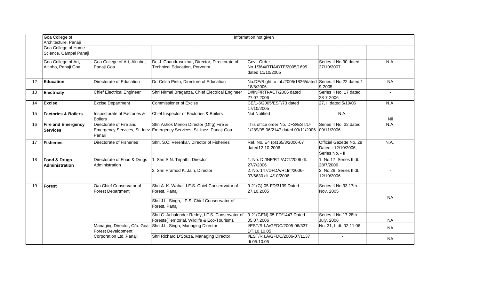|                   | Goa College of<br>Architecture, Panaji           | Information not given                                    |                                                                                                                                     |                                                                                                      |                                                                               |           |
|-------------------|--------------------------------------------------|----------------------------------------------------------|-------------------------------------------------------------------------------------------------------------------------------------|------------------------------------------------------------------------------------------------------|-------------------------------------------------------------------------------|-----------|
|                   | Goa College of Home<br>Science, Campal Panaji    | $\sim$                                                   |                                                                                                                                     |                                                                                                      |                                                                               |           |
|                   | Goa College of Art,<br>Altinho, Panaji Goa       | Goa College of Art, Altinho,<br>Panaji Goa               | Dr. J. Chandrasekhar, Director, Directorate of<br><b>Technical Education, Porvorim</b>                                              | Govt. Order<br>No.1/364/RTIA/DTE/2005/1695<br>dated 11/10/2005                                       | Series II No.30 dated<br>27/10/2007                                           | N.A.      |
| $12 \overline{ }$ | <b>Education</b>                                 | Directorate of Education                                 | Dr. Celsa Pinto, Directore of Education                                                                                             | No.DE/Right to Inf./2005/1826/dated Series.II No.22 dated 1-<br>18/8/2006                            | 9-2005                                                                        | <b>NA</b> |
| 13                | <b>Electricity</b>                               | <b>Chief Electrical Engineer</b>                         | Shri Nirmal Braganza, Chief Electrical Engineer                                                                                     | DI/INF/RTI-ACT/2006 dated<br>27.07.2006                                                              | Series II No. 17 dated<br>28-7-2006                                           |           |
| 14                | <b>Excise</b>                                    | <b>Excise Department</b>                                 | <b>Commissioner of Excise</b>                                                                                                       | CE/1-6/2005/EST/73 dated<br>17/10/2005                                                               | 27, II dated 5/10/06                                                          | N.A.      |
| 15                | <b>Factories &amp; Boilers</b>                   | Inspectorate of Factories &<br><b>Boilers</b>            | Chief Inspector of Factories & Boilers                                                                                              | <b>Not Notified</b>                                                                                  | N.A.                                                                          | Nil       |
| 16                | <b>Fire and Emergency</b><br><b>Services</b>     | Directorate of Fire and<br>Panaji                        | Shri Ashok Menon Director (Offg) Fire &<br>Emergency Services, St. Inez Emergency Services, St. Inez, Panaji-Goa                    | This office order No. DFS/EST/U-<br>1/289/05-06/2147 dated 09/11/2006. 09/11/2006                    | Series II No. 32 dated                                                        | N.A.      |
| 17                | <b>Fisheries</b>                                 | Directorate of Fisheries                                 | Shri. S.C. Verenkar, Director of Fisheries                                                                                          | Ref. No. E4 (p)165/3/2006-07<br>dated12-10-2006                                                      | Official Gazette No. 29<br>Dated: 12/10/2006,<br>Series No. - II              | N.A.      |
| 18                | <b>Food &amp; Drugs</b><br><b>Administration</b> | Directorate of Food & Drugs<br>Administration            | 1. Shri S.N. Tripathi, Director<br>2. Shri Pramod K. Jain, Director                                                                 | 1. No. DI/INF/RTI/ACT/2006 dt.<br>27/7/2006<br>2. No. 147/DFDA/Rt.Inf/2006-<br>07/6630 dt. 4/10/2006 | 1. No.17, Series II dt.<br>28/7/2006<br>2. No.28, Series II dt.<br>12/10/2006 |           |
| 19                | <b>IForest</b>                                   | O/o Chief Conservator of<br><b>Forest Department</b>     | Shri A. K. Wahal, I.F.S. Chief Conserrvator of<br>Forest, Panaji<br>Shri J.L. Singh, I.F.S. Chief Conserrvator of<br>Forest, Panaji | 9-21(G)-05-FD/3139 Dated<br>27.10.2005                                                               | Series.II No.33 17th<br>Nov, 2005                                             | <b>NA</b> |
|                   |                                                  |                                                          | Shri C. Achalender Reddy, I.F.S. Conservator of<br>Forests(Territorial, Wildlife & Eco-Tourism),                                    | 9-21(GEN)-05-FD/1447 Dated<br>05.07.2006                                                             | Series.II No.17 28th<br><b>July, 2006</b>                                     | <b>NA</b> |
|                   |                                                  | Managing Director, O/o. Goa<br><b>Forest Development</b> | Shri J.L. Singh, Managing Director                                                                                                  | I/EST/R.I.A/GFDC/2005-06/337<br>DT.10.10.05                                                          | No. 31, II dt. 02.11.06                                                       | <b>NA</b> |
|                   |                                                  | Corporation Ltd., Panaji                                 | Shri Richard D'Souza, Managing Director                                                                                             | I/EST/R.I.A/GFDC/2006-07/1137<br>dt.05.10.05                                                         |                                                                               | <b>NA</b> |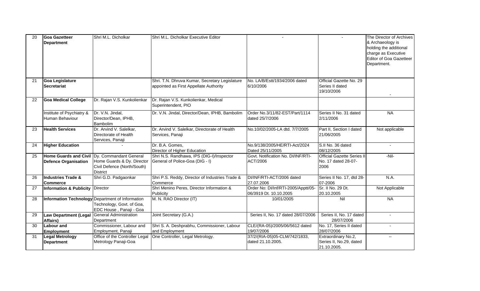| 20 | <b>Goa Gazetteer</b><br><b>Department</b>                        | Shri M.L. Dicholkar                                                                                                          | Shri M.L. Dicholkar Executive Editor                                                     |                                                               |                                                                  | The Director of Archives<br>& Archaeology is<br>holding the additional<br>charge as Executive<br>Editor of Goa Gazetteer<br>Department. |
|----|------------------------------------------------------------------|------------------------------------------------------------------------------------------------------------------------------|------------------------------------------------------------------------------------------|---------------------------------------------------------------|------------------------------------------------------------------|-----------------------------------------------------------------------------------------------------------------------------------------|
| 21 | <b>Goa Legislature</b><br>Secretariat                            |                                                                                                                              | Shri. T.N. Dhruva Kumar, Secretary Legislature<br>appointed as First Appellate Authority | No. LA/B/Estt/1934/2006 dated<br>6/10/2006                    | Official Gazette No. 29<br>Series II dated<br>19/10/2006         |                                                                                                                                         |
| 22 | <b>Goa Medical College</b>                                       | Dr. Rajan V.S. Kunkolienkar                                                                                                  | Dr. Rajan V.S. Kunkolienkar, Medical<br>Superintendent, PIO                              |                                                               |                                                                  |                                                                                                                                         |
|    | Institute of Psychiatry &<br>Human Behaviour                     | Dr. V.N. Jindal,<br>Director/Dean, IPHB,<br>Bambolim                                                                         | Dr. V.N. Jindal, Director/Dean, IPHB, Bambolim                                           | Order No.3/11/82-EST/Part/1114<br>dated 25/7/2006             | Series II No. 31 dated<br>2/11/2006                              | <b>NA</b>                                                                                                                               |
| 23 | <b>Health Services</b>                                           | Dr. Arvind V. Salelkar,<br>Directorate of Health<br>Services, Panaji                                                         | Dr. Arvind V. Salelkar, Directorate of Health<br>Services, Panaji                        | No.10/02/2005-LA dtd. 7/7/2005                                | Part II, Section I dated<br>21/06/2005                           | Not applicable                                                                                                                          |
| 24 | <b>Higher Education</b>                                          |                                                                                                                              | Dr. B.A. Gomes,<br>Director of Higher Education                                          | No.9/138/2005/HE/RTI-Act/2024<br>Dated 25/11/2005             | S.II No. 36 dated<br>08/12/2005                                  | $\sim$                                                                                                                                  |
| 25 | <b>Defence Organisation</b>                                      | Home Guards and Civil Dy. Commandant General<br>Home Guards & Dy. Director<br>Civil Defence (North/South)<br><b>District</b> | Shri N.S. Randhawa, IPS (DIG-I)/Inspector<br>General of Police-Goa (DIG - I)             | Govt. Notification No. DI/INF/RTI-<br>ACT/2006                | <b>Official Gazette Series II</b><br>No. 17 dated 28-07-<br>2006 | $-Ni-$                                                                                                                                  |
| 26 | Industries Trade &<br><b>Commerce</b>                            | Shri G.D. Padgaonkar                                                                                                         | Shri P.S. Reddy, Director of Industries Trade &<br>Commerce                              | DI/INF/RTI-ACT/2006 dated<br>27.07.2006                       | Series II No. 17, dtd 28-<br>07-2006                             | N.A.                                                                                                                                    |
| 27 | Information & Publicity Director                                 |                                                                                                                              | Shri Menino Peres, Director Information &<br>Publicity                                   | Order No: DI/Inf/RTI-2005/Apptt/05-<br>06/3919 Dt. 10.10.2005 | Sr. II No. 29 Dt.<br>20.10.2005                                  | Not Applicable                                                                                                                          |
| 28 |                                                                  | Information Technology Department of Information<br>Technology, Govt. of Goa,<br>EDC House, Panaji - Goa                     | M. N. RAO Director (IT)                                                                  | 10/01/2005                                                    | Nil                                                              | <b>NA</b>                                                                                                                               |
| 29 | Law Department (Legal General Administration<br><b>Affairs</b> ) | Department                                                                                                                   | Joint Secretary (G.A.)                                                                   | Series II, No. 17 dated 28/07/2006                            | Series II, No. 17 dated<br>28/07/2006                            | $\blacksquare$                                                                                                                          |
| 30 | <b>Labour and</b><br><b>Employment</b>                           | Commissioner, Labour and<br>Employment, Panaji                                                                               | Shri S. A. Deshprabhu, Commissioner, Labour<br>and Employment                            | CLE/(RA-05)/2005/06/5612 dated<br>19/07/2006                  | No. 17, Series II dated<br>28/07/2006                            | $\sim$                                                                                                                                  |
| 31 | <b>Legal Metrology</b><br><b>Department</b>                      | Office of the Controller Legal<br>Metrology Panaji-Goa                                                                       | One Controller, Legal Metrology.                                                         | 37/2/(RIA-05)05-CLM/742/1833,<br>dated 21.10.2005.            | Extraordinary No.2,<br>Series II, No.29, dated<br>21.10.2005.    |                                                                                                                                         |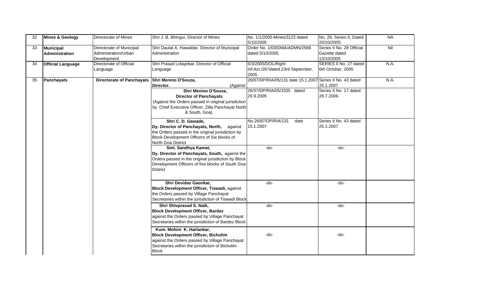| 32 | <b>Mines &amp; Geology</b>                | <b>Directorate of Mines</b>                                     | Shri J. B. Bhingui, Director of Mines                                                                                                                                                               | No. 1/1/2005-Mines/3122 dated<br>5/10/2005                      | No. 29, Series II, Dated<br>20/10/2005.                  | <b>NA</b> |
|----|-------------------------------------------|-----------------------------------------------------------------|-----------------------------------------------------------------------------------------------------------------------------------------------------------------------------------------------------|-----------------------------------------------------------------|----------------------------------------------------------|-----------|
| 33 | <b>Municipal</b><br><b>Administration</b> | Directorate of Municipal<br>Administration/Urban<br>Development | Shri Daulat A. Hawaldar, Director of Municipal<br>Administration                                                                                                                                    | Order No. 1/03/DMA/ADMN/2566<br>dated 5/10/2005                 | Series II No. 28 Official<br>Gazette dated<br>13/10/2005 | Nil       |
| 34 | <b>Official Language</b>                  | Directorate of Official<br>Language                             | Shri Prasad Lolayekar, Director of Official<br>Language                                                                                                                                             | 5/3/2005/DOL/Right<br>Inf.Act./267dated 23rd September,<br>2005 | SERIES II No. 27 dated<br>6th October, 2005              | N.A.      |
| 35 | <b>Panchayats</b>                         | Directorate of Panchayats Shri Menino D'Souza,                  | Director.<br>(Against                                                                                                                                                                               | 26/87/DP/RIA/05/131 date 15.1.2007 Series II No. 43 dated       | 25.1.2007                                                | N.A.      |
|    |                                           |                                                                 | Shri Menino D'Souza,<br><b>Director of Panchayats</b><br>(Against the Orders passed in original jurisdiction<br>by Chief Executive Officer, Zilla Panchayat North<br>& South, Goa).                 | 26/37/DP/RIA/05/3335 dated<br>20.9.2005                         | Series II No. 17 dated<br>28.7.2006.                     |           |
|    |                                           |                                                                 | Shri C. D. Gawade,<br>Dy. Director of Panchayats, North, against<br>the Orders passed in the original jurisdiction by<br>Block Development Officers of Six blocks of<br>North Goa District          | No.26/87/DP/RIA/131<br>date<br>15.1.2007                        | Series II No. 43 dated<br>25.1.2007                      |           |
|    |                                           |                                                                 | Smt. Sandhya Kamat,<br>Dy. Director of Panchayats, South, against the<br>Orders passed in the original jurisdiction by Block<br>Development Officers of five blocks of South Goa<br><b>District</b> | -do-                                                            | -do-                                                     |           |
|    |                                           |                                                                 | Shri Devidas Gaonkar,<br>Block Development Officer, Tiswadi, against<br>the Orders passed by Village Panchayat<br>Secretaries within the jurisdiction of Tiswadi Block                              | -do-                                                            | -do-                                                     |           |
|    |                                           |                                                                 | Shri Shivprasad S. Naik,<br><b>Block Development Officer, Bardez</b><br>against the Orders passed by Village Panchayat<br>Secretaries within the jurisdiction of Bardez Block                       | -do-                                                            | -do-                                                     |           |
|    |                                           |                                                                 | Kum. Mohini K. Harlankar,<br><b>Block Development Officer, Bicholim</b><br>against the Orders passed by Village Panchayat<br>Secretaries within the jurisdiction of Bicholim<br><b>Block</b>        | $-do-$                                                          | -do-                                                     |           |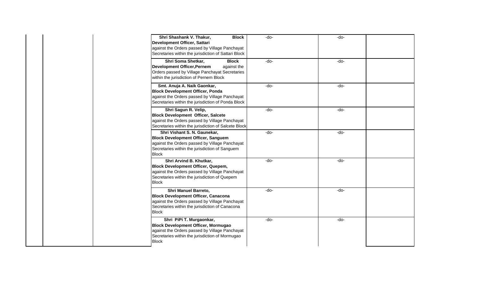| Shri Shashank V. Thakur,<br><b>Block</b><br>Development Officer, Sattari<br>against the Orders passed by Village Panchayat<br>Secretaries within the jurisdiction of Sattari Block            | -do-   | -do-   |  |
|-----------------------------------------------------------------------------------------------------------------------------------------------------------------------------------------------|--------|--------|--|
| Shri Soma Shetkar,<br><b>Block</b><br><b>Development Officer, Pernem</b><br>against the<br>Orders passed by Village Panchayat Secretaries<br>within the jurisdiction of Pernem Block          | -do-   | -do-   |  |
| Smt. Anuja A. Naik Gaonkar,<br><b>Block Development Officer, Ponda</b><br>against the Orders passed by Village Panchayat<br>Secretaries within the jurisdiction of Ponda Block                | -do-   | -do-   |  |
| Shri Sagun R. Velip,<br><b>Block Development Officer, Salcete</b><br>against the Orders passed by Village Panchayat<br>Secretaries within the jurisdiction of Salcete Block                   | -do-   | -do-   |  |
| Shri Vishant S. N. Gaunekar,<br><b>Block Development Officer, Sanguem</b><br>against the Orders passed by Village Panchayat<br>Secretaries within the jurisdiction of Sanguem<br><b>Block</b> | -do-   | -do-   |  |
| Shri Arvind B. Khutkar,<br><b>Block Development Officer, Quepem,</b><br>against the Orders passed by Village Panchayat<br>Secretaries within the jurisdiction of Quepem<br><b>Block</b>       | -do-   | $-do-$ |  |
| Shri Manuel Barreto,<br><b>Block Development Officer, Canacona</b><br>against the Orders passed by Village Panchayat<br>Secretaries within the jurisdiction of Canacona<br><b>Block</b>       | $-do-$ | $-do-$ |  |
| Shri PiPi T. Murgaonkar,<br><b>Block Development Officer, Mormugao</b><br>against the Orders passed by Village Panchayat<br>Secretaries within the jurisdiction of Mormugao<br><b>Block</b>   | -do-   | -do-   |  |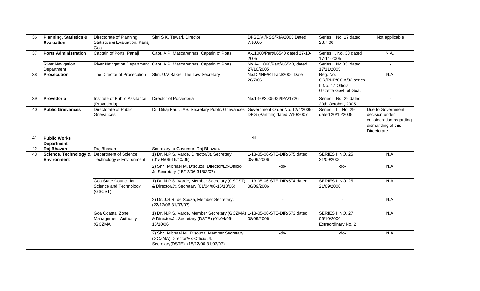| 36 | <b>Planning, Statistics &amp;</b><br>Evaluation | Directorate of Planning,<br>Statistics & Evaluation, Panaji<br>Goa | Shri S.K. Tewari, Director                                                                                                           | DPSE/VI/NSS/RIA/2005 Dated<br>7.10.05        | Series II No. 17 dated<br>28.7.06                                               | Not applicable                                                                                       |
|----|-------------------------------------------------|--------------------------------------------------------------------|--------------------------------------------------------------------------------------------------------------------------------------|----------------------------------------------|---------------------------------------------------------------------------------|------------------------------------------------------------------------------------------------------|
| 37 | <b>Ports Administration</b>                     | Captain of Ports, Panaji                                           | Capt. A.P. Mascarenhas, Captain of Ports                                                                                             | A-11060/Part/I/6540 dated 27-10-<br>2005     | Series II, No. 33 dated<br>17-11-2005                                           | N.A.                                                                                                 |
|    | <b>River Navigation</b><br>Department           |                                                                    | River Navigation Department Capt. A.P. Mascarenhas, Captain of Ports                                                                 | No.A-11060/Part/-I/6540, dated<br>27/10/2005 | Series II No.33, dated<br>17/11/2005                                            | $\mathbf{r}$                                                                                         |
| 38 | Prosecution                                     | The Director of Prosecution                                        | Shri. U.V.Bakre, The Law Secretary                                                                                                   | No.DI/INF/RTI-act/2006 Date<br>28/7/06       | Reg. No.<br>GR/RNP/GOA/32 series<br>II No. 17 Official<br>Gazette Govt. of Goa. | N.A.                                                                                                 |
| 39 | Provedoria                                      | Institute of Public Assitance<br>(Provedoria)                      | Director of Porvedoria                                                                                                               | No.1-90/2005-06/IPA/1726                     | Series II No. 29 dated<br>20th October, 2005                                    | $\blacksquare$                                                                                       |
| 40 | <b>Public Grievances</b>                        | Directorate of Public<br>Grievances                                | Dr. Dilraj Kaur, IAS, Secretary Public Grievances Government Order No. 12/4/2005-                                                    | DPG (Part file) dated 7/10/2007              | Series - II, No. 29<br>dated 20/10/2005                                         | Due to Government<br>decision under<br>consideration regarding<br>dismantling of this<br>Directorate |
| 41 | <b>Public Works</b><br><b>Department</b>        |                                                                    |                                                                                                                                      | Nil                                          |                                                                                 |                                                                                                      |
| 42 | Raj Bhavan                                      | Raj Bhavan                                                         | Secretary to Governor, Raj Bhavan.                                                                                                   |                                              |                                                                                 |                                                                                                      |
| 43 | Science, Technology &<br>Environment            | Department of Science,<br>Technology & Environment                 | 1) Dr. N.P.S. Varde, Director/Jt. Secretary<br>$(01/04/06-16/10/06)$                                                                 | 1-13-05-06-STE-DIR/575 dated<br>08/09/2006   | SERIES II NO. 25<br>21/09/2006                                                  | N.A.                                                                                                 |
|    |                                                 |                                                                    | 2) Shri. Michael M. D'souza, Director/Ex-Officio<br>Jt. Secretary (15/12/06-31/03/07)                                                | -do-                                         | -do-                                                                            | N.A.                                                                                                 |
|    |                                                 | Goa State Council for<br>Science and Technology<br>(GSCST)         | 1) Dr. N.P.S. Varde, Member Secretary (GSCST) 1-13-05-06-STE-DIR/574 dated<br>& Director/Jt. Secretary (01/04/06-16/10/06)           | 08/09/2006                                   | SERIES II NO. 25<br>21/09/2006                                                  | N.A.                                                                                                 |
|    |                                                 |                                                                    | 2) Dr. J.S.R. de Souza, Member Secretary.<br>(22/12/06-31/03/07)                                                                     | $\sim$                                       |                                                                                 | N.A.                                                                                                 |
|    |                                                 | Goa Coastal Zone<br><b>Management Authority</b><br>(GCZMA          | 1) Dr. N.P.S. Varde, Member Secretary (GCZMA) 1-13-05-06-STE-DIR/573 dated<br>& Director/Jt. Secretary (DSTE) (01/04/06-<br>16/10/06 | 08/09/2006                                   | SERIES II NO. 27<br>06/10/2006<br>Extraordinary No. 2                           | N.A.                                                                                                 |
|    |                                                 |                                                                    | 2) Shri. Michael M. D'souza, Member Secretary<br>(GCZMA) Director/Ex-Officio Jt.<br>Secretary(DSTE). (15/12/06-31/03/07)             | -do-                                         | -do-                                                                            | N.A.                                                                                                 |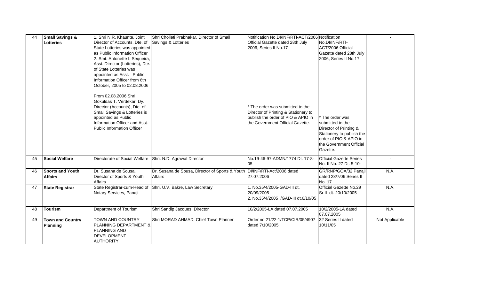| 44 | <b>Small Savings &amp;</b> | 1. Shri N.R. Khaunte, Joint                               | Shri Cholleti Prabhakar, Director of Small                                | Notification No.DI/INF/RTI-ACT/2006 Notification |                                |                |
|----|----------------------------|-----------------------------------------------------------|---------------------------------------------------------------------------|--------------------------------------------------|--------------------------------|----------------|
|    | Lotteries                  | Director of Accounts, Dte. of                             | Savings & Lotteries                                                       | Official Gazette dated 28th July                 | No.DI/INF/RTI-                 |                |
|    |                            | State Lotteries was appointed                             |                                                                           | 2006, Series II No.17                            | ACT/2006 Official              |                |
|    |                            | as Public Information Officer                             |                                                                           |                                                  | Gazette dated 28th July        |                |
|    |                            | 2. Smt. Antonette I. Sequeira,                            |                                                                           |                                                  | 2006, Series II No.17          |                |
|    |                            | Asst. Director (Lotteries), Dte.                          |                                                                           |                                                  |                                |                |
|    |                            | of State Lotteries was                                    |                                                                           |                                                  |                                |                |
|    |                            | appointed as Asst. Public                                 |                                                                           |                                                  |                                |                |
|    |                            | Information Officer from 6th                              |                                                                           |                                                  |                                |                |
|    |                            | October, 2005 to 02.08.2006                               |                                                                           |                                                  |                                |                |
|    |                            |                                                           |                                                                           |                                                  |                                |                |
|    |                            | From 02.08.2006 Shri                                      |                                                                           |                                                  |                                |                |
|    |                            | Gokuldas T. Verdekar, Dy.                                 |                                                                           |                                                  |                                |                |
|    |                            | Director (Accounts), Dte. of                              |                                                                           | The order was submitted to the                   |                                |                |
|    |                            | Small Savings & Lotteries is                              |                                                                           | Director of Printing & Stationery to             |                                |                |
|    |                            | appointed as Public                                       |                                                                           | publish the order of PIO & APIO in               | * The order was                |                |
|    |                            | Information Officer and Asst.                             |                                                                           | the Government Official Gazette.                 | submitted to the               |                |
|    |                            | <b>Public Information Officer</b>                         |                                                                           |                                                  | Director of Printing &         |                |
|    |                            |                                                           |                                                                           |                                                  | Stationery to publish the      |                |
|    |                            |                                                           |                                                                           |                                                  | order of PIO & APIO in         |                |
|    |                            |                                                           |                                                                           |                                                  |                                |                |
|    |                            |                                                           |                                                                           |                                                  | the Government Official        |                |
|    |                            |                                                           |                                                                           |                                                  | Gazette.                       |                |
| 45 | <b>Social Welfare</b>      | Directorate of Social Welfare Shri. N.D. Agrawal Director |                                                                           | No.19-46-97-ADMN/1774 Dt. 17-8-                  | <b>Official Gazette Series</b> |                |
|    |                            |                                                           |                                                                           | 05                                               | No. II No. 27 Dt. 5-10-        |                |
| 46 | <b>Sports and Youth</b>    | Dr. Susana de Sousa,                                      | Dr. Susana de Sousa, Director of Sports & Youth DI/INF/RTI-Act/2006 dated |                                                  | GR/RNP/GOA/32 Panaji           | N.A.           |
|    | <b>Affairs</b>             | Director of Sports & Youth                                | Affairs                                                                   | 27.07.2006                                       | dated 28/7/06 Series II        |                |
|    |                            | Affairs                                                   |                                                                           |                                                  | No. 17                         |                |
| 47 | <b>State Registrar</b>     |                                                           | State Registrar-cum-Head of Shri. U.V. Bakre, Law Secretary               | 1. No.35/4/2005-GAD-III dt.                      | Official Gazette No.29         | N.A.           |
|    |                            | Notary Services, Panaji                                   |                                                                           | 20/09/2005                                       | Sr.II dt. 20/10/2005           |                |
|    |                            |                                                           |                                                                           | 2. No.35/4/2005 /GAD-III dt.6/10/05              |                                |                |
|    |                            |                                                           |                                                                           |                                                  |                                |                |
| 48 | <b>Tourism</b>             | Department of Tourism                                     | Shri Sandip Jacques, Director                                             | 10/2/2005-LA dated 07.07.2005                    | 10/2/2005-LA dated             | N.A.           |
|    |                            |                                                           |                                                                           |                                                  | 07.07.2005                     |                |
| 49 | <b>Town and Country</b>    | <b>TOWN AND COUNTRY</b>                                   | Shri MORAD AHMAD, Chief Town Planner                                      | Order no 21/22-1/TCP/CIR/05/4907                 | 32 Series II dated             | Not Applicable |
|    | Planning                   | <b>PLANNING DEPARTMENT &amp;</b>                          |                                                                           | dated 7/10/2005                                  | 10/11/05                       |                |
|    |                            | PLANNING AND                                              |                                                                           |                                                  |                                |                |
|    |                            | <b>DEVELOPMENT</b>                                        |                                                                           |                                                  |                                |                |
|    |                            | <b>AUTHORITY</b>                                          |                                                                           |                                                  |                                |                |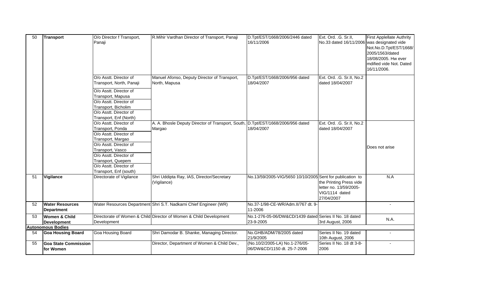| 50 | <b>Transport</b>                               | O/o Director f Transport,<br>Panaji                                                                                                                                                                                                        | R.Mihir Vardhan Director of Transport, Panaji                                             | D.Tpt/EST/1668/2006/2446 dated<br>16/11/2006                        | Ext. Ord. .G. Sr.II,<br>No.33 dated 16/11/2006 was designated vide                | <b>First Applellate Authrity</b><br>Not.No.D.Tpt/EST/1668/<br>2005/1563/dated<br>18/08/2005. Hw ever<br>mdified vide Not. Dated<br>16/11/2006. |
|----|------------------------------------------------|--------------------------------------------------------------------------------------------------------------------------------------------------------------------------------------------------------------------------------------------|-------------------------------------------------------------------------------------------|---------------------------------------------------------------------|-----------------------------------------------------------------------------------|------------------------------------------------------------------------------------------------------------------------------------------------|
|    |                                                | O/o Asstt. Director of<br>Transport, North, Panaji<br>O/o Asstt. Director of<br>Transport, Mapusa<br>O/o Asstt. Director of<br>Transport, Bicholim<br>O/o Asstt. Director of<br>Transport, Enf (North)                                     | Manuel Afonso, Deputy Director of Transport,<br>North, Mapusa                             | D.Tpt/EST/1668/2006/956 dated<br>18/04/2007                         | Ext. Ord. .G. Sr.II, No.2<br>dated 18/04/2007                                     |                                                                                                                                                |
|    |                                                | O/o Asstt. Director of<br>Transport, Ponda<br>O/o Asstt. Director of<br>Transport, Margao<br>O/o Asstt. Director of<br>Transport, Vasco<br>O/o Asstt. Director of<br>Transport, Quepem<br>O/o Asstt. Director of<br>Transport, Enf (south) | A. A. Bhosle Deputy Director of Transport, South, D.Tpt/EST/1668/2006/956 dated<br>Margao | 18/04/2007                                                          | Ext. Ord. .G. Sr.II, No.2<br>dated 18/04/2007                                     | Does not arise                                                                                                                                 |
| 51 | Vigilance                                      | Directorate of Vigilance                                                                                                                                                                                                                   | Shri Uddipta Ray, IAS, Director/Secretary<br>(Vigilance)                                  | No.13/59/2005-VIG/5650 10/10/2005 Sent for publication to           | the Printing Press vide<br>letter no. 13/59/2005-<br>VIG/1114 dated<br>27/04/2007 | N.A                                                                                                                                            |
| 52 | <b>Water Resources</b><br><b>Department</b>    |                                                                                                                                                                                                                                            | Water Resources Department Shri S.T. Nadkarni Chief Engineer (WR)                         | No.37-1/98-CE-WR/Adm.II/767 dt. 9-<br>11-2006                       |                                                                                   |                                                                                                                                                |
| 53 | <b>Women &amp; Child</b><br><b>Development</b> | Development                                                                                                                                                                                                                                | Directorate of Women & Child Director of Women & Child Development                        | No.1-276-05-06/DW&CD/1439 dated Series II No. 18 dated<br>23-9-2005 | 3rd August, 2006                                                                  | N.A.                                                                                                                                           |
|    | <b>Autonomous Bodies</b>                       |                                                                                                                                                                                                                                            |                                                                                           |                                                                     |                                                                                   |                                                                                                                                                |
| 54 | <b>Goa Housing Board</b>                       | Goa Housing Board                                                                                                                                                                                                                          | Shri Damodar B. Shanke, Managing Director.                                                | No.GHB/ADM/78/2005 dated<br>21/9/2005                               | Series II No. 19 dated<br>10th August, 2006                                       |                                                                                                                                                |
| 55 | <b>Goa State Commission</b><br>for Women       |                                                                                                                                                                                                                                            | Director, Department of Women & Child Dev.,                                               | (No.10/2/2005-LA) No.1-276/05-<br>06/DW&CD/1150 dt. 25-7-2006       | Series II No. 18 dt 3-8-<br>2006                                                  | $\blacksquare$                                                                                                                                 |